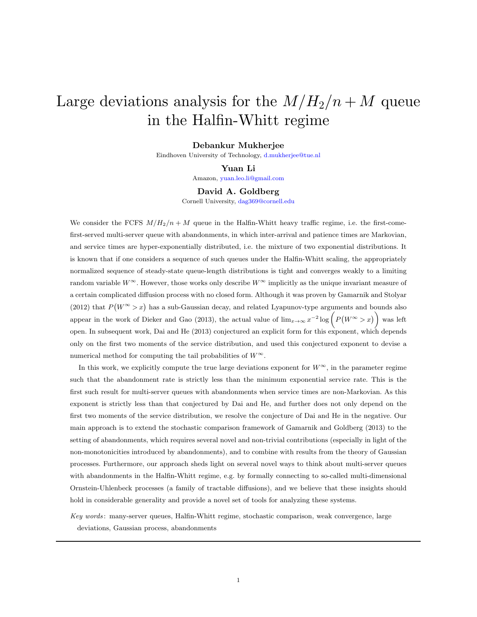# Large deviations analysis for the  $M/H_2/n + M$  queue in the Halfin-Whitt regime

### Debankur Mukherjee

Eindhoven University of Technology, [d.mukherjee@tue.nl](mailto:d.mukherjee@tue.nl)

#### Yuan Li

Amazon, [yuan.leo.li@gmail.com](mailto:yuan.leo.li@gmail.com)

### David A. Goldberg

Cornell University, [dag369@cornell.edu](mailto:dag369@cornell.edu)

We consider the FCFS  $M/H_2/n + M$  queue in the Halfin-Whitt heavy traffic regime, i.e. the first-comefirst-served multi-server queue with abandonments, in which inter-arrival and patience times are Markovian, and service times are hyper-exponentially distributed, i.e. the mixture of two exponential distributions. It is known that if one considers a sequence of such queues under the Halfin-Whitt scaling, the appropriately normalized sequence of steady-state queue-length distributions is tight and converges weakly to a limiting random variable  $W^{\infty}$ . However, those works only describe  $W^{\infty}$  implicitly as the unique invariant measure of a certain complicated diffusion process with no closed form. Although it was proven by Gamarnik and Stolyar (2012) that  $P(W^{\infty} > x)$  has a sub-Gaussian decay, and related Lyapunov-type arguments and bounds also appear in the work of Dieker and Gao (2013), the actual value of  $\lim_{x\to\infty} x^{-2} \log \left( P(W^{\infty} > x) \right)$  was left open. In subsequent work, Dai and He (2013) conjectured an explicit form for this exponent, which depends only on the first two moments of the service distribution, and used this conjectured exponent to devise a numerical method for computing the tail probabilities of  $W^{\infty}$ .

In this work, we explicitly compute the true large deviations exponent for  $W^{\infty}$ , in the parameter regime such that the abandonment rate is strictly less than the minimum exponential service rate. This is the first such result for multi-server queues with abandonments when service times are non-Markovian. As this exponent is strictly less than that conjectured by Dai and He, and further does not only depend on the first two moments of the service distribution, we resolve the conjecture of Dai and He in the negative. Our main approach is to extend the stochastic comparison framework of Gamarnik and Goldberg (2013) to the setting of abandonments, which requires several novel and non-trivial contributions (especially in light of the non-monotonicities introduced by abandonments), and to combine with results from the theory of Gaussian processes. Furthermore, our approach sheds light on several novel ways to think about multi-server queues with abandonments in the Halfin-Whitt regime, e.g. by formally connecting to so-called multi-dimensional Ornstein-Uhlenbeck processes (a family of tractable diffusions), and we believe that these insights should hold in considerable generality and provide a novel set of tools for analyzing these systems.

Key words : many-server queues, Halfin-Whitt regime, stochastic comparison, weak convergence, large deviations, Gaussian process, abandonments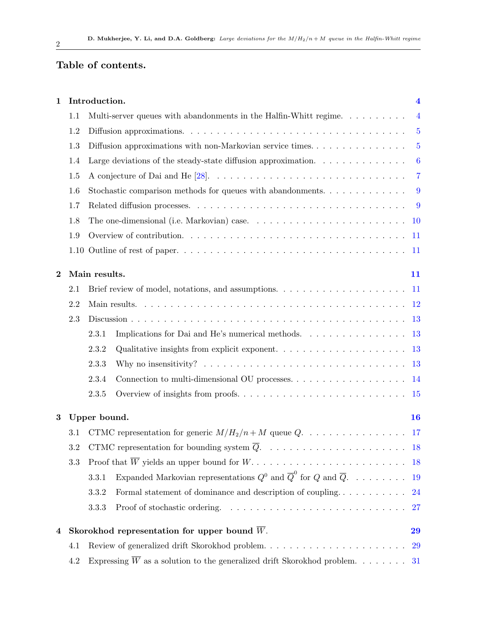## Table of contents.

| $\mathbf{1}$ |     | Introduction.                                                                                                                                        | $\overline{\mathbf{4}}$ |
|--------------|-----|------------------------------------------------------------------------------------------------------------------------------------------------------|-------------------------|
|              | 1.1 | Multi-server queues with abandonments in the Halfin-Whitt regime.                                                                                    | $\overline{4}$          |
|              | 1.2 | Diffusion approximations. $\ldots \ldots \ldots \ldots \ldots \ldots \ldots \ldots \ldots \ldots \ldots$                                             | $\overline{5}$          |
|              | 1.3 | Diffusion approximations with non-Markovian service times. $\dots \dots \dots \dots \dots$                                                           | $5\overline{)}$         |
|              | 1.4 | Large deviations of the steady-state diffusion approximation. $\dots \dots \dots \dots$                                                              | $-6$                    |
|              | 1.5 |                                                                                                                                                      | $\overline{7}$          |
|              | 1.6 | Stochastic comparison methods for queues with abandonments. $\dots \dots \dots \dots$                                                                | 9                       |
|              | 1.7 |                                                                                                                                                      |                         |
|              | 1.8 |                                                                                                                                                      |                         |
|              | 1.9 | Overview of contribution. $\ldots \ldots \ldots \ldots \ldots \ldots \ldots \ldots \ldots \ldots \ldots$                                             |                         |
|              |     |                                                                                                                                                      |                         |
| $\bf{2}$     |     | Main results.                                                                                                                                        | 11                      |
|              | 2.1 | Brief review of model, notations, and assumptions. $\dots \dots \dots \dots \dots \dots \dots \dots \dots \dots \dots \dots \dots \dots \dots \dots$ |                         |
|              | 2.2 |                                                                                                                                                      |                         |
|              | 2.3 |                                                                                                                                                      |                         |
|              |     | Implications for Dai and He's numerical methods. 13<br>2.3.1                                                                                         |                         |
|              |     | Qualitative insights from explicit exponent. $\ldots \ldots \ldots \ldots \ldots \ldots \ldots$ 13<br>2.3.2                                          |                         |
|              |     | 2.3.3                                                                                                                                                |                         |
|              |     | 2.3.4                                                                                                                                                |                         |
|              |     | 2.3.5                                                                                                                                                |                         |
| 3            |     | Upper bound.                                                                                                                                         | 16                      |
|              | 3.1 | CTMC representation for generic $M/H_2/n + M$ queue $Q. \ldots \ldots \ldots \ldots \ldots \ldots$ 17                                                |                         |
|              |     |                                                                                                                                                      |                         |
|              | 3.3 |                                                                                                                                                      |                         |
|              |     | Expanded Markovian representations $Q^0$ and $\overline{Q}^0$ for Q and $\overline{Q}$ .<br>3.3.1                                                    | 19                      |
|              |     | Formal statement of dominance and description of coupling<br>3.3.2                                                                                   | 24                      |
|              |     | 3.3.3                                                                                                                                                | 27                      |
| 4            |     | Skorokhod representation for upper bound $\overline{W}$ .                                                                                            | 29                      |
|              | 4.1 |                                                                                                                                                      | <b>29</b>               |
|              | 4.2 |                                                                                                                                                      |                         |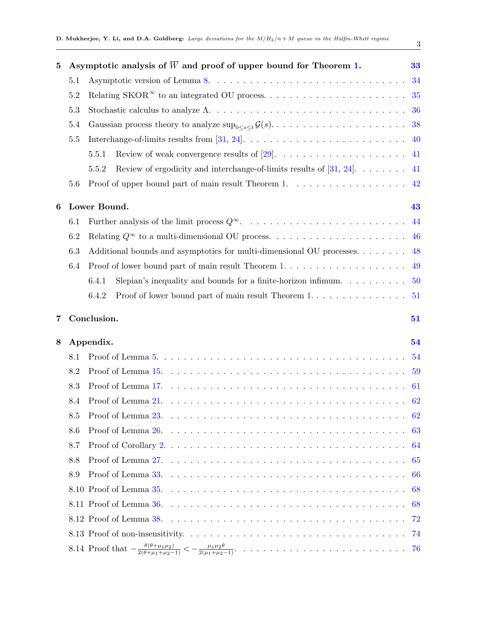| 5 |     |                                                                                                                  |        |
|---|-----|------------------------------------------------------------------------------------------------------------------|--------|
|   |     | Asymptotic analysis of $\overline{W}$ and proof of upper bound for Theorem 1.                                    | 33     |
|   | 5.1 |                                                                                                                  |        |
|   | 5.2 |                                                                                                                  |        |
|   | 5.3 |                                                                                                                  |        |
|   | 5.4 |                                                                                                                  |        |
|   | 5.5 | Interchange-of-limits results from [31, 24]. $\ldots \ldots \ldots \ldots \ldots \ldots \ldots \ldots \ldots$ 40 |        |
|   |     | 5.5.1                                                                                                            |        |
|   |     | Review of ergodicity and interchange-of-limits results of [31, 24]. $\dots \dots$ 41<br>5.5.2                    |        |
|   | 5.6 | Proof of upper bound part of main result Theorem 1. 42                                                           |        |
| 6 |     | Lower Bound.                                                                                                     | 43     |
|   | 6.1 |                                                                                                                  |        |
|   | 6.2 |                                                                                                                  |        |
|   | 6.3 | Additional bounds and asymptotics for multi-dimensional OU processes. 48                                         |        |
|   | 6.4 | Proof of lower bound part of main result Theorem 1. $\dots$ 49                                                   |        |
|   |     | Slepian's inequality and bounds for a finite-horizon infimum. $\dots \dots \dots \dots$ 50<br>6.4.1              |        |
|   |     | Proof of lower bound part of main result Theorem $1, \ldots, \ldots, \ldots, 51$<br>6.4.2                        |        |
| 7 |     | Conclusion.                                                                                                      | 51     |
| 8 |     | Appendix.                                                                                                        | 54     |
|   | 8.1 |                                                                                                                  | 54     |
|   | 8.2 |                                                                                                                  |        |
|   | 8.3 |                                                                                                                  |        |
|   | 8.4 |                                                                                                                  |        |
|   |     |                                                                                                                  |        |
|   | 8.5 |                                                                                                                  |        |
|   | 8.6 |                                                                                                                  |        |
|   | 8.7 |                                                                                                                  |        |
|   | 8.8 |                                                                                                                  |        |
|   | 8.9 |                                                                                                                  |        |
|   |     |                                                                                                                  |        |
|   |     |                                                                                                                  |        |
|   |     |                                                                                                                  | $72\,$ |
|   |     |                                                                                                                  |        |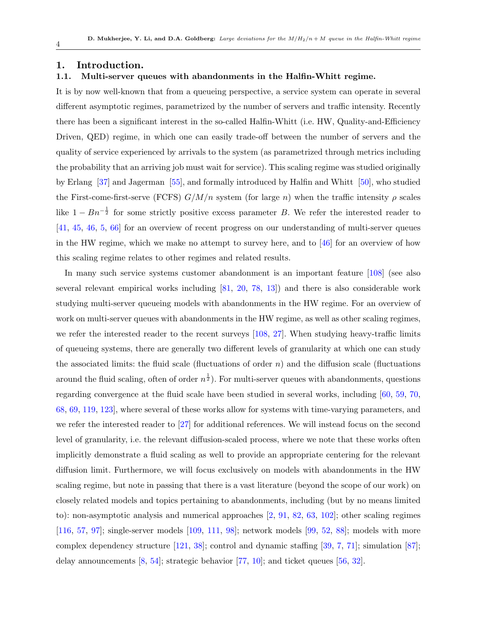### <span id="page-3-0"></span>1. Introduction.

### <span id="page-3-1"></span>1.1. Multi-server queues with abandonments in the Halfin-Whitt regime.

It is by now well-known that from a queueing perspective, a service system can operate in several different asymptotic regimes, parametrized by the number of servers and traffic intensity. Recently there has been a significant interest in the so-called Halfin-Whitt (i.e. HW, Quality-and-Efficiency Driven, QED) regime, in which one can easily trade-off between the number of servers and the quality of service experienced by arrivals to the system (as parametrized through metrics including the probability that an arriving job must wait for service). This scaling regime was studied originally by Erlang [\[37\]](#page-77-3) and Jagerman [\[55\]](#page-78-0), and formally introduced by Halfin and Whitt [\[50\]](#page-78-1), who studied the First-come-first-serve (FCFS)  $G/M/n$  system (for large n) when the traffic intensity  $\rho$  scales like  $1 - Bn^{-\frac{1}{2}}$  for some strictly positive excess parameter B. We refer the interested reader to [\[41,](#page-77-4) [45,](#page-78-2) [46,](#page-78-3) [5,](#page-75-1) [66\]](#page-79-0) for an overview of recent progress on our understanding of multi-server queues in the HW regime, which we make no attempt to survey here, and to  $[46]$  for an overview of how this scaling regime relates to other regimes and related results.

In many such service systems customer abandonment is an important feature [\[108\]](#page-82-0) (see also several relevant empirical works including [\[81,](#page-80-0) [20,](#page-76-1) [78,](#page-80-1) [13\]](#page-76-2)) and there is also considerable work studying multi-server queueing models with abandonments in the HW regime. For an overview of work on multi-server queues with abandonments in the HW regime, as well as other scaling regimes, we refer the interested reader to the recent surveys [\[108,](#page-82-0) [27\]](#page-77-5). When studying heavy-traffic limits of queueing systems, there are generally two different levels of granularity at which one can study the associated limits: the fluid scale (fluctuations of order  $n$ ) and the diffusion scale (fluctuations around the fluid scaling, often of order  $n^{\frac{1}{2}}$ ). For multi-server queues with abandonments, questions regarding convergence at the fluid scale have been studied in several works, including [\[60,](#page-79-1) [59,](#page-79-2) [70,](#page-79-3) [68,](#page-79-4) [69,](#page-79-5) [119,](#page-82-1) [123\]](#page-82-2), where several of these works allow for systems with time-varying parameters, and we refer the interested reader to [\[27\]](#page-77-5) for additional references. We will instead focus on the second level of granularity, i.e. the relevant diffusion-scaled process, where we note that these works often implicitly demonstrate a fluid scaling as well to provide an appropriate centering for the relevant diffusion limit. Furthermore, we will focus exclusively on models with abandonments in the HW scaling regime, but note in passing that there is a vast literature (beyond the scope of our work) on closely related models and topics pertaining to abandonments, including (but by no means limited to): non-asymptotic analysis and numerical approaches [\[2,](#page-75-2) [91,](#page-81-0) [82,](#page-80-2) [63,](#page-79-6) [102\]](#page-81-1); other scaling regimes [\[116,](#page-82-3) [57,](#page-78-4) [97\]](#page-81-2); single-server models [\[109,](#page-82-4) [111,](#page-82-5) [98\]](#page-81-3); network models [\[99,](#page-81-4) [52,](#page-78-5) [88\]](#page-80-3); models with more complex dependency structure [\[121,](#page-82-6) [38\]](#page-77-6); control and dynamic staffing [\[39,](#page-77-7) [7,](#page-76-3) [71\]](#page-79-7); simulation [\[87\]](#page-80-4); delay announcements  $[8, 54]$  $[8, 54]$  $[8, 54]$ ; strategic behavior  $[77, 10]$  $[77, 10]$  $[77, 10]$ ; and ticket queues  $[56, 32]$  $[56, 32]$  $[56, 32]$ .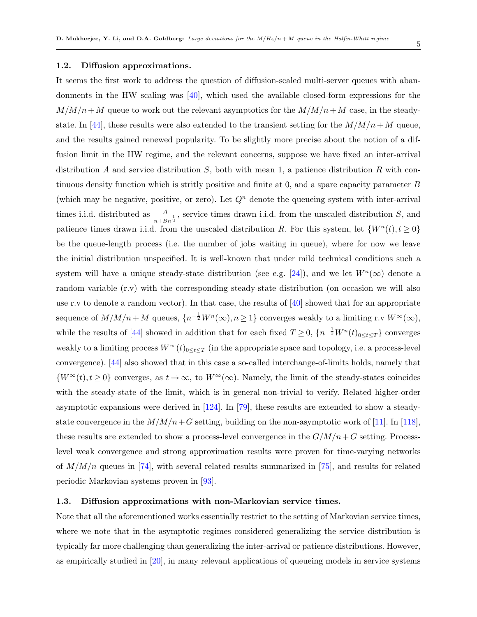### <span id="page-4-0"></span>1.2. Diffusion approximations.

It seems the first work to address the question of diffusion-scaled multi-server queues with abandonments in the HW scaling was [\[40\]](#page-77-9), which used the available closed-form expressions for the  $M/M/n+M$  queue to work out the relevant asymptotics for the  $M/M/n+M$  case, in the steady-state. In [\[44\]](#page-78-8), these results were also extended to the transient setting for the  $M/M/n+M$  queue, and the results gained renewed popularity. To be slightly more precise about the notion of a diffusion limit in the HW regime, and the relevant concerns, suppose we have fixed an inter-arrival distribution A and service distribution  $S$ , both with mean 1, a patience distribution  $R$  with continuous density function which is stritly positive and finite at 0, and a spare capacity parameter B (which may be negative, positive, or zero). Let  $Q<sup>n</sup>$  denote the queueing system with inter-arrival times i.i.d. distributed as  $\frac{A}{n+Bn^{\frac{1}{2}}}$ , service times drawn i.i.d. from the unscaled distribution S, and patience times drawn i.i.d. from the unscaled distribution R. For this system, let  $\{W^n(t), t \geq 0\}$ be the queue-length process (i.e. the number of jobs waiting in queue), where for now we leave the initial distribution unspecified. It is well-known that under mild technical conditions such a system will have a unique steady-state distribution (see e.g. [\[24\]](#page-76-0)), and we let  $W<sup>n</sup>(\infty)$  denote a random variable (r.v) with the corresponding steady-state distribution (on occasion we will also use r.v to denote a random vector). In that case, the results of  $[40]$  showed that for an appropriate sequence of  $M/M/n + M$  queues,  $\{n^{-\frac{1}{2}}W^n(\infty), n \ge 1\}$  converges weakly to a limiting r.v  $W^{\infty}(\infty)$ , while the results of [\[44\]](#page-78-8) showed in addition that for each fixed  $T \geq 0$ ,  $\{n^{-\frac{1}{2}}W^n(t)_{0 \leq t \leq T}\}$  converges weakly to a limiting process  $W^\infty(t)_{0\leq t\leq T}$  (in the appropriate space and topology, i.e. a process-level convergence). [\[44\]](#page-78-8) also showed that in this case a so-called interchange-of-limits holds, namely that  ${W^{\infty}(t), t \geq 0}$  converges, as  $t \to \infty$ , to  $W^{\infty}(\infty)$ . Namely, the limit of the steady-states coincides with the steady-state of the limit, which is in general non-trivial to verify. Related higher-order asymptotic expansions were derived in [\[124\]](#page-82-7). In [\[79\]](#page-80-6), these results are extended to show a steadystate convergence in the  $M/M/n+G$  setting, building on the non-asymptotic work of [\[11\]](#page-76-6). In [\[118\]](#page-82-8), these results are extended to show a process-level convergence in the  $G/M/n+G$  setting. Processlevel weak convergence and strong approximation results were proven for time-varying networks of  $M/M/n$  queues in [\[74\]](#page-79-8), with several related results summarized in [\[75\]](#page-80-7), and results for related periodic Markovian systems proven in [\[93\]](#page-81-5).

### <span id="page-4-1"></span>1.3. Diffusion approximations with non-Markovian service times.

Note that all the aforementioned works essentially restrict to the setting of Markovian service times, where we note that in the asymptotic regimes considered generalizing the service distribution is typically far more challenging than generalizing the inter-arrival or patience distributions. However, as empirically studied in [\[20\]](#page-76-1), in many relevant applications of queueing models in service systems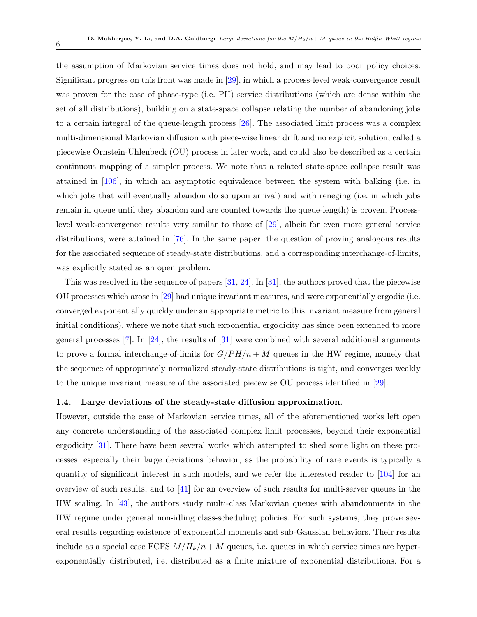the assumption of Markovian service times does not hold, and may lead to poor policy choices. Significant progress on this front was made in [\[29\]](#page-77-2), in which a process-level weak-convergence result was proven for the case of phase-type (i.e. PH) service distributions (which are dense within the set of all distributions), building on a state-space collapse relating the number of abandoning jobs to a certain integral of the queue-length process [\[26\]](#page-77-10). The associated limit process was a complex multi-dimensional Markovian diffusion with piece-wise linear drift and no explicit solution, called a piecewise Ornstein-Uhlenbeck (OU) process in later work, and could also be described as a certain continuous mapping of a simpler process. We note that a related state-space collapse result was attained in [\[106\]](#page-81-6), in which an asymptotic equivalence between the system with balking (i.e. in which jobs that will eventually abandon do so upon arrival) and with reneging (i.e. in which jobs remain in queue until they abandon and are counted towards the queue-length) is proven. Processlevel weak-convergence results very similar to those of [\[29\]](#page-77-2), albeit for even more general service distributions, were attained in [\[76\]](#page-80-8). In the same paper, the question of proving analogous results for the associated sequence of steady-state distributions, and a corresponding interchange-of-limits, was explicitly stated as an open problem.

This was resolved in the sequence of papers  $[31, 24]$  $[31, 24]$  $[31, 24]$ . In  $[31]$ , the authors proved that the piecewise OU processes which arose in [\[29\]](#page-77-2) had unique invariant measures, and were exponentially ergodic (i.e. converged exponentially quickly under an appropriate metric to this invariant measure from general initial conditions), where we note that such exponential ergodicity has since been extended to more general processes  $[7]$ . In  $[24]$ , the results of  $[31]$  were combined with several additional arguments to prove a formal interchange-of-limits for  $G/PH/n + M$  queues in the HW regime, namely that the sequence of appropriately normalized steady-state distributions is tight, and converges weakly to the unique invariant measure of the associated piecewise OU process identified in [\[29\]](#page-77-2).

### <span id="page-5-0"></span>1.4. Large deviations of the steady-state diffusion approximation.

However, outside the case of Markovian service times, all of the aforementioned works left open any concrete understanding of the associated complex limit processes, beyond their exponential ergodicity [\[31\]](#page-77-1). There have been several works which attempted to shed some light on these processes, especially their large deviations behavior, as the probability of rare events is typically a quantity of significant interest in such models, and we refer the interested reader to [\[104\]](#page-81-7) for an overview of such results, and to [\[41\]](#page-77-4) for an overview of such results for multi-server queues in the HW scaling. In [\[43\]](#page-78-9), the authors study multi-class Markovian queues with abandonments in the HW regime under general non-idling class-scheduling policies. For such systems, they prove several results regarding existence of exponential moments and sub-Gaussian behaviors. Their results include as a special case FCFS  $M/H_k/n+M$  queues, i.e. queues in which service times are hyperexponentially distributed, i.e. distributed as a finite mixture of exponential distributions. For a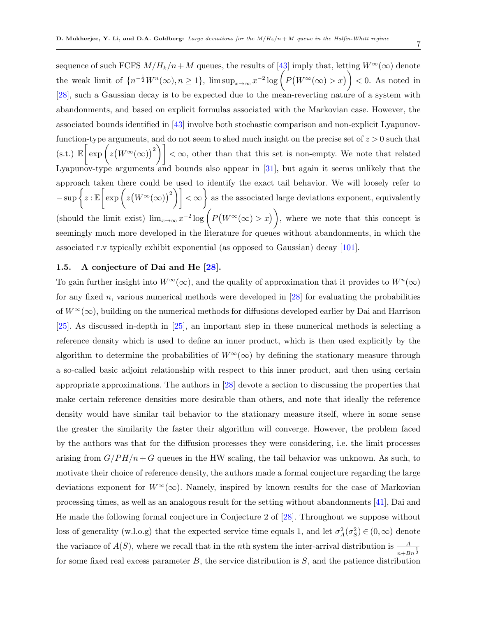7

sequence of such FCFS  $M/H_k/n+M$  queues, the results of [\[43\]](#page-78-9) imply that, letting  $W^\infty(\infty)$  denote the weak limit of  $\{n^{-\frac{1}{2}}W^n(\infty), n\geq 1\}$ ,  $\limsup_{x\to\infty} x^{-2}\log\left(P(W^\infty(\infty)>x)\right)<0$ . As noted in [\[28\]](#page-77-0), such a Gaussian decay is to be expected due to the mean-reverting nature of a system with abandonments, and based on explicit formulas associated with the Markovian case. However, the associated bounds identified in [\[43\]](#page-78-9) involve both stochastic comparison and non-explicit Lyapunovfunction-type arguments, and do not seem to shed much insight on the precise set of  $z > 0$  such that  $(\text{s.t.}) \mathbb{E}\left[\exp\left(z(W^{\infty}(\infty))^{2}\right)\right] < \infty$ , other than that this set is non-empty. We note that related Lyapunov-type arguments and bounds also appear in [\[31\]](#page-77-1), but again it seems unlikely that the approach taken there could be used to identify the exact tail behavior. We will loosely refer to  $-\sup\left\{z:\mathbb{E}\left[\exp\left(z(W^{\infty}(\infty))^{2}\right)\right]<\infty\right\}\)$  as the associated large deviations exponent, equivalently (should the limit exist)  $\lim_{x\to\infty} x^{-2} \log \left( P(W^{\infty}(\infty) > x) \right)$ , where we note that this concept is seemingly much more developed in the literature for queues without abandonments, in which the associated r.v typically exhibit exponential (as opposed to Gaussian) decay [\[101\]](#page-81-8).

### <span id="page-6-0"></span>1.5. A conjecture of Dai and He [\[28\]](#page-77-0).

To gain further insight into  $W^{\infty}(\infty)$ , and the quality of approximation that it provides to  $W^{n}(\infty)$ for any fixed n, various numerical methods were developed in  $[28]$  for evaluating the probabilities of  $W^{\infty}(\infty)$ , building on the numerical methods for diffusions developed earlier by Dai and Harrison [\[25\]](#page-76-7). As discussed in-depth in [\[25\]](#page-76-7), an important step in these numerical methods is selecting a reference density which is used to define an inner product, which is then used explicitly by the algorithm to determine the probabilities of  $W^{\infty}(\infty)$  by defining the stationary measure through a so-called basic adjoint relationship with respect to this inner product, and then using certain appropriate approximations. The authors in [\[28\]](#page-77-0) devote a section to discussing the properties that make certain reference densities more desirable than others, and note that ideally the reference density would have similar tail behavior to the stationary measure itself, where in some sense the greater the similarity the faster their algorithm will converge. However, the problem faced by the authors was that for the diffusion processes they were considering, i.e. the limit processes arising from  $G/PH/n + G$  queues in the HW scaling, the tail behavior was unknown. As such, to motivate their choice of reference density, the authors made a formal conjecture regarding the large deviations exponent for  $W^{\infty}(\infty)$ . Namely, inspired by known results for the case of Markovian processing times, as well as an analogous result for the setting without abandonments [\[41\]](#page-77-4), Dai and He made the following formal conjecture in Conjecture 2 of [\[28\]](#page-77-0). Throughout we suppose without loss of generality (w.l.o.g) that the expected service time equals 1, and let  $\sigma_A^2(\sigma_S^2) \in (0,\infty)$  denote the variance of  $A(S)$ , where we recall that in the *n*th system the inter-arrival distribution is  $\frac{A}{n+Bn^{\frac{1}{2}}}$ for some fixed real excess parameter  $B$ , the service distribution is  $S$ , and the patience distribution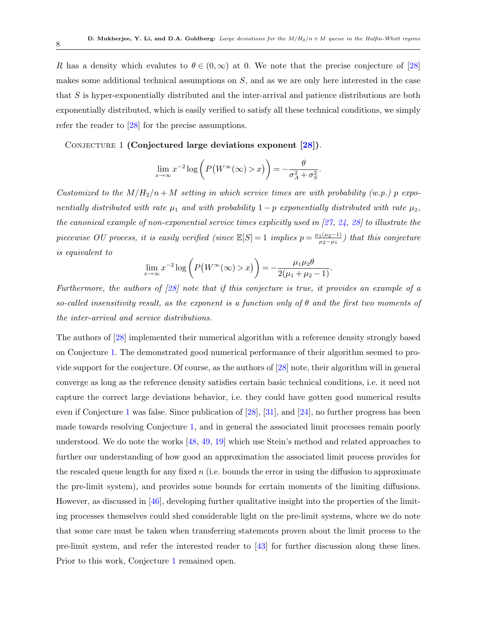R has a density which evalutes to  $\theta \in (0,\infty)$  at 0. We note that the precise conjecture of [\[28\]](#page-77-0) makes some additional technical assumptions on  $S$ , and as we are only here interested in the case that S is hyper-exponentially distributed and the inter-arrival and patience distributions are both exponentially distributed, which is easily verified to satisfy all these technical conditions, we simply refer the reader to [\[28\]](#page-77-0) for the precise assumptions.

CONJECTURE 1 (Conjectured large deviations exponent [\[28\]](#page-77-0)).

<span id="page-7-0"></span>
$$
\lim_{x \to \infty} x^{-2} \log \left( P(W^{\infty}(\infty) > x) \right) = -\frac{\theta}{\sigma_A^2 + \sigma_S^2}.
$$

Customized to the  $M/H_2/n + M$  setting in which service times are with probability (w.p.) p exponentially distributed with rate  $\mu_1$  and with probability  $1-p$  exponentially distributed with rate  $\mu_2$ , the canonical example of non-exponential service times explicitly used in  $[27, 24, 28]$  $[27, 24, 28]$  $[27, 24, 28]$  $[27, 24, 28]$  $[27, 24, 28]$  to illustrate the piecewise OU process, it is easily verified (since  $\mathbb{E}[S] = 1$  implies  $p = \frac{\mu_1(\mu_2 - 1)}{\mu_2 - \mu_3}$  $\frac{1(\mu_2-1)}{\mu_2-\mu_1}$ ) that this conjecture is equivalent to

$$
\lim_{x \to \infty} x^{-2} \log \left( P\left(W^{\infty}(\infty) > x\right) \right) = -\frac{\mu_1 \mu_2 \theta}{2(\mu_1 + \mu_2 - 1)}.
$$

Furthermore, the authors of [\[28\]](#page-77-0) note that if this conjecture is true, it provides an example of a so-called insensitivity result, as the exponent is a function only of  $\theta$  and the first two moments of the inter-arrival and service distributions.

The authors of [\[28\]](#page-77-0) implemented their numerical algorithm with a reference density strongly based on Conjecture [1.](#page-7-0) The demonstrated good numerical performance of their algorithm seemed to provide support for the conjecture. Of course, as the authors of [\[28\]](#page-77-0) note, their algorithm will in general converge as long as the reference density satisfies certain basic technical conditions, i.e. it need not capture the correct large deviations behavior, i.e. they could have gotten good numerical results even if Conjecture [1](#page-7-0) was false. Since publication of [\[28\]](#page-77-0), [\[31\]](#page-77-1), and [\[24\]](#page-76-0), no further progress has been made towards resolving Conjecture [1,](#page-7-0) and in general the associated limit processes remain poorly understood. We do note the works [\[48,](#page-78-10) [49,](#page-78-11) [19\]](#page-76-8) which use Stein's method and related approaches to further our understanding of how good an approximation the associated limit process provides for the rescaled queue length for any fixed  $n$  (i.e. bounds the error in using the diffusion to approximate the pre-limit system), and provides some bounds for certain moments of the limiting diffusions. However, as discussed in [\[46\]](#page-78-3), developing further qualitative insight into the properties of the limiting processes themselves could shed considerable light on the pre-limit systems, where we do note that some care must be taken when transferring statements proven about the limit process to the pre-limit system, and refer the interested reader to [\[43\]](#page-78-9) for further discussion along these lines. Prior to this work, Conjecture [1](#page-7-0) remained open.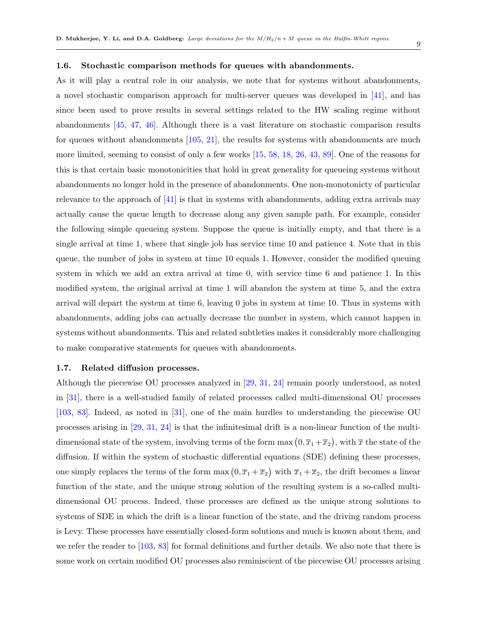### <span id="page-8-0"></span>1.6. Stochastic comparison methods for queues with abandonments.

As it will play a central role in our analysis, we note that for systems without abandonments, a novel stochastic comparison approach for multi-server queues was developed in [\[41\]](#page-77-4), and has since been used to prove results in several settings related to the HW scaling regime without abandonments [\[45,](#page-78-2) [47,](#page-78-12) [46\]](#page-78-3). Although there is a vast literature on stochastic comparison results for queues without abandonments [\[105,](#page-81-9) [21\]](#page-76-9), the results for systems with abandonments are much more limited, seeming to consist of only a few works [\[15,](#page-76-10) [58,](#page-78-13) [18,](#page-76-11) [26,](#page-77-10) [43,](#page-78-9) [89\]](#page-80-9). One of the reasons for this is that certain basic monotonicities that hold in great generality for queueing systems without abandonments no longer hold in the presence of abandonments. One non-monotonicty of particular relevance to the approach of  $\left[41\right]$  is that in systems with abandonments, adding extra arrivals may actually cause the queue length to decrease along any given sample path. For example, consider the following simple queueing system. Suppose the queue is initially empty, and that there is a single arrival at time 1, where that single job has service time 10 and patience 4. Note that in this queue, the number of jobs in system at time 10 equals 1. However, consider the modified queuing system in which we add an extra arrival at time 0, with service time 6 and patience 1. In this modified system, the original arrival at time 1 will abandon the system at time 5, and the extra arrival will depart the system at time 6, leaving 0 jobs in system at time 10. Thus in systems with abandonments, adding jobs can actually decrease the number in system, which cannot happen in systems without abandonments. This and related subtleties makes it considerably more challenging to make comparative statements for queues with abandonments.

### <span id="page-8-1"></span>1.7. Related diffusion processes.

Although the piecewise OU processes analyzed in [\[29,](#page-77-2) [31,](#page-77-1) [24\]](#page-76-0) remain poorly understood, as noted in [\[31\]](#page-77-1), there is a well-studied family of related processes called multi-dimensional OU processes [\[103,](#page-81-10) [83\]](#page-80-10). Indeed, as noted in [\[31\]](#page-77-1), one of the main hurdles to understanding the piecewise OU processes arising in [\[29,](#page-77-2) [31,](#page-77-1) [24\]](#page-76-0) is that the infinitesimal drift is a non-linear function of the multidimensional state of the system, involving terms of the form max  $(0,\overline{x}_1+\overline{x}_2)$ , with  $\overline{x}$  the state of the diffusion. If within the system of stochastic differential equations (SDE) defining these processes, one simply replaces the terms of the form  $\max(0, \overline{x}_1 + \overline{x}_2)$  with  $\overline{x}_1 + \overline{x}_2$ , the drift becomes a linear function of the state, and the unique strong solution of the resulting system is a so-called multidimensional OU process. Indeed, these processes are defined as the unique strong solutions to systems of SDE in which the drift is a linear function of the state, and the driving random process is Levy. These processes have essentially closed-form solutions and much is known about them, and we refer the reader to [\[103,](#page-81-10) [83\]](#page-80-10) for formal definitions and further details. We also note that there is some work on certain modified OU processes also reminiscient of the piecewise OU processes arising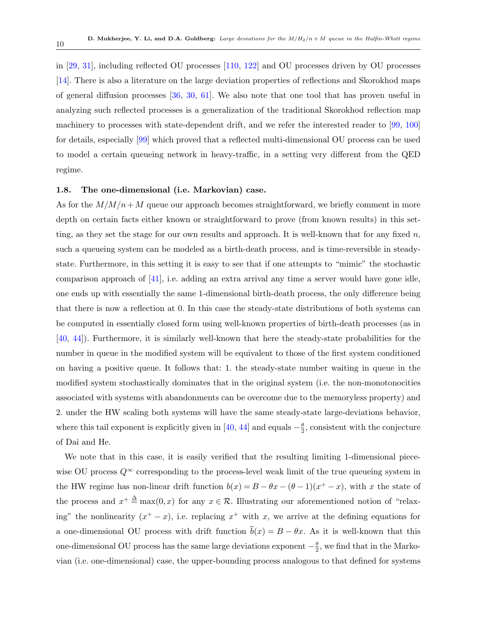in [\[29,](#page-77-2) [31\]](#page-77-1), including reflected OU processes [\[110,](#page-82-9) [122\]](#page-82-10) and OU processes driven by OU processes [\[14\]](#page-76-12). There is also a literature on the large deviation properties of reflections and Skorokhod maps of general diffusion processes [\[36,](#page-77-11) [30,](#page-77-12) [61\]](#page-79-9). We also note that one tool that has proven useful in analyzing such reflected processes is a generalization of the traditional Skorokhod reflection map machinery to processes with state-dependent drift, and we refer the interested reader to [\[99,](#page-81-4) [100\]](#page-81-11) for details, especially [\[99\]](#page-81-4) which proved that a reflected multi-dimensional OU process can be used to model a certain queueing network in heavy-traffic, in a setting very different from the QED regime.

### <span id="page-9-0"></span>1.8. The one-dimensional (i.e. Markovian) case.

As for the  $M/M/n+M$  queue our approach becomes straightforward, we briefly comment in more depth on certain facts either known or straightforward to prove (from known results) in this setting, as they set the stage for our own results and approach. It is well-known that for any fixed  $n$ , such a queueing system can be modeled as a birth-death process, and is time-reversible in steadystate. Furthermore, in this setting it is easy to see that if one attempts to "mimic" the stochastic comparison approach of [\[41\]](#page-77-4), i.e. adding an extra arrival any time a server would have gone idle, one ends up with essentially the same 1-dimensional birth-death process, the only difference being that there is now a reflection at 0. In this case the steady-state distributions of both systems can be computed in essentially closed form using well-known properties of birth-death processes (as in [\[40,](#page-77-9) [44\]](#page-78-8)). Furthermore, it is similarly well-known that here the steady-state probabilities for the number in queue in the modified system will be equivalent to those of the first system conditioned on having a positive queue. It follows that: 1. the steady-state number waiting in queue in the modified system stochastically dominates that in the original system (i.e. the non-monotonocities associated with systems with abandonments can be overcome due to the memoryless property) and 2. under the HW scaling both systems will have the same steady-state large-deviations behavior, where this tail exponent is explicitly given in [\[40,](#page-77-9) [44\]](#page-78-8) and equals  $-\frac{\theta}{2}$  $\frac{\theta}{2}$ , consistent with the conjecture of Dai and He.

We note that in this case, it is easily verified that the resulting limiting 1-dimensional piecewise OU process  $Q^{\infty}$  corresponding to the process-level weak limit of the true queueing system in the HW regime has non-linear drift function  $b(x) = B - \theta x - (\theta - 1)(x^+ - x)$ , with x the state of the process and  $x^+ \stackrel{\Delta}{=} \max(0, x)$  for any  $x \in \mathcal{R}$ . Illustrating our aforementioned notion of "relaxing" the nonlinearity  $(x^+ - x)$ , i.e. replacing  $x^+$  with x, we arrive at the defining equations for a one-dimensional OU process with drift function  $\bar{b}(x) = B - \theta x$ . As it is well-known that this one-dimensional OU process has the same large deviations exponent  $-\frac{\theta}{2}$  $\frac{\theta}{2}$ , we find that in the Markovian (i.e. one-dimensional) case, the upper-bounding process analogous to that defined for systems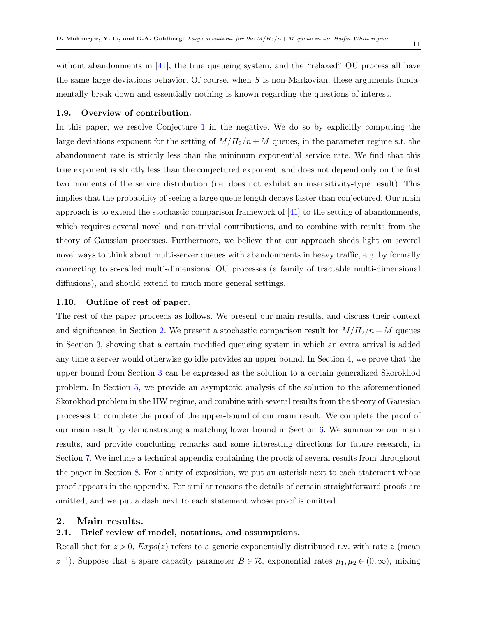without abandonments in  $[41]$ , the true queueing system, and the "relaxed" OU process all have the same large deviations behavior. Of course, when  $S$  is non-Markovian, these arguments fundamentally break down and essentially nothing is known regarding the questions of interest.

### <span id="page-10-0"></span>1.9. Overview of contribution.

In this paper, we resolve Conjecture [1](#page-7-0) in the negative. We do so by explicitly computing the large deviations exponent for the setting of  $M/H_2/n+M$  queues, in the parameter regime s.t. the abandonment rate is strictly less than the minimum exponential service rate. We find that this true exponent is strictly less than the conjectured exponent, and does not depend only on the first two moments of the service distribution (i.e. does not exhibit an insensitivity-type result). This implies that the probability of seeing a large queue length decays faster than conjectured. Our main approach is to extend the stochastic comparison framework of  $[41]$  to the setting of abandonments, which requires several novel and non-trivial contributions, and to combine with results from the theory of Gaussian processes. Furthermore, we believe that our approach sheds light on several novel ways to think about multi-server queues with abandonments in heavy traffic, e.g. by formally connecting to so-called multi-dimensional OU processes (a family of tractable multi-dimensional diffusions), and should extend to much more general settings.

### <span id="page-10-1"></span>1.10. Outline of rest of paper.

The rest of the paper proceeds as follows. We present our main results, and discuss their context and significance, in Section [2.](#page-10-2) We present a stochastic comparison result for  $M/H_2/n + M$  queues in Section [3,](#page-15-0) showing that a certain modified queueing system in which an extra arrival is added any time a server would otherwise go idle provides an upper bound. In Section [4,](#page-28-0) we prove that the upper bound from Section [3](#page-15-0) can be expressed as the solution to a certain generalized Skorokhod problem. In Section [5,](#page-32-0) we provide an asymptotic analysis of the solution to the aforementioned Skorokhod problem in the HW regime, and combine with several results from the theory of Gaussian processes to complete the proof of the upper-bound of our main result. We complete the proof of our main result by demonstrating a matching lower bound in Section [6.](#page-42-0) We summarize our main results, and provide concluding remarks and some interesting directions for future research, in Section [7.](#page-50-1) We include a technical appendix containing the proofs of several results from throughout the paper in Section [8.](#page-53-0) For clarity of exposition, we put an asterisk next to each statement whose proof appears in the appendix. For similar reasons the details of certain straightforward proofs are omitted, and we put a dash next to each statement whose proof is omitted.

### <span id="page-10-2"></span>2. Main results.

### <span id="page-10-3"></span>2.1. Brief review of model, notations, and assumptions.

Recall that for  $z > 0$ ,  $Expo(z)$  refers to a generic exponentially distributed r.v. with rate z (mean  $z^{-1}$ ). Suppose that a spare capacity parameter  $B \in \mathcal{R}$ , exponential rates  $\mu_1, \mu_2 \in (0, \infty)$ , mixing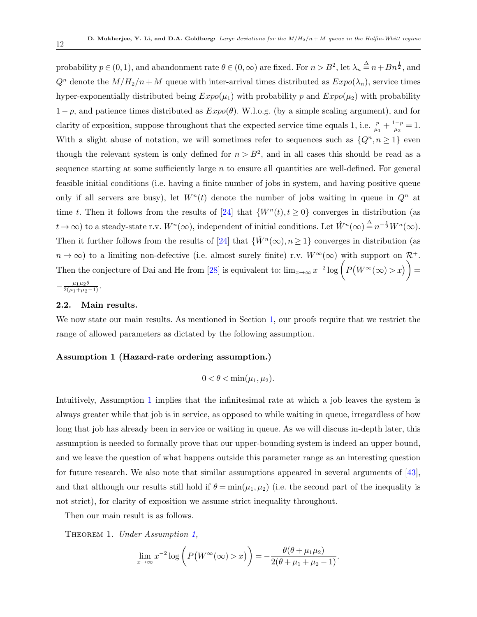probability  $p \in (0, 1)$ , and abandonment rate  $\theta \in (0, \infty)$  are fixed. For  $n > B^2$ , let  $\lambda_n \stackrel{\Delta}{=} n + B n^{\frac{1}{2}}$ , and  $Q^n$  denote the  $M/H_2/n+M$  queue with inter-arrival times distributed as  $Expo(\lambda_n)$ , service times hyper-exponentially distributed being  $Expo(\mu_1)$  with probability p and  $Expo(\mu_2)$  with probability  $1-p$ , and patience times distributed as  $Expo(\theta)$ . W.l.o.g. (by a simple scaling argument), and for clarity of exposition, suppose throughout that the expected service time equals 1, i.e.  $\frac{p}{\mu_1} + \frac{1-p}{\mu_2}$  $\frac{p}{\mu_2} = 1.$ With a slight abuse of notation, we will sometimes refer to sequences such as  $\{Q^n, n \geq 1\}$  even though the relevant system is only defined for  $n > B<sup>2</sup>$ , and in all cases this should be read as a sequence starting at some sufficiently large  $n$  to ensure all quantities are well-defined. For general feasible initial conditions (i.e. having a finite number of jobs in system, and having positive queue only if all servers are busy), let  $W<sup>n</sup>(t)$  denote the number of jobs waiting in queue in  $Q<sup>n</sup>$  at time t. Then it follows from the results of [\[24\]](#page-76-0) that  $\{W^n(t), t \ge 0\}$  converges in distribution (as  $t \to \infty$ ) to a steady-state r.v.  $W^n(\infty)$ , independent of initial conditions. Let  $\hat{W}^n(\infty) \stackrel{\Delta}{=} n^{-\frac{1}{2}} W^n(\infty)$ . Then it further follows from the results of [\[24\]](#page-76-0) that  $\{\hat{W}^n(\infty), n \geq 1\}$  converges in distribution (as  $n \to \infty$ ) to a limiting non-defective (i.e. almost surely finite) r.v.  $W^{\infty}(\infty)$  with support on  $\mathcal{R}^+$ . Then the conjecture of Dai and He from [\[28\]](#page-77-0) is equivalent to:  $\lim_{x\to\infty} x^{-2} \log \left( P(W^{\infty}(\infty) > x) \right) =$ 

## $-\frac{\mu_1\mu_2\theta}{2(\mu_1+\mu_2-1)}$ .

### <span id="page-11-0"></span>2.2. Main results.

We now state our main results. As mentioned in Section [1,](#page-3-0) our proofs require that we restrict the range of allowed parameters as dictated by the following assumption.

### Assumption 1 (Hazard-rate ordering assumption.)

<span id="page-11-2"></span>
$$
0<\theta<\min(\mu_1,\mu_2).
$$

Intuitively, Assumption [1](#page-11-2) implies that the infinitesimal rate at which a job leaves the system is always greater while that job is in service, as opposed to while waiting in queue, irregardless of how long that job has already been in service or waiting in queue. As we will discuss in-depth later, this assumption is needed to formally prove that our upper-bounding system is indeed an upper bound, and we leave the question of what happens outside this parameter range as an interesting question for future research. We also note that similar assumptions appeared in several arguments of [\[43\]](#page-78-9), and that although our results still hold if  $\theta = \min(\mu_1, \mu_2)$  (i.e. the second part of the inequality is not strict), for clarity of exposition we assume strict inequality throughout.

Then our main result is as follows.

THEOREM 1. Under Assumption 1.

<span id="page-11-1"></span>
$$
\lim_{x \to \infty} x^{-2} \log \left( P\left(W^{\infty}(\infty) > x\right) \right) = -\frac{\theta(\theta + \mu_1 \mu_2)}{2(\theta + \mu_1 + \mu_2 - 1)}.
$$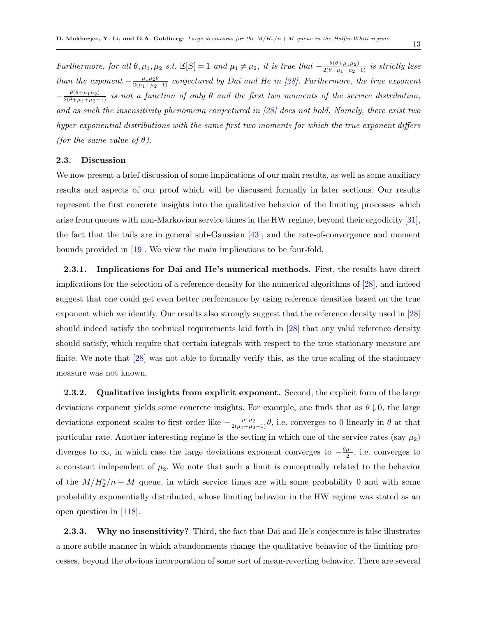Furthermore, for all  $\theta, \mu_1, \mu_2$  s.t.  $\mathbb{E}[S] = 1$  and  $\mu_1 \neq \mu_2$ , it is true that  $-\frac{\theta(\theta + \mu_1\mu_2)}{2(\theta + \mu_1 + \mu_2 - 1)}$  is strictly less than the exponent  $-\frac{\mu_1\mu_2\theta}{2(\mu_1+\mu_2-1)}$  conjectured by Dai and He in [\[28\]](#page-77-0). Furthermore, the true exponent  $-\frac{\theta(\theta+\mu_1\mu_2)}{2(\theta+\mu_1+\mu_2-1)}$  is not a function of only  $\theta$  and the first two moments of the service distribution, and as such the insensitivity phenomena conjectured in  $[28]$  does not hold. Namely, there exist two hyper-exponential distributions with the same first two moments for which the true exponent differs (for the same value of  $\theta$ ).

### <span id="page-12-0"></span>2.3. Discussion

We now present a brief discussion of some implications of our main results, as well as some auxiliary results and aspects of our proof which will be discussed formally in later sections. Our results represent the first concrete insights into the qualitative behavior of the limiting processes which arise from queues with non-Markovian service times in the HW regime, beyond their ergodicity [\[31\]](#page-77-1), the fact that the tails are in general sub-Gaussian [\[43\]](#page-78-9), and the rate-of-convergence and moment bounds provided in [\[19\]](#page-76-8). We view the main implications to be four-fold.

<span id="page-12-1"></span>2.3.1. Implications for Dai and He's numerical methods. First, the results have direct implications for the selection of a reference density for the numerical algorithms of [\[28\]](#page-77-0), and indeed suggest that one could get even better performance by using reference densities based on the true exponent which we identify. Our results also strongly suggest that the reference density used in [\[28\]](#page-77-0) should indeed satisfy the technical requirements laid forth in [\[28\]](#page-77-0) that any valid reference density should satisfy, which require that certain integrals with respect to the true stationary measure are finite. We note that [\[28\]](#page-77-0) was not able to formally verify this, as the true scaling of the stationary measure was not known.

<span id="page-12-2"></span>2.3.2. Qualitative insights from explicit exponent. Second, the explicit form of the large deviations exponent yields some concrete insights. For example, one finds that as  $\theta \downarrow 0$ , the large deviations exponent scales to first order like  $-\frac{\mu_1\mu_2}{2(\mu_1+\mu_2-1)}\theta$ , i.e. converges to 0 linearly in  $\theta$  at that particular rate. Another interesting regime is the setting in which one of the service rates (say  $\mu_2$ ) diverges to  $\infty$ , in which case the large deviations exponent converges to  $-\frac{\theta\mu_1}{2}$ , i.e. converges to a constant independent of  $\mu_2$ . We note that such a limit is conceptually related to the behavior of the  $M/H_2^*/n+M$  queue, in which service times are with some probability 0 and with some probability exponentially distributed, whose limiting behavior in the HW regime was stated as an open question in [\[118\]](#page-82-8).

<span id="page-12-3"></span>2.3.3. Why no insensitivity? Third, the fact that Dai and He's conjecture is false illustrates a more subtle manner in which abandonments change the qualitative behavior of the limiting processes, beyond the obvious incorporation of some sort of mean-reverting behavior. There are several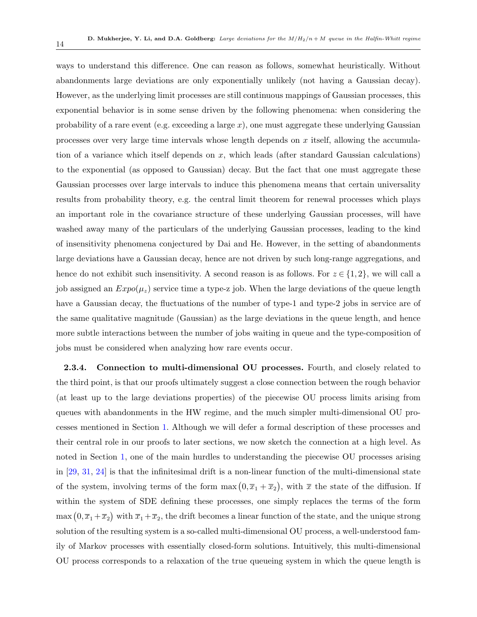ways to understand this difference. One can reason as follows, somewhat heuristically. Without abandonments large deviations are only exponentially unlikely (not having a Gaussian decay). However, as the underlying limit processes are still continuous mappings of Gaussian processes, this exponential behavior is in some sense driven by the following phenomena: when considering the probability of a rare event (e.g. exceeding a large  $x$ ), one must aggregate these underlying Gaussian processes over very large time intervals whose length depends on x itself, allowing the accumulation of a variance which itself depends on  $x$ , which leads (after standard Gaussian calculations) to the exponential (as opposed to Gaussian) decay. But the fact that one must aggregate these Gaussian processes over large intervals to induce this phenomena means that certain universality results from probability theory, e.g. the central limit theorem for renewal processes which plays an important role in the covariance structure of these underlying Gaussian processes, will have washed away many of the particulars of the underlying Gaussian processes, leading to the kind of insensitivity phenomena conjectured by Dai and He. However, in the setting of abandonments large deviations have a Gaussian decay, hence are not driven by such long-range aggregations, and hence do not exhibit such insensitivity. A second reason is as follows. For  $z \in \{1, 2\}$ , we will call a job assigned an  $Expo(\mu_z)$  service time a type-z job. When the large deviations of the queue length have a Gaussian decay, the fluctuations of the number of type-1 and type-2 jobs in service are of the same qualitative magnitude (Gaussian) as the large deviations in the queue length, and hence more subtle interactions between the number of jobs waiting in queue and the type-composition of jobs must be considered when analyzing how rare events occur.

<span id="page-13-0"></span>2.3.4. Connection to multi-dimensional OU processes. Fourth, and closely related to the third point, is that our proofs ultimately suggest a close connection between the rough behavior (at least up to the large deviations properties) of the piecewise OU process limits arising from queues with abandonments in the HW regime, and the much simpler multi-dimensional OU processes mentioned in Section [1.](#page-3-0) Although we will defer a formal description of these processes and their central role in our proofs to later sections, we now sketch the connection at a high level. As noted in Section [1,](#page-3-0) one of the main hurdles to understanding the piecewise OU processes arising in [\[29,](#page-77-2) [31,](#page-77-1) [24\]](#page-76-0) is that the infinitesimal drift is a non-linear function of the multi-dimensional state of the system, involving terms of the form  $\max(0, \overline{x}_1 + \overline{x}_2)$ , with  $\overline{x}$  the state of the diffusion. If within the system of SDE defining these processes, one simply replaces the terms of the form  $\max(0,\overline{x}_1+\overline{x}_2)$  with  $\overline{x}_1+\overline{x}_2$ , the drift becomes a linear function of the state, and the unique strong solution of the resulting system is a so-called multi-dimensional OU process, a well-understood family of Markov processes with essentially closed-form solutions. Intuitively, this multi-dimensional OU process corresponds to a relaxation of the true queueing system in which the queue length is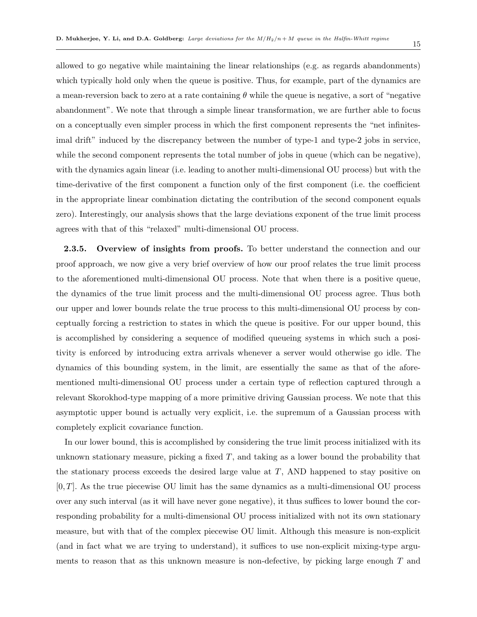allowed to go negative while maintaining the linear relationships (e.g. as regards abandonments) which typically hold only when the queue is positive. Thus, for example, part of the dynamics are a mean-reversion back to zero at a rate containing  $\theta$  while the queue is negative, a sort of "negative" abandonment". We note that through a simple linear transformation, we are further able to focus on a conceptually even simpler process in which the first component represents the "net infinitesimal drift" induced by the discrepancy between the number of type-1 and type-2 jobs in service, while the second component represents the total number of jobs in queue (which can be negative), with the dynamics again linear (i.e. leading to another multi-dimensional OU process) but with the time-derivative of the first component a function only of the first component (i.e. the coefficient in the appropriate linear combination dictating the contribution of the second component equals zero). Interestingly, our analysis shows that the large deviations exponent of the true limit process agrees with that of this "relaxed" multi-dimensional OU process.

<span id="page-14-0"></span>2.3.5. Overview of insights from proofs. To better understand the connection and our proof approach, we now give a very brief overview of how our proof relates the true limit process to the aforementioned multi-dimensional OU process. Note that when there is a positive queue, the dynamics of the true limit process and the multi-dimensional OU process agree. Thus both our upper and lower bounds relate the true process to this multi-dimensional OU process by conceptually forcing a restriction to states in which the queue is positive. For our upper bound, this is accomplished by considering a sequence of modified queueing systems in which such a positivity is enforced by introducing extra arrivals whenever a server would otherwise go idle. The dynamics of this bounding system, in the limit, are essentially the same as that of the aforementioned multi-dimensional OU process under a certain type of reflection captured through a relevant Skorokhod-type mapping of a more primitive driving Gaussian process. We note that this asymptotic upper bound is actually very explicit, i.e. the supremum of a Gaussian process with completely explicit covariance function.

In our lower bound, this is accomplished by considering the true limit process initialized with its unknown stationary measure, picking a fixed  $T$ , and taking as a lower bound the probability that the stationary process exceeds the desired large value at  $T$ , AND happened to stay positive on  $[0, T]$ . As the true piecewise OU limit has the same dynamics as a multi-dimensional OU process over any such interval (as it will have never gone negative), it thus suffices to lower bound the corresponding probability for a multi-dimensional OU process initialized with not its own stationary measure, but with that of the complex piecewise OU limit. Although this measure is non-explicit (and in fact what we are trying to understand), it suffices to use non-explicit mixing-type arguments to reason that as this unknown measure is non-defective, by picking large enough  $T$  and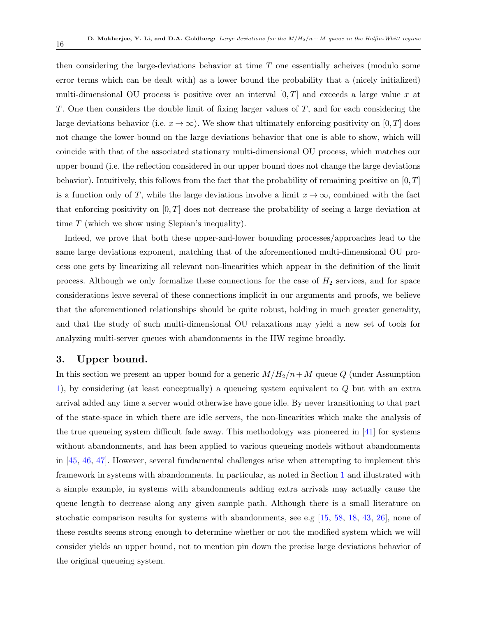then considering the large-deviations behavior at time  $T$  one essentially acheives (modulo some error terms which can be dealt with) as a lower bound the probability that a (nicely initialized) multi-dimensional OU process is positive over an interval  $[0, T]$  and exceeds a large value x at T. One then considers the double limit of fixing larger values of T, and for each considering the large deviations behavior (i.e.  $x \to \infty$ ). We show that ultimately enforcing positivity on [0, T] does not change the lower-bound on the large deviations behavior that one is able to show, which will coincide with that of the associated stationary multi-dimensional OU process, which matches our upper bound (i.e. the reflection considered in our upper bound does not change the large deviations behavior). Intuitively, this follows from the fact that the probability of remaining positive on  $[0, T]$ is a function only of T, while the large deviations involve a limit  $x \to \infty$ , combined with the fact that enforcing positivity on  $[0, T]$  does not decrease the probability of seeing a large deviation at time  $T$  (which we show using Slepian's inequality).

Indeed, we prove that both these upper-and-lower bounding processes/approaches lead to the same large deviations exponent, matching that of the aforementioned multi-dimensional OU process one gets by linearizing all relevant non-linearities which appear in the definition of the limit process. Although we only formalize these connections for the case of  $H_2$  services, and for space considerations leave several of these connections implicit in our arguments and proofs, we believe that the aforementioned relationships should be quite robust, holding in much greater generality, and that the study of such multi-dimensional OU relaxations may yield a new set of tools for analyzing multi-server queues with abandonments in the HW regime broadly.

### <span id="page-15-0"></span>3. Upper bound.

In this section we present an upper bound for a generic  $M/H_2/n+M$  queue Q (under Assumption [1\)](#page-11-2), by considering (at least conceptually) a queueing system equivalent to Q but with an extra arrival added any time a server would otherwise have gone idle. By never transitioning to that part of the state-space in which there are idle servers, the non-linearities which make the analysis of the true queueing system difficult fade away. This methodology was pioneered in [\[41\]](#page-77-4) for systems without abandonments, and has been applied to various queueing models without abandonments in [\[45,](#page-78-2) [46,](#page-78-3) [47\]](#page-78-12). However, several fundamental challenges arise when attempting to implement this framework in systems with abandonments. In particular, as noted in Section [1](#page-3-0) and illustrated with a simple example, in systems with abandonments adding extra arrivals may actually cause the queue length to decrease along any given sample path. Although there is a small literature on stochatic comparison results for systems with abandonments, see e.g  $[15, 58, 18, 43, 26]$  $[15, 58, 18, 43, 26]$  $[15, 58, 18, 43, 26]$  $[15, 58, 18, 43, 26]$  $[15, 58, 18, 43, 26]$  $[15, 58, 18, 43, 26]$  $[15, 58, 18, 43, 26]$  $[15, 58, 18, 43, 26]$  $[15, 58, 18, 43, 26]$ , none of these results seems strong enough to determine whether or not the modified system which we will consider yields an upper bound, not to mention pin down the precise large deviations behavior of the original queueing system.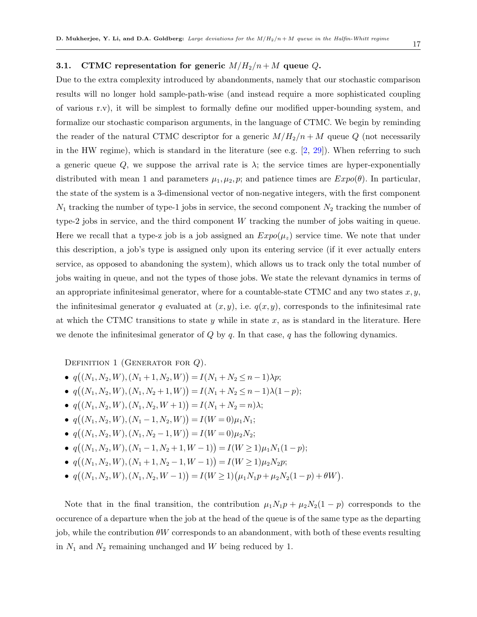### <span id="page-16-0"></span>3.1. CTMC representation for generic  $M/H_2/n + M$  queue Q.

Due to the extra complexity introduced by abandonments, namely that our stochastic comparison results will no longer hold sample-path-wise (and instead require a more sophisticated coupling of various r.v), it will be simplest to formally define our modified upper-bounding system, and formalize our stochastic comparison arguments, in the language of CTMC. We begin by reminding the reader of the natural CTMC descriptor for a generic  $M/H_2/n + M$  queue Q (not necessarily in the HW regime), which is standard in the literature (see e.g.  $[2, 29]$  $[2, 29]$  $[2, 29]$ ). When referring to such a generic queue Q, we suppose the arrival rate is  $\lambda$ ; the service times are hyper-exponentially distributed with mean 1 and parameters  $\mu_1, \mu_2, p$ ; and patience times are  $Expo(\theta)$ . In particular, the state of the system is a 3-dimensional vector of non-negative integers, with the first component  $N_1$  tracking the number of type-1 jobs in service, the second component  $N_2$  tracking the number of type-2 jobs in service, and the third component W tracking the number of jobs waiting in queue. Here we recall that a type-z job is a job assigned an  $Expo(\mu_z)$  service time. We note that under this description, a job's type is assigned only upon its entering service (if it ever actually enters service, as opposed to abandoning the system), which allows us to track only the total number of jobs waiting in queue, and not the types of those jobs. We state the relevant dynamics in terms of an appropriate infinitesimal generator, where for a countable-state CTMC and any two states  $x, y$ , the infinitesimal generator q evaluated at  $(x, y)$ , i.e.  $q(x, y)$ , corresponds to the infinitesimal rate at which the CTMC transitions to state y while in state  $x$ , as is standard in the literature. Here we denote the infinitesimal generator of  $Q$  by  $q$ . In that case,  $q$  has the following dynamics.

DEFINITION 1 (GENERATOR FOR  $Q$ ).

- $q((N_1, N_2, W), (N_1 + 1, N_2, W)) = I(N_1 + N_2 \le n 1)\lambda p;$
- $q((N_1, N_2, W), (N_1, N_2+1, W)) = I(N_1 + N_2 \le n 1)\lambda(1-p);$
- $q((N_1, N_2, W), (N_1, N_2, W + 1)) = I(N_1 + N_2 = n)\lambda;$
- $q((N_1, N_2, W), (N_1 1, N_2, W)) = I(W = 0)\mu_1 N_1;$
- $q((N_1, N_2, W), (N_1, N_2 1, W)) = I(W = 0)\mu_2 N_2;$
- $q((N_1, N_2, W), (N_1 1, N_2 + 1, W 1)) = I(W \ge 1)\mu_1 N_1(1 p);$
- $q((N_1, N_2, W), (N_1 + 1, N_2 1, W 1)) = I(W \ge 1) \mu_2 N_2 p;$
- $q((N_1, N_2, W), (N_1, N_2, W 1)) = I(W \ge 1)(\mu_1 N_1 p + \mu_2 N_2 (1 p) + \theta W).$

Note that in the final transition, the contribution  $\mu_1 N_1 p + \mu_2 N_2(1-p)$  corresponds to the occurence of a departure when the job at the head of the queue is of the same type as the departing job, while the contribution  $\theta W$  corresponds to an abandonment, with both of these events resulting in  $N_1$  and  $N_2$  remaining unchanged and W being reduced by 1.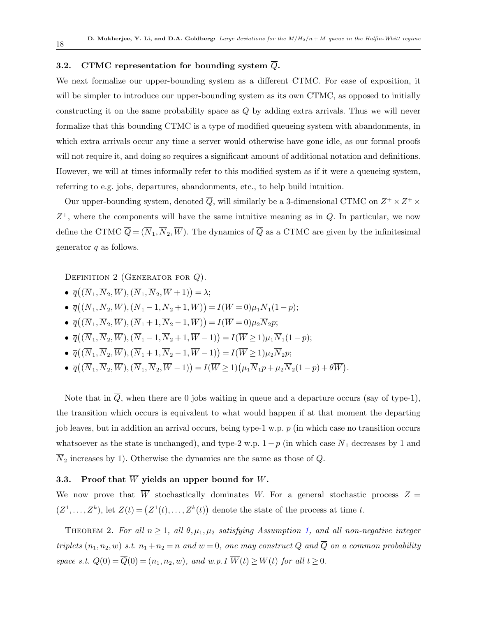### <span id="page-17-0"></span>3.2. CTMC representation for bounding system  $\overline{Q}$ .

We next formalize our upper-bounding system as a different CTMC. For ease of exposition, it will be simpler to introduce our upper-bounding system as its own CTMC, as opposed to initially constructing it on the same probability space as Q by adding extra arrivals. Thus we will never formalize that this bounding CTMC is a type of modified queueing system with abandonments, in which extra arrivals occur any time a server would otherwise have gone idle, as our formal proofs will not require it, and doing so requires a significant amount of additional notation and definitions. However, we will at times informally refer to this modified system as if it were a queueing system, referring to e.g. jobs, departures, abandonments, etc., to help build intuition.

Our upper-bounding system, denoted  $\overline{Q}$ , will similarly be a 3-dimensional CTMC on  $Z^+ \times Z^+ \times$  $Z^+$ , where the components will have the same intuitive meaning as in  $Q$ . In particular, we now define the CTMC  $\overline{Q} = (\overline{N}_1, \overline{N}_2, \overline{W})$ . The dynamics of  $\overline{Q}$  as a CTMC are given by the infinitesimal generator  $\bar{q}$  as follows.

DEFINITION 2 (GENERATOR FOR  $\overline{Q}$ ).

- $\bullet \ \ \overline{q}\big((\overline{N}_1,\overline{N}_2,\overline{W}),(\overline{N}_1,\overline{N}_2,\overline{W}+1)\big) = \lambda;$
- $\bullet \ \ \overline{q}((\overline{N}_1,\overline{N}_2,\overline{W}),(\overline{N}_1-1,\overline{N}_2+1,\overline{W}))=I(\overline{W}=0)\mu_1\overline{N}_1(1-p);$
- $\bullet \ \ \overline{q}\big((\overline{N}_1,\overline{N}_2,\overline{W}),(\overline{N}_1+1,\overline{N}_2-1,\overline{W})\big)=I(\overline{W}=0)\mu_2\overline{N}_2p;$
- $\bullet \ \ \overline{q}((\overline{N}_1,\overline{N}_2,\overline{W}),(\overline{N}_1-1,\overline{N}_2+1,\overline{W}-1))=I(\overline{W}\geq 1)\mu_1\overline{N}_1(1-p);$
- $\bullet \ \ \overline{q}((\overline{N}_1,\overline{N}_2,\overline{W}),(\overline{N}_1+1,\overline{N}_2-1,\overline{W}-1))=I(\overline{W}\geq 1)\mu_2\overline{N}_2p;$
- $\overline{q}((\overline{N}_1,\overline{N}_2,\overline{W}),(\overline{N}_1,\overline{N}_2,\overline{W}-1)) = I(\overline{W} \geq 1)(\mu_1\overline{N}_1p + \mu_2\overline{N}_2(1-p) + \theta \overline{W}).$

Note that in  $\overline{Q}$ , when there are 0 jobs waiting in queue and a departure occurs (say of type-1), the transition which occurs is equivalent to what would happen if at that moment the departing job leaves, but in addition an arrival occurs, being type-1 w.p. p (in which case no transition occurs whatsoever as the state is unchanged), and type-2 w.p.  $1-p$  (in which case  $\overline{N}_1$  decreases by 1 and  $\overline{N}_2$  increases by 1). Otherwise the dynamics are the same as those of Q.

### <span id="page-17-1"></span>3.3. Proof that  $\overline{W}$  yields an upper bound for W.

<span id="page-17-2"></span>We now prove that  $\overline{W}$  stochastically dominates W. For a general stochastic process  $Z =$  $(Z^1,\ldots,Z^k)$ , let  $Z(t) = (Z^1(t),\ldots,Z^k(t))$  denote the state of the process at time t.

THEOREM 2. For all  $n \geq 1$ , all  $\theta, \mu_1, \mu_2$  $\theta, \mu_1, \mu_2$  $\theta, \mu_1, \mu_2$  satisfying Assumption 1, and all non-negative integer triplets  $(n_1, n_2, w)$  s.t.  $n_1 + n_2 = n$  and  $w = 0$ , one may construct Q and  $\overline{Q}$  on a common probability space s.t.  $Q(0) = \overline{Q}(0) = (n_1, n_2, w)$ , and  $w.p.1 \overline{W}(t) \ge W(t)$  for all  $t \ge 0$ .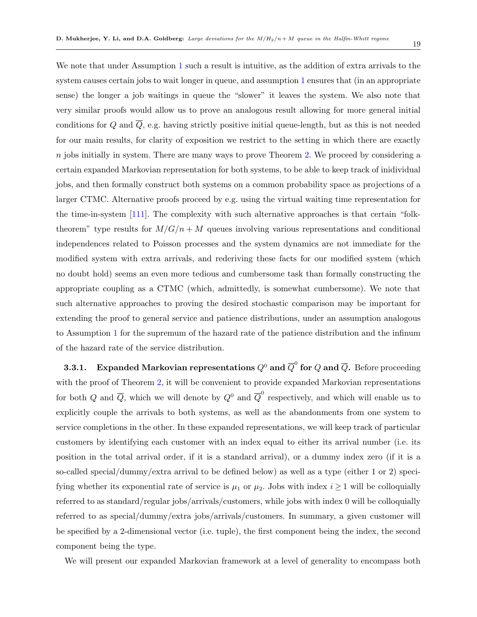We note that under Assumption [1](#page-11-2) such a result is intuitive, as the addition of extra arrivals to the system causes certain jobs to wait longer in queue, and assumption [1](#page-11-2) ensures that (in an appropriate sense) the longer a job waitings in queue the "slower" it leaves the system. We also note that very similar proofs would allow us to prove an analogous result allowing for more general initial conditions for Q and  $\overline{Q}$ , e.g. having strictly positive initial queue-length, but as this is not needed for our main results, for clarity of exposition we restrict to the setting in which there are exactly  $n$  jobs initially in system. There are many ways to prove Theorem [2.](#page-17-2) We proceed by considering a certain expanded Markovian representation for both systems, to be able to keep track of inidividual jobs, and then formally construct both systems on a common probability space as projections of a larger CTMC. Alternative proofs proceed by e.g. using the virtual waiting time representation for the time-in-system [\[111\]](#page-82-5). The complexity with such alternative approaches is that certain "folktheorem" type results for  $M/G/n + M$  queues involving various representations and conditional independences related to Poisson processes and the system dynamics are not immediate for the modified system with extra arrivals, and rederiving these facts for our modified system (which no doubt hold) seems an even more tedious and cumbersome task than formally constructing the appropriate coupling as a CTMC (which, admittedly, is somewhat cumbersome). We note that such alternative approaches to proving the desired stochastic comparison may be important for extending the proof to general service and patience distributions, under an assumption analogous to Assumption [1](#page-11-2) for the supremum of the hazard rate of the patience distribution and the infinum of the hazard rate of the service distribution.

<span id="page-18-0"></span>3.3.1. Expanded Markovian representations  $Q^0$  and  ${\overline Q}^0$  for  $Q$  and  ${\overline Q}$ . Before proceeding with the proof of Theorem [2,](#page-17-2) it will be convenient to provide expanded Markovian representations for both Q and  $\overline{Q}$ , which we will denote by  $Q^0$  and  $\overline{Q}^0$  respectively, and which will enable us to explicitly couple the arrivals to both systems, as well as the abandonments from one system to service completions in the other. In these expanded representations, we will keep track of particular customers by identifying each customer with an index equal to either its arrival number (i.e. its position in the total arrival order, if it is a standard arrival), or a dummy index zero (if it is a so-called special/dummy/extra arrival to be defined below) as well as a type (either 1 or 2) specifying whether its exponential rate of service is  $\mu_1$  or  $\mu_2$ . Jobs with index  $i \geq 1$  will be colloquially referred to as standard/regular jobs/arrivals/customers, while jobs with index 0 will be colloquially referred to as special/dummy/extra jobs/arrivals/customers. In summary, a given customer will be specified by a 2-dimensional vector (i.e. tuple), the first component being the index, the second component being the type.

We will present our expanded Markovian framework at a level of generality to encompass both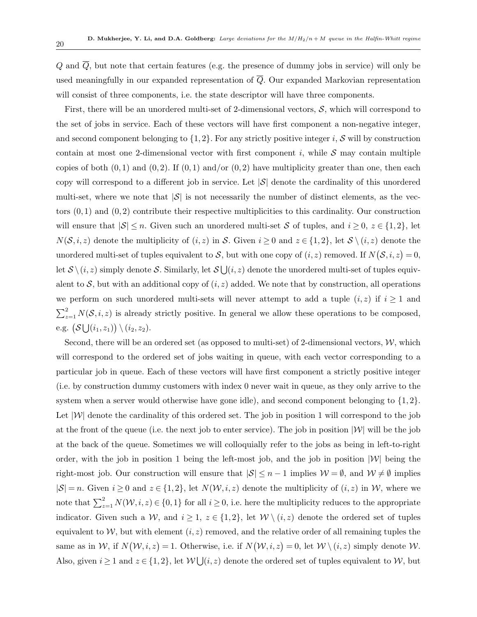$Q$  and  $\overline{Q}$ , but note that certain features (e.g. the presence of dummy jobs in service) will only be used meaningfully in our expanded representation of  $\overline{Q}$ . Our expanded Markovian representation will consist of three components, i.e. the state descriptor will have three components.

First, there will be an unordered multi-set of 2-dimensional vectors,  $S$ , which will correspond to the set of jobs in service. Each of these vectors will have first component a non-negative integer, and second component belonging to  $\{1, 2\}$ . For any strictly positive integer i, S will by construction contain at most one 2-dimensional vector with first component i, while  $S$  may contain multiple copies of both  $(0, 1)$  and  $(0, 2)$ . If  $(0, 1)$  and/or  $(0, 2)$  have multiplicity greater than one, then each copy will correspond to a different job in service. Let  $|\mathcal{S}|$  denote the cardinality of this unordered multi-set, where we note that  $|\mathcal{S}|$  is not necessarily the number of distinct elements, as the vectors  $(0, 1)$  and  $(0, 2)$  contribute their respective multiplicities to this cardinality. Our construction will ensure that  $|\mathcal{S}| \leq n$ . Given such an unordered multi-set S of tuples, and  $i \geq 0$ ,  $z \in \{1,2\}$ , let  $N(S, i, z)$  denote the multiplicity of  $(i, z)$  in S. Given  $i \geq 0$  and  $z \in \{1, 2\}$ , let  $S \setminus (i, z)$  denote the unordered multi-set of tuples equivalent to S, but with one copy of  $(i, z)$  removed. If  $N(S, i, z) = 0$ , let  $\mathcal{S} \setminus (i, z)$  simply denote S. Similarly, let  $\mathcal{S} \bigcup (i, z)$  denote the unordered multi-set of tuples equivalent to S, but with an additional copy of  $(i, z)$  added. We note that by construction, all operations we perform on such unordered multi-sets will never attempt to add a tuple  $(i, z)$  if  $i \geq 1$  and  $\sum_{z=1}^{2} N(\mathcal{S}, i, z)$  is already strictly positive. In general we allow these operations to be composed, e.g.  $(S \bigcup (i_1, z_1)) \setminus (i_2, z_2)$ .

Second, there will be an ordered set (as opposed to multi-set) of 2-dimensional vectors,  $W$ , which will correspond to the ordered set of jobs waiting in queue, with each vector corresponding to a particular job in queue. Each of these vectors will have first component a strictly positive integer (i.e. by construction dummy customers with index 0 never wait in queue, as they only arrive to the system when a server would otherwise have gone idle), and second component belonging to  $\{1,2\}$ . Let  $|W|$  denote the cardinality of this ordered set. The job in position 1 will correspond to the job at the front of the queue (i.e. the next job to enter service). The job in position  $|\mathcal{W}|$  will be the job at the back of the queue. Sometimes we will colloquially refer to the jobs as being in left-to-right order, with the job in position 1 being the left-most job, and the job in position  $|\mathcal{W}|$  being the right-most job. Our construction will ensure that  $|\mathcal{S}| \leq n-1$  implies  $\mathcal{W} = \emptyset$ , and  $\mathcal{W} \neq \emptyset$  implies  $|S| = n$ . Given  $i \geq 0$  and  $z \in \{1,2\}$ , let  $N(W, i, z)$  denote the multiplicity of  $(i, z)$  in W, where we note that  $\sum_{z=1}^{2} N(\mathcal{W}, i, z) \in \{0, 1\}$  for all  $i \geq 0$ , i.e. here the multiplicity reduces to the appropriate indicator. Given such a W, and  $i \geq 1$ ,  $z \in \{1,2\}$ , let  $W \setminus (i,z)$  denote the ordered set of tuples equivalent to  $W$ , but with element  $(i, z)$  removed, and the relative order of all remaining tuples the same as in W, if  $N(W, i, z) = 1$ . Otherwise, i.e. if  $N(W, i, z) = 0$ , let  $W \setminus (i, z)$  simply denote W. Also, given  $i \geq 1$  and  $z \in \{1,2\}$ , let  $\mathcal{W} \cup (i,z)$  denote the ordered set of tuples equivalent to  $\mathcal{W}$ , but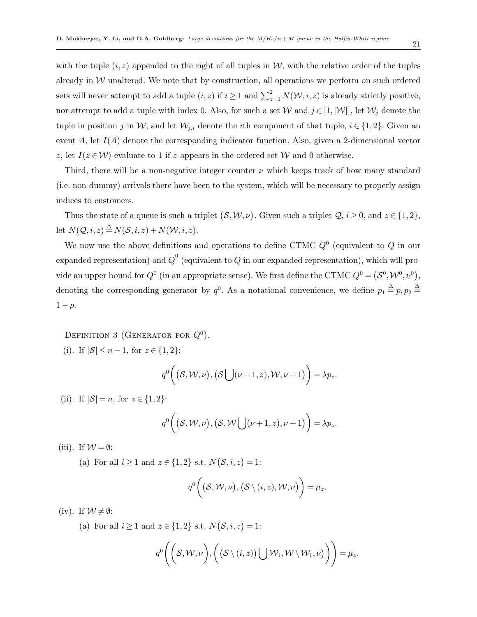with the tuple  $(i, z)$  appended to the right of all tuples in W, with the relative order of the tuples already in  $W$  unaltered. We note that by construction, all operations we perform on such ordered sets will never attempt to add a tuple  $(i, z)$  if  $i \geq 1$  and  $\sum_{z=1}^{2} N(\mathcal{W}, i, z)$  is already strictly positive, nor attempt to add a tuple with index 0. Also, for such a set W and  $j \in [1, |\mathcal{W}|]$ , let  $\mathcal{W}_j$  denote the tuple in position j in W, and let  $W_{j,i}$  denote the *i*th component of that tuple,  $i \in \{1,2\}$ . Given an event A, let  $I(A)$  denote the corresponding indicator function. Also, given a 2-dimensional vector z, let  $I(z \in W)$  evaluate to 1 if z appears in the ordered set W and 0 otherwise.

Third, there will be a non-negative integer counter  $\nu$  which keeps track of how many standard (i.e. non-dummy) arrivals there have been to the system, which will be necessary to properly assign indices to customers.

Thus the state of a queue is such a triplet  $(S, \mathcal{W}, \nu)$ . Given such a triplet  $\mathcal{Q}, i \geq 0$ , and  $z \in \{1, 2\}$ , let  $N(Q, i, z) \triangleq N(S, i, z) + N(W, i, z)$ .

We now use the above definitions and operations to define CTMC  $Q^0$  (equivalent to  $Q$  in our expanded representation) and  $\overline{Q}^0$  (equivalent to  $\overline{Q}$  in our expanded representation), which will provide an upper bound for  $Q^0$  (in an appropriate sense). We first define the CTMC  $Q^0 = (\mathcal{S}^0, \mathcal{W}^0, \nu^0)$ , denoting the corresponding generator by  $q^0$ . As a notational convenience, we define  $p_1 \triangleq p, p_2 \triangleq$  $1-p$ .

DEFINITION 3 (GENERATOR FOR  $Q^0$ ).

(i). If  $|S| \leq n-1$ , for  $z \in \{1,2\}$ :

$$
q^0\bigg((\mathcal{S},\mathcal{W},\nu),(\mathcal{S}\bigcup(\nu+1,z),\mathcal{W},\nu+1)\bigg)=\lambda p_z.
$$

(ii). If  $|S| = n$ , for  $z \in \{1, 2\}$ :

$$
q^0\bigg((\mathcal{S},\mathcal{W},\nu),(\mathcal{S},\mathcal{W}\bigcup(\nu+1,z),\nu+1)\bigg)=\lambda p_z.
$$

(iii). If  $W = \emptyset$ :

(a) For all  $i \geq 1$  and  $z \in \{1,2\}$  s.t.  $N(\mathcal{S}, i, z) = 1$ :

$$
q^0\bigg((\mathcal{S},\mathcal{W},\nu),(\mathcal{S}\setminus(i,z),\mathcal{W},\nu)\bigg)=\mu_z.
$$

(iv). If  $W \neq \emptyset$ :

(a) For all  $i \geq 1$  and  $z \in \{1,2\}$  s.t.  $N(\mathcal{S}, i, z) = 1$ :

$$
q^0\bigg(\bigg(\mathcal{S},\mathcal{W},\nu\bigg),\bigg(\big(\mathcal{S}\setminus(i,z)\big)\bigcup\mathcal{W}_1,\mathcal{W}\setminus\mathcal{W}_1,\nu\big)\bigg)\bigg)=\mu_z.
$$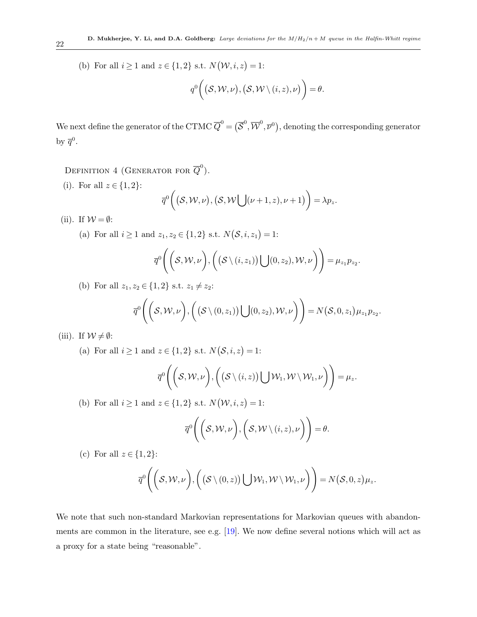(b) For all  $i \geq 1$  and  $z \in \{1,2\}$  s.t.  $N(\mathcal{W}, i, z) = 1$ :

$$
q^0\bigg((\mathcal{S},\mathcal{W},\nu),(\mathcal{S},\mathcal{W}\setminus(i,z),\nu)\bigg)=\theta.
$$

We next define the generator of the CTMC  $\overline{Q}^0=(\overline{\mathcal{S}}^0,\overline{\mathcal{W}}^0,\overline{\mathcal{V}}^0),$  denoting the corresponding generator by  $\overline{q}^0$ .

DEFINITION 4 (GENERATOR FOR  $\overline{Q}^0$ ).

- (i). For all  $z \in \{1, 2\}$ :  $\overline{q}^0((\mathcal{S},\mathcal{W},\nu),(\mathcal{S},\mathcal{W}[\;](\nu+1,z),\nu+1)) = \lambda p_z.$
- (ii). If  $W = \emptyset$ :

(a) For all 
$$
i \ge 1
$$
 and  $z_1, z_2 \in \{1, 2\}$  s.t.  $N(\mathcal{S}, i, z_1) = 1$ :

$$
\overline{q}^{0}\Bigg(\bigg(\mathcal{S},\mathcal{W},\nu\bigg),\bigg(\big(\mathcal{S}\setminus(i,z_{1})\big)\bigcup(0,z_{2}),\mathcal{W},\nu\bigg)\Bigg)=\mu_{z_{1}}p_{z_{2}}.
$$

(b) For all  $z_1, z_2 \in \{1, 2\}$  s.t.  $z_1 \neq z_2$ :

$$
\overline{q}^{0}\Bigg(\bigg(S, \mathcal{W}, \nu\bigg), \bigg(\big(S \setminus (0, z_{1})\big) \bigcup(0, z_{2}), \mathcal{W}, \nu\bigg)\bigg) = N\big(S, 0, z_{1}\big) \mu_{z_{1}} p_{z_{2}}.
$$

(iii). If  $W \neq \emptyset$ :

(a) For all  $i \geq 1$  and  $z \in \{1,2\}$  s.t.  $N(\mathcal{S}, i, z) = 1$ :

$$
\overline{q}^{0}\Bigg(\bigg(\mathcal{S},\mathcal{W},\nu\bigg),\bigg(\big(\mathcal{S}\setminus(i,z)\big)\bigcup\mathcal{W}_{1},\mathcal{W}\setminus\mathcal{W}_{1},\nu\bigg)\Bigg)=\mu_{z}.
$$

(b) For all  $i \geq 1$  and  $z \in \{1,2\}$  s.t.  $N(\mathcal{W}, i, z) = 1$ :

$$
\overline{q}^{0}\Bigg(\bigg(\mathcal{S},\mathcal{W},\nu\bigg),\bigg(\mathcal{S},\mathcal{W}\setminus(i,z),\nu\bigg)\Bigg)=\theta.
$$

(c) For all  $z \in \{1,2\}$ :

$$
\overline{q}^{0}\Bigg(\bigg(S, \mathcal{W}, \nu\bigg), \bigg(\big(S \setminus (0, z)\big) \bigcup \mathcal{W}_1, \mathcal{W} \setminus \mathcal{W}_1, \nu\bigg)\bigg) = N(S, 0, z) \mu_z.
$$

We note that such non-standard Markovian representations for Markovian queues with abandonments are common in the literature, see e.g.  $[19]$ . We now define several notions which will act as a proxy for a state being "reasonable".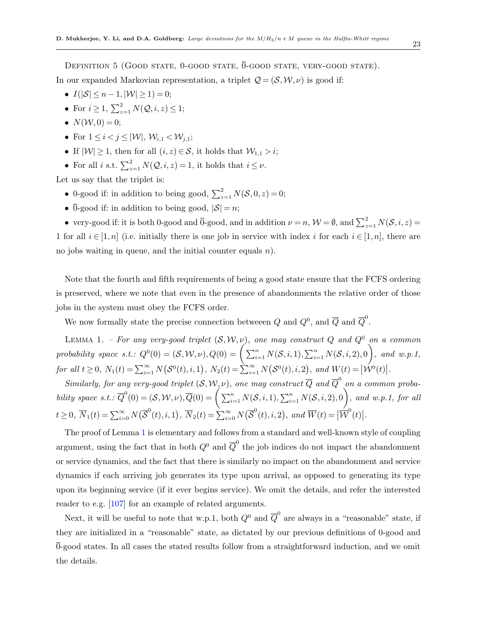DEFINITION 5 (GOOD STATE,  $0$ -GOOD STATE,  $\overline{0}$ -GOOD STATE, VERY-GOOD STATE).

In our expanded Markovian representation, a triplet  $\mathcal{Q} = (\mathcal{S}, \mathcal{W}, \nu)$  is good if:

- $I(|S| \le n 1, |\mathcal{W}| \ge 1) = 0;$
- For  $i \geq 1$ ,  $\sum_{z=1}^{2} N(Q, i, z) \leq 1$ ;
- $N(W, 0) = 0$ ;
- For  $1 \leq i < j \leq |W|$ ,  $W_{i,1} < W_{i,1}$ ;
- If  $|\mathcal{W}| \geq 1$ , then for all  $(i, z) \in \mathcal{S}$ , it holds that  $\mathcal{W}_{1,1} > i$ ;
- For all *i* s.t.  $\sum_{z=1}^{2} N(Q, i, z) = 1$ , it holds that  $i \leq \nu$ .

Let us say that the triplet is:

- 0-good if: in addition to being good,  $\sum_{z=1}^{2} N(\mathcal{S}, 0, z) = 0;$
- $\overline{0}$ -good if: in addition to being good,  $|S| = n$ ;

• very-good if: it is both 0-good and  $\overline{0}$ -good, and in addition  $\nu = n$ ,  $\mathcal{W} = \emptyset$ , and  $\sum_{z=1}^{2} N(\mathcal{S}, i, z) =$ 1 for all  $i \in [1, n]$  (i.e. initially there is one job in service with index i for each  $i \in [1, n]$ , there are no jobs waiting in queue, and the initial counter equals  $n$ ).

Note that the fourth and fifth requirements of being a good state ensure that the FCFS ordering is preserved, where we note that even in the presence of abandonments the relative order of those jobs in the system must obey the FCFS order.

We now formally state the precise connection between Q and  $Q^0$ , and  $\overline{Q}$  and  $\overline{Q}^0$ .

<span id="page-22-0"></span>LEMMA 1. – For any very-good triplet  $(S, W, \nu)$ , one may construct Q and  $Q^0$  on a common  $\text{probability space } s.t. : Q^0(0) = (\mathcal{S}, \mathcal{W}, \nu), Q(0) = \Big(\sum_{i=1}^n N(\mathcal{S}, i, 1), \sum_{i=1}^n N(\mathcal{S}, i, 2), 0\Big), \text{ and } w.p.1,$ for all  $t \geq 0$ ,  $N_1(t) = \sum_{i=1}^{\infty} N(\mathcal{S}^0(t), i, 1)$ ,  $N_2(t) = \sum_{i=1}^{\infty} N(\mathcal{S}^0(t), i, 2)$ , and  $W(t) = |\mathcal{W}^0(t)|$ .

Similarly, for any very-good triplet  $(S, W, \nu)$ , one may construct  $\overline{Q}$  and  $\overline{Q}^0$  on a common probability space s.t.:  $\overline{Q}^0(0) = (S, W, \nu), \overline{Q}(0) = \left( \sum_{i=1}^n N(S, i, 1), \sum_{i=1}^n N(S, i, 2), 0 \right)$ , and w.p.1, for all  $t \geq 0$ ,  $\overline{N}_1(t) = \sum_{i=0}^{\infty} N(\overline{S}^0(t), i, 1), \ \overline{N}_2(t) = \sum_{i=0}^{\infty} N(\overline{S}^0(t), i, 2), \ and \ \overline{W}(t) = |\overline{W}^0(t)|.$ 

The proof of Lemma [1](#page-22-0) is elementary and follows from a standard and well-known style of coupling argument, using the fact that in both  $Q^0$  and  $\overline{Q}^0$  the job indices do not impact the abandonment or service dynamics, and the fact that there is similarly no impact on the abandonment and service dynamics if each arriving job generates its type upon arrival, as opposed to generating its type upon its beginning service (if it ever begins service). We omit the details, and refer the interested reader to e.g. [\[107\]](#page-81-12) for an example of related arguments.

<span id="page-22-1"></span>Next, it will be useful to note that w.p.1, both  $Q^0$  and  $\overline{Q}^0$  are always in a "reasonable" state, if they are initialized in a "reasonable" state, as dictated by our previous definitions of 0-good and 0-good states. In all cases the stated results follow from a straightforward induction, and we omit the details.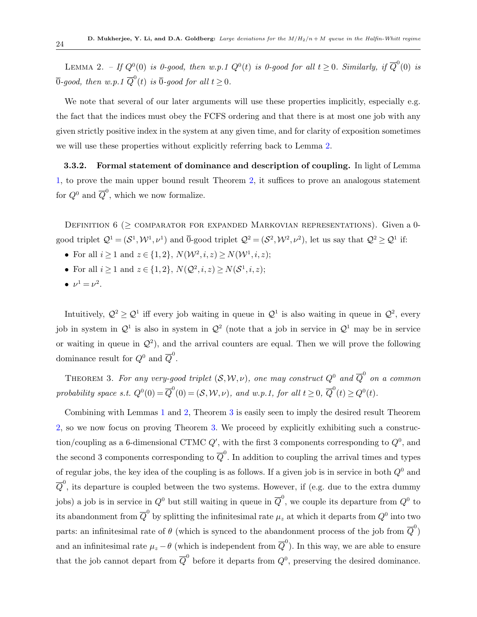LEMMA 2. – If  $Q^0(0)$  is 0-good, then w.p.1  $Q^0(t)$  is 0-good for all  $t \geq 0$ . Similarly, if  $\overline{Q}^0(0)$  is  $\overline{0}\textrm{-}good,$  then  $w.p.1$   $\overline{Q}^0(t)$  is  $\overline{0}\textrm{-}good$  for all  $t\geq 0.$ 

We note that several of our later arguments will use these properties implicitly, especially e.g. the fact that the indices must obey the FCFS ordering and that there is at most one job with any given strictly positive index in the system at any given time, and for clarity of exposition sometimes we will use these properties without explicitly referring back to Lemma [2.](#page-22-1)

<span id="page-23-0"></span>3.3.2. Formal statement of dominance and description of coupling. In light of Lemma [1,](#page-22-0) to prove the main upper bound result Theorem [2,](#page-17-2) it suffices to prove an analogous statement for  $Q^0$  and  $\overline{Q}^0$ , which we now formalize.

DEFINITION  $6$  ( $\geq$  COMPARATOR FOR EXPANDED MARKOVIAN REPRESENTATIONS). Given a 0good triplet  $\mathcal{Q}^1 = (\mathcal{S}^1, \mathcal{W}^1, \nu^1)$  and  $\overline{0}$ -good triplet  $\mathcal{Q}^2 = (\mathcal{S}^2, \mathcal{W}^2, \nu^2)$ , let us say that  $\mathcal{Q}^2 \geq \mathcal{Q}^1$  if:

- For all  $i \ge 1$  and  $z \in \{1, 2\}$ ,  $N(\mathcal{W}^2, i, z) \ge N(\mathcal{W}^1, i, z)$ ;
- For all  $i \ge 1$  and  $z \in \{1, 2\}$ ,  $N(\mathcal{Q}^2, i, z) \ge N(\mathcal{S}^1, i, z)$ ;
- $\nu^1 = \nu^2$ .

Intuitively,  $\mathcal{Q}^2 \geq \mathcal{Q}^1$  iff every job waiting in queue in  $\mathcal{Q}^1$  is also waiting in queue in  $\mathcal{Q}^2$ , every job in system in  $\mathcal{Q}^1$  is also in system in  $\mathcal{Q}^2$  (note that a job in service in  $\mathcal{Q}^1$  may be in service or waiting in queue in  $\mathcal{Q}^2$ ), and the arrival counters are equal. Then we will prove the following dominance result for  $Q^0$  and  $\overline{Q}^0$ .

<span id="page-23-1"></span>THEOREM 3. For any very-good triplet  $(\mathcal{S}, \mathcal{W}, \nu)$ , one may construct  $Q^0$  and  $\overline{Q}^0$  on a common probability space s.t.  $Q^0(0) = \overline{Q}^0(0) = (\mathcal{S}, \mathcal{W}, \nu)$ , and w.p.1, for all  $t \geq 0$ ,  $\overline{Q}^0(t) \geq Q^0(t)$ .

Combining with Lemmas [1](#page-22-0) and [2,](#page-22-1) Theorem [3](#page-23-1) is easily seen to imply the desired result Theorem [2,](#page-17-2) so we now focus on proving Theorem [3.](#page-23-1) We proceed by explicitly exhibiting such a construction/coupling as a 6-dimensional CTMC  $Q'$ , with the first 3 components corresponding to  $Q^0$ , and the second 3 components corresponding to  $\overline{Q}^0$ . In addition to coupling the arrival times and types of regular jobs, the key idea of the coupling is as follows. If a given job is in service in both  $Q^0$  and  $\overline{Q}^0$ , its departure is coupled between the two systems. However, if (e.g. due to the extra dummy jobs) a job is in service in  $Q^0$  but still waiting in queue in  $\overline{Q}^0$ , we couple its departure from  $Q^0$  to its abandonment from  $\overline{Q}^0$  by splitting the infinitesimal rate  $\mu_z$  at which it departs from  $Q^0$  into two parts: an infinitesimal rate of  $\theta$  (which is synced to the abandonment process of the job from  $\overline{Q}^0$ ) and an infinitesimal rate  $\mu_z - \theta$  (which is independent from  $\overline{Q}^0$ ). In this way, we are able to ensure that the job cannot depart from  $\overline{Q}^0$  before it departs from  $Q^0$ , preserving the desired dominance.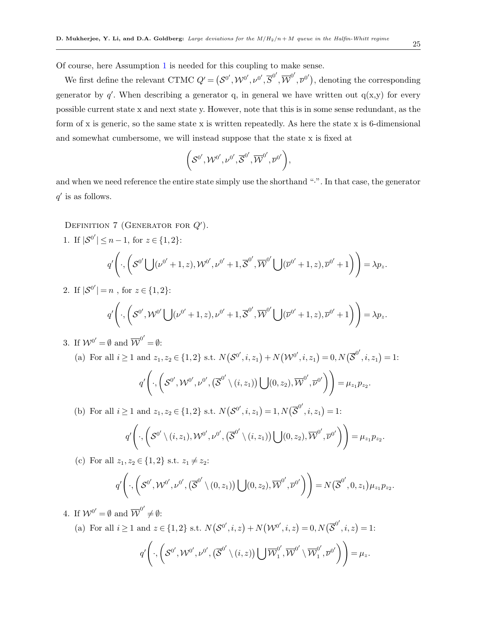Of course, here Assumption [1](#page-11-2) is needed for this coupling to make sense.

We first define the relevant CTMC  $Q' = (\mathcal{S}^{0'}, \mathcal{W}^{0'}, \nu^{0'}, \overline{S}^{0'}, \overline{\mathcal{W}}^{0'}, \overline{\nu}^{0'})$ , denoting the corresponding generator by  $q'$ . When describing a generator q, in general we have written out  $q(x,y)$  for every possible current state x and next state y. However, note that this is in some sense redundant, as the form of x is generic, so the same state x is written repeatedly. As here the state x is 6-dimensional and somewhat cumbersome, we will instead suppose that the state x is fixed at

$$
\bigg(\mathcal{S}^{0'},\mathcal{W}^{0'},\nu^{0'},\overline{\mathcal{S}}^{0'},\overline{\mathcal{W}}^{0'},\overline{\nu}^{0'}\bigg),
$$

and when we need reference the entire state simply use the shorthand "·". In that case, the generator  $q'$  is as follows.

DEFINITION 7 (GENERATOR FOR  $Q'$ ).

<span id="page-24-0"></span>1. If  $|\mathcal{S}^{0'}| \leq n-1$ , for  $z \in \{1,2\}$ :  $q'\bigg($  $\mathcal{L}_1, \left( \mathcal{S}^{0'} \left( \begin{array}{c} (\psi^{0'}+1, z), \mathcal{W}^{0'}, \nu^{0'}+1, \overline{\mathcal{S}}^{0'}, \overline{\mathcal{W}}^{0'} \left( \begin{array}{c} (\overline{\nu}^{0'}+1, z), \overline{\nu}^{0'}+1) \end{array} \right) = \lambda p_z.$ 2. If  $|\mathcal{S}^{0'}|=n$ , for  $z \in \{1,2\}$ :

<span id="page-24-1"></span>
$$
q'\left(\cdot,\left(\mathcal{S}^{0'},\mathcal{W}^{0'}\bigcup(\nu^{0'}+1,z),\nu^{0'}+1,\overline{\mathcal{S}}^{0'},\overline{\mathcal{W}}^{0'}\bigcup(\overline{\nu}^{0'}+1,z),\overline{\nu}^{0'}+1\right)\right)=\lambda p_z.
$$

<span id="page-24-2"></span>3. If  $W^{0'} = \emptyset$  and  $\overline{W}^{0'} = \emptyset$ :

(a) For all 
$$
i \ge 1
$$
 and  $z_1, z_2 \in \{1, 2\}$  s.t.  $N(\mathcal{S}^{0'}, i, z_1) + N(\mathcal{W}^{0'}, i, z_1) = 0, N(\overline{\mathcal{S}}^{0'}, i, z_1) = 1$ :  

$$
q' \left( \cdot, \left( \mathcal{S}^{0'}, \mathcal{W}^{0'}, \nu^{0'}, (\overline{\mathcal{S}}^{0'} \setminus (i, z_1)) \bigcup (0, z_2), \overline{\mathcal{W}}^{0'}, \overline{\nu}^{0'} \right) \right) = \mu_{z_1} p_{z_2}.
$$

<span id="page-24-3"></span>(b) For all  $i \ge 1$  and  $z_1, z_2 \in \{1, 2\}$  s.t.  $N(S^{0'}, i, z_1) = 1, N(\overline{S}^{0'}, i, z_1) = 1$ :

$$
q'\left(\cdot,\left(\mathcal{S}^{0'}\setminus(i,z_1),\mathcal{W}^{0'},\nu^{0'},(\overline{\mathcal{S}}^{0'}\setminus(i,z_1))\bigcup(0,z_2),\overline{\mathcal{W}}^{0'},\overline{\nu}^{0'}\right)\right)=\mu_{z_1}p_{z_2}.
$$

<span id="page-24-4"></span>(c) For all  $z_1, z_2 \in \{1,2\}$  s.t.  $z_1 \neq z_2$ :

$$
q'\left(\cdot,\left(\mathcal{S}^{0'},\mathcal{W}^{0'},\nu^{0'},\left(\overline{\mathcal{S}}^{0'}\setminus(0,z_1)\right)\bigcup(0,z_2),\overline{\mathcal{W}}^{0'},\overline{\nu}^{0'}\right)\right)=N(\overline{\mathcal{S}}^{0'},0,z_1)\mu_{z_1}\mu_{z_2}.
$$

<span id="page-24-5"></span>4. If  $W^{0'} = \emptyset$  and  $\overline{W}^{0'} \neq \emptyset$ :

(a) For all  $i \ge 1$  and  $z \in \{1,2\}$  s.t.  $N(S^{0'}, i, z) + N(W^{0'}, i, z) = 0, N(\overline{S}^{0'}, i, z) = 1$ :

$$
q'\left(\cdot,\left(\mathcal{S}^{0'},\mathcal{W}^{0'},\nu^{0'},\left(\overline{\mathcal{S}}^{0'}\setminus(i,z)\right)\bigcup\overline{\mathcal{W}}_1^{0'},\overline{\mathcal{W}}^{0'}\setminus\overline{\mathcal{W}}_1^{0'},\overline{\nu}^{0'}\right)\right)=\mu_z.
$$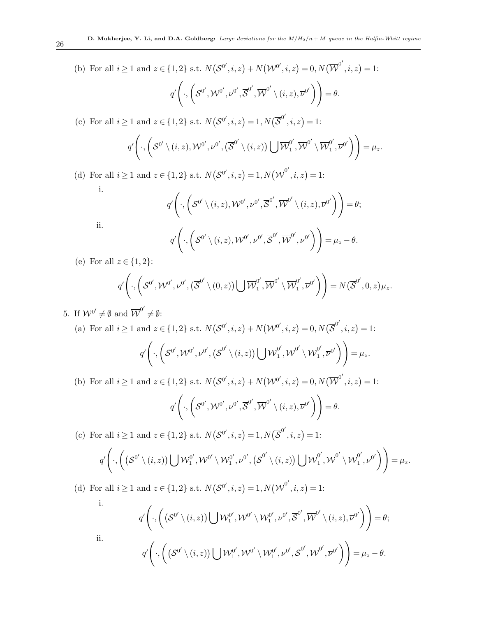<span id="page-25-0"></span>(b) For all 
$$
i \ge 1
$$
 and  $z \in \{1, 2\}$  s.t.  $N(\mathcal{S}^{0'}, i, z) + N(\mathcal{W}^{0'}, i, z) = 0, N(\overline{\mathcal{W}}^{0'}, i, z) = 1$ :  

$$
q' \left( \cdot, \left( \mathcal{S}^{0'}, \mathcal{W}^{0'}, \nu^{0'}, \overline{\mathcal{S}}^{0'}, \overline{\mathcal{W}}^{0'} \setminus (i, z), \overline{\nu}^{0'} \right) \right) = \theta.
$$

<span id="page-25-1"></span>(c) For all  $i \ge 1$  and  $z \in \{1,2\}$  s.t.  $N(S^{0'}, i, z) = 1, N(\overline{S}^{0'}, i, z) = 1$ :

$$
q'\Bigg(\cdot,\bigg(\mathcal{S}^{0'}\setminus(i,z),\mathcal{W}^{0'},\nu^{0'},(\overline{\mathcal{S}}^{0'}\setminus(i,z))\bigcup\overline{\mathcal{W}}_1^{0'},\overline{\mathcal{W}}^{0'}\setminus\overline{\mathcal{W}}_1^{0'},\overline{\nu}^{0'}\bigg)\Bigg)=\mu_z.
$$

<span id="page-25-2"></span>(d) For all  $i \ge 1$  and  $z \in \{1,2\}$  s.t.  $N(S^{0'}, i, z) = 1, N(\overline{\mathcal{W}}^{0'}, i, z) = 1$ : i.

$$
q'\left(\cdot,\left(\mathcal{S}^{0'}\setminus(i,z),\mathcal{W}^{0'},\nu^{0'},\overline{\mathcal{S}}^{0'},\overline{\mathcal{W}}^{0'}\setminus(i,z),\overline{\nu}^{0'}\right)\right)=\theta;
$$
  

$$
q'\left(\cdot,\left(\mathcal{S}^{0'}\setminus(i,z),\mathcal{W}^{0'},\nu^{0'},\overline{\mathcal{S}}^{0'},\overline{\mathcal{W}}^{0'},\overline{\nu}^{0'}\right)\right)=\mu_z-\theta.
$$

<span id="page-25-4"></span><span id="page-25-3"></span>(e) For all  $z \in \{1,2\}$ :

ii.

$$
q'\left(\cdot,\left(\mathcal{S}^{0'},\mathcal{W}^{0'},\nu^{0'},(\overline{\mathcal{S}}^{0'}\setminus(0,z))\bigcup\overline{\mathcal{W}}_1^{0'},\overline{\mathcal{W}}^{0'}\setminus\overline{\mathcal{W}}_1^{0'},\overline{\nu}^{0'}\right)\right)=N(\overline{\mathcal{S}}^{0'},0,z)\mu_z.
$$

<span id="page-25-5"></span>5. If  $\mathcal{W}^{0'} \neq \emptyset$  and  $\overline{\mathcal{W}}^{0'} \neq \emptyset$ :

(a) For all 
$$
i \ge 1
$$
 and  $z \in \{1, 2\}$  s.t.  $N(\mathcal{S}^{0'}, i, z) + N(\mathcal{W}^{0'}, i, z) = 0, N(\overline{\mathcal{S}}^{0'}, i, z) = 1$ :  
\n
$$
q' \left( \cdot, \left( \mathcal{S}^{0'}, \mathcal{W}^{0'}, \nu^{0'}, (\overline{\mathcal{S}}^{0'} \setminus (i, z)) \bigcup \overline{\mathcal{W}}_1^{0'}, \overline{\mathcal{W}}^{0'} \setminus \overline{\mathcal{W}}_1^{0'}, \overline{\nu}^{0'} \right) \right) = \mu_z.
$$
\n(b) For all  $i \ge 1$  and  $z \in \{1, 2\}$  s.t.  $N(\mathcal{S}^{0'}, i, z) + N(\mathcal{W}^{0'}, i, z) = 0, N(\overline{\mathcal{W}}^{0'}, i, z) = 1$ :

$$
q'\Bigg(\cdot,\bigg(\mathcal{S}^{0'},\mathcal{W}^{0'},\nu^{0'},\overline{\mathcal{S}}^{0'},\overline{\mathcal{W}}^{0'}\setminus(i,z),\overline{\nu}^{0'}\bigg)\Bigg)=\theta.
$$

<span id="page-25-7"></span><span id="page-25-6"></span>(c) For all  $i \ge 1$  and  $z \in \{1,2\}$  s.t.  $N(S^{0'}, i, z) = 1, N(\overline{S}^{0'}, i, z) = 1$ :

$$
q'\left(\cdot,\left(\left(\mathcal{S}^{0'}\setminus(i,z)\right)\bigcup\mathcal{W}^{0'}_1,\mathcal{W}^{0'}\setminus\mathcal{W}^{0'}_1,\nu^{0'},\left(\overline{\mathcal{S}}^{0'}\setminus(i,z)\right)\bigcup\overline{\mathcal{W}}^{0'}_1,\overline{\mathcal{W}}^{0'}\setminus\overline{\mathcal{W}}^{0'}_1,\overline{\nu}^{0'}\right)\right)=\mu_z.
$$

<span id="page-25-8"></span>(d) For all  $i \ge 1$  and  $z \in \{1,2\}$  s.t.  $N(S^{0'}, i, z) = 1, N(\overline{\mathcal{W}}^{0'}, i, z) = 1$ : i.  $\overline{1}$ 

<span id="page-25-9"></span>i.  
\nii.  
\n
$$
q'\left(\cdot,\left(\left(\mathcal{S}^{0'}\setminus(i,z)\right)\bigcup \mathcal{W}_1^{0'},\mathcal{W}^{0'}\setminus \mathcal{W}_1^{0'},\nu^{0'},\overline{\mathcal{S}}^{0'},\overline{\mathcal{W}}^{0'}\setminus(i,z),\overline{\nu}^{0'}\right)\right)=\theta;
$$
\nii.  
\n
$$
q'\left(\cdot,\left(\left(\mathcal{S}^{0'}\setminus(i,z)\right)\bigcup \mathcal{W}_1^{0'},\mathcal{W}^{0'}\setminus \mathcal{W}_1^{0'},\nu^{0'},\overline{\mathcal{S}}^{0'},\overline{\mathcal{W}}^{0'},\overline{\nu}^{0'}\right)\right)=\mu_z-\theta.
$$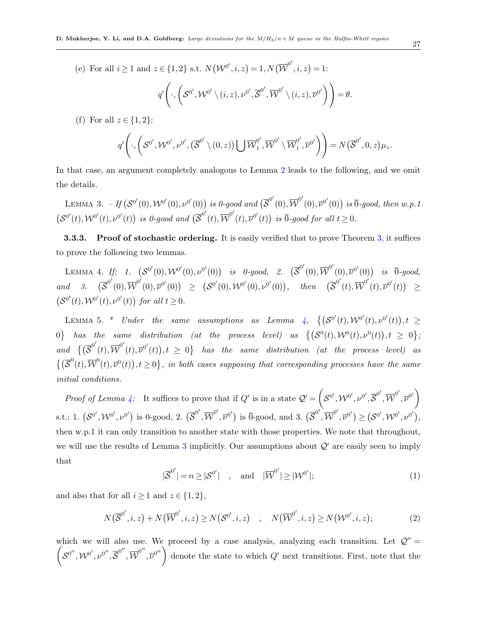<span id="page-26-4"></span>(e) For all  $i \ge 1$  and  $z \in \{1,2\}$  s.t.  $N(\mathcal{W}^{0'}, i, z) = 1, N(\overline{\mathcal{W}}^{0'}, i, z) = 1$ :

$$
q'\Bigg(\cdot,\bigg(\mathcal{S}^{0'},\mathcal{W}^{0'}\setminus(i,z),\nu^{0'},\overline{\mathcal{S}}^{0'},\overline{\mathcal{W}}^{0'}\setminus(i,z),\overline{\nu}^{0'}\bigg)\Bigg)=\theta.
$$

<span id="page-26-5"></span>(f) For all  $z \in \{1,2\}$ :

<span id="page-26-2"></span>
$$
q'\left(\cdot,\left(\mathcal{S}^{0'},\mathcal{W}^{0'},\nu^{0'},(\overline{\mathcal{S}}^{0'}\setminus(0,z))\bigcup\overline{\mathcal{W}}_1^{0'},\overline{\mathcal{W}}^{0'}\setminus\overline{\mathcal{W}}_1^{0'},\overline{\nu}^{0'}\right)\right)=N(\overline{\mathcal{S}}^{0'},0,z)\mu_z.
$$

<span id="page-26-3"></span>In that case, an argument completely analogous to Lemma [2](#page-22-1) leads to the following, and we omit the details.

LEMMA 3. – If  $(\mathcal{S}^{0'}(0),\mathcal{W}^{0'}(0),\nu^{0'}(0))$  is 0-good and  $(\overline{\mathcal{S}}^{0'}(0),\overline{\mathcal{W}}^{0'}(0),\overline{\nu}^{0'}(0))$  is  $\overline{0}$ -good, then w.p.1  $(S^{0'}(t),\mathcal{W}^{0'}(t),\nu^{0'}(t))$  is 0-good and  $(\overline{S}^{0'}(t),\overline{\mathcal{W}}^{0'}(t),\overline{\nu}^{0'}(t))$  is  $\overline{0}$ -good for all  $t\geq 0$ .

<span id="page-26-0"></span>**3.3.3.** Proof of stochastic ordering. It is easily verified that to prove Theorem [3,](#page-23-1) it suffices to prove the following two lemmas.

LEMMA 4. If: 1.  $(S^{0'}(0), \mathcal{W}^{0'}(0), \nu^{0'}(0))$  is 0-good, 2.  $(\overline{S}^{0'}(0), \overline{\mathcal{W}}^{0'}(0), \overline{\nu}^{0'}(0))$  is  $\overline{0}$ -good,  $and \quad 3. \quad (\overline{\mathcal{S}}^{0'}(0),\overline{\mathcal{W}}^{0'}(0),\overline{\mathcal{V}}^{0'}(0)) \geq (\mathcal{S}^{0'}(0),\mathcal{W}^{0'}(0),\nu^{0'}(0)), \quad then \quad (\overline{\mathcal{S}}^{0'}(t),\overline{\mathcal{W}}^{0'}(t),\overline{\mathcal{V}}^{0'}(t)) \geq$  $(S^{0'}(t), \mathcal{W}^{0'}(t), \nu^{0'}(t))$  for all  $t \geq 0$ .

<span id="page-26-1"></span>LEMMA 5. \* Under the same assumptions as Lemma [4,](#page-26-2)  $\{ (S^{0'}(t), \mathcal{W}^{0'}(t), \nu^{0'}(t)), t \geq 0 \}$  $0\}$  has the same distribution (at the process level) as  $\{(\mathcal{S}^0(t), \mathcal{W}^0(t), \nu^0(t)), t \geq 0\}$ ; and  $\{(\overline{\mathcal{S}}^{0'}(t), \overline{\mathcal{W}}^{0'}(t), \overline{\mathcal{V}}^{0'}(t)), t \geq 0\}$  has the same distribution (at the process level) as  $\{(\overline{S}^0(t), \overline{W}^0(t), \overline{\nu}^0(t)), t \geq 0\}$ , in both cases supposing that corresponding processes have the same initial conditions.

Proof of Lemma [4:](#page-26-2) It suffices to prove that if Q' is in a state  $\mathcal{Q}' = \left(\mathcal{S}^{0'}, \mathcal{W}^{0'}, \nu^{0'}, \overline{\mathcal{S}}^{0'}, \overline{\mathcal{W}}^{0'}, \overline{\nu}^{0'}\right)$ s.t.: 1.  $(\mathcal{S}^{0'}, \mathcal{W}^{0'}, \nu^{0'})$  is 0-good, 2.  $(\overline{\mathcal{S}}^{0'}, \overline{\mathcal{W}}^{0'}, \overline{\nu}^{0'})$  is  $\overline{0}$ -good, and 3.  $(\overline{\mathcal{S}}^{0'}, \overline{\mathcal{W}}^{0'}, \overline{\nu}^{0'}) \geq (\mathcal{S}^{0'}, \mathcal{W}^{0'}, \nu^{0'})$ , then w.p.1 it can only transition to another state with those properties. We note that throughout, we will use the results of Lemma [3](#page-26-3) implicitly. Our assumptions about  $\mathcal{Q}'$  are easily seen to imply that

$$
|\overline{\mathcal{S}}^{0'}| = n \ge |\mathcal{S}^{0'}| \quad , \quad \text{and} \quad |\overline{\mathcal{W}}^{0'}| \ge |\mathcal{W}^{0'}|; \tag{1}
$$

and also that for all  $i \geq 1$  and  $z \in \{1,2\},\$ 

$$
N(\overline{\mathcal{S}}^{0'}, i, z) + N(\overline{\mathcal{W}}^{0'}, i, z) \ge N(\mathcal{S}^{0'}, i, z) \quad , \quad N(\overline{\mathcal{W}}^{0'}, i, z) \ge N(\mathcal{W}^{0'}, i, z); \tag{2}
$$

 $\left(S^{0''},\mathcal{W}^{0'},\mathcal{V}^{0''},\overline{S}^{0''},\overline{\mathcal{W}}^{0''},\overline{\mathcal{V}}^{0''}\right)$  denote the state to which  $Q'$  next transitions. First, note that the which we will also use. We proceed by a case analysis, analyzing each transition. Let  $\mathcal{Q}^{\prime\prime}$  =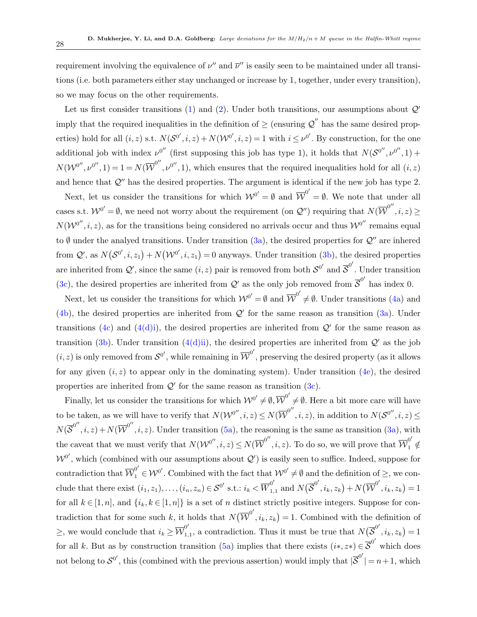requirement involving the equivalence of  $\nu''$  and  $\overline{\nu}''$  is easily seen to be maintained under all transitions (i.e. both parameters either stay unchanged or increase by 1, together, under every transition), so we may focus on the other requirements.

Let us first consider transitions [\(1\)](#page-24-0) and [\(2\)](#page-24-1). Under both transitions, our assumptions about  $Q'$ imply that the required inequalities in the definition of  $\geq$  (ensuring  $\mathcal{Q}''$  has the same desired properties) hold for all  $(i, z)$  s.t.  $N(S^{0'}, i, z) + N(W^{0'}, i, z) = 1$  with  $i \leq \nu^{0'}$ . By construction, for the one additional job with index  $\nu^{0''}$  (first supposing this job has type 1), it holds that  $N(\mathcal{S}^{0''}, \nu^{0''}, 1)$  +  $N(\mathcal{W}^{0''}, \nu^{0''}, 1) = 1 = N(\overline{\mathcal{W}}^{0''}, \nu^{0''}, 1)$ , which ensures that the required inequalities hold for all  $(i, z)$ and hence that  $\mathcal{Q}''$  has the desired properties. The argument is identical if the new job has type 2.

Next, let us consider the transitions for which  $W^{0'} = \emptyset$  and  $\overline{W}^{0'} = \emptyset$ . We note that under all cases s.t.  $\mathcal{W}^{0'} = \emptyset$ , we need not worry about the requirement (on  $\mathcal{Q}''$ ) requiring that  $N(\overline{\mathcal{W}}^{0''}, i, z) \geq$  $N(\mathcal{W}^{0''}, i, z)$ , as for the transitions being considered no arrivals occur and thus  $\mathcal{W}^{0''}$  remains equal to  $\emptyset$  under the analyed transitions. Under transition [\(3a\)](#page-24-2), the desired properties for  $\mathcal{Q}''$  are inhered from  $\mathcal{Q}'$ , as  $N(\mathcal{S}^{0'}, i, z_1) + N(\mathcal{W}^{0'}, i, z_1) = 0$  anyways. Under transition [\(3b\)](#page-24-3), the desired properties are inherited from  $Q'$ , since the same  $(i, z)$  pair is removed from both  $S^{0'}$  and  $\overline{S}^{0'}$ . Under transition [\(3c\)](#page-24-4), the desired properties are inherited from  $\mathcal{Q}'$  as the only job removed from  $\overline{\mathcal{S}}^{0'}$  has index 0.

Next, let us consider the transitions for which  $W^{0'} = \emptyset$  and  $\overline{W}^{0'} \neq \emptyset$ . Under transitions [\(4a\)](#page-24-5) and  $(4b)$ , the desired properties are inherited from  $\mathcal{Q}'$  for the same reason as transition  $(3a)$ . Under transitions [\(4c\)](#page-25-1) and [\(4\(d\)i\)](#page-25-2), the desired properties are inherited from  $\mathcal{Q}'$  for the same reason as transition [\(3b\)](#page-24-3). Under transition [\(4\(d\)ii\)](#page-25-3), the desired properties are inherited from  $\mathcal{Q}'$  as the job  $(i, z)$  is only removed from  $S^{0'}$ , while remaining in  $\overline{W}^{0'}$ , preserving the desired property (as it allows for any given  $(i, z)$  to appear only in the dominating system). Under transition  $(4e)$ , the desired properties are inherited from  $\mathcal{Q}'$  for the same reason as transition  $(3c)$ .

Finally, let us consider the transitions for which  $\mathcal{W}^{0'} \neq \emptyset$ ,  $\overline{\mathcal{W}}^{0'} \neq \emptyset$ . Here a bit more care will have to be taken, as we will have to verify that  $N(\mathcal{W}^{0''}, i, z) \leq N(\overline{\mathcal{W}}^{0''}, i, z)$ , in addition to  $N(\mathcal{S}^{0''}, i, z) \leq$  $N(\overline{\mathcal{S}}^{0''}, i, z) + N(\overline{\mathcal{W}}^{0''}, i, z)$ . Under transition [\(5a\)](#page-25-5), the reasoning is the same as transition [\(3a\)](#page-24-2), with the caveat that we must verify that  $N(\mathcal{W}^{0''}, i, z) \leq N(\overline{\mathcal{W}}^{0''}, i, z)$ . To do so, we will prove that  $\overline{\mathcal{W}}^{0'}_1 \notin$  $W^{0'}$ , which (combined with our assumptions about  $\mathcal{Q}'$ ) is easily seen to suffice. Indeed, suppose for contradiction that  $\overline{\mathcal{W}}_1^{0'} \in \mathcal{W}^{0'}$ . Combined with the fact that  $\mathcal{W}^{0'} \neq \emptyset$  and the definition of  $\geq$ , we conclude that there exist  $(i_1, z_1), \ldots, (i_n, z_n) \in \mathcal{S}^{0'}$  s.t.:  $i_k < \overline{W}_{1,1}^{0'}$  and  $N(\overline{\mathcal{S}}^{0'}, i_k, z_k) + N(\overline{\mathcal{W}}^{0'}, i_k, z_k) = 1$ for all  $k \in [1, n]$ , and  $\{i_k, k \in [1, n]\}$  is a set of n distinct strictly positive integers. Suppose for contradiction that for some such k, it holds that  $N(\overline{\mathcal{W}}^{0'}, i_k, z_k) = 1$ . Combined with the definition of  $\geq$ , we would conclude that  $i_k \geq \overline{\mathcal{W}}_1^{0'}$ .  $_{1,1}^{\sigma'}$ , a contradiction. Thus it must be true that  $N(\overline{\mathcal{S}}^{0'}, i_k, z_k) = 1$ for all k. But as by construction transition [\(5a\)](#page-25-5) implies that there exists  $(i*, z*) \in \overline{S}^{0'}$  which does not belong to  $S^{0'}$ , this (combined with the previous assertion) would imply that  $|\overline{S}^{0'}|=n+1$ , which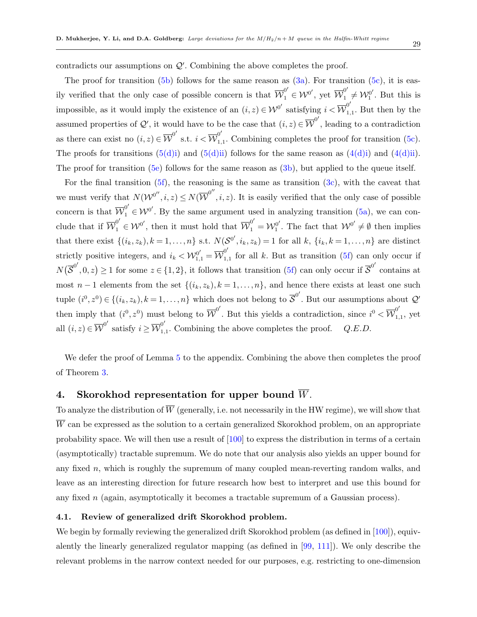contradicts our assumptions on  $Q'$ . Combining the above completes the proof.

The proof for transition  $(5b)$  follows for the same reason as  $(3a)$ . For transition  $(5c)$ , it is easily verified that the only case of possible concern is that  $\overline{\mathcal{W}}_1^{0'} \in \mathcal{W}^{0'}$ , yet  $\overline{\mathcal{W}}_1^{0'} \neq \mathcal{W}_1^{0'}$  $_1^{\prime\prime}$ . But this is impossible, as it would imply the existence of an  $(i, z) \in \mathcal{W}^{0'}$  satisfying  $i < \overline{\mathcal{W}}_1^{0'}$  $\int_{1,1}^{\infty}$ . But then by the assumed properties of Q', it would have to be the case that  $(i, z) \in \overline{W}^{0'}$ , leading to a contradiction as there can exist no  $(i, z) \in \overline{\mathcal{W}}^{0'}$  s.t.  $i < \overline{\mathcal{W}}_1^{0'}$  $_{1,1}^{\circ}$ . Combining completes the proof for transition [\(5c\)](#page-25-7). The proofs for transitions  $(5(d)i)$  and  $(5(d)i)$  follows for the same reason as  $(4(d)i)$  and  $(4(d)i)$ . The proof for transition  $(5e)$  follows for the same reason as  $(3b)$ , but applied to the queue itself.

For the final transition  $(5f)$ , the reasoning is the same as transition  $(3c)$ , with the caveat that we must verify that  $N(W^{0''}, i, z) \leq N(\overline{W}^{0''}, i, z)$ . It is easily verified that the only case of possible concern is that  $\overline{\mathcal{W}}_1^{0'} \in \mathcal{W}^{0'}$ . By the same argument used in analyzing transition [\(5a\)](#page-25-5), we can conclude that if  $\overline{\mathcal{W}}_1^{0'} \in \mathcal{W}^{0'}$ , then it must hold that  $\overline{\mathcal{W}}_1^{0'} = \mathcal{W}_1^{0'}$  $\mathcal{W}^{0'}$ . The fact that  $\mathcal{W}^{0'} \neq \emptyset$  then implies that there exist  $\{(i_k, z_k), k = 1, \ldots, n\}$  s.t.  $N(\mathcal{S}^{0'}, i_k, z_k) = 1$  for all k,  $\{i_k, k = 1, \ldots, n\}$  are distinct strictly positive integers, and  $i_k < \mathcal{W}_{1,1}^{0'} = \overline{\mathcal{W}}_{1,1}^{0'}$  $\int_{1,1}^{\infty}$  for all k. But as transition [\(5f\)](#page-26-5) can only occur if  $N(\overline{\mathcal{S}}^{0'},0,z) \geq 1$  for some  $z \in \{1,2\}$ , it follows that transition [\(5f\)](#page-26-5) can only occur if  $\overline{\mathcal{S}}^{0'}$  contains at most  $n-1$  elements from the set  $\{(i_k, z_k), k = 1, \ldots, n\}$ , and hence there exists at least one such tuple  $(i^0, z^0) \in \{(i_k, z_k), k = 1, \ldots, n\}$  which does not belong to  $\overline{S}^{0'}$ . But our assumptions about  $\mathcal{Q}'$ then imply that  $(i^0, z^0)$  must belong to  $\overline{W}^{0'}$ . But this yields a contradiction, since  $i^0 < \overline{W}^{0'}_1$  $\sum_{1,1}^{\infty}$ , yet all  $(i, z) \in \overline{\mathcal{W}}^{0'}$  satisfy  $i \geq \overline{\mathcal{W}}_1^{0'}$  $_{1,1}^{\circ}$ . Combining the above completes the proof.  $Q.E.D.$ 

We defer the proof of Lemma [5](#page-26-1) to the appendix. Combining the above then completes the proof of Theorem [3.](#page-23-1)

### <span id="page-28-0"></span>4. Skorokhod representation for upper bound  $\overline{W}$ .

To analyze the distribution of  $\overline{W}$  (generally, i.e. not necessarily in the HW regime), we will show that  $\overline{W}$  can be expressed as the solution to a certain generalized Skorokhod problem, on an appropriate probability space. We will then use a result of [\[100\]](#page-81-11) to express the distribution in terms of a certain (asymptotically) tractable supremum. We do note that our analysis also yields an upper bound for any fixed n, which is roughly the supremum of many coupled mean-reverting random walks, and leave as an interesting direction for future research how best to interpret and use this bound for any fixed n (again, asymptotically it becomes a tractable supremum of a Gaussian process).

### <span id="page-28-1"></span>4.1. Review of generalized drift Skorokhod problem.

We begin by formally reviewing the generalized drift Skorokhod problem (as defined in [\[100\]](#page-81-11)), equivalently the linearly generalized regulator mapping (as defined in [\[99,](#page-81-4) [111\]](#page-82-5)). We only describe the relevant problems in the narrow context needed for our purposes, e.g. restricting to one-dimension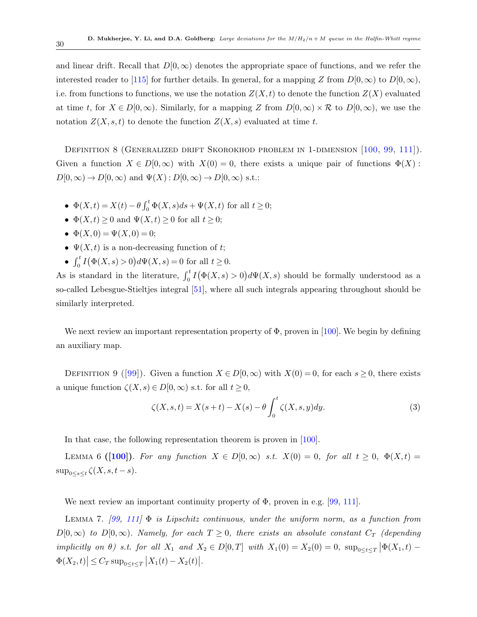and linear drift. Recall that  $D[0,\infty)$  denotes the appropriate space of functions, and we refer the interested reader to [\[115\]](#page-82-11) for further details. In general, for a mapping Z from  $D[0,\infty)$  to  $D[0,\infty)$ , i.e. from functions to functions, we use the notation  $Z(X,t)$  to denote the function  $Z(X)$  evaluated at time t, for  $X \in D[0,\infty)$ . Similarly, for a mapping Z from  $D[0,\infty) \times \mathcal{R}$  to  $D[0,\infty)$ , we use the notation  $Z(X, s, t)$  to denote the function  $Z(X, s)$  evaluated at time t.

<span id="page-29-0"></span>DEFINITION 8 (GENERALIZED DRIFT SKOROKHOD PROBLEM IN 1-DIMENSION [\[100,](#page-81-11) [99,](#page-81-4) [111\]](#page-82-5)). Given a function  $X \in D[0,\infty)$  with  $X(0) = 0$ , there exists a unique pair of functions  $\Phi(X)$ :  $D[0,\infty) \to D[0,\infty)$  and  $\Psi(X): D[0,\infty) \to D[0,\infty)$  s.t.:

- $\Phi(X,t) = X(t) \theta \int_0^t \Phi(X,s)ds + \Psi(X,t)$  for all  $t \ge 0$ ;
- $\Phi(X,t) \geq 0$  and  $\Psi(X,t) \geq 0$  for all  $t \geq 0$ ;
- $\Phi(X,0) = \Psi(X,0) = 0;$
- $\Psi(X, t)$  is a non-decreasing function of t;
- $\int_0^t I(\Phi(X, s) > 0) d\Psi(X, s) = 0$  for all  $t \ge 0$ .

As is standard in the literature,  $\int_0^t I(\Phi(X,s) > 0) d\Psi(X,s)$  should be formally understood as a so-called Lebesgue-Stieltjes integral [\[51\]](#page-78-14), where all such integrals appearing throughout should be similarly interpreted.

<span id="page-29-3"></span>We next review an important representation property of  $\Phi$ , proven in [\[100\]](#page-81-11). We begin by defining an auxiliary map.

DEFINITION 9 ([\[99\]](#page-81-4)). Given a function  $X \in D[0,\infty)$  with  $X(0) = 0$ , for each  $s \ge 0$ , there exists a unique function  $\zeta(X, s) \in D[0, \infty)$  s.t. for all  $t \geq 0$ ,

<span id="page-29-2"></span><span id="page-29-1"></span>
$$
\zeta(X,s,t) = X(s+t) - X(s) - \theta \int_0^t \zeta(X,s,y) dy.
$$
\n(3)

In that case, the following representation theorem is proven in [\[100\]](#page-81-11).

LEMMA 6 ([\[100\]](#page-81-11)). For any function  $X \in D[0,\infty)$  s.t.  $X(0) = 0$ , for all  $t \geq 0$ ,  $\Phi(X,t) =$  $\sup_{0\leq s\leq t}\zeta(X,s,t-s).$ 

We next review an important continuity property of  $\Phi$ , proven in e.g. [\[99,](#page-81-4) [111\]](#page-82-5).

LEMMA 7. [\[99,](#page-81-4) [111\]](#page-82-5)  $\Phi$  is Lipschitz continuous, under the uniform norm, as a function from  $D[0,\infty)$  to  $D[0,\infty)$ . Namely, for each  $T \geq 0$ , there exists an absolute constant  $C_T$  (depending implicitly on  $\theta$ ) s.t. for all  $X_1$  and  $X_2 \in D[0,T]$  with  $X_1(0) = X_2(0) = 0$ ,  $\sup_{0 \le t \le T} |\Phi(X_1, t) \Phi(X_2, t) \leq C_T \sup_{0 \leq t \leq T} |X_1(t) - X_2(t)|$ .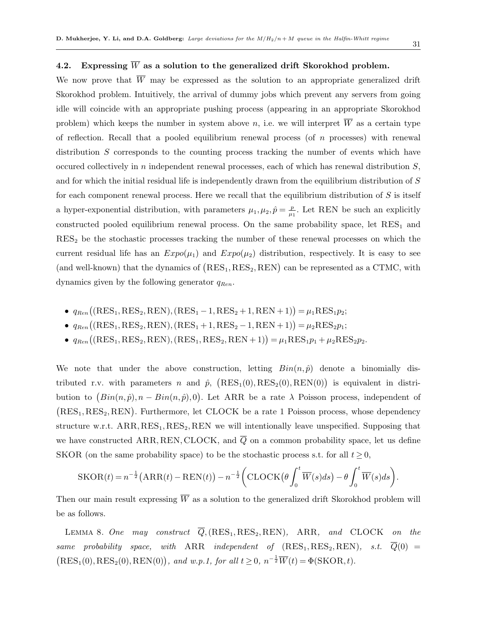.

### <span id="page-30-0"></span>4.2. Expressing  $\overline{W}$  as a solution to the generalized drift Skorokhod problem.

We now prove that  $\overline{W}$  may be expressed as the solution to an appropriate generalized drift Skorokhod problem. Intuitively, the arrival of dummy jobs which prevent any servers from going idle will coincide with an appropriate pushing process (appearing in an appropriate Skorokhod problem) which keeps the number in system above n, i.e. we will interpret  $\overline{W}$  as a certain type of reflection. Recall that a pooled equilibrium renewal process (of  $n$  processes) with renewal distribution S corresponds to the counting process tracking the number of events which have occured collectively in  $n$  independent renewal processes, each of which has renewal distribution  $S$ , and for which the initial residual life is independently drawn from the equilibrium distribution of S for each component renewal process. Here we recall that the equilibrium distribution of  $S$  is itself a hyper-exponential distribution, with parameters  $\mu_1, \mu_2, \hat{p} = \frac{p}{\mu_1}$  $\frac{p}{\mu_1}$ . Let REN be such an explicitly constructed pooled equilibrium renewal process. On the same probability space, let  $RES<sub>1</sub>$  and  $RES<sub>2</sub>$  be the stochastic processes tracking the number of these renewal processes on which the current residual life has an  $Expo(\mu_1)$  and  $Expo(\mu_2)$  distribution, respectively. It is easy to see (and well-known) that the dynamics of  $(RES_1, RES_2, REN)$  can be represented as a CTMC, with dynamics given by the following generator  $q_{Ren}$ .

- $q_{Ren}((RES_1,RES_2,REN),(RES_1-1,RES_2+1,REN+1)) = \mu_1RES_1p_2;$
- $q_{Ren}((RES_1,RES_2,REN), (RES_1 + 1, RES_2 1, REN + 1)) = \mu_2 RES_2p_1;$
- $q_{Ren}((RES_1,RES_2,REN), (RES_1,RES_2,REN+1)) = \mu_1RES_1p_1 + \mu_2RES_2p_2.$

We note that under the above construction, letting  $Bin(n, \hat{p})$  denote a binomially distributed r.v. with parameters n and  $\hat{p}$ ,  $(RES_{1}(0), RES_{2}(0), REM(0))$  is equivalent in distribution to  $(Bin(n, \hat{p}), n - Bin(n, \hat{p}), 0)$ . Let ARR be a rate  $\lambda$  Poisson process, independent of  $(RES<sub>1</sub>, RES<sub>2</sub>, REN)$ . Furthermore, let CLOCK be a rate 1 Poisson process, whose dependency structure w.r.t.  $ARR, RES_1, RES_2, REN$  we will intentionally leave unspecified. Supposing that we have constructed ARR, REN, CLOCK, and  $\overline{Q}$  on a common probability space, let us define SKOR (on the same probability space) to be the stochastic process s.t. for all  $t > 0$ ,

$$
SKOR(t) = n^{-\frac{1}{2}}(ARR(t) - REM(t)) - n^{-\frac{1}{2}} \left( CLOCK\left(\theta \int_0^t \overline{W}(s)ds\right) - \theta \int_0^t \overline{W}(s)ds\right)
$$

Then our main result expressing  $\overline{W}$  as a solution to the generalized drift Skorokhod problem will be as follows.

<span id="page-30-1"></span>LEMMA 8. One may construct  $\overline{Q}$ , (RES<sub>1</sub>, RES<sub>2</sub>, REN), ARR, and CLOCK on the same probability space, with ARR independent of  $(RES_1, RES_2, REN)$ , s.t.  $\overline{Q}(0)$  =  $(RES<sub>1</sub>(0), RES<sub>2</sub>(0), REN(0)),$  and w.p.1, for all  $t \geq 0$ ,  $n^{-\frac{1}{2}}\overline{W}(t) = \Phi(\text{SKOR}, t)$ .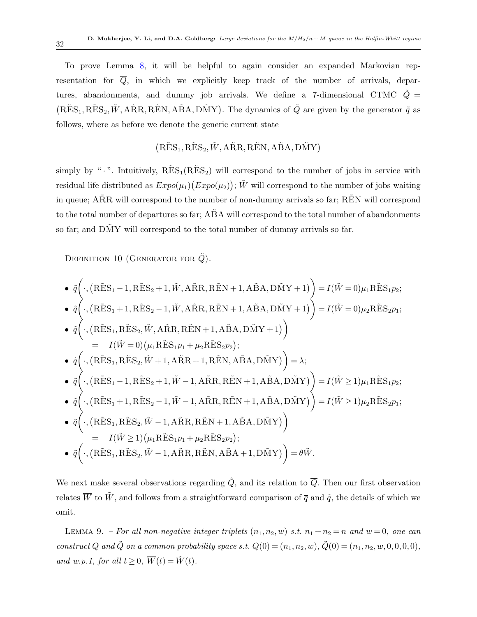To prove Lemma [8,](#page-30-1) it will be helpful to again consider an expanded Markovian representation for  $\overline{Q}$ , in which we explicitly keep track of the number of arrivals, departures, abandonments, and dummy job arrivals. We define a 7-dimensional CTMC  $\tilde{Q} =$  $(RES<sub>1</sub>, RES<sub>2</sub>, W, A\tilde{R}R, R\tilde{E}N, A\tilde{B}A, D\tilde{M}Y)$ . The dynamics of  $\tilde{Q}$  are given by the generator  $\tilde{q}$  as follows, where as before we denote the generic current state

## $(RES<sub>1</sub>, RES<sub>2</sub>, W, A\tilde{R}R, R\tilde{E}N, A\tilde{B}A, D\tilde{M}Y)$

simply by " $\cdot$ ". Intuitively,  $R\tilde{E}S_1(R\tilde{E}S_2)$  will correspond to the number of jobs in service with residual life distributed as  $Expo(\mu_1)(Expo(\mu_2))$ ;  $\tilde{W}$  will correspond to the number of jobs waiting in queue;  $\angle$ AR $\angle$  will correspond to the number of non-dummy arrivals so far; REN will correspond to the total number of departures so far;  $\angle$ ABA will correspond to the total number of abandonments so far; and DMY will correspond to the total number of dummy arrivals so far.

DEFINITION 10 (GENERATOR FOR  $\tilde{Q}$ ).

$$
\begin{aligned}\n\bullet \quad & \tilde{q}\bigg(\cdot, \left(\tilde{R}\tilde{E}S_{1}-1, \tilde{R}\tilde{E}S_{2}+1, \tilde{W}, \tilde{A}\tilde{R}R, \tilde{R}\tilde{E}N+1, \tilde{A}\tilde{B}A, \tilde{D}\tilde{M}Y+1\right)\bigg) = I(\tilde{W}=0)\mu_{1}\tilde{R}\tilde{E}S_{1}\mu_{2}; \\
\bullet \quad & \tilde{q}\bigg(\cdot, \left(\tilde{R}\tilde{E}S_{1}+1, \tilde{R}\tilde{E}S_{2}-1, \tilde{W}, \tilde{A}\tilde{R}R, \tilde{R}\tilde{E}N+1, \tilde{A}\tilde{B}A, \tilde{D}\tilde{M}Y+1\right)\bigg) = I(\tilde{W}=0)\mu_{2}\tilde{R}\tilde{E}S_{2}\mu_{1}; \\
\bullet \quad & \tilde{q}\bigg(\cdot, \left(\tilde{R}\tilde{E}S_{1}, \tilde{R}\tilde{E}S_{2}, \tilde{W}, \tilde{A}\tilde{R}R, \tilde{R}\tilde{E}N+1, \tilde{A}\tilde{B}A, \tilde{D}\tilde{M}Y+1\right)\bigg) \\
&= I(\tilde{W}=0)\big(\mu_{1}\tilde{R}\tilde{E}S_{1}\mu_{1}+\mu_{2}\tilde{R}\tilde{E}S_{2}\mu_{2}); \\
\bullet \quad & \tilde{q}\bigg(\cdot, \left(\tilde{R}\tilde{E}S_{1}-1, \tilde{R}\tilde{E}S_{2}+1, \tilde{W}-1, \tilde{A}\tilde{R}R, \tilde{R}\tilde{E}N+1, \tilde{A}\tilde{B}A, \tilde{D}\tilde{M}Y\right)\bigg) = I(\tilde{W}\geq 1)\mu_{1}\tilde{R}\tilde{E}S_{1}\mu_{2}; \\
\bullet & \tilde{q}\bigg(\cdot, \left(\tilde{R}\tilde{E}S_{1}+1, \tilde{R}\tilde{E}S_{2}-1, \tilde{W}-1, \tilde{A}\tilde{R}R, \tilde{R}\tilde{E}N+1, \tilde{A}\tilde{B}A, \tilde{D}\tilde{M}Y\right)\big
$$

We next make several observations regarding  $\tilde{Q}$ , and its relation to  $\overline{Q}$ . Then our first observation relates  $\overline{W}$  to  $\tilde{W}$ , and follows from a straightforward comparison of  $\overline{q}$  and  $\tilde{q}$ , the details of which we omit.

<span id="page-31-0"></span>LEMMA 9. – For all non-negative integer triplets  $(n_1, n_2, w)$  s.t.  $n_1 + n_2 = n$  and  $w = 0$ , one can construct  $\overline{Q}$  and  $\tilde{Q}$  on a common probability space s.t.  $\overline{Q}(0) = (n_1, n_2, w), \tilde{Q}(0) = (n_1, n_2, w, 0, 0, 0, 0)$ , and w.p.1, for all  $t \geq 0$ ,  $\overline{W}(t) = \tilde{W}(t)$ .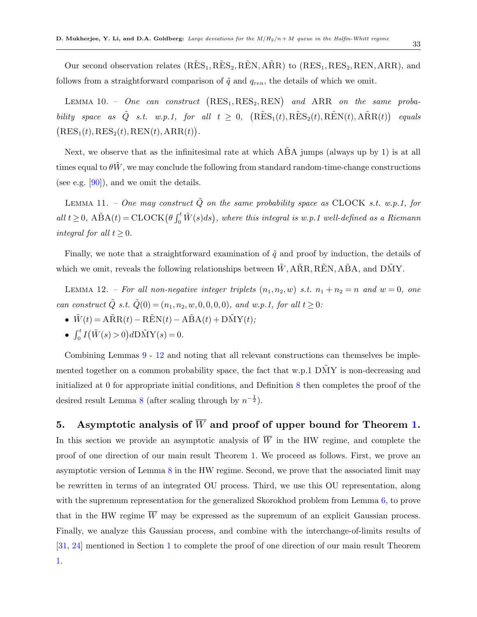Our second observation relates  $(R\tilde{E}S_1, R\tilde{E}S_2, R\tilde{E}N, A\tilde{R}R)$  to  $(RES_1, RES_2, REN,ARR)$ , and follows from a straightforward comparison of  $\tilde{q}$  and  $q_{ren}$ , the details of which we omit.

LEMMA 10. - One can construct  $(RES_1, RES_2, REN)$  and  $ARR$  on the same probability space as  $\tilde{Q}$  s.t. w.p.1, for all  $t \geq 0$ ,  $(R\tilde{E}S_1(t), R\tilde{E}S_2(t), R\tilde{E}N(t), A\tilde{R}R(t))$  equals  $(RES<sub>1</sub>(t), RES<sub>2</sub>(t), REN(t),ARR(t)).$ 

Next, we observe that as the infinitesimal rate at which ABA jumps (always up by 1) is at all times equal to  $\theta \tilde{W}$ , we may conclude the following from standard random-time-change constructions (see e.g.  $[90]$ ), and we omit the details.

LEMMA 11. – One may construct  $\tilde{Q}$  on the same probability space as CLOCK s.t. w.p.1, for all  $t \geq 0$ ,  $\widehat{ABA}(t) = \mathrm{CLOCK}(\theta \int_0^t \widetilde{W}(s)ds)$ , where this integral is w.p.1 well-defined as a Riemann integral for all  $t \geq 0$ .

Finally, we note that a straightforward examination of  $\tilde{q}$  and proof by induction, the details of which we omit, reveals the following relationships between  $\tilde{W}$ , ARR, REN, ABA, and DMY.

<span id="page-32-1"></span>LEMMA 12. – For all non-negative integer triplets  $(n_1, n_2, w)$  s.t.  $n_1 + n_2 = n$  and  $w = 0$ , one can construct  $\tilde{Q}$  s.t.  $\tilde{Q}(0) = (n_1, n_2, w, 0, 0, 0, 0)$ , and w.p.1, for all  $t \geq 0$ :

- $\tilde{W}(t) = A\tilde{R}R(t) R\tilde{E}N(t) A\tilde{B}A(t) + D\tilde{M}Y(t);$
- $\int_0^t I(\tilde{W}(s) > 0) dD\tilde{M}Y(s) = 0.$

Combining Lemmas [9](#page-31-0) - [12](#page-32-1) and noting that all relevant constructions can themselves be implemented together on a common probability space, the fact that w.p.1  $\tilde{DMY}$  is non-decreasing and initialized at 0 for appropriate initial conditions, and Definition [8](#page-29-0) then completes the proof of the desired result Lemma [8](#page-30-1) (after scaling through by  $n^{-\frac{1}{2}}$ ).

## <span id="page-32-0"></span>5. Asymptotic analysis of  $\overline{W}$  and proof of upper bound for Theorem [1.](#page-11-1)

In this section we provide an asymptotic analysis of  $\overline{W}$  in the HW regime, and complete the proof of one direction of our main result Theorem [1.](#page-11-1) We proceed as follows. First, we prove an asymptotic version of Lemma [8](#page-30-1) in the HW regime. Second, we prove that the associated limit may be rewritten in terms of an integrated OU process. Third, we use this OU representation, along with the supremum representation for the generalized Skorokhod problem from Lemma [6,](#page-29-1) to prove that in the HW regime  $\overline{W}$  may be expressed as the supremum of an explicit Gaussian process. Finally, we analyze this Gaussian process, and combine with the interchange-of-limits results of [\[31,](#page-77-1) [24\]](#page-76-0) mentioned in Section [1](#page-3-0) to complete the proof of one direction of our main result Theorem [1.](#page-11-1)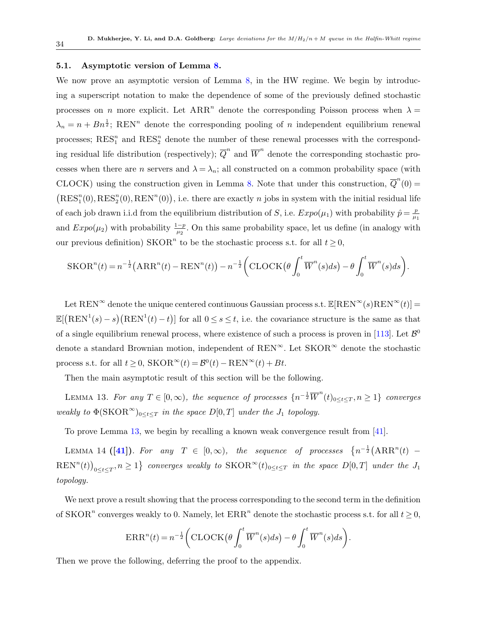### <span id="page-33-0"></span>5.1. Asymptotic version of Lemma [8.](#page-30-1)

We now prove an asymptotic version of Lemma [8,](#page-30-1) in the HW regime. We begin by introducing a superscript notation to make the dependence of some of the previously defined stochastic processes on *n* more explicit. Let  $ARR^n$  denote the corresponding Poisson process when  $\lambda =$  $\lambda_n = n + B n^{\frac{1}{2}}$ ; REN<sup>n</sup> denote the corresponding pooling of n independent equilibrium renewal processes;  $RES_1^n$  and  $RES_2^n$  denote the number of these renewal processes with the corresponding residual life distribution (respectively);  $\overline{Q}^n$  and  $\overline{W}^n$  denote the corresponding stochastic processes when there are *n* servers and  $\lambda = \lambda_n$ ; all constructed on a common probability space (with CLOCK) using the construction given in Lemma [8.](#page-30-1) Note that under this construction,  $\overline{Q}^n(0)$  =  $(RES<sub>1</sub><sup>n</sup>(0), RES<sub>2</sub><sup>n</sup>(0), REN<sup>n</sup>(0)),$  i.e. there are exactly *n* jobs in system with the initial residual life of each job drawn i.i.d from the equilibrium distribution of S, i.e.  $Expo(\mu_1)$  with probability  $\hat{p} = \frac{p}{\mu_1}$  $\mu_1$ and  $Expo(\mu_2)$  with probability  $\frac{1-p}{\mu_2}$ . On this same probability space, let us define (in analogy with our previous definition)  $SKOR<sup>n</sup>$  to be the stochastic process s.t. for all  $t \geq 0$ ,

$$
SKOR^{n}(t) = n^{-\frac{1}{2}}(ARR^{n}(t) - REN^{n}(t)) - n^{-\frac{1}{2}}\bigg(CLOCK\big(\theta \int_{0}^{t} \overline{W}^{n}(s)ds\big) - \theta \int_{0}^{t} \overline{W}^{n}(s)ds\bigg).
$$

Let REN<sup>∞</sup> denote the unique centered continuous Gaussian process s.t.  $\mathbb{E}[\text{REN}^{\infty}(s)\text{REN}^{\infty}(t)]=$  $\mathbb{E}[(\text{REN}^1(s)-s)(\text{REN}^1(t)-t)]$  for all  $0 \leq s \leq t$ , i.e. the covariance structure is the same as that of a single equilibrium renewal process, where existence of such a process is proven in [\[113\]](#page-82-12). Let  $\mathcal{B}^0$ denote a standard Brownian motion, independent of REN<sup>∞</sup>. Let SKOR<sup>∞</sup> denote the stochastic process s.t. for all  $t \geq 0$ ,  $SKOR^{\infty}(t) = B^{0}(t) - REN^{\infty}(t) + Bt$ .

Then the main asymptotic result of this section will be the following.

<span id="page-33-2"></span>LEMMA 13. For any  $T \in [0, \infty)$ , the sequence of processes  $\{n^{-\frac{1}{2}}\overline{W}^n(t)_{0 \leq t \leq T}, n \geq 1\}$  converges weakly to  $\Phi(\text{SKOR}^{\infty})_{0 \leq t \leq T}$  in the space  $D[0,T]$  under the  $J_1$  topology.

To prove Lemma [13,](#page-33-2) we begin by recalling a known weak convergence result from [\[41\]](#page-77-4).

<span id="page-33-3"></span>LEMMA 14 ([\[41\]](#page-77-4)). For any  $T \in [0, \infty)$ , the sequence of processes  $\{n^{-\frac{1}{2}}(ARR^n(t) \text{REN}^n(t)\big|_{0\leq t\leq T}, n\geq 1$  converges weakly to  $\text{SKOR}^{\infty}(t)_{0\leq t\leq T}$  in the space  $D[0,T]$  under the  $J_1$ topology.

We next prove a result showing that the process corresponding to the second term in the definition of SKOR<sup>n</sup> converges weakly to 0. Namely, let  $\text{ERR}^n$  denote the stochastic process s.t. for all  $t \geq 0$ ,

$$
\text{ERR}^n(t) = n^{-\frac{1}{2}} \bigg( \text{CLOCK} \big( \theta \int_0^t \overline{W}^n(s) ds \big) - \theta \int_0^t \overline{W}^n(s) ds \bigg).
$$

<span id="page-33-1"></span>Then we prove the following, deferring the proof to the appendix.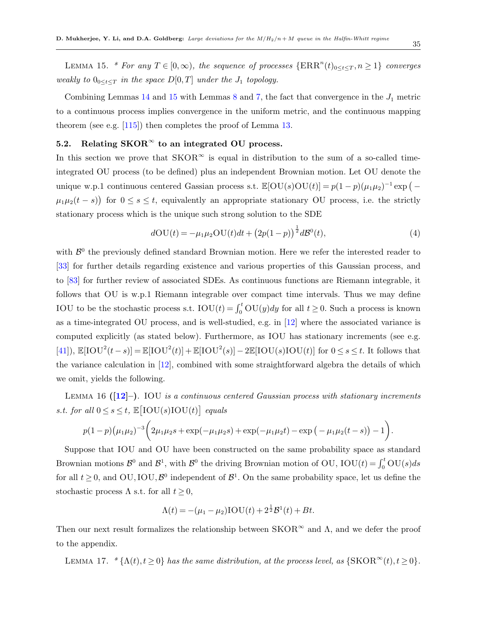LEMMA 15. \* For any  $T \in [0, \infty)$ , the sequence of processes  $\{\text{ERR}^n(t)_{0 \leq t \leq T}, n \geq 1\}$  converges weakly to  $0_{0 \leq t \leq T}$  in the space  $D[0,T]$  under the  $J_1$  topology.

Combining Lemmas  $14$  and  $15$  with Lemmas  $8$  and  $7$ , the fact that convergence in the  $J_1$  metric to a continuous process implies convergence in the uniform metric, and the continuous mapping theorem (see e.g. [\[115\]](#page-82-11)) then completes the proof of Lemma [13.](#page-33-2)

## <span id="page-34-0"></span>5.2. Relating  $SKOR^{\infty}$  to an integrated OU process.

In this section we prove that  $SKOR^{\infty}$  is equal in distribution to the sum of a so-called timeintegrated OU process (to be defined) plus an independent Brownian motion. Let OU denote the unique w.p.1 continuous centered Gassian process s.t.  $\mathbb{E}[\text{OU}(s)\text{OU}(t)] = p(1-p)(\mu_1\mu_2)^{-1}\exp(-\frac{1}{2}\mu_1\mu_2)$  $\mu_1\mu_2(t-s)$  for  $0 \le s \le t$ , equivalently an appropriate stationary OU process, i.e. the strictly stationary process which is the unique such strong solution to the SDE

<span id="page-34-2"></span>
$$
d\text{OU}(t) = -\mu_1 \mu_2 \text{OU}(t)dt + (2p(1-p))^{\frac{1}{2}} d\mathcal{B}^0(t),\tag{4}
$$

with  $\mathcal{B}^0$  the previously defined standard Brownian motion. Here we refer the interested reader to [\[33\]](#page-77-13) for further details regarding existence and various properties of this Gaussian process, and to [\[83\]](#page-80-10) for further review of associated SDEs. As continuous functions are Riemann integrable, it follows that OU is w.p.1 Riemann integrable over compact time intervals. Thus we may define IOU to be the stochastic process s.t.  $\text{IOU}(t) = \int_0^t \text{OU}(y)dy$  for all  $t \geq 0$ . Such a process is known as a time-integrated OU process, and is well-studied, e.g. in [\[12\]](#page-76-13) where the associated variance is computed explicitly (as stated below). Furthermore, as IOU has stationary increments (see e.g. [\[41\]](#page-77-4)),  $\mathbb{E}[\text{IOU}^2(t-s)] = \mathbb{E}[\text{IOU}^2(t)] + \mathbb{E}[\text{IOU}^2(s)] - 2\mathbb{E}[\text{IOU}(s)\text{IOU}(t)]$  for  $0 \le s \le t$ . It follows that the variance calculation in [\[12\]](#page-76-13), combined with some straightforward algebra the details of which we omit, yields the following.

LEMMA 16  $(12)$ –). IOU is a continuous centered Gaussian process with stationary increments s.t. for all  $0 \leq s \leq t$ ,  $\mathbb{E}[\text{IOU}(s)\text{IOU}(t)]$  equals

$$
p(1-p)(\mu_1\mu_2)^{-3}\bigg(2\mu_1\mu_2s+\exp(-\mu_1\mu_2s)+\exp(-\mu_1\mu_2t)-\exp(-\mu_1\mu_2(t-s))-1\bigg).
$$

Suppose that IOU and OU have been constructed on the same probability space as standard Brownian motions  $\mathcal{B}^0$  and  $\mathcal{B}^1$ , with  $\mathcal{B}^0$  the driving Brownian motion of OU, IOU(t) =  $\int_0^t$ OU(s)ds for all  $t \geq 0$ , and OU, IOU,  $\mathcal{B}^0$  independent of  $\mathcal{B}^1$ . On the same probability space, let us define the stochastic process  $\Lambda$  s.t. for all  $t \geq 0$ ,

$$
\Lambda(t) = -(\mu_1 - \mu_2)\text{IOU}(t) + 2^{\frac{1}{2}}\mathcal{B}^1(t) + Bt.
$$

Then our next result formalizes the relationship between  $SKOR^{\infty}$  and  $\Lambda$ , and we defer the proof to the appendix.

<span id="page-34-1"></span>LEMMA 17. \* { $\Lambda(t)$ ,  $t \ge 0$ } has the same distribution, at the process level, as {SKOR<sup>∞</sup>(t),  $t \ge 0$ }.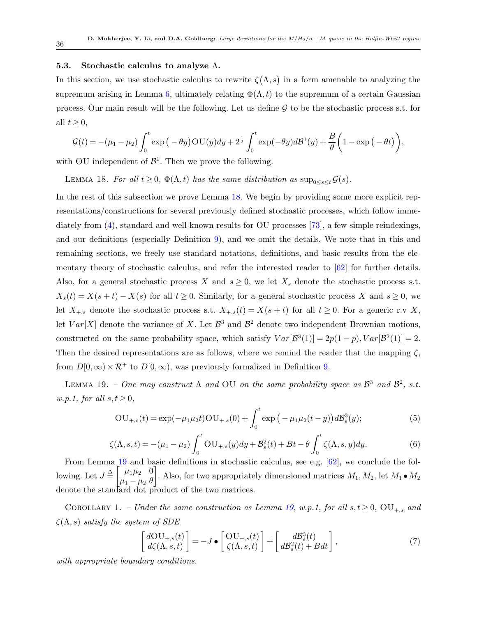### <span id="page-35-0"></span>5.3. Stochastic calculus to analyze  $\Lambda$ .

In this section, we use stochastic calculus to rewrite  $\zeta(\Lambda,s)$  in a form amenable to analyzing the supremum arising in Lemma [6,](#page-29-1) ultimately relating  $\Phi(\Lambda, t)$  to the supremum of a certain Gaussian process. Our main result will be the following. Let us define  $\mathcal G$  to be the stochastic process s.t. for all  $t \geq 0$ ,

<span id="page-35-1"></span>
$$
\mathcal{G}(t) = -(\mu_1 - \mu_2) \int_0^t \exp\left(-\theta y\right) \text{OU}(y) dy + 2^{\frac{1}{2}} \int_0^t \exp(-\theta y) d\mathcal{B}^1(y) + \frac{B}{\theta} \left(1 - \exp\left(-\theta t\right)\right),
$$

with OU independent of  $\mathcal{B}^1$ . Then we prove the following.

LEMMA 18. For all  $t \geq 0$ ,  $\Phi(\Lambda, t)$  has the same distribution as  $\sup_{0 \leq s \leq t} \mathcal{G}(s)$ .

In the rest of this subsection we prove Lemma [18.](#page-35-1) We begin by providing some more explicit representations/constructions for several previously defined stochastic processes, which follow immediately from [\(4\)](#page-34-2), standard and well-known results for OU processes [\[73\]](#page-79-10), a few simple reindexings, and our definitions (especially Definition [9\)](#page-29-3), and we omit the details. We note that in this and remaining sections, we freely use standard notations, definitions, and basic results from the elementary theory of stochastic calculus, and refer the interested reader to  $\lceil 62 \rceil$  for further details. Also, for a general stochastic process X and  $s \geq 0$ , we let  $X_s$  denote the stochastic process s.t.  $X_s(t) = X(s+t) - X(s)$  for all  $t \geq 0$ . Similarly, for a general stochastic process X and  $s \geq 0$ , we let  $X_{+,s}$  denote the stochastic process s.t.  $X_{+,s}(t) = X(s+t)$  for all  $t \geq 0$ . For a generic r.v X, let  $Var[X]$  denote the variance of X. Let  $\mathcal{B}^3$  and  $\mathcal{B}^2$  denote two independent Brownian motions, constructed on the same probability space, which satisfy  $Var[\mathcal{B}^3(1)] = 2p(1-p)$ ,  $Var[\mathcal{B}^2(1)] = 2$ . Then the desired representations are as follows, where we remind the reader that the mapping  $\zeta$ , from  $D[0,\infty) \times \mathcal{R}^+$  to  $D[0,\infty)$ , was previously formalized in Definition [9.](#page-29-3)

<span id="page-35-2"></span>LEMMA 19. – One may construct  $\Lambda$  and OU on the same probability space as  $\mathcal{B}^3$  and  $\mathcal{B}^2$ , s.t. w.p.1, for all  $s, t \geq 0$ ,

$$
OU_{+,s}(t) = \exp(-\mu_1 \mu_2 t)OU_{+,s}(0) + \int_0^t \exp(-\mu_1 \mu_2 (t - y)) d\mathcal{B}_s^3(y); \tag{5}
$$

$$
\zeta(\Lambda, s, t) = -(\mu_1 - \mu_2) \int_0^t \text{OU}_{+,s}(y) dy + \mathcal{B}_s^2(t) + Bt - \theta \int_0^t \zeta(\Lambda, s, y) dy.
$$
 (6)

From Lemma [19](#page-35-2) and basic definitions in stochastic calculus, see e.g. [\[62\]](#page-79-11), we conclude the following. Let  $J \triangleq \begin{bmatrix} \mu_1 \mu_2 & 0 \\ \mu_1 \mu_2 & 0 \end{bmatrix}$  $\mu_1 - \mu_2$  θ . Also, for two appropriately dimensioned matrices  $M_1, M_2$ , let  $M_1 \bullet M_2$ denote the standard dot product of the two matrices.

COROLLARY 1. – Under the same construction as Lemma [19,](#page-35-2) w.p.1, for all  $s,t \geq 0$ ,  $\text{OU}_{+,s}$  and  $\zeta(\Lambda, s)$  satisfy the system of SDE

$$
\begin{bmatrix} dO\mathbf{U}_{+,s}(t) \\ d\zeta(\Lambda,s,t) \end{bmatrix} = -J \bullet \begin{bmatrix} O\mathbf{U}_{+,s}(t) \\ \zeta(\Lambda,s,t) \end{bmatrix} + \begin{bmatrix} d\mathcal{B}_s^3(t) \\ d\mathcal{B}_s^2(t) + Bdt \end{bmatrix},\tag{7}
$$

with appropriate boundary conditions.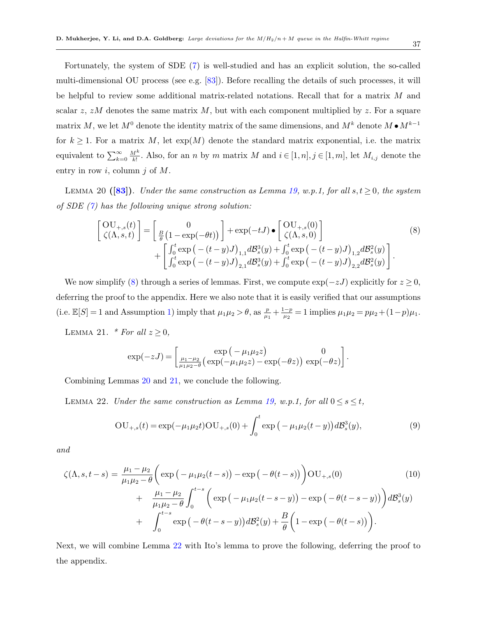Fortunately, the system of SDE [\(7\)](#page-35-0) is well-studied and has an explicit solution, the so-called multi-dimensional OU process (see e.g. [\[83\]](#page-80-0)). Before recalling the details of such processes, it will be helpful to review some additional matrix-related notations. Recall that for a matrix M and scalar  $z, zM$  denotes the same matrix  $M$ , but with each component multiplied by  $z$ . For a square matrix M, we let  $M^0$  denote the identity matrix of the same dimensions, and  $M^k$  denote  $M \bullet M^{k-1}$ for  $k \geq 1$ . For a matrix M, let  $exp(M)$  denote the standard matrix exponential, i.e. the matrix equivalent to  $\sum_{k=0}^{\infty} \frac{M^k}{k!}$  $\frac{M^k}{k!}$ . Also, for an *n* by *m* matrix *M* and  $i \in [1, n], j \in [1, m]$ , let  $M_{i,j}$  denote the entry in row  $i$ , column  $j$  of  $M$ .

<span id="page-36-1"></span>LEMMA 20 ([\[83\]](#page-80-0)). Under the same construction as Lemma [19,](#page-35-1) w.p.1, for all  $s, t \geq 0$ , the system of SDE  $(7)$  has the following unique strong solution:

<span id="page-36-0"></span>
$$
\begin{bmatrix}\n\text{OU}_{+,s}(t) \\
\zeta(\Lambda, s, t)\n\end{bmatrix} = \begin{bmatrix}\n0 \\
\frac{B}{\theta}(1 - \exp(-\theta t))\n\end{bmatrix} + \exp(-tJ) \bullet \begin{bmatrix}\n\text{OU}_{+,s}(0) \\
\zeta(\Lambda, s, 0)\n\end{bmatrix} + \begin{bmatrix}\n\int_0^t \exp(-(t - y)J)_{1,1} dB_s^3(y) + \int_0^t \exp(-(t - y)J)_{1,2} dB_s^2(y) \\
\int_0^t \exp(-(t - y)J)_{2,1} dB_s^3(y) + \int_0^t \exp(-(t - y)J)_{2,2} dB_s^2(y)\n\end{bmatrix}.
$$
\n(8)

We now simplify [\(8\)](#page-36-0) through a series of lemmas. First, we compute  $\exp(-zJ)$  explicitly for  $z \ge 0$ , deferring the proof to the appendix. Here we also note that it is easily verified that our assumptions (i.e.  $\mathbb{E}[S] = 1$  and Assumption [1\)](#page-11-0) imply that  $\mu_1 \mu_2 > \theta$ , as  $\frac{p}{\mu_1} + \frac{1-p}{\mu_2}$  $\frac{1-p}{\mu_2} = 1$  implies  $\mu_1 \mu_2 = p\mu_2 + (1-p)\mu_1$ .

<span id="page-36-2"></span>LEMMA 21. \* For all  $z \geq 0$ ,

$$
\exp(-zJ) = \begin{bmatrix} \exp(-\mu_1\mu_2z) & 0\\ \frac{\mu_1-\mu_2}{\mu_1\mu_2-\theta}(\exp(-\mu_1\mu_2z)-\exp(-\theta z)) & \exp(-\theta z) \end{bmatrix}.
$$

<span id="page-36-3"></span>Combining Lemmas [20](#page-36-1) and [21,](#page-36-2) we conclude the following.

LEMMA 22. Under the same construction as Lemma [19,](#page-35-1) w.p.1, for all  $0 \le s \le t$ ,

<span id="page-36-5"></span>
$$
OU_{+,s}(t) = \exp(-\mu_1 \mu_2 t)OU_{+,s}(0) + \int_0^t \exp(-\mu_1 \mu_2 (t - y)) d\mathcal{B}_s^3(y), \tag{9}
$$

and

<span id="page-36-6"></span>
$$
\zeta(\Lambda, s, t - s) = \frac{\mu_1 - \mu_2}{\mu_1 \mu_2 - \theta} \left( \exp\left(-\mu_1 \mu_2(t - s)\right) - \exp\left(-\theta(t - s)\right) \right) \text{OU}_{+,s}(0) \tag{10}
$$
\n
$$
+ \frac{\mu_1 - \mu_2}{\mu_1 \mu_2 - \theta} \int_0^{t - s} \left( \exp\left(-\mu_1 \mu_2(t - s - y)\right) - \exp\left(-\theta(t - s - y)\right) \right) d\mathcal{B}_s^3(y)
$$
\n
$$
+ \int_0^{t - s} \exp\left(-\theta(t - s - y)\right) d\mathcal{B}_s^2(y) + \frac{B}{\theta} \left(1 - \exp\left(-\theta(t - s)\right)\right).
$$

<span id="page-36-4"></span>Next, we will combine Lemma [22](#page-36-3) with Ito's lemma to prove the following, deferring the proof to the appendix.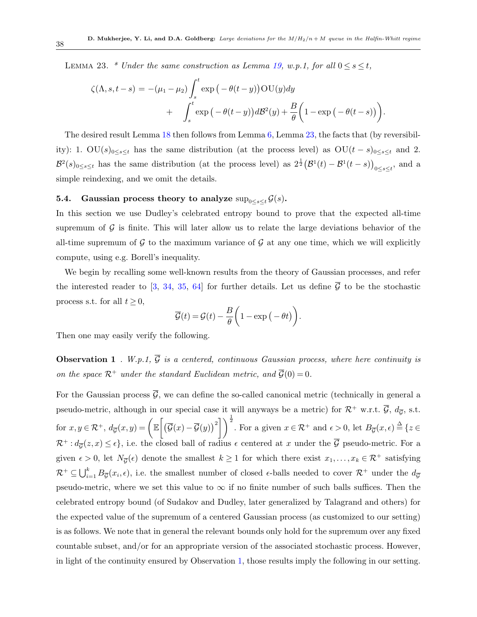LEMMA 23. \* Under the same construction as Lemma [19,](#page-35-1) w.p.1, for all  $0 \le s \le t$ ,

$$
\zeta(\Lambda, s, t - s) = -(\mu_1 - \mu_2) \int_s^t \exp(-\theta(t - y)) \text{OU}(y) dy + \int_s^t \exp(-\theta(t - y)) dB^2(y) + \frac{B}{\theta} \left(1 - \exp(-\theta(t - s))\right).
$$

The desired result Lemma [18](#page-35-2) then follows from Lemma [6,](#page-29-0) Lemma [23,](#page-36-4) the facts that (by reversibility): 1. OU(s)<sub>0≤s≤t</sub> has the same distribution (at the process level) as OU(t – s)<sub>0≤s≤t</sub> and 2.  $\mathcal{B}^2(s)_{0\leq s\leq t}$  has the same distribution (at the process level) as  $2^{\frac{1}{2}}(\mathcal{B}^1(t)-\mathcal{B}^1(t-s))_{0\leq s\leq t}$ , and a simple reindexing, and we omit the details.

## 5.4. Gaussian process theory to analyze  $\sup_{0\leq s\leq t} \mathcal{G}(s)$ .

In this section we use Dudley's celebrated entropy bound to prove that the expected all-time supremum of  $\mathcal G$  is finite. This will later allow us to relate the large deviations behavior of the all-time supremum of  $\mathcal G$  to the maximum variance of  $\mathcal G$  at any one time, which we will explicitly compute, using e.g. Borell's inequality.

We begin by recalling some well-known results from the theory of Gaussian processes, and refer the interested reader to [\[3,](#page-75-0) [34,](#page-77-0) [35,](#page-77-1) [64\]](#page-79-0) for further details. Let us define  $\overline{G}$  to be the stochastic process s.t. for all  $t \geq 0$ ,

<span id="page-37-0"></span>
$$
\overline{\mathcal{G}}(t) = \mathcal{G}(t) - \frac{B}{\theta} \left( 1 - \exp(-\theta t) \right).
$$

Then one may easily verify the following.

**Observation 1** . W.p.1,  $\overline{G}$  is a centered, continuous Gaussian process, where here continuity is on the space  $\mathcal{R}^+$  under the standard Euclidean metric, and  $\overline{\mathcal{G}}(0) = 0$ .

For the Gaussian process  $\overline{\mathcal{G}}$ , we can define the so-called canonical metric (technically in general a pseudo-metric, although in our special case it will anyways be a metric) for  $\mathcal{R}^+$  w.r.t.  $\overline{\mathcal{G}}, d_{\overline{\mathcal{G}}},$  s.t. for  $x, y \in \mathcal{R}^+$ ,  $d_{\overline{\mathcal{G}}}(x, y) = \left( \mathbb{E} \left[ \left( \overline{\mathcal{G}}(x) - \overline{\mathcal{G}}(y) \right)^2 \right] \right)^{\frac{1}{2}}$ . For a given  $x \in \mathcal{R}^+$  and  $\epsilon > 0$ , let  $B_{\overline{\mathcal{G}}}(x, \epsilon) \stackrel{\Delta}{=} \{z \in \mathcal{R}^+ \mid z \in \mathcal{R}^+ \mid z \in \mathcal{R}^+ \mid z \in \mathcal{R}^+ \mid$  $\mathcal{R}^+$ :  $d_{\overline{G}}(z, x) \leq \epsilon$ , i.e. the closed ball of radius  $\epsilon$  centered at x under the  $\overline{\mathcal{G}}$  pseudo-metric. For a given  $\epsilon > 0$ , let  $N_{\overline{G}}(\epsilon)$  denote the smallest  $k \ge 1$  for which there exist  $x_1, \ldots, x_k \in \mathcal{R}^+$  satisfying  $\mathcal{R}^+ \subseteq \bigcup_{i=1}^k B_{\overline{\mathcal{G}}}(x_i, \epsilon)$ , i.e. the smallest number of closed  $\epsilon$ -balls needed to cover  $\mathcal{R}^+$  under the  $d_{\overline{\mathcal{G}}}$ pseudo-metric, where we set this value to  $\infty$  if no finite number of such balls suffices. Then the celebrated entropy bound (of Sudakov and Dudley, later generalized by Talagrand and others) for the expected value of the supremum of a centered Gaussian process (as customized to our setting) is as follows. We note that in general the relevant bounds only hold for the supremum over any fixed countable subset, and/or for an appropriate version of the associated stochastic process. However, in light of the continuity ensured by Observation [1,](#page-37-0) those results imply the following in our setting.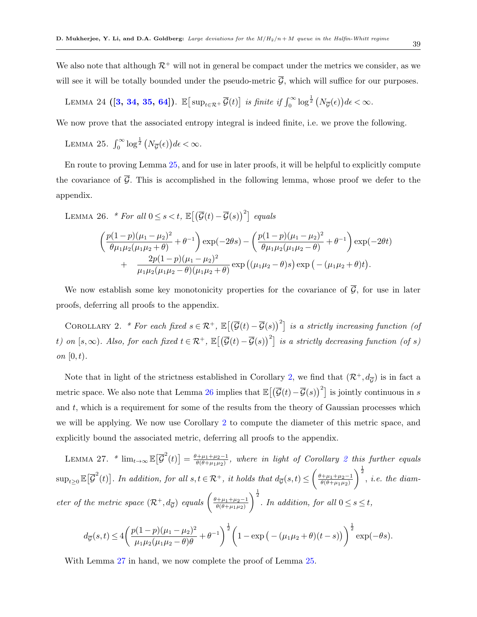We also note that although  $\mathcal{R}^+$  will not in general be compact under the metrics we consider, as we will see it will be totally bounded under the pseudo-metric  $\overline{\mathcal{G}}$ , which will suffice for our purposes.

<span id="page-38-4"></span>LEMMA 24 ([3, 34, 35, 64]). 
$$
\mathbb{E}[\sup_{t \in \mathcal{R}^+} \overline{\mathcal{G}}(t)]
$$
 is finite if  $\int_0^\infty \log^{\frac{1}{2}} (N_{\overline{\mathcal{G}}}(t)) d\epsilon < \infty$ .

<span id="page-38-0"></span>We now prove that the associated entropy integral is indeed finite, i.e. we prove the following.

LEMMA 25.  $\int_0^\infty \log^{\frac{1}{2}} (N_{\overline{G}}(\epsilon)) d\epsilon < \infty$ .

En route to proving Lemma [25,](#page-38-0) and for use in later proofs, it will be helpful to explicitly compute the covariance of  $\overline{G}$ . This is accomplished in the following lemma, whose proof we defer to the appendix.

<span id="page-38-2"></span>LEMMA 26. \* For all 
$$
0 \le s < t
$$
,  $\mathbb{E}[(\overline{G}(t) - \overline{G}(s))^2]$  equals  
\n
$$
\left(\frac{p(1-p)(\mu_1 - \mu_2)^2}{\theta \mu_1 \mu_2 (\mu_1 \mu_2 + \theta)} + \theta^{-1}\right) \exp(-2\theta s) - \left(\frac{p(1-p)(\mu_1 - \mu_2)^2}{\theta \mu_1 \mu_2 (\mu_1 \mu_2 - \theta)} + \theta^{-1}\right) \exp(-2\theta t) + \frac{2p(1-p)(\mu_1 - \mu_2)^2}{\mu_1 \mu_2 (\mu_1 \mu_2 - \theta)(\mu_1 \mu_2 + \theta)} \exp((\mu_1 \mu_2 - \theta)s) \exp(-(\mu_1 \mu_2 + \theta)t).
$$

<span id="page-38-1"></span>We now establish some key monotonicity properties for the covariance of  $\overline{G}$ , for use in later proofs, deferring all proofs to the appendix.

COROLLARY 2. \* For each fixed  $s \in \mathcal{R}^+$ ,  $\mathbb{E}[(\overline{\mathcal{G}}(t) - \overline{\mathcal{G}}(s))^2]$  is a strictly increasing function (of t) on  $[s,\infty)$ . Also, for each fixed  $t \in \mathcal{R}^+$ ,  $\mathbb{E}[(\overline{\mathcal{G}}(t)-\overline{\mathcal{G}}(s))^2]$  is a strictly decreasing function (of s) on  $[0, t)$ .

Note that in light of the strictness established in Corollary [2,](#page-38-1) we find that  $(\mathcal{R}^+, d_{\overline{G}})$  is in fact a metric space. We also note that Lemma [26](#page-38-2) implies that  $\mathbb{E}[(\overline{\mathcal{G}}(t)-\overline{\mathcal{G}}(s))^2]$  is jointly continuous in s and  $t$ , which is a requirement for some of the results from the theory of Gaussian processes which we will be applying. We now use Corollary [2](#page-38-1) to compute the diameter of this metric space, and explicitly bound the associated metric, deferring all proofs to the appendix.

LEMMA 27. \*  $\lim_{t\to\infty} \mathbb{E}[\overline{\mathcal{G}}^2(t)] = \frac{\theta + \mu_1 + \mu_2 - 1}{\theta(\theta + \mu_1 \mu_2)}$  $\frac{(\mu_1 + \mu_2 - 1)}{\theta(\theta + \mu_1 \mu_2)}$  $\frac{(\mu_1 + \mu_2 - 1)}{\theta(\theta + \mu_1 \mu_2)}$  $\frac{(\mu_1 + \mu_2 - 1)}{\theta(\theta + \mu_1 \mu_2)}$ , where in light of Corollary 2 this further equals  $\sup_{t\geq 0} \mathbb{E}\big[\overline{\mathcal{G}}^2(t)\big]$ . In addition, for all  $s,t\in\mathcal{R}^+$ , it holds that  $d_{\overline{\mathcal{G}}}(s,t) \leq \left(\frac{\theta+\mu_1+\mu_2-1}{\theta(\theta+\mu_1\mu_2)}\right)$  $\theta(\theta+\mu_1\mu_2)$  $\int_{0}^{\frac{1}{2}}$ , *i.e. the diam*eter of the metric space  $(\mathcal{R}^+, d_{\overline{G}})$  equals  $\left(\frac{\theta + \mu_1 + \mu_2 - 1}{\theta(\theta + \mu_1 \mu_2)}\right)$  $\theta(\theta+\mu_1\mu_2)$  $\int_{0}^{\frac{1}{2}}$ . In addition, for all  $0 \leq s \leq t$ ,

<span id="page-38-3"></span>
$$
d_{\overline{g}}(s,t) \le 4 \left( \frac{p(1-p)(\mu_1 - \mu_2)^2}{\mu_1 \mu_2 (\mu_1 \mu_2 - \theta) \theta} + \theta^{-1} \right)^{\frac{1}{2}} \left( 1 - \exp\left( -(\mu_1 \mu_2 + \theta)(t-s) \right) \right)^{\frac{1}{2}} \exp(-\theta s).
$$

With Lemma [27](#page-38-3) in hand, we now complete the proof of Lemma [25.](#page-38-0)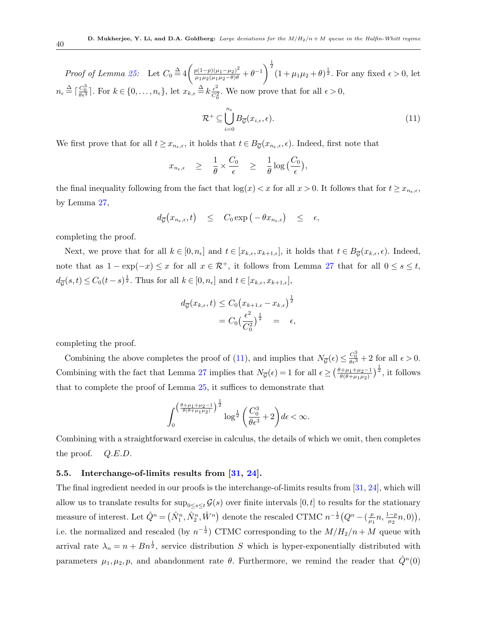Proof of Lemma [25:](#page-38-0) Let  $C_0 \stackrel{\Delta}{=} 4 \left( \frac{p(1-p)(\mu_1 - \mu_2)^2}{\mu_1 \mu_2 (\mu_1 \mu_2 - \theta) \theta} + \theta^{-1} \right)^{\frac{1}{2}} (1 + \mu_1 \mu_2 + \theta)^{\frac{1}{2}}$ . For any fixed  $\epsilon > 0$ , let  $n_{\epsilon} \stackrel{\Delta}{=} \lceil \frac{C_0^3}{\theta \epsilon^3} \rceil$ . For  $k \in \{0, \ldots, n_{\epsilon}\}, \text{ let } x_{k,\epsilon} \stackrel{\Delta}{=} k \frac{\epsilon^2}{C_{\epsilon}^2}$  $\frac{\epsilon^2}{C_0^2}$ . We now prove that for all  $\epsilon > 0$ ,

<span id="page-39-0"></span>
$$
\mathcal{R}^+ \subseteq \bigcup_{i=0}^{n_{\epsilon}} B_{\overline{\mathcal{G}}}(x_{i,\epsilon}, \epsilon). \tag{11}
$$

We first prove that for all  $t \geq x_{n_{\epsilon},\epsilon}$ , it holds that  $t \in B_{\overline{G}}(x_{n_{\epsilon},\epsilon},\epsilon)$ . Indeed, first note that

$$
x_{n_{\epsilon},\epsilon} \geq \frac{1}{\theta} \times \frac{C_0}{\epsilon} \geq \frac{1}{\theta} \log\left(\frac{C_0}{\epsilon}\right),
$$

the final inequality following from the fact that  $\log(x) < x$  for all  $x > 0$ . It follows that for  $t \geq x_{n_{\epsilon},\epsilon}$ , by Lemma [27,](#page-38-3)

$$
d_{\overline{G}}(x_{n_{\epsilon},\epsilon},t) \leq C_0 \exp(-\theta x_{n_{\epsilon},\epsilon}) \leq \epsilon,
$$

completing the proof.

Next, we prove that for all  $k \in [0, n_{\epsilon}]$  and  $t \in [x_{k,\epsilon}, x_{k+1,\epsilon}]$ , it holds that  $t \in B_{\overline{G}}(x_{k,\epsilon}, \epsilon)$ . Indeed, note that as  $1 - \exp(-x) \le x$  for all  $x \in \mathcal{R}^+$ , it follows from Lemma [27](#page-38-3) that for all  $0 \le s \le t$ ,  $d_{\overline{G}}(s,t) \leq C_0(t-s)^{\frac{1}{2}}.$  Thus for all  $k \in [0,n_{\epsilon}]$  and  $t \in [x_{k,\epsilon},x_{k+1,\epsilon}],$ 

$$
d_{\overline{G}}(x_{k,\epsilon},t) \leq C_0 (x_{k+1,\epsilon} - x_{k,\epsilon})^{\frac{1}{2}}
$$
  
=  $C_0 (\frac{\epsilon^2}{C_0^2})^{\frac{1}{2}} = \epsilon$ ,

completing the proof.

Combining the above completes the proof of [\(11\)](#page-39-0), and implies that  $N_{\overline{g}}(\epsilon) \leq \frac{C_0^3}{\theta \epsilon^3} + 2$  for all  $\epsilon > 0$ . Combining with the fact that Lemma [27](#page-38-3) implies that  $N_{\overline{G}}(\epsilon) = 1$  for all  $\epsilon \geq \left(\frac{\theta + \mu_1 + \mu_2 - 1}{\theta(\theta + \mu_1 \mu_2)}\right)$  $\frac{\theta+\mu_1+\mu_2-1}{\theta(\theta+\mu_1\mu_2)}\Big)^{\frac{1}{2}},$  it follows that to complete the proof of Lemma [25,](#page-38-0) it suffices to demonstrate that

$$
\int_0^{\left(\frac{\theta+\mu_1+\mu_2-1}{\theta(\theta+\mu_1\mu_2)}\right)^{\frac{1}{2}}} \log^{\frac{1}{2}}\left(\frac{C_0^3}{\theta\epsilon^3}+2\right)d\epsilon < \infty.
$$

Combining with a straightforward exercise in calculus, the details of which we omit, then completes the proof.  $Q.E.D.$ 

## 5.5. Interchange-of-limits results from [\[31,](#page-77-2) [24\]](#page-76-0).

The final ingredient needed in our proofs is the interchange-of-limits results from [\[31,](#page-77-2) [24\]](#page-76-0), which will allow us to translate results for  $\sup_{0\leq s\leq t} \mathcal{G}(s)$  over finite intervals  $[0, t]$  to results for the stationary measure of interest. Let  $\hat{Q}^n = (\hat{N}_1^n, \hat{N}_2^n, \hat{W}^n)$  denote the rescaled CTMC  $n^{-\frac{1}{2}}(Q^n - (\frac{p}{\mu})^n)$  $\frac{p}{\mu_1} n, \frac{1-p}{\mu_2} n, 0) \big),$ i.e. the normalized and rescaled (by  $n^{-\frac{1}{2}}$ ) CTMC corresponding to the  $M/H_2/n + M$  queue with arrival rate  $\lambda_n = n + B n^{\frac{1}{2}}$ , service distribution S which is hyper-exponentially distributed with parameters  $\mu_1, \mu_2, p$ , and abandonment rate  $\theta$ . Furthermore, we remind the reader that  $\hat{Q}^n(0)$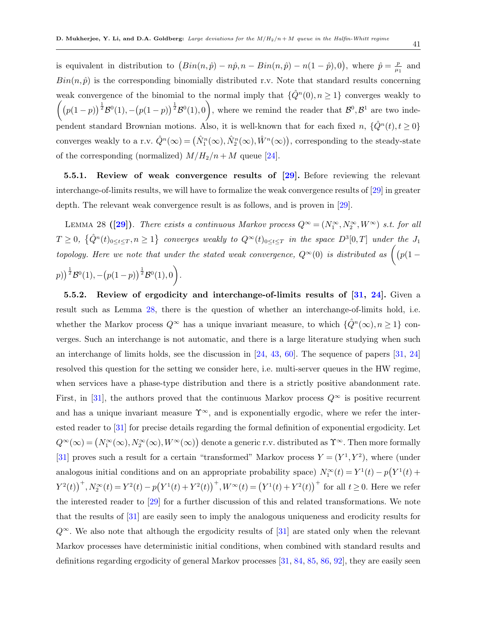is equivalent in distribution to  $(Bin(n, \hat{p}) - n\hat{p}, n - Bin(n, \hat{p}) - n(1 - \hat{p}), 0)$ , where  $\hat{p} = \frac{p}{n}$  $\frac{p}{\mu_1}$  and  $Bin(n, \hat{p})$  is the corresponding binomially distributed r.v. Note that standard results concerning weak convergence of the binomial to the normal imply that  $\{\hat{Q}^n(0), n \geq 1\}$  converges weakly to  $p((p(1-p))^{\frac{1}{2}}\mathcal{B}^0(1),-(p(1-p))^{\frac{1}{2}}\mathcal{B}^0(1),0)$ , where we remind the reader that  $\mathcal{B}^0,\mathcal{B}^1$  are two independent standard Brownian motions. Also, it is well-known that for each fixed  $n, \{\hat{Q}^n(t), t \geq 0\}$ converges weakly to a r.v.  $\hat{Q}^n(\infty) = (\hat{N}_1^n(\infty), \hat{N}_2^n(\infty), \hat{W}^n(\infty))$ , corresponding to the steady-state of the corresponding (normalized)  $M/H_2/n + M$  queue [\[24\]](#page-76-0).

<span id="page-40-0"></span>5.5.1. Review of weak convergence results of [\[29\]](#page-77-3). Before reviewing the relevant interchange-of-limits results, we will have to formalize the weak convergence results of [\[29\]](#page-77-3) in greater depth. The relevant weak convergence result is as follows, and is proven in [\[29\]](#page-77-3).

LEMMA 28 ([\[29\]](#page-77-3)). There exists a continuous Markov process  $Q^{\infty} = (N_1^{\infty}, N_2^{\infty}, W^{\infty})$  s.t. for all  $T \geq 0$ ,  $\{\hat{Q}^n(t)_{0 \leq t \leq T}, n \geq 1\}$  converges weakly to  $Q^{\infty}(t)_{0 \leq t \leq T}$  in the space  $D^3[0,T]$  under the  $J_1$ topology. Here we note that under the stated weak convergence,  $Q^{\infty}(0)$  is distributed as  $($   $(p(1 (p)\big)^{\frac{1}{2}}\mathcal{B}^{0}(1),-(p(1-p))^{\frac{1}{2}}\mathcal{B}^{0}(1),0\big).$ 

5.5.2. Review of ergodicity and interchange-of-limits results of [\[31,](#page-77-2) [24\]](#page-76-0). Given a result such as Lemma [28,](#page-40-0) there is the question of whether an interchange-of-limits hold, i.e. whether the Markov process  $Q^{\infty}$  has a unique invariant measure, to which  $\{\hat{Q}^n(\infty), n \geq 1\}$  converges. Such an interchange is not automatic, and there is a large literature studying when such an interchange of limits holds, see the discussion in  $[24, 43, 60]$  $[24, 43, 60]$  $[24, 43, 60]$  $[24, 43, 60]$  $[24, 43, 60]$ . The sequence of papers  $[31, 24]$  $[31, 24]$  $[31, 24]$ resolved this question for the setting we consider here, i.e. multi-server queues in the HW regime, when services have a phase-type distribution and there is a strictly positive abandonment rate. First, in [\[31\]](#page-77-2), the authors proved that the continuous Markov process  $Q^{\infty}$  is positive recurrent and has a unique invariant measure  $\Upsilon^{\infty}$ , and is exponentially ergodic, where we refer the interested reader to [\[31\]](#page-77-2) for precise details regarding the formal definition of exponential ergodicity. Let  $Q^{\infty}(\infty) = \big(N_1^{\infty}(\infty),N_2^{\infty}(\infty),W^{\infty}(\infty)\big)$  denote a generic r.v. distributed as  $\Upsilon^{\infty}$ . Then more formally [\[31\]](#page-77-2) proves such a result for a certain "transformed" Markov process  $Y = (Y^1, Y^2)$ , where (under analogous initial conditions and on an appropriate probability space)  $N_1^{\infty}(t) = Y^1(t) - p(Y^1(t) +$  $Y^{2}(t) \big)^{+}$ ,  $N_{2}^{\infty}(t) = Y^{2}(t) - p(Y^{1}(t) + Y^{2}(t))^{+}$ ,  $W^{\infty}(t) = (Y^{1}(t) + Y^{2}(t))^{+}$  for all  $t \ge 0$ . Here we refer the interested reader to [\[29\]](#page-77-3) for a further discussion of this and related transformations. We note that the results of [\[31\]](#page-77-2) are easily seen to imply the analogous uniqueness and erodicity results for  $Q^{\infty}$ . We also note that although the ergodicity results of [\[31\]](#page-77-2) are stated only when the relevant Markov processes have deterministic initial conditions, when combined with standard results and definitions regarding ergodicity of general Markov processes [\[31,](#page-77-2) [84,](#page-80-1) [85,](#page-80-2) [86,](#page-80-3) [92\]](#page-81-0), they are easily seen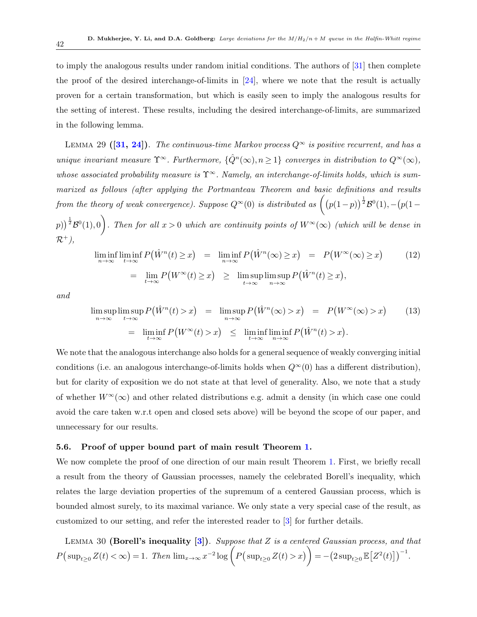to imply the analogous results under random initial conditions. The authors of [\[31\]](#page-77-2) then complete the proof of the desired interchange-of-limits in [\[24\]](#page-76-0), where we note that the result is actually proven for a certain transformation, but which is easily seen to imply the analogous results for the setting of interest. These results, including the desired interchange-of-limits, are summarized in the following lemma.

<span id="page-41-1"></span>LEMMA 29 ([\[31,](#page-77-2) [24\]](#page-76-0)). The continuous-time Markov process  $Q^{\infty}$  is positive recurrent, and has a unique invariant measure  $\Upsilon^{\infty}$ . Furthermore,  $\{\hat{Q}^n(\infty), n \geq 1\}$  converges in distribution to  $Q^{\infty}(\infty)$ , whose associated probability measure is  $\Upsilon^{\infty}$ . Namely, an interchange-of-limits holds, which is summarized as follows (after applying the Portmanteau Theorem and basic definitions and results from the theory of weak convergence). Suppose  $Q^{\infty}(0)$  is distributed as  $((p(1-p))^{\frac{1}{2}}\mathcal{B}^{0}(1), -(p(1-p))^{\frac{1}{2}}$  $p)$ )<sup> $\frac{1}{2}$ </sup> $\mathcal{B}^{0}(1),0$ . Then for all  $x>0$  which are continuity points of  $W^{\infty}(\infty)$  (which will be dense in  $\mathcal{R}^+$ ),

$$
\liminf_{n \to \infty} \liminf_{t \to \infty} P(\hat{W}^n(t) \ge x) = \liminf_{n \to \infty} P(\hat{W}^n(\infty) \ge x) = P(W^{\infty}(\infty) \ge x)
$$
\n
$$
= \lim_{t \to \infty} P(W^{\infty}(t) \ge x) \ge \limsup_{t \to \infty} \limsup_{n \to \infty} P(\hat{W}^n(t) \ge x),
$$
\n(12)

and

$$
\limsup_{n \to \infty} \limsup_{t \to \infty} P(\hat{W}^n(t) > x) = \limsup_{n \to \infty} P(\hat{W}^n(\infty) > x) = P(W^{\infty}(\infty) > x)
$$
(13)  
= 
$$
\liminf_{t \to \infty} P(W^{\infty}(t) > x) \le \liminf_{t \to \infty} \liminf_{n \to \infty} P(\hat{W}^n(t) > x).
$$

We note that the analogous interchange also holds for a general sequence of weakly converging initial conditions (i.e. an analogous interchange-of-limits holds when  $Q^{\infty}(0)$  has a different distribution), but for clarity of exposition we do not state at that level of generality. Also, we note that a study of whether  $W^{\infty}(\infty)$  and other related distributions e.g. admit a density (in which case one could avoid the care taken w.r.t open and closed sets above) will be beyond the scope of our paper, and unnecessary for our results.

#### 5.6. Proof of upper bound part of main result Theorem [1.](#page-11-1)

We now complete the proof of one direction of our main result Theorem [1.](#page-11-1) First, we briefly recall a result from the theory of Gaussian processes, namely the celebrated Borell's inequality, which relates the large deviation properties of the supremum of a centered Gaussian process, which is bounded almost surely, to its maximal variance. We only state a very special case of the result, as customized to our setting, and refer the interested reader to [\[3\]](#page-75-0) for further details.

<span id="page-41-0"></span>LEMMA 30 (Borell's inequality  $[3]$ ). Suppose that Z is a centered Gaussian process, and that  $P\left(\sup_{t\geq0}Z(t)<\infty\right)=1.$  Then  $\lim_{x\to\infty}x^{-2}\log\left(P\left(\sup_{t\geq0}Z(t)>x\right)\right)=-\left(2\sup_{t\geq0}\mathbb{E}\left[Z^2(t)\right]\right)^{-1}.$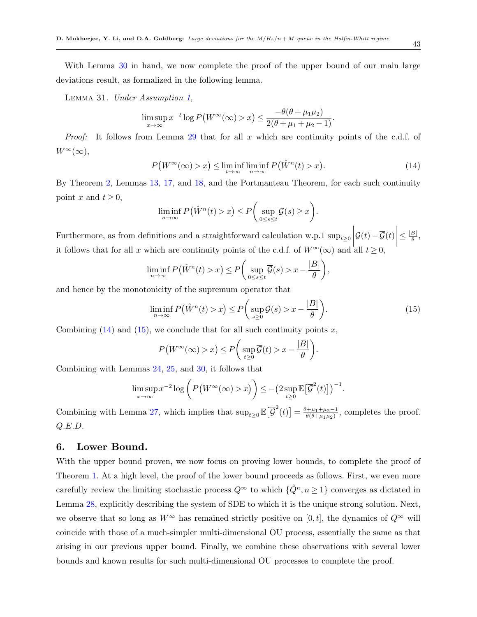With Lemma [30](#page-41-0) in hand, we now complete the proof of the upper bound of our main large deviations result, as formalized in the following lemma.

<span id="page-42-2"></span>Lemma 31. Under Assumption [1,](#page-11-0)

$$
\limsup_{x\to\infty} x^{-2} \log P\big(W^\infty(\infty) > x\big) \leq \frac{-\theta(\theta + \mu_1\mu_2)}{2(\theta + \mu_1 + \mu_2 - 1)}.
$$

Proof: It follows from Lemma [29](#page-41-1) that for all x which are continuity points of the c.d.f. of  $W^{\infty}(\infty),$ 

<span id="page-42-0"></span>
$$
P\big(W^{\infty}(\infty) > x\big) \le \liminf_{t \to \infty} \liminf_{n \to \infty} P\big(\hat{W}^n(t) > x\big). \tag{14}
$$

By Theorem [2,](#page-17-0) Lemmas [13,](#page-33-0) [17,](#page-34-0) and [18,](#page-35-2) and the Portmanteau Theorem, for each such continuity point x and  $t \geq 0$ ,

$$
\liminf_{n \to \infty} P(\hat{W}^n(t) > x) \le P\bigg(\sup_{0 \le s \le t} \mathcal{G}(s) \ge x\bigg).
$$

Furthermore, as from definitions and a straightforward calculation w.p.1  $\sup_{t\geq0}$ <br>it follows that for all a which are continuity points of the ad f. of  $W^{\infty}(\infty)$  and  $\mathcal{G}(t)-\overline{\mathcal{G}}(t)\Big|$  $\leq \frac{|B|}{\theta}$  $\frac{B|}{\theta}$ , it follows that for all x which are continuity points of the c.d.f. of  $W^{\infty}(\infty)$  and all  $t \geq 0$ ,

$$
\liminf_{n \to \infty} P(\hat{W}^n(t) > x) \le P\bigg(\sup_{0 \le s \le t} \overline{\mathcal{G}}(s) > x - \frac{|B|}{\theta}\bigg),
$$

and hence by the monotonicity of the supremum operator that

<span id="page-42-1"></span>
$$
\liminf_{n \to \infty} P(\hat{W}^n(t) > x) \le P\left(\sup_{s \ge 0} \overline{\mathcal{G}}(s) > x - \frac{|B|}{\theta}\right).
$$
\n(15)

Combining  $(14)$  and  $(15)$ , we conclude that for all such continuity points x,

$$
P\big(W^{\infty}(\infty) > x\big) \le P\bigg(\sup_{t \ge 0} \overline{\mathcal{G}}(t) > x - \frac{|B|}{\theta}\bigg).
$$

Combining with Lemmas [24,](#page-38-4) [25,](#page-38-0) and [30,](#page-41-0) it follows that

$$
\limsup_{x \to \infty} x^{-2} \log \bigg( P\big( W^{\infty}(\infty) > x \big) \bigg) \le -\big( 2 \sup_{t \ge 0} \mathbb{E} \big[ \overline{\mathcal{G}}^2(t) \big] \big)^{-1}.
$$

Combining with Lemma [27,](#page-38-3) which implies that  $\sup_{t\geq 0} \mathbb{E}\left[\overline{\mathcal{G}}^2(t)\right] = \frac{\theta + \mu_1 + \mu_2 - 1}{\theta(\theta + \mu_1 \mu_2)}$  $\frac{\theta + \mu_1 + \mu_2 - 1}{\theta(\theta + \mu_1 \mu_2)}$ , completes the proof. Q.E.D.

# 6. Lower Bound.

With the upper bound proven, we now focus on proving lower bounds, to complete the proof of Theorem [1.](#page-11-1) At a high level, the proof of the lower bound proceeds as follows. First, we even more carefully review the limiting stochastic process  $Q^{\infty}$  to which  $\{\hat{Q}^n, n \geq 1\}$  converges as dictated in Lemma [28,](#page-40-0) explicitly describing the system of SDE to which it is the unique strong solution. Next, we observe that so long as  $W^{\infty}$  has remained strictly positive on [0, t], the dynamics of  $Q^{\infty}$  will coincide with those of a much-simpler multi-dimensional OU process, essentially the same as that arising in our previous upper bound. Finally, we combine these observations with several lower bounds and known results for such multi-dimensional OU processes to complete the proof.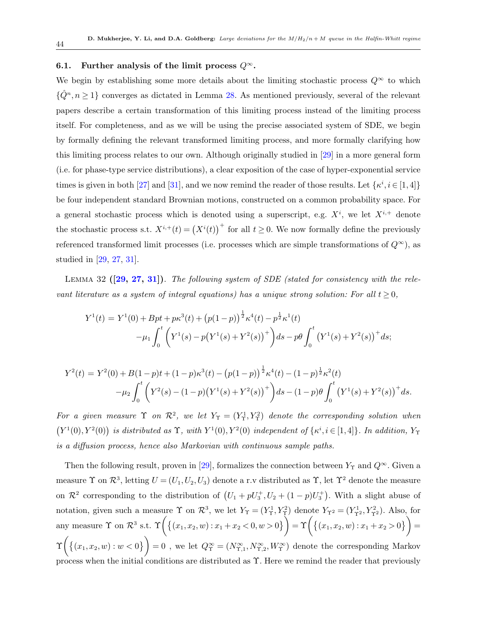### 6.1. Further analysis of the limit process  $Q^{\infty}$ .

We begin by establishing some more details about the limiting stochastic process  $Q^{\infty}$  to which  $\{\hat{Q}^n, n \geq 1\}$  converges as dictated in Lemma [28.](#page-40-0) As mentioned previously, several of the relevant papers describe a certain transformation of this limiting process instead of the limiting process itself. For completeness, and as we will be using the precise associated system of SDE, we begin by formally defining the relevant transformed limiting process, and more formally clarifying how this limiting process relates to our own. Although originally studied in [\[29\]](#page-77-3) in a more general form (i.e. for phase-type service distributions), a clear exposition of the case of hyper-exponential service times is given in both [\[27\]](#page-77-4) and [\[31\]](#page-77-2), and we now remind the reader of those results. Let  $\{\kappa^i, i \in [1, 4]\}$ be four independent standard Brownian motions, constructed on a common probability space. For a general stochastic process which is denoted using a superscript, e.g.  $X^i$ , we let  $X^{i,+}$  denote the stochastic process s.t.  $X^{i,+}(t) = (X^i(t))^+$  for all  $t \geq 0$ . We now formally define the previously referenced transformed limit processes (i.e. processes which are simple transformations of  $Q^{\infty}$ ), as studied in [\[29,](#page-77-3) [27,](#page-77-4) [31\]](#page-77-2).

<span id="page-43-0"></span>LEMMA 32  $(29, 27, 31)$  $(29, 27, 31)$  $(29, 27, 31)$ . The following system of SDE (stated for consistency with the relevant literature as a system of integral equations) has a unique strong solution: For all  $t \geq 0$ ,

$$
Y^{1}(t) = Y^{1}(0) + Bpt + p\kappa^{3}(t) + (p(1-p))^{\frac{1}{2}}\kappa^{4}(t) - p^{\frac{1}{2}}\kappa^{1}(t)
$$

$$
-\mu_{1} \int_{0}^{t} \left(Y^{1}(s) - p(Y^{1}(s) + Y^{2}(s))^{+}\right)ds - p\theta \int_{0}^{t} \left(Y^{1}(s) + Y^{2}(s)\right)^{+}ds;
$$

$$
Y^{2}(t) = Y^{2}(0) + B(1-p)t + (1-p)\kappa^{3}(t) - (p(1-p))^{\frac{1}{2}}\kappa^{4}(t) - (1-p)^{\frac{1}{2}}\kappa^{2}(t) -\mu_{2} \int_{0}^{t} (Y^{2}(s) - (1-p)(Y^{1}(s) + Y^{2}(s))^{+}) ds - (1-p)\theta \int_{0}^{t} (Y^{1}(s) + Y^{2}(s))^{+} ds.
$$

For a given measure  $\Upsilon$  on  $\mathcal{R}^2$ , we let  $Y_{\Upsilon} = (Y_{\Upsilon}^1, Y_{\Upsilon}^2)$  denote the corresponding solution when  $(Y^1(0), Y^2(0))$  is distributed as  $\Upsilon$ , with  $Y^1(0), Y^2(0)$  independent of  $\{\kappa^i, i \in [1,4]\}$ . In addition,  $Y_{\Upsilon}$ is a diffusion process, hence also Markovian with continuous sample paths.

Then the following result, proven in [\[29\]](#page-77-3), formalizes the connection between  $Y_{\Upsilon}$  and  $Q^{\infty}$ . Given a measure  $\Upsilon$  on  $\mathcal{R}^3$ , letting  $U = (U_1, U_2, U_3)$  denote a r.v distributed as  $\Upsilon$ , let  $\Upsilon^2$  denote the measure on  $\mathcal{R}^2$  corresponding to the distribution of  $(U_1 + pU_3^+, U_2 + (1 - p)U_3^+)$ . With a slight abuse of notation, given such a measure  $\Upsilon$  on  $\mathcal{R}^3$ , we let  $Y_{\Upsilon} = (Y_{\Upsilon}^1, Y_{\Upsilon}^2)$  denote  $Y_{\Upsilon}^2 = (Y_{\Upsilon}^1, Y_{\Upsilon}^2)$ . Also, for any measure  $\Upsilon$  on  $\mathcal{R}^3$  s.t.  $\Upsilon\left(\{(x_1, x_2, w) : x_1 + x_2 < 0, w > 0\}\right) = \Upsilon\left(\{(x_1, x_2, w) : x_1 + x_2 > 0\}\right) =$  $\Upsilon\Big(\big\{(x_1, x_2, w): w < 0\big\}\Big) = 0$ , we let  $Q^{\infty}_{\Upsilon} = (N^{\infty}_{\Upsilon,1}, N^{\infty}_{\Upsilon,2}, W^{\infty}_{\Upsilon})$  denote the corresponding Markov process when the initial conditions are distributed as  $\Upsilon$ . Here we remind the reader that previously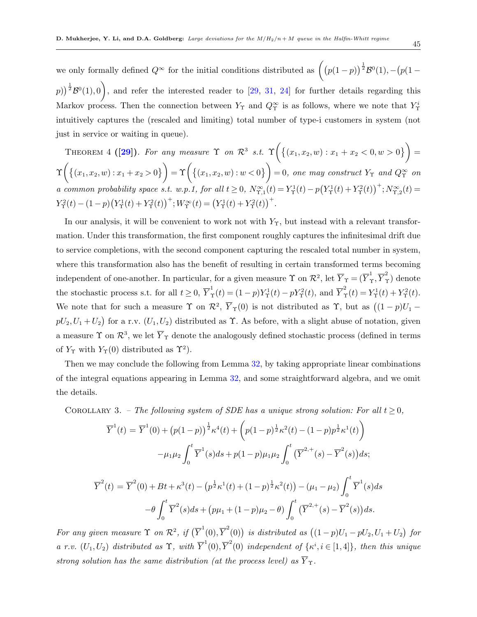we only formally defined  $Q^{\infty}$  for the initial conditions distributed as  $((p(1-p))^{1/2}B^0(1),-(p(1-p))^{1/2})$  $(p)$ )<sup> $\frac{1}{2}$ </sup> $\mathcal{B}^{0}(1),0$ , and refer the interested reader to [\[29,](#page-77-3) [31,](#page-77-2) [24\]](#page-76-0) for further details regarding this Markov process. Then the connection between  $Y_{\Upsilon}$  and  $Q_{\Upsilon}^{\infty}$  is as follows, where we note that  $Y_{\Upsilon}^{i}$ intuitively captures the (rescaled and limiting) total number of type-i customers in system (not just in service or waiting in queue).

<span id="page-44-1"></span>THEOREM 4 ([\[29\]](#page-77-3)). For any measure  $\Upsilon$  on  $\mathcal{R}^3$  s.t.  $\Upsilon\left(\{(x_1,x_2,w):x_1+x_2<0,w>0\}\right)$  =  $\Upsilon\Big(\big\{(x_1,x_2,w): x_1+x_2 > 0\big\}\Big) = \Upsilon\Big(\big\{(x_1,x_2,w): w < 0\big\}\Big) = 0$ , one may construct  $Y_\Upsilon$  and  $Q_\Upsilon^\infty$  on a common probability space s.t. w.p.1, for all  $t \geq 0$ ,  $N^{\infty}_{\Upsilon,1}(t) = Y^1_{\Upsilon}(t) - p(Y^1_{\Upsilon}(t) + Y^2_{\Upsilon}(t))^{+}; N^{\infty}_{\Upsilon,2}(t) =$  $Y_{\Upsilon}^2(t) - (1-p)\big(Y_{\Upsilon}^1(t) + Y_{\Upsilon}^2(t)\big)^+; W_{\Upsilon}^{\infty}(t) = \big(Y_{\Upsilon}^1(t) + Y_{\Upsilon}^2(t)\big)^+$ .

In our analysis, it will be convenient to work not with  $Y<sub>T</sub>$ , but instead with a relevant transformation. Under this transformation, the first component roughly captures the infinitesimal drift due to service completions, with the second component capturing the rescaled total number in system, where this transformation also has the benefit of resulting in certain transformed terms becoming independent of one-another. In particular, for a given measure  $\Upsilon$  on  $\mathcal{R}^2$ , let  $\overline{Y}_\Upsilon = (\overline{Y}_\Upsilon^1, \overline{Y}_\Upsilon^2)$  denote the stochastic process s.t. for all  $t \geq 0$ ,  $\overline{Y}_{\Upsilon}^1(t) = (1-p)Y_{\Upsilon}^1(t) - pY_{\Upsilon}^2(t)$ , and  $\overline{Y}_{\Upsilon}^2(t) = Y_{\Upsilon}^1(t) + Y_{\Upsilon}^2(t)$ . We note that for such a measure  $\Upsilon$  on  $\mathcal{R}^2$ ,  $\overline{Y}_{\Upsilon}(0)$  is not distributed as  $\Upsilon$ , but as  $((1-p)U_1$  $pU_2, U_1+U_2$  for a r.v.  $(U_1, U_2)$  distributed as  $\Upsilon$ . As before, with a slight abuse of notation, given a measure  $\Upsilon$  on  $\mathcal{R}^3$ , we let  $\overline{Y}_{\Upsilon}$  denote the analogously defined stochastic process (defined in terms of  $Y_{\Upsilon}$  with  $Y_{\Upsilon}(0)$  distributed as  $\Upsilon^2$ ).

Then we may conclude the following from Lemma [32,](#page-43-0) by taking appropriate linear combinations of the integral equations appearing in Lemma [32,](#page-43-0) and some straightforward algebra, and we omit the details.

<span id="page-44-0"></span>COROLLARY 3. – The following system of SDE has a unique strong solution: For all  $t \geq 0$ ,

$$
\overline{Y}^{1}(t) = \overline{Y}^{1}(0) + (p(1-p))^{\frac{1}{2}} \kappa^{4}(t) + (p(1-p)^{\frac{1}{2}} \kappa^{2}(t) - (1-p)p^{\frac{1}{2}} \kappa^{1}(t))
$$

$$
-\mu_{1}\mu_{2} \int_{0}^{t} \overline{Y}^{1}(s)ds + p(1-p)\mu_{1}\mu_{2} \int_{0}^{t} (\overline{Y}^{2,+}(s) - \overline{Y}^{2}(s))ds;
$$

$$
\overline{Y}^{2}(t) = \overline{Y}^{2}(0) + Bt + \kappa^{3}(t) - (p^{\frac{1}{2}} \kappa^{1}(t) + (1-p)^{\frac{1}{2}} \kappa^{2}(t)) - (\mu_{1} - \mu_{2}) \int_{0}^{t} \overline{Y}^{1}(s)ds
$$

$$
-\theta \int_{0}^{t} \overline{Y}^{2}(s)ds + (p\mu_{1} + (1-p)\mu_{2} - \theta) \int_{0}^{t} (\overline{Y}^{2,+}(s) - \overline{Y}^{2}(s))ds.
$$

For any given measure  $\Upsilon$  on  $\mathcal{R}^2$ , if  $(\overline{Y}^1(0), \overline{Y}^2(0))$  is distributed as  $((1-p)U_1 - pU_2, U_1 + U_2)$  for a r.v.  $(U_1, U_2)$  distributed as  $\Upsilon$ , with  $\overline{Y}^1(0), \overline{Y}^2(0)$  independent of  $\{\kappa^i, i \in [1, 4]\}$ , then this unique strong solution has the same distribution (at the process level) as  $\overline{Y}_{\Upsilon}$ .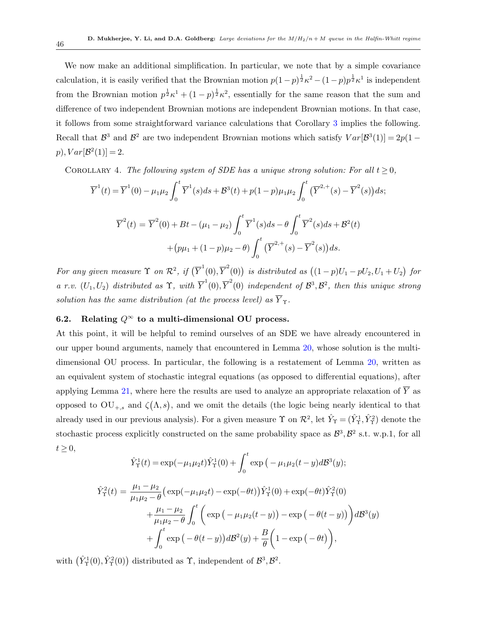We now make an additional simplification. In particular, we note that by a simple covariance calculation, it is easily verified that the Brownian motion  $p(1-p)^{\frac{1}{2}}\kappa^2 - (1-p)p^{\frac{1}{2}}\kappa^1$  is independent from the Brownian motion  $p^{\frac{1}{2}} \kappa^1 + (1-p)^{\frac{1}{2}} \kappa^2$ , essentially for the same reason that the sum and difference of two independent Brownian motions are independent Brownian motions. In that case, it follows from some straightforward variance calculations that Corollary [3](#page-44-0) implies the following. Recall that  $\mathcal{B}^3$  and  $\mathcal{B}^2$  are two independent Brownian motions which satisfy  $Var[\mathcal{B}^3(1)] = 2p(1$  $p), Var[\mathcal{B}^2(1)] = 2.$ 

<span id="page-45-0"></span>COROLLARY 4. The following system of SDE has a unique strong solution: For all  $t \geq 0$ ,

$$
\overline{Y}^{1}(t) = \overline{Y}^{1}(0) - \mu_{1}\mu_{2} \int_{0}^{t} \overline{Y}^{1}(s)ds + \mathcal{B}^{3}(t) + p(1-p)\mu_{1}\mu_{2} \int_{0}^{t} (\overline{Y}^{2,+}(s) - \overline{Y}^{2}(s))ds;
$$
\n
$$
\overline{Y}^{2}(t) = \overline{Y}^{2}(0) + Bt - (\mu_{1} - \mu_{2}) \int_{0}^{t} \overline{Y}^{1}(s)ds - \theta \int_{0}^{t} \overline{Y}^{2}(s)ds + \mathcal{B}^{2}(t)
$$
\n
$$
+ (p\mu_{1} + (1-p)\mu_{2} - \theta) \int_{0}^{t} (\overline{Y}^{2,+}(s) - \overline{Y}^{2}(s))ds.
$$

For any given measure  $\Upsilon$  on  $\mathcal{R}^2$ , if  $(\overline{Y}^1(0), \overline{Y}^2(0))$  is distributed as  $((1-p)U_1 - pU_2, U_1 + U_2)$  for a r.v.  $(U_1, U_2)$  distributed as  $\Upsilon$ , with  $\overline{Y}^1(0), \overline{Y}^2(0)$  independent of  $\mathcal{B}^3, \mathcal{B}^2$ , then this unique strong solution has the same distribution (at the process level) as  $\overline{Y}_{\Upsilon}$ .

# 6.2. Relating  $Q^{\infty}$  to a multi-dimensional OU process.

At this point, it will be helpful to remind ourselves of an SDE we have already encountered in our upper bound arguments, namely that encountered in Lemma [20,](#page-36-1) whose solution is the multidimensional OU process. In particular, the following is a restatement of Lemma [20,](#page-36-1) written as an equivalent system of stochastic integral equations (as opposed to differential equations), after applying Lemma [21,](#page-36-2) where here the results are used to analyze an appropriate relaxation of  $\overline{Y}$  as opposed to  $\text{OU}_{+,s}$  and  $\zeta(\Lambda,s)$ , and we omit the details (the logic being nearly identical to that already used in our previous analysis). For a given measure  $\Upsilon$  on  $\mathcal{R}^2$ , let  $\hat{Y}_{\Upsilon} = (\hat{Y}_{\Upsilon}^1, \hat{Y}_{\Upsilon}^2)$  denote the stochastic process explicitly constructed on the same probability space as  $\mathcal{B}^3$ ,  $\mathcal{B}^2$  s.t. w.p.1, for all  $t \geq 0$ ,

$$
\hat{Y}_{\Upsilon}^{1}(t) = \exp(-\mu_{1}\mu_{2}t)\hat{Y}_{\Upsilon}^{1}(0) + \int_{0}^{t} \exp(-\mu_{1}\mu_{2}(t-y)d\mathcal{B}^{3}(y);
$$
\n
$$
\hat{Y}_{\Upsilon}^{2}(t) = \frac{\mu_{1} - \mu_{2}}{\mu_{1}\mu_{2} - \theta} \left( \exp(-\mu_{1}\mu_{2}t) - \exp(-\theta t) \right) \hat{Y}_{\Upsilon}^{1}(0) + \exp(-\theta t) \hat{Y}_{\Upsilon}^{2}(0) + \frac{\mu_{1} - \mu_{2}}{\mu_{1}\mu_{2} - \theta} \int_{0}^{t} \left( \exp(-\mu_{1}\mu_{2}(t-y)) - \exp(-\theta(t-y)) \right) d\mathcal{B}^{3}(y) + \int_{0}^{t} \exp(-\theta(t-y)) d\mathcal{B}^{2}(y) + \frac{B}{\theta} \left( 1 - \exp(-\theta t) \right),
$$

<span id="page-45-1"></span>with  $(\hat{Y}_{\Upsilon}^1(0), \hat{Y}_{\Upsilon}^2(0))$  distributed as  $\Upsilon$ , independent of  $\mathcal{B}^3, \mathcal{B}^2$ .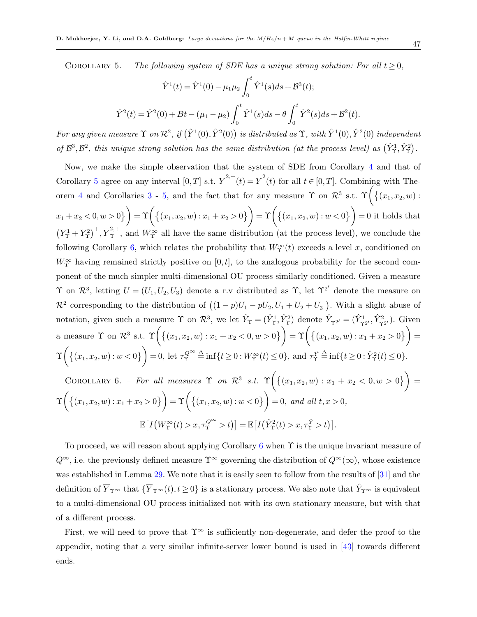COROLLARY 5. – The following system of SDE has a unique strong solution: For all  $t \geq 0$ ,

$$
\hat{Y}^{1}(t) = \hat{Y}^{1}(0) - \mu_{1}\mu_{2} \int_{0}^{t} \hat{Y}^{1}(s)ds + \mathcal{B}^{3}(t);
$$
  

$$
\hat{Y}^{2}(t) = \hat{Y}^{2}(0) + Bt - (\mu_{1} - \mu_{2}) \int_{0}^{t} \hat{Y}^{1}(s)ds - \theta \int_{0}^{t} \hat{Y}^{2}(s)ds + \mathcal{B}^{2}(t).
$$

For any given measure  $\Upsilon$  on  $\mathcal{R}^2$ , if  $(\hat{Y}^1(0), \hat{Y}^2(0))$  is distributed as  $\Upsilon$ , with  $\hat{Y}^1(0), \hat{Y}^2(0)$  independent of  $\mathcal{B}^3$ ,  $\mathcal{B}^2$ , this unique strong solution has the same distribution (at the process level) as  $(\hat{Y}^1_\tau, \hat{Y}^2_\tau)$ .

Now, we make the simple observation that the system of SDE from Corollary [4](#page-45-0) and that of Corollary [5](#page-45-1) agree on any interval  $[0,T]$  s.t.  $\overline{Y}^{2,+}(t) = \overline{Y}^{2}(t)$  for all  $t \in [0,T]$ . Combining with The-orem [4](#page-44-1) and Corollaries [3](#page-44-0) - [5,](#page-45-1) and the fact that for any measure  $\Upsilon$  on  $\mathcal{R}^3$  s.t.  $\Upsilon\left(\{(x_1, x_2, w):$  $\mathcal{X}_1 + \mathcal{X}_2 < 0, w > 0$  =  $\Upsilon \left( \{ (x_1, x_2, w) : x_1 + x_2 > 0 \} \right) = \Upsilon \left( \{ (x_1, x_2, w) : w < 0 \} \right) = 0$  it holds that  $(Y_T^1 + Y_T^2)^+$ ,  $\overline{Y}_T^{2,+}$ , and  $W_T^{\infty}$  all have the same distribution (at the process level), we conclude the following Corollary [6,](#page-46-0) which relates the probability that  $W^{\infty}_{\Upsilon}(t)$  exceeds a level x, conditioned on  $W^{\infty}_{\Upsilon}$  having remained strictly positive on [0, t], to the analogous probability for the second component of the much simpler multi-dimensional OU process similarly conditioned. Given a measure  $\Upsilon$  on  $\mathcal{R}^3$ , letting  $U = (U_1, U_2, U_3)$  denote a r.v distributed as  $\Upsilon$ , let  $\Upsilon^{2'}$  denote the measure on  $\mathcal{R}^2$  corresponding to the distribution of  $((1-p)U_1 - pU_2, U_1 + U_2 + U_3^+)$ . With a slight abuse of notation, given such a measure  $\Upsilon$  on  $\mathcal{R}^3$ , we let  $\hat{Y}_{\Upsilon} = (\hat{Y}_{\Upsilon}^1, \hat{Y}_{\Upsilon}^2)$  denote  $\hat{Y}_{\Upsilon}^2 = (\hat{Y}_{\Upsilon}^1, \hat{Y}_{\Upsilon}^2)$ . Given a measure  $\Upsilon$  on  $\mathcal{R}^3$  s.t.  $\Upsilon\left(\{(x_1, x_2, w) : x_1 + x_2 < 0, w > 0\}\right) = \Upsilon\left(\{(x_1, x_2, w) : x_1 + x_2 > 0\}\right) =$  $\Upsilon\left(\left\{(x_1, x_2, w): w < 0\right\}\right) = 0$ , let  $\tau_Y^{Q^{\infty}} \triangleq \inf\{t \geq 0: W_Y^{\infty}(t) \leq 0\}$ , and  $\tau_Y^{\hat{Y}} \triangleq \inf\{t \geq 0: \hat{Y}_Y^2(t) \leq 0\}$ . COROLLARY 6. – For all measures  $\Upsilon$  on  $\mathcal{R}^3$  s.t.  $\Upsilon\left(\{(x_1,x_2,w): x_1+x_2 < 0, w > 0\}\right)$  $\Upsilon\left(\left\{(x_1, x_2, w): x_1 + x_2 > 0\right\}\right) = \Upsilon\left(\left\{(x_1, x_2, w): w < 0\right\}\right) = 0$ , and all  $t, x > 0$ ,  $\mathbb{E}\left[I\left(W_{\Upsilon}^{\infty}(t) > x, \tau_{\Upsilon}^{Q^{\infty}} > t\right)\right] = \mathbb{E}\left[I\left(\hat{Y}_{\Upsilon}^{2}(t) > x, \tau_{\Upsilon}^{\hat{Y}} > t\right)\right].$ 

<span id="page-46-0"></span>To proceed, we will reason about applying Corollary [6](#page-46-0) when  $\Upsilon$  is the unique invariant measure of  $Q^{\infty}$ , i.e. the previously defined measure  $\Upsilon^{\infty}$  governing the distribution of  $Q^{\infty}(\infty)$ , whose existence was established in Lemma [29.](#page-41-1) We note that it is easily seen to follow from the results of [\[31\]](#page-77-2) and the definition of  $\overline{Y}_{\Upsilon^{\infty}}$  that  $\{\overline{Y}_{\Upsilon^{\infty}}(t), t \ge 0\}$  is a stationary process. We also note that  $\hat{Y}_{\Upsilon^{\infty}}$  is equivalent to a multi-dimensional OU process initialized not with its own stationary measure, but with that of a different process.

<span id="page-46-1"></span>First, we will need to prove that  $\Upsilon^{\infty}$  is sufficiently non-degenerate, and defer the proof to the appendix, noting that a very similar infinite-server lower bound is used in [\[43\]](#page-78-0) towards different ends.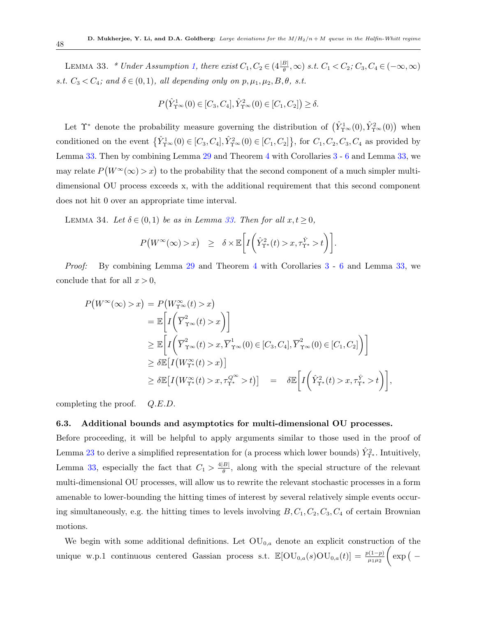LEMMA 33. \* Under Assumption [1,](#page-11-0) there exist  $C_1, C_2 \in (4\frac{|B|}{\theta}, \infty)$  s.t.  $C_1 < C_2$ ;  $C_3, C_4 \in (-\infty, \infty)$ s.t.  $C_3 < C_4$ ; and  $\delta \in (0,1)$ , all depending only on  $p, \mu_1, \mu_2, B, \theta$ , s.t.

$$
P(\hat{Y}_{\Upsilon^{\infty}}^1(0) \in [C_3, C_4], \hat{Y}_{\Upsilon^{\infty}}^2(0) \in [C_1, C_2]) \ge \delta.
$$

Let  $\Upsilon^*$  denote the probability measure governing the distribution of  $(\hat{Y}^1_{\Upsilon^{\infty}}(0), \hat{Y}^2_{\Upsilon^{\infty}}(0))$  when conditioned on the event  $\{\hat{Y}_{\tau^{\infty}}^1(0) \in [C_3, C_4], \hat{Y}_{\tau^{\infty}}^2(0) \in [C_1, C_2]\},\$  for  $C_1, C_2, C_3, C_4$  as provided by Lemma [33.](#page-46-1) Then by combining Lemma [29](#page-41-1) and Theorem [4](#page-44-1) with Corollaries [3](#page-44-0) - [6](#page-46-0) and Lemma [33,](#page-46-1) we may relate  $P(W^{\infty}(\infty) > x)$  to the probability that the second component of a much simpler multidimensional OU process exceeds x, with the additional requirement that this second component does not hit 0 over an appropriate time interval.

LEMMA 34. Let  $\delta \in (0,1)$  be as in Lemma [33.](#page-46-1) Then for all  $x, t \geq 0$ ,

<span id="page-47-0"></span>
$$
P\big(W^{\infty}(\infty) > x\big) \geq \delta \times \mathbb{E}\bigg[I\bigg(\hat{Y}_{\Upsilon^{*}}^{2}(t) > x, \tau_{\Upsilon^{*}}^{\hat{Y}} > t\bigg)\bigg].
$$

Proof: By combining Lemma [29](#page-41-1) and Theorem [4](#page-44-1) with Corollaries [3](#page-44-0) - [6](#page-46-0) and Lemma [33,](#page-46-1) we conclude that for all  $x > 0$ ,

$$
P(W^{\infty}(\infty) > x) = P(W^{\infty}_{\Upsilon^{\infty}}(t) > x)
$$
  
\n
$$
= \mathbb{E}\left[I\left(\overline{Y}^{2}_{\Upsilon^{\infty}}(t) > x\right)\right]
$$
  
\n
$$
\geq \mathbb{E}\left[I\left(\overline{Y}^{2}_{\Upsilon^{\infty}}(t) > x, \overline{Y}^{1}_{\Upsilon^{\infty}}(0) \in [C_3, C_4], \overline{Y}^{2}_{\Upsilon^{\infty}}(0) \in [C_1, C_2]\right)\right]
$$
  
\n
$$
\geq \delta \mathbb{E}\left[I(W^{\infty}_{\Upsilon^*}(t) > x)\right]
$$
  
\n
$$
\geq \delta \mathbb{E}\left[I(W^{\infty}_{\Upsilon^*}(t) > x, \tau^{\mathcal{Q}^{\infty}}_{\Upsilon^*} > t)\right] = \delta \mathbb{E}\left[I\left(\hat{Y}^{2}_{\Upsilon^*}(t) > x, \tau^{\hat{Y}}_{\Upsilon^*} > t\right)\right],
$$

completing the proof. Q.E.D.

### 6.3. Additional bounds and asymptotics for multi-dimensional OU processes.

Before proceeding, it will be helpful to apply arguments similar to those used in the proof of Lemma [23](#page-36-4) to derive a simplified representation for (a process which lower bounds)  $\hat{Y}_{\Upsilon^*}^2$ . Intuitively, Lemma [33,](#page-46-1) especially the fact that  $C_1 > \frac{4|B|}{\theta}$  $\frac{B}{\theta}$ , along with the special structure of the relevant multi-dimensional OU processes, will allow us to rewrite the relevant stochastic processes in a form amenable to lower-bounding the hitting times of interest by several relatively simple events occuring simultaneously, e.g. the hitting times to levels involving  $B, C_1, C_2, C_3, C_4$  of certain Brownian motions.

We begin with some additional definitions. Let  $OU_{0,a}$  denote an explicit construction of the unique w.p.1 continuous centered Gassian process s.t.  $\mathbb{E}[\text{OU}_{0,a}(s)\text{OU}_{0,a}(t)] = \frac{p(1-p)}{\mu_1 \mu_2}$  $\int \exp$  ( –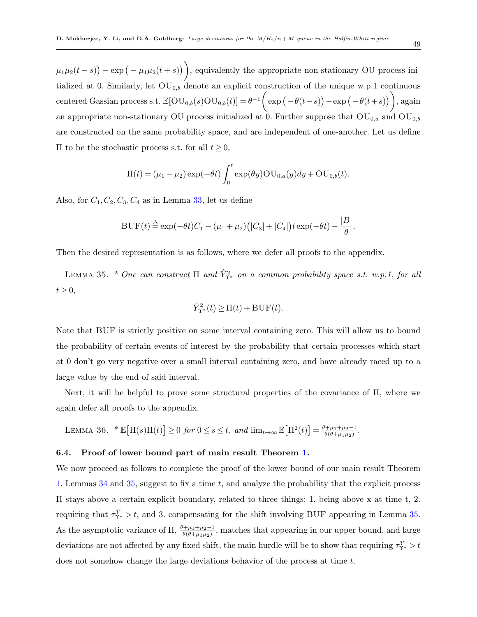$\mu_1\mu_2(t-s)$  – exp  $\left(-\mu_1\mu_2(t+s)\right)$ , equivalently the appropriate non-stationary OU process initialized at 0. Similarly, let  $OU_{0,b}$  denote an explicit construction of the unique w.p.1 continuous centered Gassian process s.t.  $\mathbb{E}[\text{OU}_{0,b}(s)\text{OU}_{0,b}(t)] = \theta^{-1}\left(\exp\left(-\theta(t-s)\right) - \exp\left(-\theta(t+s)\right)\right),$  again an appropriate non-stationary OU process initialized at  $0$ . Further suppose that  $\overrightarrow{OU}_{0,a}$  and  $\overrightarrow{OU}_{0,b}$ are constructed on the same probability space, and are independent of one-another. Let us define  $\Pi$  to be the stochastic process s.t. for all  $t ≥ 0$ ,

$$
\Pi(t) = (\mu_1 - \mu_2) \exp(-\theta t) \int_0^t \exp(\theta y) \text{OU}_{0,a}(y) dy + \text{OU}_{0,b}(t).
$$

Also, for  $C_1, C_2, C_3, C_4$  as in Lemma [33,](#page-46-1) let us define

$$
BUF(t) \stackrel{\Delta}{=} \exp(-\theta t)C_1 - (\mu_1 + \mu_2)(|C_3| + |C_4|)t \exp(-\theta t) - \frac{|B|}{\theta}.
$$

Then the desired representation is as follows, where we defer all proofs to the appendix.

LEMMA 35. \* One can construct  $\Pi$  and  $\hat{Y}_{\Upsilon^*}^2$  on a common probability space s.t. w.p.1, for all  $t \geq 0$ ,

<span id="page-48-0"></span>
$$
\hat{Y}_{\Upsilon^*}^2(t) \ge \Pi(t) + \text{BUF}(t).
$$

Note that BUF is strictly positive on some interval containing zero. This will allow us to bound the probability of certain events of interest by the probability that certain processes which start at 0 don't go very negative over a small interval containing zero, and have already raced up to a large value by the end of said interval.

Next, it will be helpful to prove some structural properties of the covariance of Π, where we again defer all proofs to the appendix.

<span id="page-48-1"></span>LEMMA 36. 
$$
* \mathbb{E}[\Pi(s)\Pi(t)] \geq 0
$$
 for  $0 \leq s \leq t$ , and  $\lim_{t \to \infty} \mathbb{E}[\Pi^2(t)] = \frac{\theta + \mu_1 + \mu_2 - 1}{\theta(\theta + \mu_1 \mu_2)}$ .

#### 6.4. Proof of lower bound part of main result Theorem [1.](#page-11-1)

We now proceed as follows to complete the proof of the lower bound of our main result Theorem [1.](#page-11-1) Lemmas [34](#page-47-0) and [35,](#page-48-0) suggest to fix a time t, and analyze the probability that the explicit process Π stays above a certain explicit boundary, related to three things: 1. being above x at time t, 2. requiring that  $\tau_{\Upsilon^*}^{\hat{Y}} > t$ , and 3. compensating for the shift involving BUF appearing in Lemma [35.](#page-48-0) As the asymptotic variance of  $\Pi$ ,  $\frac{\theta+\mu_1+\mu_2-1}{\theta(\theta+\mu_1\mu_2)}$ , matches that appearing in our upper bound, and large deviations are not affected by any fixed shift, the main hurdle will be to show that requiring  $\tau_{\Upsilon^*}^{\hat{Y}} > t$ does not somehow change the large deviations behavior of the process at time t.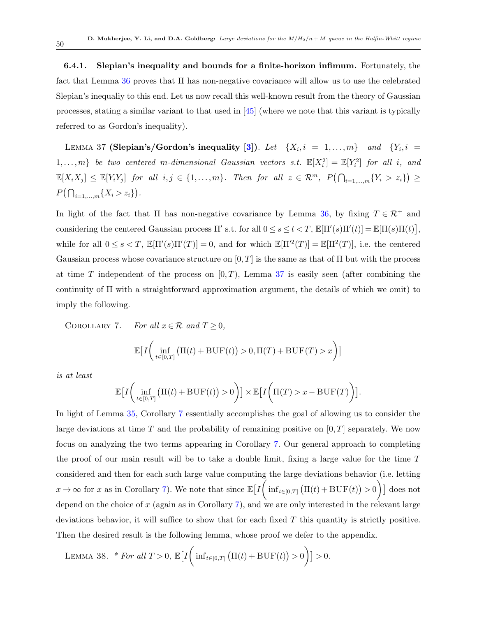6.4.1. Slepian's inequality and bounds for a finite-horizon infimum. Fortunately, the fact that Lemma [36](#page-48-1) proves that Π has non-negative covariance will allow us to use the celebrated Slepian's inequaliy to this end. Let us now recall this well-known result from the theory of Gaussian processes, stating a similar variant to that used in [\[45\]](#page-78-1) (where we note that this variant is typically referred to as Gordon's inequality).

<span id="page-49-0"></span>LEMMA 37 (Slepian's/Gordon's inequality [\[3\]](#page-75-0)). Let  $\{X_i, i = 1, ..., m\}$  and  $\{Y_i, i = 1, ..., m\}$  $1,\ldots,m$ } be two centered m-dimensional Gaussian vectors s.t.  $\mathbb{E}[X_i^2] = \mathbb{E}[Y_i^2]$  for all i, and  $\mathbb{E}[X_i X_j] \leq \mathbb{E}[Y_i Y_j]$  for all  $i, j \in \{1, ..., m\}$ . Then for all  $z \in \mathcal{R}^m$ ,  $P(\bigcap_{i=1,...,m} \{Y_i > z_i\}) \geq$  $P(\bigcap_{i=1,\dots,m} \{X_i > z_i\}).$ 

In light of the fact that  $\Pi$  has non-negative covariance by Lemma [36,](#page-48-1) by fixing  $T \in \mathcal{R}^+$  and considering the centered Gaussian process  $\Pi'$  s.t. for all  $0 \le s \le t < T$ ,  $\mathbb{E}[\Pi'(s)\Pi'(t)] = \mathbb{E}[\Pi(s)\Pi(t)],$ while for all  $0 \le s \le T$ ,  $\mathbb{E}[\Pi'(s)\Pi'(T)] = 0$ , and for which  $\mathbb{E}[\Pi'^2(T)] = \mathbb{E}[\Pi^2(T)]$ , i.e. the centered Gaussian process whose covariance structure on  $[0, T]$  is the same as that of  $\Pi$  but with the process at time T independent of the process on  $[0, T)$ , Lemma [37](#page-49-0) is easily seen (after combining the continuity of Π with a straightforward approximation argument, the details of which we omit) to imply the following.

COROLLARY 7. – For all  $x \in \mathcal{R}$  and  $T \geq 0$ ,

<span id="page-49-1"></span>
$$
\mathbb{E}\big[I\bigg(\inf_{t\in[0,T]}\big(\Pi(t)+\mathrm{BUF}(t)\big)>0,\Pi(T)+\mathrm{BUF}(T)>x\bigg)\big]
$$

is at least

<span id="page-49-2"></span>
$$
\mathbb{E}\big[I\bigg(\inf_{t\in[0,T]}\big(\Pi(t)+\mathrm{BUF}(t)\big)>0\bigg)\big]\times\mathbb{E}\big[I\bigg(\Pi(T)>x-\mathrm{BUF}(T)\bigg)\big].
$$

In light of Lemma [35,](#page-48-0) Corollary [7](#page-49-1) essentially accomplishes the goal of allowing us to consider the large deviations at time T and the probability of remaining positive on  $[0, T]$  separately. We now focus on analyzing the two terms appearing in Corollary [7.](#page-49-1) Our general approach to completing the proof of our main result will be to take a double limit, fixing a large value for the time T considered and then for each such large value computing the large deviations behavior (i.e. letting  $x \to \infty$  for x as in Corollary [7\)](#page-49-1). We note that since  $\mathbb{E}\left[I\left(\inf_{t \in [0,T]} \left(\Pi(t) + \text{BUF}(t)\right) > 0\right)\right]$  does not depend on the choice of  $x$  (again as in Corollary [7\)](#page-49-1), and we are only interested in the relevant large deviations behavior, it will suffice to show that for each fixed  $T$  this quantity is strictly positive. Then the desired result is the following lemma, whose proof we defer to the appendix.

LEMMA 38. \* For all 
$$
T > 0
$$
,  $\mathbb{E}\left[I\left(\inf_{t \in [0,T]} \left(\Pi(t) + \text{BUF}(t)\right) > 0\right)\right] > 0$ .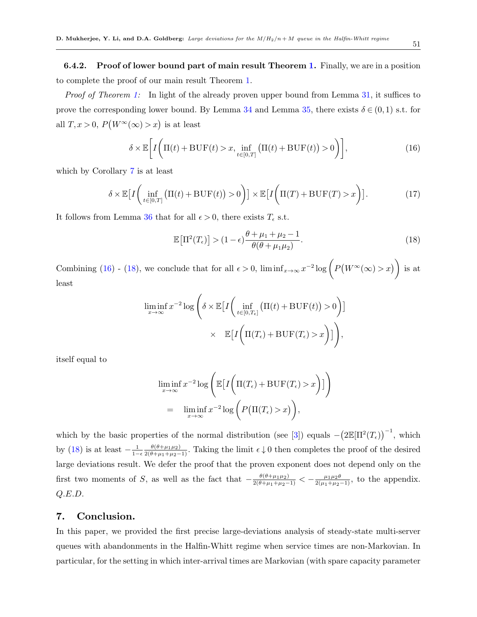6.4.2. Proof of lower bound part of main result Theorem [1.](#page-11-1) Finally, we are in a position to complete the proof of our main result Theorem [1.](#page-11-1)

*Proof of Theorem [1:](#page-11-1)* In light of the already proven upper bound from Lemma [31,](#page-42-2) it suffices to prove the corresponding lower bound. By Lemma [34](#page-47-0) and Lemma [35,](#page-48-0) there exists  $\delta \in (0,1)$  s.t. for all  $T, x > 0, P(W^{\infty}(\infty) > x)$  is at least

<span id="page-50-0"></span>
$$
\delta \times \mathbb{E}\bigg[I\bigg(\Pi(t) + \text{BUF}(t) > x, \inf_{t \in [0,T]} \big(\Pi(t) + \text{BUF}(t)\big) > 0\bigg)\bigg],\tag{16}
$$

which by Corollary [7](#page-49-1) is at least

$$
\delta \times \mathbb{E}\big[I\bigg(\inf_{t \in [0,T]} \big(\Pi(t) + \text{BUF}(t)\big) > 0\bigg)\big] \times \mathbb{E}\big[I\bigg(\Pi(T) + \text{BUF}(T) > x\bigg)\big].\tag{17}
$$

It follows from Lemma [36](#page-48-1) that for all  $\epsilon > 0$ , there exists  $T_{\epsilon}$  s.t.

<span id="page-50-1"></span>
$$
\mathbb{E}\left[\Pi^2(T_{\epsilon})\right] > (1-\epsilon)\frac{\theta + \mu_1 + \mu_2 - 1}{\theta(\theta + \mu_1\mu_2)}.\tag{18}
$$

Combining [\(16\)](#page-50-0) - [\(18\)](#page-50-1), we conclude that for all  $\epsilon > 0$ ,  $\liminf_{x\to\infty} x^{-2} \log \left( P(W^\infty(\infty) > x) \right)$  is at least

$$
\liminf_{x \to \infty} x^{-2} \log \left( \delta \times \mathbb{E} \Big[ I \Big( \inf_{t \in [0, T_{\epsilon}]} \big( \Pi(t) + \text{BUF}(t) \big) > 0 \Big) \Big] \right)
$$
  
 
$$
\times \quad \mathbb{E} \Big[ I \Big( \Pi(T_{\epsilon}) + \text{BUF}(T_{\epsilon}) > x \Big) \Big] \Bigg),
$$

itself equal to

$$
\liminf_{x \to \infty} x^{-2} \log \left( \mathbb{E} \left[ I \left( \Pi(T_{\epsilon}) + \text{BUF}(T_{\epsilon}) > x \right) \right] \right)
$$
  
= 
$$
\liminf_{x \to \infty} x^{-2} \log \left( P \left( \Pi(T_{\epsilon}) > x \right) \right),
$$

which by the basic properties of the normal distribution (see [\[3\]](#page-75-0)) equals  $-(2\mathbb{E}[\Pi^2(T_{\epsilon}))^{-1}$ , which by [\(18\)](#page-50-1) is at least  $-\frac{1}{1-\epsilon} \frac{\theta(\theta+\mu_1\mu_2)}{2(\theta+\mu_1+\mu_2-1)}$ . Taking the limit  $\epsilon \downarrow 0$  then completes the proof of the desired large deviations result. We defer the proof that the proven exponent does not depend only on the first two moments of S, as well as the fact that  $-\frac{\theta(\theta+\mu_1\mu_2)}{2(\theta+\mu_1+\mu_2-1)} < -\frac{\mu_1\mu_2\theta}{2(\mu_1+\mu_2-1)}$ , to the appendix. Q.E.D.

# 7. Conclusion.

In this paper, we provided the first precise large-deviations analysis of steady-state multi-server queues with abandonments in the Halfin-Whitt regime when service times are non-Markovian. In particular, for the setting in which inter-arrival times are Markovian (with spare capacity parameter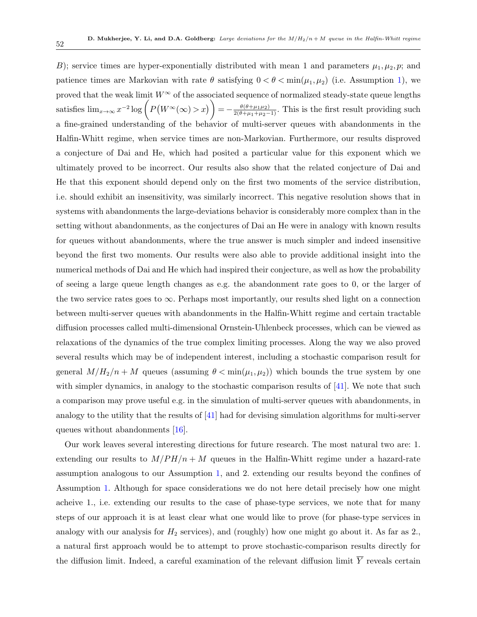B); service times are hyper-exponentially distributed with mean 1 and parameters  $\mu_1, \mu_2, p$ ; and patience times are Markovian with rate  $\theta$  satisfying  $0 < \theta < \min(\mu_1, \mu_2)$  (i.e. Assumption [1\)](#page-11-0), we proved that the weak limit  $W^{\infty}$  of the associated sequence of normalized steady-state queue lengths satisfies  $\lim_{x\to\infty} x^{-2} \log \left( P(W^{\infty}(\infty) > x) \right) = -\frac{\theta(\theta + \mu_1 \mu_2)}{2(\theta + \mu_1 + \mu_2 - 1)}$ . This is the first result providing such a fine-grained understanding of the behavior of multi-server queues with abandonments in the Halfin-Whitt regime, when service times are non-Markovian. Furthermore, our results disproved a conjecture of Dai and He, which had posited a particular value for this exponent which we ultimately proved to be incorrect. Our results also show that the related conjecture of Dai and He that this exponent should depend only on the first two moments of the service distribution, i.e. should exhibit an insensitivity, was similarly incorrect. This negative resolution shows that in systems with abandonments the large-deviations behavior is considerably more complex than in the setting without abandonments, as the conjectures of Dai an He were in analogy with known results for queues without abandonments, where the true answer is much simpler and indeed insensitive beyond the first two moments. Our results were also able to provide additional insight into the numerical methods of Dai and He which had inspired their conjecture, as well as how the probability of seeing a large queue length changes as e.g. the abandonment rate goes to 0, or the larger of the two service rates goes to  $\infty$ . Perhaps most importantly, our results shed light on a connection between multi-server queues with abandonments in the Halfin-Whitt regime and certain tractable diffusion processes called multi-dimensional Ornstein-Uhlenbeck processes, which can be viewed as relaxations of the dynamics of the true complex limiting processes. Along the way we also proved several results which may be of independent interest, including a stochastic comparison result for general  $M/H_2/n + M$  queues (assuming  $\theta < \min(\mu_1, \mu_2)$ ) which bounds the true system by one with simpler dynamics, in analogy to the stochastic comparison results of [\[41\]](#page-77-5). We note that such a comparison may prove useful e.g. in the simulation of multi-server queues with abandonments, in analogy to the utility that the results of [\[41\]](#page-77-5) had for devising simulation algorithms for multi-server queues without abandonments [\[16\]](#page-76-1).

Our work leaves several interesting directions for future research. The most natural two are: 1. extending our results to  $M/PH/n + M$  queues in the Halfin-Whitt regime under a hazard-rate assumption analogous to our Assumption [1,](#page-11-0) and 2. extending our results beyond the confines of Assumption [1.](#page-11-0) Although for space considerations we do not here detail precisely how one might acheive 1., i.e. extending our results to the case of phase-type services, we note that for many steps of our approach it is at least clear what one would like to prove (for phase-type services in analogy with our analysis for  $H_2$  services), and (roughly) how one might go about it. As far as 2., a natural first approach would be to attempt to prove stochastic-comparison results directly for the diffusion limit. Indeed, a careful examination of the relevant diffusion limit  $\overline{Y}$  reveals certain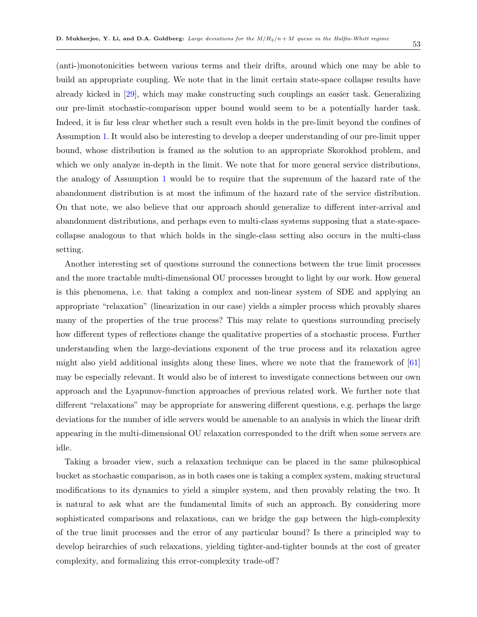(anti-)monotonicities between various terms and their drifts, around which one may be able to build an appropriate coupling. We note that in the limit certain state-space collapse results have already kicked in [\[29\]](#page-77-3), which may make constructing such couplings an easier task. Generalizing our pre-limit stochastic-comparison upper bound would seem to be a potentially harder task. Indeed, it is far less clear whether such a result even holds in the pre-limit beyond the confines of Assumption [1.](#page-11-0) It would also be interesting to develop a deeper understanding of our pre-limit upper bound, whose distribution is framed as the solution to an appropriate Skorokhod problem, and which we only analyze in-depth in the limit. We note that for more general service distributions, the analogy of Assumption [1](#page-11-0) would be to require that the supremum of the hazard rate of the abandonment distribution is at most the infimum of the hazard rate of the service distribution. On that note, we also believe that our approach should generalize to different inter-arrival and abandonment distributions, and perhaps even to multi-class systems supposing that a state-spacecollapse analogous to that which holds in the single-class setting also occurs in the multi-class setting.

Another interesting set of questions surround the connections between the true limit processes and the more tractable multi-dimensional OU processes brought to light by our work. How general is this phenomena, i.e. that taking a complex and non-linear system of SDE and applying an appropriate "relaxation" (linearization in our case) yields a simpler process which provably shares many of the properties of the true process? This may relate to questions surrounding precisely how different types of reflections change the qualitative properties of a stochastic process. Further understanding when the large-deviations exponent of the true process and its relaxation agree might also yield additional insights along these lines, where we note that the framework of  $[61]$ may be especially relevant. It would also be of interest to investigate connections between our own approach and the Lyapunov-function approaches of previous related work. We further note that different "relaxations" may be appropriate for answering different questions, e.g. perhaps the large deviations for the number of idle servers would be amenable to an analysis in which the linear drift appearing in the multi-dimensional OU relaxation corresponded to the drift when some servers are idle.

Taking a broader view, such a relaxation technique can be placed in the same philosophical bucket as stochastic comparison, as in both cases one is taking a complex system, making structural modifications to its dynamics to yield a simpler system, and then provably relating the two. It is natural to ask what are the fundamental limits of such an approach. By considering more sophisticated comparisons and relaxations, can we bridge the gap between the high-complexity of the true limit processes and the error of any particular bound? Is there a principled way to develop heirarchies of such relaxations, yielding tighter-and-tighter bounds at the cost of greater complexity, and formalizing this error-complexity trade-off?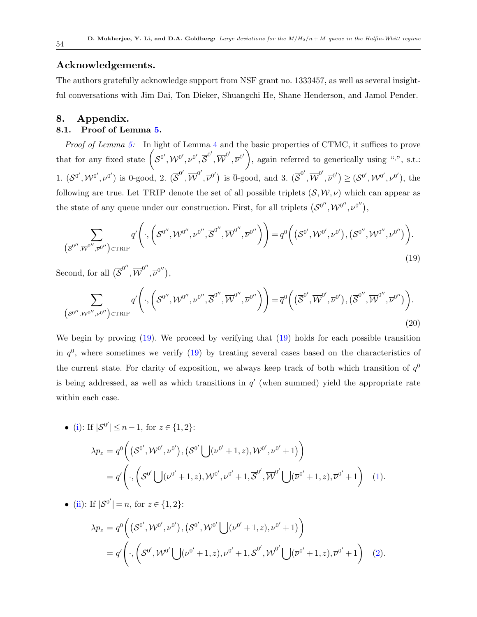## Acknowledgements.

The authors gratefully acknowledge support from NSF grant no. 1333457, as well as several insightful conversations with Jim Dai, Ton Dieker, Shuangchi He, Shane Henderson, and Jamol Pender.

# 8. Appendix. 8.1. Proof of Lemma [5.](#page-26-0)

Proof of Lemma [5:](#page-26-0) In light of Lemma [4](#page-26-1) and the basic properties of CTMC, it suffices to prove that for any fixed state  $\left( \mathcal{S}^{0}, \mathcal{W}^{0}, \nu^{0}, \overline{\mathcal{S}}^{0'}, \overline{\mathcal{W}}^{0'}, \overline{\nu}^{0'} \right)$ , again referred to generically using ".", s.t.: 1.  $(\mathcal{S}^{0'},\mathcal{W}^{0'},\nu^{0'})$  is 0-good, 2.  $(\overline{\mathcal{S}}^{0'},\overline{\mathcal{W}}^{0'},\overline{\nu}^{0'})$  is  $\overline{0}$ -good, and 3.  $(\overline{\mathcal{S}}^{0'},\overline{\mathcal{W}}^{0'},\overline{\nu}^{0'}) \geq (\mathcal{S}^{0'},\mathcal{W}^{0'},\nu^{0'})$ , the following are true. Let TRIP denote the set of all possible triplets  $(S, W, \nu)$  which can appear as the state of any queue under our construction. First, for all triplets  $(S^{0''}, \mathcal{W}^{0''}, \nu^{0''})$ ,

<span id="page-53-0"></span>
$$
\sum_{\left(\overline{\mathcal{S}}^{0'',}\overline{\mathcal{W}}^{0'',}\overline{\mathcal{V}}^{0''}\right)\in\text{TRIP}}q'\left(\cdot,\left(\mathcal{S}^{0'',}\mathcal{W}^{0'',}\overline{\mathcal{V}}^{0'',}\overline{\mathcal{N}}^{0'',}\overline{\mathcal{W}}^{0''},\overline{\mathcal{V}}^{0''}\right)\right)=q^{0}\left(\left(\mathcal{S}^{0'},\mathcal{W}^{0'},\mathcal{V}^{0'}\right),\left(\mathcal{S}^{0'',}\mathcal{W}^{0'',}\mathcal{V}^{0''}\right)\right).
$$
\n(19)

Second, for all  $(\overline{S}^{0''}, \overline{W}^{0''}, \overline{\nu}^{0''}),$ 

<span id="page-53-1"></span>
$$
\sum_{\left(\mathcal{S}^{0'',\mathcal{W}^{0'',\mathcal{V}^{0''}}\right)\in\text{TRIP}}q'\left(\cdot,\left(\mathcal{S}^{0'',\mathcal{W}^{0'',\mathcal{V}^{0'',\mathcal{S}^{0'',\mathcal{W}^{0'',\mathcal{V}^{0''}}}}\right)\right)=\overline{q}^{0}\left(\left(\overline{\mathcal{S}}^{0',\overline{\mathcal{W}}^{0',\mathcal{V}^{0'}}},\overline{\mathcal{V}}^{0',\mathcal{W}^{0'',\mathcal{V}^{0''}}}\right)\right).
$$
\n(20)

We begin by proving [\(19\)](#page-53-0). We proceed by verifying that (19) holds for each possible transition in  $q<sup>0</sup>$ , where sometimes we verify [\(19\)](#page-53-0) by treating several cases based on the characteristics of the current state. For clarity of exposition, we always keep track of both which transition of  $q<sup>0</sup>$ is being addressed, as well as which transitions in  $q'$  (when summed) yield the appropriate rate within each case.

• (i): If 
$$
|\mathcal{S}^{0'}| \le n - 1
$$
, for  $z \in \{1, 2\}$ :  
\n
$$
\lambda p_z = q^0 \left( (\mathcal{S}^{0'}, \mathcal{W}^{0'}, \nu^{0'}), (\mathcal{S}^{0'} \bigcup (\nu^{0'} + 1, z), \mathcal{W}^{0'}, \nu^{0'} + 1) \right)
$$
\n
$$
= q' \left( \cdot, \left( \mathcal{S}^{0'} \bigcup (\nu^{0'} + 1, z), \mathcal{W}^{0'}, \nu^{0'} + 1, \overline{\mathcal{S}}^{0'}, \overline{\mathcal{W}}^{0'} \bigcup (\overline{\nu}^{0'} + 1, z), \overline{\nu}^{0'} + 1 \right) \right)
$$
\n(1).

• [\(ii\)](#page-20-1): If  $|S^{0'}|=n$ , for  $z \in \{1,2\}$ :

$$
\lambda p_z = q^0 \bigg( \big( S^{0'}, \mathcal{W}^{0'}, \nu^{0'} \big), \big( S^{0'}, \mathcal{W}^{0'} \big) \big( \nu^{0'} + 1, z \big), \nu^{0'} + 1 \big) \bigg) \n= q' \bigg( \cdot, \bigg( S^{0'}, \mathcal{W}^{0'} \bigcup (\nu^{0'} + 1, z), \nu^{0'} + 1, \overline{S}^{0'}, \overline{\mathcal{W}}^{0'} \bigcup (\overline{\nu}^{0'} + 1, z), \overline{\nu}^{0'} + 1 \bigg) \tag{2}.
$$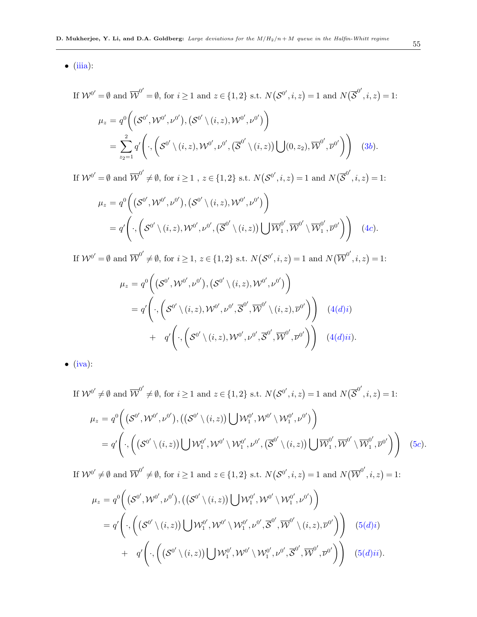$\bullet$  [\(iiia\)](#page-20-2):

 $If$ 

$$
\mathcal{W}^{0'} = \emptyset \text{ and } \overline{\mathcal{W}}^{0'} = \emptyset, \text{ for } i \ge 1 \text{ and } z \in \{1, 2\} \text{ s.t. } N(\mathcal{S}^{0'}, i, z) = 1 \text{ and } N(\overline{\mathcal{S}}^{0'}, i, z) = 1:
$$
  

$$
\mu_z = q^0 \bigg( (\mathcal{S}^{0'}, \mathcal{W}^{0'}, \nu^{0'}), (\mathcal{S}^{0'} \setminus (i, z), \mathcal{W}^{0'}, \nu^{0'}) \bigg)
$$

$$
= \sum_{z_2=1}^2 q' \bigg( \cdot, \bigg( \mathcal{S}^{0'} \setminus (i, z), \mathcal{W}^{0'}, \nu^{0'}, (\overline{\mathcal{S}}^{0'} \setminus (i, z)) \bigcup (0, z_2), \overline{\mathcal{W}}^{0'}, \overline{\nu}^{0'} \bigg) \bigg) \quad (3b).
$$

If  $\mathcal{W}^{0'} = \emptyset$  and  $\overline{\mathcal{W}}^{0'} \neq \emptyset$ , for  $i \geq 1$ ,  $z \in \{1,2\}$  s.t.  $N(\mathcal{S}^{0'}, i, z) = 1$  and  $N(\overline{\mathcal{S}}^{0'}, i, z) = 1$ :

$$
\mu_z = q^0 \bigg( \big( \mathcal{S}^{0'}, \mathcal{W}^{0'}, \nu^{0'} \big), \big( \mathcal{S}^{0'} \setminus (i, z), \mathcal{W}^{0'}, \nu^{0'} \big) \bigg) \n= q' \bigg( \cdot, \bigg( \mathcal{S}^{0'} \setminus (i, z), \mathcal{W}^{0'}, \nu^{0'}, \big( \overline{\mathcal{S}}^{0'} \setminus (i, z) \big) \bigcup \overline{\mathcal{W}}_1^{0'}, \overline{\mathcal{W}}^{0'} \setminus \overline{\mathcal{W}}_1^{0'}, \overline{\nu}^{0'} \big) \bigg) \quad (4c).
$$

If  $\mathcal{W}^{0'} = \emptyset$  and  $\overline{\mathcal{W}}^{0'} \neq \emptyset$ , for  $i \geq 1, z \in \{1,2\}$  s.t.  $N(\mathcal{S}^{0'}, i, z) = 1$  and  $N(\overline{\mathcal{W}}^{0'}, i, z) = 1$ :

$$
\mu_z = q^0 \bigg( \big( \mathcal{S}^{0'}, \mathcal{W}^{0'}, \nu^{0'} \big), \big( \mathcal{S}^{0'} \setminus (i, z), \mathcal{W}^{0'}, \nu^{0'} \big) \bigg) \n= q' \bigg( \cdot, \bigg( \mathcal{S}^{0'} \setminus (i, z), \mathcal{W}^{0'}, \nu^{0'}, \overline{\mathcal{S}}^{0'}, \overline{\mathcal{W}}^{0'} \setminus (i, z), \overline{\nu}^{0'} \bigg) \bigg) \quad (4(d)i) \n+ q' \bigg( \cdot, \bigg( \mathcal{S}^{0'} \setminus (i, z), \mathcal{W}^{0'}, \nu^{0'}, \overline{\mathcal{S}}^{0'}, \overline{\mathcal{W}}^{0'}, \overline{\nu}^{0'} \bigg) \bigg) \quad (4(d)ii).
$$

 $\bullet$  [\(iva\)](#page-20-3):

If  $W^{0'} \neq \emptyset$  and  $\overline{W}^{0'} \neq \emptyset$ , for  $i \geq 1$  and  $z \in \{1,2\}$  s.t.  $N(S^{0'}, i, z) = 1$  and  $N(\overline{S}^{0'}, i, z) = 1$ :  $\mu_z = q^0\Big(\,({\cal S}^{0'},{\cal W}^{0'},{\nu}^{0'}) , ( ({\cal S}^{0'}\,\backslash\,(i,z))\big\vert \,\,\big]\cal{W}_1^{0'}$  $\mathcal{W}^{0'}_1, \mathcal{W}^{0'}\setminus \mathcal{W}^{0'}_1$  $\left( \begin{smallmatrix} 0' & \mathcal{U} \ 1 & \mathcal{U} \end{smallmatrix} \right)$  $= q'$  $\cdot$ ,  $((\mathcal{S}^{0'}\setminus (i,z))\cup \mathcal{W}^{0'}_1]$  $\mathcal{W}^{0'}_1, \mathcal{W}^{0'}\setminus \mathcal{W}^{0'}_1$  $\mathcal{D}^{0'}_1, \nu^{0'}, \big( \overline{\mathcal{S}}^{0'} \setminus (i,z) \big) \bigcup \overline{\mathcal{W}}^{0'}_1$  $_{1}^{0^{\prime }},\overline{\mathcal{W}}^{0^{\prime }}\setminus \overline{\mathcal{W}}_{1}^{0^{\prime }}$  $\left(\begin{matrix} 0^\prime \ 1 \end{matrix}, \overline{\nu}^{0^\prime} \end{matrix} \right) \quad (5c).$  $\left(\begin{matrix} 0^\prime \ 1 \end{matrix}, \overline{\nu}^{0^\prime} \end{matrix} \right) \quad (5c).$  $\left(\begin{matrix} 0^\prime \ 1 \end{matrix}, \overline{\nu}^{0^\prime} \end{matrix} \right) \quad (5c).$ 

If  $\mathcal{W}^{0'} \neq \emptyset$  and  $\overline{\mathcal{W}}^{0'} \neq \emptyset$ , for  $i \geq 1$  and  $z \in \{1,2\}$  s.t.  $N(\mathcal{S}^{0'}, i, z) = 1$  and  $N(\overline{\mathcal{W}}^{0'}, i, z) = 1$ :

$$
\mu_z = q^0 \Big( \big( \mathcal{S}^{0'}, \mathcal{W}^{0'}, \nu^{0'} \big), \big( \big( \mathcal{S}^{0'} \setminus (i, z) \big) \bigcup \mathcal{W}^{0'}_1, \mathcal{W}^{0'} \setminus \mathcal{W}^{0'}_1, \nu^{0'} \big) \Big) \n= q' \Big( \cdot, \bigg( \big( \mathcal{S}^{0'} \setminus (i, z) \big) \bigcup \mathcal{W}^{0'}_1, \mathcal{W}^{0'} \setminus \mathcal{W}^{0'}_1, \nu^{0'} , \overline{\mathcal{S}}^{0'} , \overline{\mathcal{W}}^{0'} \setminus (i, z), \overline{\nu}^{0'} \Big) \Big) \n+ q' \Big( \cdot, \bigg( \big( \mathcal{S}^{0'} \setminus (i, z) \big) \bigcup \mathcal{W}^{0'}_1, \mathcal{W}^{0'} \setminus \mathcal{W}^{0'}_1, \nu^{0'} , \overline{\mathcal{S}}^{0'} , \overline{\mathcal{W}}^{0'} , \overline{\nu}^{0'} \Big) \Big) \n(5(d)ii).
$$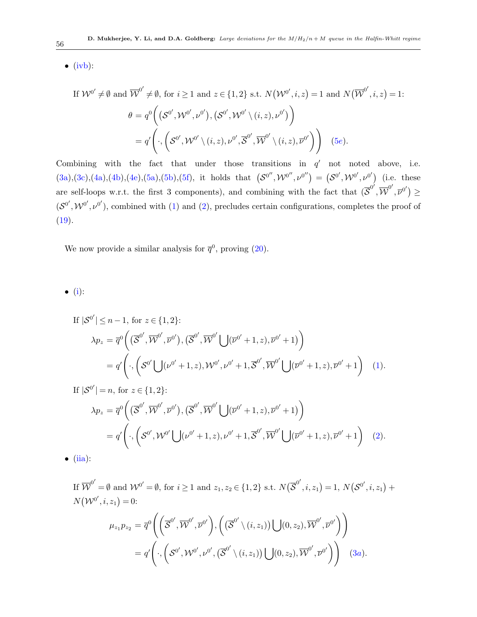$\bullet$  [\(ivb\)](#page-21-0):

 $If$ 

$$
\mathcal{W}^{0'} \neq \emptyset \text{ and } \overline{\mathcal{W}}^{0'} \neq \emptyset, \text{ for } i \ge 1 \text{ and } z \in \{1, 2\} \text{ s.t. } N(\mathcal{W}^{0'}, i, z) = 1 \text{ and } N(\overline{\mathcal{W}}^{0'}, i, z) = 1:
$$
  

$$
\theta = q^{0} \Big( (\mathcal{S}^{0'}, \mathcal{W}^{0'}, \nu^{0'}), (\mathcal{S}^{0'}, \mathcal{W}^{0'} \setminus (i, z), \nu^{0'}) \Big)
$$

$$
= q' \Big( \cdot, \Big( \mathcal{S}^{0'}, \mathcal{W}^{0'} \setminus (i, z), \nu^{0'}, \overline{\mathcal{S}}^{0'}, \overline{\mathcal{W}}^{0'} \setminus (i, z), \overline{\nu}^{0'} \Big) \Big) \quad (5e).
$$

Combining with the fact that under those transitions in  $q'$  not noted above, i.e.  $(3a),(3c),(4a),(4b),(4e),(5a),(5b),(5f),$  $(3a),(3c),(4a),(4b),(4e),(5a),(5b),(5f),$  $(3a),(3c),(4a),(4b),(4e),(5a),(5b),(5f),$  $(3a),(3c),(4a),(4b),(4e),(5a),(5b),(5f),$  $(3a),(3c),(4a),(4b),(4e),(5a),(5b),(5f),$  $(3a),(3c),(4a),(4b),(4e),(5a),(5b),(5f),$  $(3a),(3c),(4a),(4b),(4e),(5a),(5b),(5f),$  $(3a),(3c),(4a),(4b),(4e),(5a),(5b),(5f),$  $(3a),(3c),(4a),(4b),(4e),(5a),(5b),(5f),$  $(3a),(3c),(4a),(4b),(4e),(5a),(5b),(5f),$  $(3a),(3c),(4a),(4b),(4e),(5a),(5b),(5f),$  $(3a),(3c),(4a),(4b),(4e),(5a),(5b),(5f),$  $(3a),(3c),(4a),(4b),(4e),(5a),(5b),(5f),$  $(3a),(3c),(4a),(4b),(4e),(5a),(5b),(5f),$  $(3a),(3c),(4a),(4b),(4e),(5a),(5b),(5f),$  $(3a),(3c),(4a),(4b),(4e),(5a),(5b),(5f),$  it holds that  $(S^{0''},\mathcal{W}^{0''},\nu^{0''}) = (S^{0'},\mathcal{W}^{0'},\nu^{0'})$  (i.e. these are self-loops w.r.t. the first 3 components), and combining with the fact that  $(\overline{\mathcal{S}}^{0'}, \overline{\mathcal{W}}^{0'}, \overline{\mathcal{V}}^{0'}) \geq$  $(\mathcal{S}^{0'},\mathcal{W}^{0'},\nu^{0'})$ , combined with [\(1\)](#page-26-4) and [\(2\)](#page-26-5), precludes certain configurations, completes the proof of  $(19).$  $(19).$ 

We now provide a similar analysis for  $\bar{q}^0$ , proving  $(20)$ .

 $\bullet$  [\(i\)](#page-21-1):

If 
$$
|\mathcal{S}^{0'}| \leq n - 1
$$
, for  $z \in \{1, 2\}$ :  
\n
$$
\lambda p_z = \overline{q}^{0} \left( (\overline{\mathcal{S}}^{0'}, \overline{\mathcal{W}}^{0'}, \overline{\mathcal{V}}^{0'}), (\overline{\mathcal{S}}^{0'}, \overline{\mathcal{W}}^{0'} \bigcup (\overline{\mathcal{V}}^{0'} + 1, z), \overline{\mathcal{V}}^{0'} + 1) \right)
$$
\n
$$
= q' \left( \cdot, \left( \mathcal{S}^{0'} \bigcup (\mathcal{V}^{0'} + 1, z), \mathcal{W}^{0'}, \mathcal{V}^{0'} + 1, \overline{\mathcal{S}}^{0'}, \overline{\mathcal{W}}^{0'} \bigcup (\overline{\mathcal{V}}^{0'} + 1, z), \overline{\mathcal{V}}^{0'} + 1 \right) \right)
$$
\n(1).

If 
$$
|\mathcal{S}^{0'}| = n
$$
, for  $z \in \{1, 2\}$ :  
\n
$$
\lambda p_z = \overline{q}^{0} \left( (\overline{\mathcal{S}}^{0'}, \overline{\mathcal{W}}^{0'}, \overline{\mathcal{V}}^{0'}), (\overline{\mathcal{S}}^{0'}, \overline{\mathcal{W}}^{0'} \bigcup (\overline{\mathcal{V}}^{0'} + 1, z), \overline{\mathcal{V}}^{0'} + 1) \right)
$$
\n
$$
= q' \left( \cdot, \left( \mathcal{S}^{0'}, \mathcal{W}^{0'} \bigcup (\mathcal{V}^{0'} + 1, z), \mathcal{V}^{0'} + 1, \overline{\mathcal{S}}^{0'}, \overline{\mathcal{W}}^{0'} \bigcup (\overline{\mathcal{V}}^{0'} + 1, z), \overline{\mathcal{V}}^{0'} + 1 \right) \tag{2}.
$$

 $\bullet$  [\(iia\)](#page-21-2):

If 
$$
\overline{\mathcal{W}}^{0'} = \emptyset
$$
 and  $\mathcal{W}^{0'} = \emptyset$ , for  $i \ge 1$  and  $z_1, z_2 \in \{1, 2\}$  s.t.  $N(\overline{\mathcal{S}}^{0'}, i, z_1) = 1$ ,  $N(\mathcal{S}^{0'}, i, z_1) + N(\mathcal{W}^{0'}, i, z_1) = 0$ :

$$
\mu_{z_1} p_{z_2} = \overline{q}^0 \Biggl( \Biggl( \overline{\mathcal{S}}^{0'}, \overline{\mathcal{W}}^{0'}, \overline{\mathcal{V}}^{0'} \Biggr), \Biggl( \bigl( \overline{\mathcal{S}}^{0'} \setminus (i, z_1) \bigr) \bigcup (0, z_2), \overline{\mathcal{W}}^{0'}, \overline{\mathcal{V}}^{0'} \Biggr) \Biggr) \n= q' \Biggl( \cdot, \Biggl( \mathcal{S}^{0'}, \mathcal{W}^{0'}, \mathcal{V}^{0'}, \bigl( \overline{\mathcal{S}}^{0'} \setminus (i, z_1) \bigr) \bigcup (0, z_2), \overline{\mathcal{W}}^{0'}, \overline{\mathcal{V}}^{0'} \Biggr) \Biggr) \qquad (3a).
$$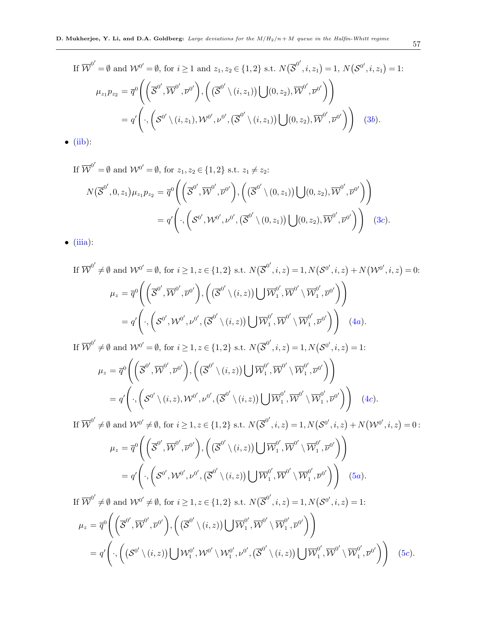If 
$$
\overline{\mathcal{W}}^{0'} = \emptyset
$$
 and  $\mathcal{W}^{0'} = \emptyset$ , for  $i \ge 1$  and  $z_1, z_2 \in \{1, 2\}$  s.t.  $N(\overline{\mathcal{S}}^{0'}, i, z_1) = 1$ ,  $N(\mathcal{S}^{0'}, i, z_1) = 1$ :  
\n
$$
\mu_{z_1} p_{z_2} = \overline{q}^{0} \left( \left( \overline{\mathcal{S}}^{0'}, \overline{\mathcal{W}}^{0'}, \overline{\mathcal{V}}^{0'} \right), \left( \left( \overline{\mathcal{S}}^{0'} \setminus (i, z_1) \right) \bigcup (0, z_2), \overline{\mathcal{W}}^{0'}, \overline{\mathcal{V}}^{0'} \right) \right)
$$
\n
$$
= q' \left( \cdot, \left( \mathcal{S}^{0'} \setminus (i, z_1), \mathcal{W}^{0'}, \mathcal{V}^{0'}, \left( \overline{\mathcal{S}}^{0'} \setminus (i, z_1) \right) \bigcup (0, z_2), \overline{\mathcal{W}}^{0'}, \overline{\mathcal{V}}^{0'} \right) \right) \quad (3b).
$$
\n(iib):

 $\bullet$  [\(iib\)](#page-21-3):

If  $\overline{\mathcal{W}}^{0'} = \emptyset$  and  $\mathcal{W}^{0'} = \emptyset$ , for  $z_1, z_2 \in \{1, 2\}$  s.t.  $z_1 \neq z_2$ :

$$
N(\overline{\mathcal{S}}^{0'}, 0, z_1) \mu_{z_1} p_{z_2} = \overline{q}^0 \Biggl( \Biggl( \overline{\mathcal{S}}^{0'}, \overline{\mathcal{W}}^{0'}, \overline{\nu}^{0'} \Biggr), \Biggl( \Bigl( \overline{\mathcal{S}}^{0'} \setminus (0, z_1) \Bigr) \bigcup (0, z_2), \overline{\mathcal{W}}^{0'}, \overline{\nu}^{0'} \Biggr) \Biggr) = q' \Biggl( \cdot, \Biggl( \mathcal{S}^{0'}, \mathcal{W}^{0'}, \nu^{0'}, (\overline{\mathcal{S}}^{0'} \setminus (0, z_1)) \bigcup (0, z_2), \overline{\mathcal{W}}^{0'}, \overline{\nu}^{0'} \Biggr) \Biggr) \quad (3c).
$$

 $\bullet$  [\(iiia\)](#page-21-4):

If 
$$
\overline{\mathcal{W}}^{0'} \neq \emptyset
$$
 and  $\mathcal{W}^{0'} = \emptyset$ , for  $i \geq 1, z \in \{1, 2\}$  s.t.  $N(\overline{\mathcal{S}}^{0'}, i, z) = 1, N(\mathcal{S}^{0'}, i, z) + N(\mathcal{W}^{0'}, i, z) = 0$ :  
\n
$$
\mu_z = \overline{q}^0 \left( \overline{\mathcal{S}}^{0'}, \overline{\mathcal{W}}^{0'}, \overline{\mathcal{W}}^{0'} \right), \left( (\overline{\mathcal{S}}^{0'} \setminus (i, z)) \bigcup \overline{\mathcal{W}}^{0'}_1, \overline{\mathcal{W}}^{0'} \setminus \overline{\mathcal{W}}^{0'}_1, \overline{\mathcal{W}}^{0'} \right) \right)
$$
\n
$$
= q' \left( \cdot, \left( \mathcal{S}^{0'}, \mathcal{W}^{0'}, \mathcal{W}^{0'}, (\overline{\mathcal{S}}^{0'} \setminus (i, z)) \bigcup \overline{\mathcal{W}}^{0'}_1, \overline{\mathcal{W}}^{0'} \setminus \overline{\mathcal{W}}^{0'}_1, \overline{\mathcal{W}}^{0'} \right) \right) \quad (4a).
$$

If  $\overline{\mathcal{W}}^{0'} \neq \emptyset$  and  $\mathcal{W}^{0'} = \emptyset$ , for  $i \geq 1, z \in \{1, 2\}$  s.t.  $N(\overline{\mathcal{S}}^{0'}, i, z) = 1, N(\mathcal{S}^{0'}, i, z) = 1$ :  $\mu_z = \overline{q}^0\Biggl(\Bigl(\overline{\mathcal{S}}^{0'},\overline{\mathcal{W}}^{0'},\overline{\nu}^{0'}\Bigr),\Bigl(\bigl(\overline{\mathcal{S}}^{0'}\setminus (i,z)\bigr)\Bigl(\phantom{\mathcal{W}}\Bigr)\overline{\mathcal{W}}^{0'}_1$  $_{1}^{0^{\prime }},\overline{\mathcal{W}}^{0^{\prime }}\setminus \overline{\mathcal{W}}_{1}^{0^{\prime }}$  $\left(\begin{smallmatrix} 0' & \ 1 & \end{smallmatrix}\right), \overline{\nu}^{0'}$ 

$$
= q' \left( \cdot, \left( \mathcal{S}^{0'} \setminus (i,z), \mathcal{W}^{0'}, \nu^{0'}, \left( \overline{\mathcal{S}}^{0'} \setminus (i,z) \right) \bigcup \overline{\mathcal{W}}_1^{0'}, \overline{\mathcal{W}}^{0'} \setminus \overline{\mathcal{W}}_1^{0'}, \overline{\nu}^{0'} \right) \right) \quad (4c).
$$

If  $\overline{\mathcal{W}}^{0'} \neq \emptyset$  and  $\mathcal{W}^{0'} \neq \emptyset$ , for  $i \geq 1, z \in \{1,2\}$  s.t.  $N(\overline{\mathcal{S}}^{0'}, i, z) = 1, N(\mathcal{S}^{0'}, i, z) + N(\mathcal{W}^{0'}, i, z) = 0$ :

$$
\mu_z = \overline{q}^0 \Biggl( \Biggl( \overline{\mathcal{S}}^{0'}, \overline{\mathcal{W}}^{0'}, \overline{\nu}^{0'} \Biggr), \Biggl( \bigl( \overline{\mathcal{S}}^{0'} \setminus (i, z) \bigr) \bigcup \overline{\mathcal{W}}_1^{0'}, \overline{\mathcal{W}}^{0'} \setminus \overline{\mathcal{W}}_1^{0'}, \overline{\nu}^{0'} \Biggr) \Biggr) \n= q' \Biggl( \cdot, \Biggl( \mathcal{S}^{0'}, \mathcal{W}^{0'}, \mathcal{W}^{0'}, \bigl( \overline{\mathcal{S}}^{0'} \setminus (i, z) \bigr) \bigcup \overline{\mathcal{W}}_1^{0'}, \overline{\mathcal{W}}^{0'} \setminus \overline{\mathcal{W}}_1^{0'}, \overline{\nu}^{0'} \Biggr) \Biggr) \tag{5a}.
$$

If  $\overline{\mathcal{W}}^{0'} \neq \emptyset$  and  $\mathcal{W}^{0'} \neq \emptyset$ , for  $i \geq 1, z \in \{1, 2\}$  s.t.  $N(\overline{\mathcal{S}}^{0'}, i, z) = 1, N(\mathcal{S}^{0'}, i, z) = 1$ :

$$
\mu_z = \overline{q}^0 \Biggl( \Biggl( \overline{\mathcal{S}}^{0'}, \overline{\mathcal{W}}^{0'}, \overline{\nu}^{0'} \Biggr), \Biggl( \Biggl( \overline{\mathcal{S}}^{0'} \setminus (i, z) \Biggr) \bigcup \overline{\mathcal{W}}_1^{0'}, \overline{\mathcal{W}}^{0'} \setminus \overline{\mathcal{W}}_1^{0'}, \overline{\nu}^{0'} \Biggr) \Biggr) \n= q' \Biggl( \cdot, \Biggl( \bigl( \mathcal{S}^{0'} \setminus (i, z) \bigr) \bigcup \mathcal{W}_1^{0'}, \mathcal{W}^{0'} \setminus \mathcal{W}_1^{0'}, \nu^{0'}, \bigl( \overline{\mathcal{S}}^{0'} \setminus (i, z) \bigr) \bigcup \overline{\mathcal{W}}_1^{0'}, \overline{\mathcal{W}}^{0'} \setminus \overline{\mathcal{W}}_1^{0'}, \overline{\nu}^{0'} \Biggr) \Biggr) \tag{5c}.
$$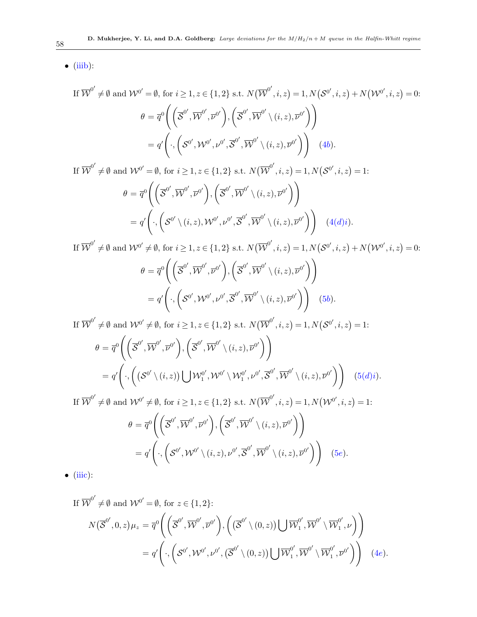$\bullet$  [\(iiib\)](#page-21-5):

If 
$$
\overline{\mathcal{W}}^{0'} \neq \emptyset
$$
 and  $\mathcal{W}^{0'} = \emptyset$ , for  $i \ge 1, z \in \{1, 2\}$  s.t.  $N(\overline{\mathcal{W}}^{0'}, i, z) = 1, N(\mathcal{S}^{0'}, i, z) + N(\mathcal{W}^{0'}, i, z) = 0$ :  
\n
$$
\theta = \overline{q}^{0}\left(\left(\overline{\mathcal{S}}^{0'}, \overline{\mathcal{W}}^{0'}, \overline{\mathcal{V}}^{0'}\right), \left(\overline{\mathcal{S}}^{0'}, \overline{\mathcal{W}}^{0'} \setminus (i, z), \overline{\mathcal{V}}^{0'}\right)\right)
$$
\n
$$
= q'\left(\cdot, \left(\mathcal{S}^{0'}, \mathcal{W}^{0'}, \mathcal{V}^{0'}, \overline{\mathcal{S}}^{0'}, \overline{\mathcal{W}}^{0'} \setminus (i, z), \overline{\mathcal{V}}^{0'}\right)\right) \quad (4b).
$$

If  $\overline{\mathcal{W}}^{0'} \neq \emptyset$  and  $\mathcal{W}^{0'} = \emptyset$ , for  $i \geq 1, z \in \{1, 2\}$  s.t.  $N(\overline{\mathcal{W}}^{0'}, i, z) = 1, N(\mathcal{S}^{0'}, i, z) = 1$ :

$$
\theta = \overline{q}^{0}\left(\left(\overline{\mathcal{S}}^{0'}, \overline{\mathcal{W}}^{0'}, \overline{\mathcal{V}}^{0'}\right), \left(\overline{\mathcal{S}}^{0'}, \overline{\mathcal{W}}^{0'} \setminus (i, z), \overline{\mathcal{V}}^{0'}\right)\right)
$$
  
=  $q'\left(\cdot, \left(\mathcal{S}^{0'} \setminus (i, z), \mathcal{W}^{0'}, \mathcal{V}^{0'}, \overline{\mathcal{S}}^{0'}, \overline{\mathcal{W}}^{0'} \setminus (i, z), \overline{\mathcal{V}}^{0'}\right)\right)$  (4(*d*)*i*).

If  $\overline{\mathcal{W}}^{0'} \neq \emptyset$  and  $\mathcal{W}^{0'} \neq \emptyset$ , for  $i \geq 1, z \in \{1, 2\}$  s.t.  $N(\overline{\mathcal{W}}^{0'}, i, z) = 1, N(\mathcal{S}^{0'}, i, z) + N(\mathcal{W}^{0'}, i, z) = 0$ :

$$
\theta = \overline{q}^{0}\left( \left( \overline{\mathcal{S}}^{0'}, \overline{\mathcal{W}}^{0'}, \overline{\mathcal{V}}^{0'} \right), \left( \overline{\mathcal{S}}^{0'}, \overline{\mathcal{W}}^{0'} \setminus (i, z), \overline{\mathcal{V}}^{0'} \right) \right) \n= q'\left( \cdot, \left( \mathcal{S}^{0'}, \mathcal{W}^{0'}, \mathcal{V}^{0'}, \overline{\mathcal{S}}^{0'}, \overline{\mathcal{W}}^{0'} \setminus (i, z), \overline{\mathcal{V}}^{0'} \right) \right) (5b).
$$

If  $\overline{\mathcal{W}}^{0'} \neq \emptyset$  and  $\mathcal{W}^{0'} \neq \emptyset$ , for  $i \geq 1, z \in \{1, 2\}$  s.t.  $N(\overline{\mathcal{W}}^{0'}, i, z) = 1, N(\mathcal{S}^{0'}, i, z) = 1$ :

$$
\theta = \overline{q}^{0}\left(\left(\overline{\mathcal{S}}^{0'},\overline{\mathcal{W}}^{0'},\overline{\mathcal{V}}^{0'}\right),\left(\overline{\mathcal{S}}^{0'},\overline{\mathcal{W}}^{0'}\setminus(i,z),\overline{\mathcal{V}}^{0'}\right)\right) \n= q'\left(\cdot,\left(\left(\mathcal{S}^{0'}\setminus(i,z)\right)\bigcup \mathcal{W}_{1}^{0'},\mathcal{W}^{0'}\setminus\mathcal{W}_{1}^{0'},\mathcal{V}^{0'},\overline{\mathcal{S}}^{0'},\overline{\mathcal{W}}^{0'}\setminus(i,z),\overline{\mathcal{V}}^{0'}\right)\right) (5(d)i).
$$

If  $\overline{\mathcal{W}}^{0'} \neq \emptyset$  and  $\mathcal{W}^{0'} \neq \emptyset$ , for  $i \geq 1, z \in \{1, 2\}$  s.t.  $N(\overline{\mathcal{W}}^{0'}, i, z) = 1, N(\mathcal{W}^{0'}, i, z) = 1$ :

$$
\theta = \overline{q}^{0}\left(\left(\overline{\mathcal{S}}^{0'}, \overline{\mathcal{W}}^{0'}, \overline{\mathcal{W}}^{0'}\right), \left(\overline{\mathcal{S}}^{0'}, \overline{\mathcal{W}}^{0'} \setminus (i, z), \overline{\mathcal{W}}^{0'}\right)\right)
$$
  
=  $q'\left(\cdot, \left(\mathcal{S}^{0'}, \mathcal{W}^{0'} \setminus (i, z), \mathcal{W}^{0'}, \overline{\mathcal{S}}^{0'}, \overline{\mathcal{W}}^{0'} \setminus (i, z), \overline{\mathcal{W}}^{0'}\right)\right)$  (5e).

 $\bullet$  [\(iiic\)](#page-21-6):

If  $\overline{\mathcal{W}}^{0'} \neq \emptyset$  and  $\mathcal{W}^{0'} = \emptyset$ , for  $z \in \{1, 2\}$ :

$$
N(\overline{\mathcal{S}}^{0'},0,z)\mu_z = \overline{q}^{0}\Biggl(\Biggl(\overline{\mathcal{S}}^{0'},\overline{\mathcal{W}}^{0'},\overline{\nu}^{0'}\Biggr),\Biggl(\Bigl(\overline{\mathcal{S}}^{0'}\setminus(0,z)\Bigr)\bigcup\overline{\mathcal{W}}_1^{0'},\overline{\mathcal{W}}^{0'}\setminus\overline{\mathcal{W}}_1^{0'},\nu\Biggr)\Biggr) = q'\Biggl(\cdot,\Biggl(\mathcal{S}^{0'},\mathcal{W}^{0'},\nu^{0'},\bigl(\overline{\mathcal{S}}^{0'}\setminus(0,z)\bigr)\bigcup\overline{\mathcal{W}}_1^{0'},\overline{\mathcal{W}}^{0'}\setminus\overline{\mathcal{W}}_1^{0'},\overline{\nu}^{0'}\Biggr)\Biggr) \quad (4e).
$$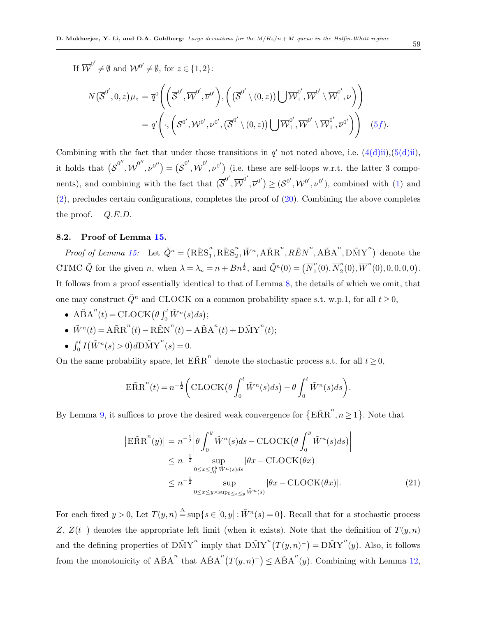If  $\overline{\mathcal{W}}^{0'} \neq \emptyset$  and  $\mathcal{W}^{0'} \neq \emptyset$ , for  $z \in \{1, 2\}$ :

$$
N(\overline{\mathcal{S}}^{0'},0,z)\mu_z = \overline{q}^0\Bigg(\Big(\overline{\mathcal{S}}^{0'},\overline{\mathcal{W}}^{0'},\overline{\nu}^{0'}\Big),\Big(\big(\overline{\mathcal{S}}^{0'}\setminus(0,z)\big)\bigcup\overline{\mathcal{W}}_1^{0'},\overline{\mathcal{W}}^{0'}\setminus\overline{\mathcal{W}}_1^{0'},\nu\Big)\Bigg) = q'\Bigg(\cdot,\Bigg(\mathcal{S}^{0'},\mathcal{W}^{0'},\nu^{0'},\big(\overline{\mathcal{S}}^{0'}\setminus(0,z)\big)\bigcup\overline{\mathcal{W}}_1^{0'},\overline{\mathcal{W}}^{0'}\setminus\overline{\mathcal{W}}_1^{0'},\overline{\nu}^{0'}\Bigg)\Bigg) (5f).
$$

Combining with the fact that under those transitions in  $q'$  not noted above, i.e.  $(4(d)ii), (5(d)ii)$  $(4(d)ii), (5(d)ii)$  $(4(d)ii), (5(d)ii)$ , it holds that  $(\overline{S}^{0''}, \overline{W}^{0''}, \overline{\nu}^{0''}) = (\overline{S}^{0'}, \overline{W}^{0'}, \overline{\nu}^{0'})$  (i.e. these are self-loops w.r.t. the latter 3 components), and combining with the fact that  $(\overline{S}^{0'}, \overline{W}^{0'}, \overline{\nu}^{0'}) \geq (S^{0'}, \mathcal{W}^{0'}, \nu^{0'})$ , combined with [\(1\)](#page-26-4) and [\(2\)](#page-26-5), precludes certain configurations, completes the proof of [\(20\)](#page-53-1). Combining the above completes the proof.  $Q.E.D.$ 

### 8.2. Proof of Lemma [15.](#page-33-1)

*Proof of Lemma [15:](#page-33-1)* Let  $\tilde{Q}^n = (\tilde{R} \tilde{E} S_1^n)$  $\sum_{1}^{n}$ , RES<sub>2</sub><sup>n</sup>  $\sum_{i=1}^{n} \tilde{W}^{n}$ ,  $\widehat{ARR}^{n}$ ,  $\widehat{REN}^{n}$ ,  $\widehat{ABA}^{n}$ ,  $\widehat{DMY}^{n}$ ) denote the CTMC  $\tilde{Q}$  for the given n, when  $\lambda = \lambda_n = n + Bn^{\frac{1}{2}}$ , and  $\tilde{Q}^n(0) = (\overline{N}_1^n)$  $\binom{n}{1}(0), \overline{N}_2^n$  $\overline{W}^n(0), \overline{W}^n(0), 0, 0, 0, 0).$ It follows from a proof essentially identical to that of Lemma [8,](#page-30-0) the details of which we omit, that one may construct  $\tilde{Q}^n$  and CLOCK on a common probability space s.t. w.p.1, for all  $t \geq 0$ ,

- A $\tilde{\mathbf{B}}\mathbf{A}^n(t) = \text{CLOCK}(\theta \int_0^t \tilde{W}^n(s)ds);$
- $\tilde{W}^n(t) = A \tilde{R} R^n(t) R \tilde{E} N^n(t) A \tilde{B} A^n(t) + D \tilde{M} Y^n(t);$

• 
$$
\int_0^t I(\tilde{W}^n(s) > 0) dD\tilde{M}Y^n(s) = 0.
$$

On the same probability space, let  $\tilde{ERR}^n$  denote the stochastic process s.t. for all  $t \geq 0$ ,

$$
\widetilde{\text{ERR}}^n(t) = n^{-\frac{1}{2}} \bigg( \text{CLOCK} \big( \theta \int_0^t \tilde{W}^n(s) ds \big) - \theta \int_0^t \tilde{W}^n(s) ds \bigg).
$$

By Lemma [9,](#page-31-0) it suffices to prove the desired weak convergence for  $\{E\tilde{R}R^n, n\geq 1\}$ . Note that

$$
\begin{aligned} \left| \mathbf{E} \tilde{\mathbf{R}} \mathbf{R}^{n}(y) \right| &= n^{-\frac{1}{2}} \left| \theta \int_{0}^{y} \tilde{W}^{n}(s) ds - \text{CLOCK} \left( \theta \int_{0}^{y} \tilde{W}^{n}(s) ds \right) \right| \\ &\le n^{-\frac{1}{2}} \sup_{0 \le x \le \int_{0}^{y} \tilde{W}^{n}(s) ds} \left| \theta x - \text{CLOCK}(\theta x) \right| \\ &\le n^{-\frac{1}{2}} \sup_{0 \le x \le y \times \text{sup}_{0 \le s \le y} \tilde{W}^{n}(s)} \left| \theta x - \text{CLOCK}(\theta x) \right|. \end{aligned} \tag{21}
$$

For each fixed  $y > 0$ , Let  $T(y, n) \triangleq \sup\{s \in [0, y]: \tilde{W}^n(s) = 0\}$ . Recall that for a stochastic process Z,  $Z(t^{-})$  denotes the appropriate left limit (when it exists). Note that the definition of  $T(y,n)$ and the defining properties of  $\widetilde{DMY}^n$  imply that  $\widetilde{DMY}^n(T(y,n)^-) = \widetilde{DMY}^n(y)$ . Also, it follows from the monotonicity of  $\widehat{ABA}^n$  that  $\widehat{ABA}^n(T(y,n)^-) \leq \widehat{ABA}^n(y)$ . Combining with Lemma [12,](#page-32-0)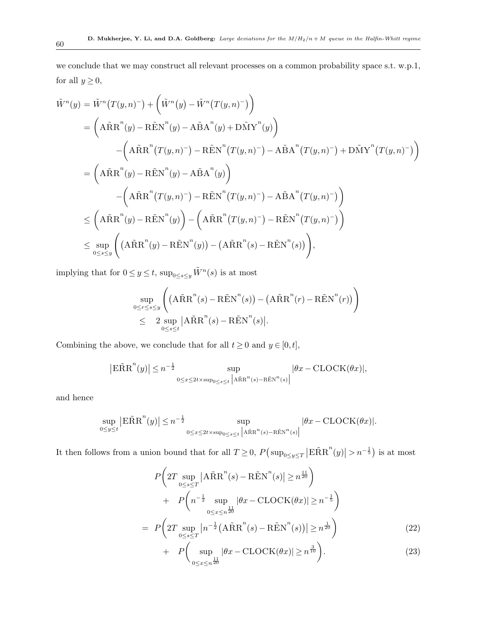we conclude that we may construct all relevant processes on a common probability space s.t. w.p.1, for all  $y\geq 0,$ 

$$
\tilde{W}^{n}(y) = \tilde{W}^{n}(T(y,n)^{-}) + (\tilde{W}^{n}(y) - \tilde{W}^{n}(T(y,n)^{-}))
$$
\n
$$
= (\mathbf{A}\tilde{R}\mathbf{R}^{n}(y) - \mathbf{R}\tilde{E}\mathbf{N}^{n}(y) - \mathbf{A}\tilde{B}\mathbf{A}^{n}(y) + \mathbf{D}\tilde{M}\mathbf{Y}^{n}(y))
$$
\n
$$
- (\mathbf{A}\tilde{R}\mathbf{R}^{n}(T(y,n)^{-}) - \mathbf{R}\tilde{E}\mathbf{N}^{n}(T(y,n)^{-}) - \mathbf{A}\tilde{B}\mathbf{A}^{n}(T(y,n)^{-}) + \mathbf{D}\tilde{M}\mathbf{Y}^{n}(T(y,n)^{-}) )
$$
\n
$$
= (\mathbf{A}\tilde{R}\mathbf{R}^{n}(y) - \mathbf{R}\tilde{E}\mathbf{N}^{n}(y) - \mathbf{A}\tilde{B}\mathbf{A}^{n}(y))
$$
\n
$$
- (\mathbf{A}\tilde{R}\mathbf{R}^{n}(T(y,n)^{-}) - \mathbf{R}\tilde{E}\mathbf{N}^{n}(T(y,n)^{-}) - \mathbf{A}\tilde{B}\mathbf{A}^{n}(T(y,n)^{-}) )
$$
\n
$$
\leq (\mathbf{A}\tilde{R}\mathbf{R}^{n}(y) - \mathbf{R}\tilde{E}\mathbf{N}^{n}(y)) - (\mathbf{A}\tilde{R}\mathbf{R}^{n}(T(y,n)^{-}) - \mathbf{R}\tilde{E}\mathbf{N}^{n}(T(y,n)^{-}) )
$$
\n
$$
\leq \sup_{0 \leq s \leq y} ((\mathbf{A}\tilde{R}\mathbf{R}^{n}(y) - \mathbf{R}\tilde{E}\mathbf{N}^{n}(y)) - (\mathbf{A}\tilde{R}\mathbf{R}^{n}(s) - \mathbf{R}\tilde{E}\mathbf{N}^{n}(s)) ),
$$

implying that for  $0 \le y \le t$ ,  $\sup_{0 \le s \le y} \tilde{W}^n(s)$  is at most

$$
\sup_{0 \le r \le s \le y} \left( \left( A \tilde{R} R^n(s) - R \tilde{E} N^n(s) \right) - \left( A \tilde{R} R^n(r) - R \tilde{E} N^n(r) \right) \right) \n\le 2 \sup_{0 \le s \le t} \left| A \tilde{R} R^n(s) - R \tilde{E} N^n(s) \right|.
$$

Combining the above, we conclude that for all  $t \ge 0$  and  $y \in [0, t]$ ,

$$
\left| \mathrm{E}{\tilde{\mathrm{R}}}{\mathrm{R}}^n(y) \right| \le n^{-\frac{1}{2}} \sup_{0 \le x \le 2t \times \sup_{0 \le s \le t} \left| \mathrm{A}{\tilde{\mathrm{R}}}{\mathrm{R}}^n(s) - \mathrm{R}{\tilde{\mathrm{E}}}{\mathrm{N}}^n(s) \right|} |\theta x - \mathrm{CLOCK}(\theta x)|,
$$

and hence

$$
\sup_{0\leq y\leq t} \left| \mathbb{E} \tilde{\mathbf{R}} \mathbf{R}^n(y) \right| \leq n^{-\frac{1}{2}} \sup_{0\leq x\leq 2t \times \sup_{0\leq s\leq t} \left| \mathbf{A} \tilde{\mathbf{R}} \mathbf{R}^n(s) - \mathbf{R} \tilde{\mathbf{E}} \mathbf{N}^n(s) \right|} |\theta x - \text{CLOCK}(\theta x)|.
$$

It then follows from a union bound that for all  $T \geq 0$ ,  $P(\sup_{0 \leq y \leq T} |\widehat{\text{ERR}}^n(y)| > n^{-\frac{1}{5}})$  is at most

<span id="page-59-0"></span>
$$
P\left(2T \sup_{0 \le s \le T} |A\tilde{R}R^{n}(s) - R\tilde{E}N^{n}(s)| \ge n^{\frac{11}{20}}\right) + P\left(n^{-\frac{1}{2}} \sup_{0 \le x \le n^{\frac{11}{20}}} |\theta x - \text{CLOCK}(\theta x)| \ge n^{-\frac{1}{5}}\right) = P\left(2T \sup_{0 \le s \le T} |n^{-\frac{1}{2}}(A\tilde{R}R^{n}(s) - R\tilde{E}N^{n}(s))| \ge n^{\frac{1}{20}}\right) + P\left(\sup_{0 \le x \le n^{\frac{11}{20}}} |\theta x - \text{CLOCK}(\theta x)| \ge n^{\frac{3}{10}}\right).
$$
(23)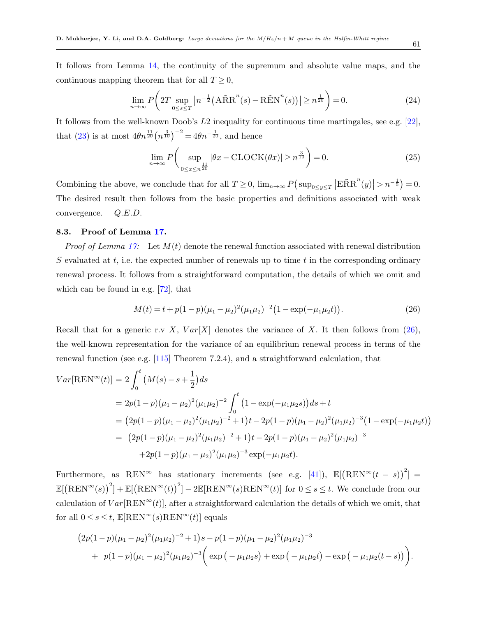It follows from Lemma [14,](#page-33-2) the continuity of the supremum and absolute value maps, and the continuous mapping theorem that for all  $T \geq 0$ ,

$$
\lim_{n \to \infty} P\left(2T \sup_{0 \le s \le T} \left| n^{-\frac{1}{2}} \left( A\tilde{R}R^n(s) - R\tilde{E}N^n(s) \right) \right| \ge n^{\frac{1}{20}} \right) = 0. \tag{24}
$$

It follows from the well-known Doob's L2 inequality for continuous time martingales, see e.g. [\[22\]](#page-76-2), that [\(23\)](#page-59-0) is at most  $4\theta n^{\frac{11}{20}}(n^{\frac{3}{10}})^{-2} = 4\theta n^{-\frac{1}{20}}$ , and hence

$$
\lim_{n \to \infty} P\left(\sup_{0 \le x \le n^{\frac{11}{20}}} |\theta x - \text{CLOCK}(\theta x)| \ge n^{\frac{3}{10}}\right) = 0. \tag{25}
$$

Combining the above, we conclude that for all  $T \geq 0$ ,  $\lim_{n\to\infty} P(\sup_{0\leq y\leq T} |E\tilde{R}R^n(y)| > n^{-\frac{1}{5}}) = 0$ . The desired result then follows from the basic properties and definitions associated with weak convergence. Q.E.D.

### 8.3. Proof of Lemma [17.](#page-34-0)

*Proof of Lemma [17:](#page-34-0)* Let  $M(t)$  denote the renewal function associated with renewal distribution S evaluated at t, i.e. the expected number of renewals up to time t in the corresponding ordinary renewal process. It follows from a straightforward computation, the details of which we omit and which can be found in e.g. [\[72\]](#page-79-3), that

<span id="page-60-0"></span>
$$
M(t) = t + p(1 - p)(\mu_1 - \mu_2)^2 (\mu_1 \mu_2)^{-2} (1 - \exp(-\mu_1 \mu_2 t)).
$$
\n(26)

Recall that for a generic r.v X,  $Var[X]$  denotes the variance of X. It then follows from [\(26\)](#page-60-0), the well-known representation for the variance of an equilibrium renewal process in terms of the renewal function (see e.g. [\[115\]](#page-82-0) Theorem 7.2.4), and a straightforward calculation, that

$$
Var[REN^{\infty}(t)] = 2 \int_0^t (M(s) - s + \frac{1}{2}) ds
$$
  
=  $2p(1-p)(\mu_1 - \mu_2)^2 (\mu_1 \mu_2)^{-2} \int_0^t (1 - \exp(-\mu_1 \mu_2 s)) ds + t$   
=  $(2p(1-p)(\mu_1 - \mu_2)^2 (\mu_1 \mu_2)^{-2} + 1)t - 2p(1-p)(\mu_1 - \mu_2)^2 (\mu_1 \mu_2)^{-3} (1 - \exp(-\mu_1 \mu_2 t))$   
=  $(2p(1-p)(\mu_1 - \mu_2)^2 (\mu_1 \mu_2)^{-2} + 1)t - 2p(1-p)(\mu_1 - \mu_2)^2 (\mu_1 \mu_2)^{-3}$   
+  $2p(1-p)(\mu_1 - \mu_2)^2 (\mu_1 \mu_2)^{-3} \exp(-\mu_1 \mu_2 t).$ 

Furthermore, as REN<sup>∞</sup> has stationary increments (see e.g. [\[41\]](#page-77-5)),  $\mathbb{E}[(REN^{\infty}(t-s))^{2}] =$  $\mathbb{E}[(\text{REN}^{\infty}(s))^2] + \mathbb{E}[(\text{REN}^{\infty}(t))^2] - 2\mathbb{E}[\text{REN}^{\infty}(s)\text{REN}^{\infty}(t)]$  for  $0 \leq s \leq t$ . We conclude from our calculation of  $Var[REN^{\infty}(t)]$ , after a straightforward calculation the details of which we omit, that for all  $0 \leq s \leq t$ ,  $\mathbb{E}[\text{REN}^{\infty}(s) \text{REN}^{\infty}(t)]$  equals

$$
(2p(1-p)(\mu_1 - \mu_2)^2(\mu_1\mu_2)^{-2} + 1)s - p(1-p)(\mu_1 - \mu_2)^2(\mu_1\mu_2)^{-3}
$$
  
+  $p(1-p)(\mu_1 - \mu_2)^2(\mu_1\mu_2)^{-3} \Big( \exp(-\mu_1\mu_2s) + \exp(-\mu_1\mu_2t) - \exp(-\mu_1\mu_2(t-s)) \Big).$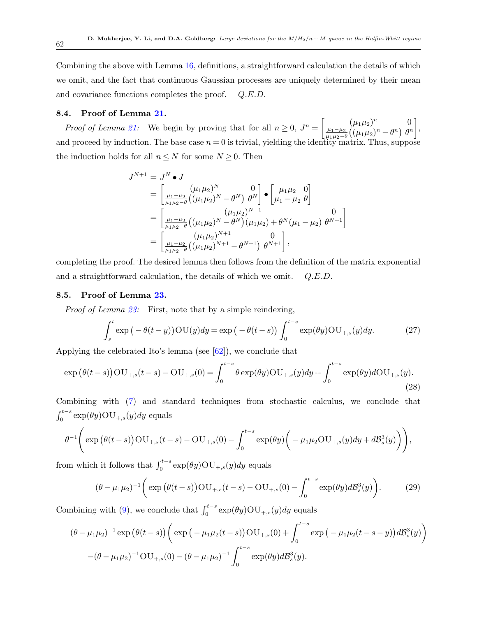Combining the above with Lemma [16,](#page-34-1) definitions, a straightforward calculation the details of which we omit, and the fact that continuous Gaussian processes are uniquely determined by their mean and covariance functions completes the proof. Q.E.D.

### 8.4. Proof of Lemma [21.](#page-36-2)

Proof of Lemma [21:](#page-36-2) We begin by proving that for all  $n \geq 0$ ,  $J^n = \begin{bmatrix} (\mu_1 \mu_2)^n & 0 \\ \mu_1 - \mu_2 & (\mu_1 \mu_2)^n & 0 \end{bmatrix}$  $\mu_1-\mu_2$  $\frac{\mu_1 - \mu_2}{\mu_1 \mu_2 - \theta} \left( (\mu_1 \mu_2)^n - \theta^n \right) \theta^n$  , and proceed by induction. The base case  $n = 0$  is trivial, yielding the identity matrix. Thus, suppose the induction holds for all  $n \leq N$  for some  $N \geq 0$ . Then

$$
J^{N+1} = J^N \bullet J
$$
  
=  $\begin{bmatrix} (\mu_1 \mu_2)^N & 0 \\ \frac{\mu_1 - \mu_2}{\mu_1 \mu_2 - \theta} ((\mu_1 \mu_2)^N - \theta^N) & \theta^N \end{bmatrix} \bullet \begin{bmatrix} \mu_1 \mu_2 & 0 \\ \mu_1 - \mu_2 & \theta \end{bmatrix}$   
=  $\begin{bmatrix} (\mu_1 \mu_2)^{N+1} & 0 \\ \frac{\mu_1 - \mu_2}{\mu_1 \mu_2 - \theta} ((\mu_1 \mu_2)^N - \theta^N) (\mu_1 \mu_2) + \theta^N (\mu_1 - \mu_2) & \theta^{N+1} \end{bmatrix}$   
=  $\begin{bmatrix} (\mu_1 \mu_2)^{N+1} & 0 \\ \frac{\mu_1 - \mu_2}{\mu_1 \mu_2 - \theta} ((\mu_1 \mu_2)^{N+1} - \theta^{N+1}) & \theta^{N+1} \end{bmatrix}$ ,

completing the proof. The desired lemma then follows from the definition of the matrix exponential and a straightforward calculation, the details of which we omit.  $Q.E.D.$ 

### 8.5. Proof of Lemma [23.](#page-36-4)

Proof of Lemma [23:](#page-36-4) First, note that by a simple reindexing,

<span id="page-61-0"></span>
$$
\int_{s}^{t} \exp\left(-\theta(t-y)\right) \text{OU}(y) dy = \exp\left(-\theta(t-s)\right) \int_{0}^{t-s} \exp(\theta y) \text{OU}_{+,s}(y) dy. \tag{27}
$$

Applying the celebrated Ito's lemma (see [\[62\]](#page-79-4)), we conclude that

$$
\exp(\theta(t-s))\text{OU}_{+,s}(t-s) - \text{OU}_{+,s}(0)) = \int_0^{t-s} \theta \exp(\theta y) \text{OU}_{+,s}(y) dy + \int_0^{t-s} \exp(\theta y) d\text{OU}_{+,s}(y).
$$
\n(28)

Combining with [\(7\)](#page-35-0) and standard techniques from stochastic calculus, we conclude that  $\int_0^{t-s} \exp(\theta y) \text{OU}_{+,s}(y) dy$  equals

$$
\theta^{-1}\Bigg(\exp\big(\theta(t-s)\big) \mathrm{OU}_{+,s}(t-s)-\mathrm{OU}_{+,s}(0)-\int_0^{t-s}\exp(\theta y)\bigg(-\mu_1\mu_2\mathrm{OU}_{+,s}(y)dy+d\mathcal{B}_s^3(y)\bigg)\Bigg),
$$

from which it follows that  $\int_0^{t-s} \exp(\theta y) \text{OU}_{+,s}(y) dy$  equals

$$
(\theta - \mu_1 \mu_2)^{-1} \bigg( \exp \big( \theta(t-s) \big) \text{OU}_{+,s}(t-s) - \text{OU}_{+,s}(0) - \int_0^{t-s} \exp(\theta y) d\mathcal{B}_s^3(y) \bigg). \tag{29}
$$

Combining with [\(9\)](#page-36-5), we conclude that  $\int_0^{t-s} \exp(\theta y) \text{OU}_{+,s}(y) dy$  equals

$$
(\theta - \mu_1 \mu_2)^{-1} \exp \left( \theta (t-s) \right) \left( \exp \left( -\mu_1 \mu_2 (t-s) \right) \text{OU}_{+,s}(0) + \int_0^{t-s} \exp \left( -\mu_1 \mu_2 (t-s-y) \right) d\mathcal{B}_s^3(y) \right) - (\theta - \mu_1 \mu_2)^{-1} \text{OU}_{+,s}(0) - (\theta - \mu_1 \mu_2)^{-1} \int_0^{t-s} \exp(\theta y) d\mathcal{B}_s^3(y).
$$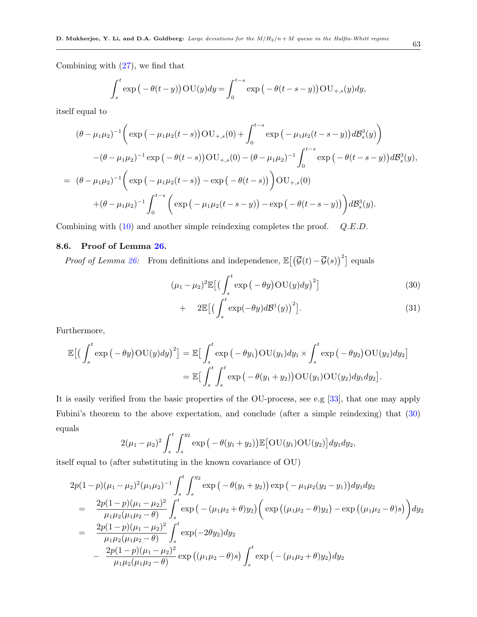Combining with [\(27\)](#page-61-0), we find that

$$
\int_{s}^{t} \exp\left(-\theta(t-y)\right) \text{OU}(y) dy = \int_{0}^{t-s} \exp\left(-\theta(t-s-y)\right) \text{OU}_{+,s}(y) dy,
$$

itself equal to

$$
(\theta - \mu_1 \mu_2)^{-1} \left( \exp \left( -\mu_1 \mu_2 (t-s) \right) \text{OU}_{+,s}(0) + \int_0^{t-s} \exp \left( -\mu_1 \mu_2 (t-s-y) \right) d\mathcal{B}_s^3(y) \right) - (\theta - \mu_1 \mu_2)^{-1} \exp \left( -\theta (t-s) \right) \text{OU}_{+,s}(0) - (\theta - \mu_1 \mu_2)^{-1} \int_0^{t-s} \exp \left( -\theta (t-s-y) \right) d\mathcal{B}_s^3(y),
$$
  
=  $(\theta - \mu_1 \mu_2)^{-1} \left( \exp \left( -\mu_1 \mu_2 (t-s) \right) - \exp \left( -\theta (t-s) \right) \right) \text{OU}_{+,s}(0) + (\theta - \mu_1 \mu_2)^{-1} \int_0^{t-s} \left( \exp \left( -\mu_1 \mu_2 (t-s-y) \right) - \exp \left( -\theta (t-s-y) \right) \right) d\mathcal{B}_s^3(y).$ 

Combining with [\(10\)](#page-36-6) and another simple reindexing completes the proof.  $Q.E.D.$ 

## 8.6. Proof of Lemma [26.](#page-38-2)

*Proof of Lemma [26:](#page-38-2)* From definitions and independence,  $\mathbb{E}[(\overline{\mathcal{G}}(t) - \overline{\mathcal{G}}(s))^2]$  equals

<span id="page-62-0"></span>
$$
(\mu_1 - \mu_2)^2 \mathbb{E} \left[ \left( \int_s^t \exp\left( -\theta y \right) \text{OU}(y) dy \right)^2 \right] \tag{30}
$$

$$
+ 2\mathbb{E}\left[\left(\int_{s}^{t} \exp(-\theta y) d\mathcal{B}^{1}(y)\right)^{2}\right]. \tag{31}
$$

Furthermore,

$$
\mathbb{E}\big[\big(\int_{s}^{t} \exp\big(-\theta y\big)\text{OU}(y)dy\big)^{2}\big] = \mathbb{E}\big[\int_{s}^{t} \exp\big(-\theta y_{1}\big)\text{OU}(y_{1})dy_{1} \times \int_{s}^{t} \exp\big(-\theta y_{2}\big)\text{OU}(y_{2})dy_{2}\big] \n= \mathbb{E}\big[\int_{s}^{t} \int_{s}^{t} \exp\big(-\theta(y_{1}+y_{2})\big)\text{OU}(y_{1})\text{OU}(y_{2})dy_{1}dy_{2}\big].
$$

It is easily verified from the basic properties of the OU-process, see e.g [\[33\]](#page-77-6), that one may apply Fubini's theorem to the above expectation, and conclude (after a simple reindexing) that [\(30\)](#page-62-0) equals

$$
2(\mu_1-\mu_2)^2\int_s^t\int_s^{y_2}\exp\big(-\theta(y_1+y_2)\big)\mathbb{E}\big[\text{OU}(y_1)\text{OU}(y_2)\big]dy_1dy_2,
$$

itself equal to (after substituting in the known covariance of OU)

$$
2p(1-p)(\mu_1 - \mu_2)^2(\mu_1\mu_2)^{-1} \int_s^t \int_s^{y_2} \exp\left(-\theta(y_1 + y_2)\right) \exp\left(-\mu_1\mu_2(y_2 - y_1)\right) dy_1 dy_2
$$
  
\n
$$
= \frac{2p(1-p)(\mu_1 - \mu_2)^2}{\mu_1\mu_2(\mu_1\mu_2 - \theta)} \int_s^t \exp\left(-(\mu_1\mu_2 + \theta)y_2\right) \left(\exp\left((\mu_1\mu_2 - \theta)y_2\right) - \exp\left((\mu_1\mu_2 - \theta)y_2\right)\right) dy_2
$$
  
\n
$$
= \frac{2p(1-p)(\mu_1 - \mu_2)^2}{\mu_1\mu_2(\mu_1\mu_2 - \theta)} \int_s^t \exp(-2\theta y_2) dy_2
$$
  
\n
$$
- \frac{2p(1-p)(\mu_1 - \mu_2)^2}{\mu_1\mu_2(\mu_1\mu_2 - \theta)} \exp\left((\mu_1\mu_2 - \theta)s\right) \int_s^t \exp\left(-(\mu_1\mu_2 + \theta)y_2\right) dy_2
$$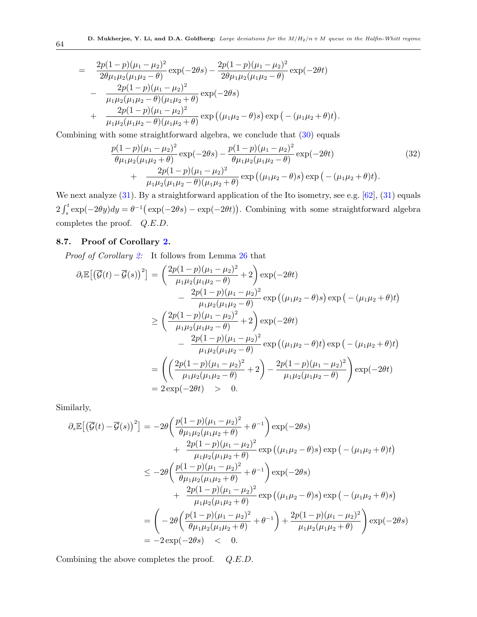$$
= \frac{2p(1-p)(\mu_1 - \mu_2)^2}{2\theta\mu_1\mu_2(\mu_1\mu_2 - \theta)} \exp(-2\theta s) - \frac{2p(1-p)(\mu_1 - \mu_2)^2}{2\theta\mu_1\mu_2(\mu_1\mu_2 - \theta)} \exp(-2\theta t) - \frac{2p(1-p)(\mu_1 - \mu_2)^2}{\mu_1\mu_2(\mu_1\mu_2 - \theta)(\mu_1\mu_2 + \theta)} \exp(-2\theta s) + \frac{2p(1-p)(\mu_1 - \mu_2)^2}{\mu_1\mu_2(\mu_1\mu_2 - \theta)(\mu_1\mu_2 + \theta)} \exp((\mu_1\mu_2 - \theta)s) \exp(-(\mu_1\mu_2 + \theta)t).
$$

Combining with some straightforward algebra, we conclude that [\(30\)](#page-62-0) equals

$$
\frac{p(1-p)(\mu_1 - \mu_2)^2}{\theta \mu_1 \mu_2 (\mu_1 \mu_2 + \theta)} \exp(-2\theta s) - \frac{p(1-p)(\mu_1 - \mu_2)^2}{\theta \mu_1 \mu_2 (\mu_1 \mu_2 - \theta)} \exp(-2\theta t) \n+ \frac{2p(1-p)(\mu_1 - \mu_2)^2}{\mu_1 \mu_2 (\mu_1 \mu_2 - \theta)(\mu_1 \mu_2 + \theta)} \exp((\mu_1 \mu_2 - \theta) s) \exp(-( \mu_1 \mu_2 + \theta) t).
$$
\n(32)

We next analyze  $(31)$ . By a straightforward application of the Ito isometry, see e.g. [\[62\]](#page-79-4),  $(31)$  equals  $2\int_s^t \exp(-2\theta y) dy = \theta^{-1} (\exp(-2\theta s) - \exp(-2\theta t)).$  Combining with some straightforward algebra completes the proof. Q.E.D.

# 8.7. Proof of Corollary [2.](#page-38-1)

Proof of Corollary [2:](#page-38-1) It follows from Lemma [26](#page-38-2) that

$$
\partial_t \mathbb{E} \left[ \left( \overline{\mathcal{G}}(t) - \overline{\mathcal{G}}(s) \right)^2 \right] = \left( \frac{2p(1-p)(\mu_1 - \mu_2)^2}{\mu_1 \mu_2 (\mu_1 \mu_2 - \theta)} + 2 \right) \exp(-2\theta t)
$$
  
\n
$$
- \frac{2p(1-p)(\mu_1 - \mu_2)^2}{\mu_1 \mu_2 (\mu_1 \mu_2 - \theta)} \exp((\mu_1 \mu_2 - \theta)s) \exp(-(\mu_1 \mu_2 + \theta)t)
$$
  
\n
$$
\geq \left( \frac{2p(1-p)(\mu_1 - \mu_2)^2}{\mu_1 \mu_2 (\mu_1 \mu_2 - \theta)} + 2 \right) \exp(-2\theta t)
$$
  
\n
$$
- \frac{2p(1-p)(\mu_1 - \mu_2)^2}{\mu_1 \mu_2 (\mu_1 \mu_2 - \theta)} \exp((\mu_1 \mu_2 - \theta)t) \exp(-(\mu_1 \mu_2 + \theta)t)
$$
  
\n
$$
= \left( \left( \frac{2p(1-p)(\mu_1 - \mu_2)^2}{\mu_1 \mu_2 (\mu_1 \mu_2 - \theta)} + 2 \right) - \frac{2p(1-p)(\mu_1 - \mu_2)^2}{\mu_1 \mu_2 (\mu_1 \mu_2 - \theta)} \right) \exp(-2\theta t)
$$
  
\n
$$
= 2 \exp(-2\theta t) > 0.
$$

Similarly,

$$
\partial_s \mathbb{E}[(\overline{g}(t) - \overline{g}(s))^2] = -2\theta \left( \frac{p(1-p)(\mu_1 - \mu_2)^2}{\theta \mu_1 \mu_2 (\mu_1 \mu_2 + \theta)} + \theta^{-1} \right) \exp(-2\theta s) \n+ \frac{2p(1-p)(\mu_1 - \mu_2)^2}{\mu_1 \mu_2 (\mu_1 \mu_2 + \theta)} \exp((\mu_1 \mu_2 - \theta)s) \exp(-(\mu_1 \mu_2 + \theta)t) \n\leq -2\theta \left( \frac{p(1-p)(\mu_1 - \mu_2)^2}{\theta \mu_1 \mu_2 (\mu_1 \mu_2 + \theta)} + \theta^{-1} \right) \exp(-2\theta s) \n+ \frac{2p(1-p)(\mu_1 - \mu_2)^2}{\mu_1 \mu_2 (\mu_1 \mu_2 + \theta)} \exp((\mu_1 \mu_2 - \theta)s) \exp(-(\mu_1 \mu_2 + \theta)s) \n= \left( -2\theta \left( \frac{p(1-p)(\mu_1 - \mu_2)^2}{\theta \mu_1 \mu_2 (\mu_1 \mu_2 + \theta)} + \theta^{-1} \right) + \frac{2p(1-p)(\mu_1 - \mu_2)^2}{\mu_1 \mu_2 (\mu_1 \mu_2 + \theta)} \right) \exp(-2\theta s) \n= -2 \exp(-2\theta s) \n= -2 \exp(-2\theta s) \n0.
$$

Combining the above completes the proof. Q.E.D.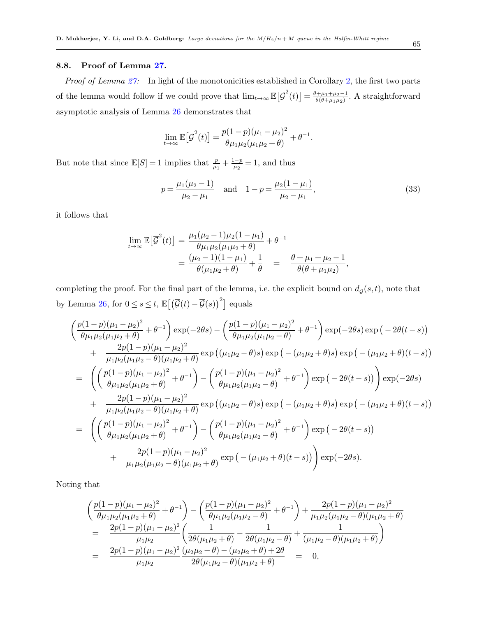## 8.8. Proof of Lemma [27.](#page-38-3)

*Proof of Lemma [27:](#page-38-3)* In light of the monotonicities established in Corollary [2,](#page-38-1) the first two parts of the lemma would follow if we could prove that  $\lim_{t\to\infty} \mathbb{E}[\overline{\mathcal{G}}^2(t)] = \frac{\theta + \mu_1 + \mu_2 - 1}{\theta(\theta + \mu_1 \mu_2)}$  $\frac{\theta + \mu_1 + \mu_2 - 1}{\theta(\theta + \mu_1 \mu_2)}$ . A straightforward asymptotic analysis of Lemma [26](#page-38-2) demonstrates that

$$
\lim_{t \to \infty} \mathbb{E}\left[\overline{\mathcal{G}}^2(t)\right] = \frac{p(1-p)(\mu_1 - \mu_2)^2}{\theta \mu_1 \mu_2 (\mu_1 \mu_2 + \theta)} + \theta^{-1}.
$$

But note that since  $\mathbb{E}[S] = 1$  implies that  $\frac{p}{\mu_1} + \frac{1-p}{\mu_2}$  $\frac{-p}{\mu_2} = 1$ , and thus

<span id="page-64-0"></span>
$$
p = \frac{\mu_1(\mu_2 - 1)}{\mu_2 - \mu_1} \quad \text{and} \quad 1 - p = \frac{\mu_2(1 - \mu_1)}{\mu_2 - \mu_1},\tag{33}
$$

it follows that

$$
\lim_{t \to \infty} \mathbb{E} \left[ \overline{\mathcal{G}}^2(t) \right] = \frac{\mu_1(\mu_2 - 1)\mu_2(1 - \mu_1)}{\theta \mu_1 \mu_2(\mu_1 \mu_2 + \theta)} + \theta^{-1}
$$
  
= 
$$
\frac{(\mu_2 - 1)(1 - \mu_1)}{\theta(\mu_1 \mu_2 + \theta)} + \frac{1}{\theta} = \frac{\theta + \mu_1 + \mu_2 - 1}{\theta(\theta + \mu_1 \mu_2)},
$$

completing the proof. For the final part of the lemma, i.e. the explicit bound on  $d_{\overline{G}}(s,t)$ , note that by Lemma [26,](#page-38-2) for  $0 \leq s \leq t$ ,  $\mathbb{E}[(\overline{\mathcal{G}}(t) - \overline{\mathcal{G}}(s))^2]$  equals

$$
\begin{split}\n&\left(\frac{p(1-p)(\mu_1-\mu_2)^2}{\theta\mu_1\mu_2(\mu_1\mu_2+\theta)}+\theta^{-1}\right)\exp(-2\theta s)-\left(\frac{p(1-p)(\mu_1-\mu_2)^2}{\theta\mu_1\mu_2(\mu_1\mu_2-\theta)}+\theta^{-1}\right)\exp(-2\theta s)\exp(-2\theta(t-s)) \\
&+\frac{2p(1-p)(\mu_1-\mu_2)^2}{\mu_1\mu_2(\mu_1\mu_2-\theta)(\mu_1\mu_2+\theta)}\exp((\mu_1\mu_2-\theta)s)\exp(-(\mu_1\mu_2+\theta)s)\exp(-(\mu_1\mu_2+\theta)(t-s)) \\
&=\left(\left(\frac{p(1-p)(\mu_1-\mu_2)^2}{\theta\mu_1\mu_2(\mu_1\mu_2+\theta)}+\theta^{-1}\right)-\left(\frac{p(1-p)(\mu_1-\mu_2)^2}{\theta\mu_1\mu_2(\mu_1\mu_2-\theta)}+\theta^{-1}\right)\exp(-2\theta(t-s))\right)\exp(-2\theta s) \\
&+\frac{2p(1-p)(\mu_1-\mu_2)^2}{\mu_1\mu_2(\mu_1\mu_2-\theta)(\mu_1\mu_2+\theta)}\exp((\mu_1\mu_2-\theta)s)\exp(-(\mu_1\mu_2+\theta)s)\exp(-(\mu_1\mu_2+\theta)(t-s)) \\
&=\left(\left(\frac{p(1-p)(\mu_1-\mu_2)^2}{\theta\mu_1\mu_2(\mu_1\mu_2+\theta)}+\theta^{-1}\right)-\left(\frac{p(1-p)(\mu_1-\mu_2)^2}{\theta\mu_1\mu_2(\mu_1\mu_2-\theta)}+\theta^{-1}\right)\exp(-2\theta(t-s))\right. \\
&+\frac{2p(1-p)(\mu_1-\mu_2)^2}{\mu_1\mu_2(\mu_1\mu_2-\theta)(\mu_1\mu_2+\theta)}\exp(-(\mu_1\mu_2+\theta)(t-s))\right)\exp(-2\theta s).\n\end{split}
$$

Noting that

$$
\begin{split}\n&\left(\frac{p(1-p)(\mu_1-\mu_2)^2}{\theta\mu_1\mu_2(\mu_1\mu_2+\theta)}+\theta^{-1}\right)-\left(\frac{p(1-p)(\mu_1-\mu_2)^2}{\theta\mu_1\mu_2(\mu_1\mu_2-\theta)}+\theta^{-1}\right)+\frac{2p(1-p)(\mu_1-\mu_2)^2}{\mu_1\mu_2(\mu_1\mu_2-\theta)(\mu_1\mu_2+\theta)} \\
&=\frac{2p(1-p)(\mu_1-\mu_2)^2}{\mu_1\mu_2}\left(\frac{1}{2\theta(\mu_1\mu_2+\theta)}-\frac{1}{2\theta(\mu_1\mu_2-\theta)}+\frac{1}{(\mu_1\mu_2-\theta)(\mu_1\mu_2+\theta)}\right) \\
&=\frac{2p(1-p)(\mu_1-\mu_2)^2}{\mu_1\mu_2}\frac{(\mu_2\mu_2-\theta)-(\mu_2\mu_2+\theta)+2\theta}{2\theta(\mu_1\mu_2-\theta)(\mu_1\mu_2+\theta)} \\
&=0,\n\end{split}
$$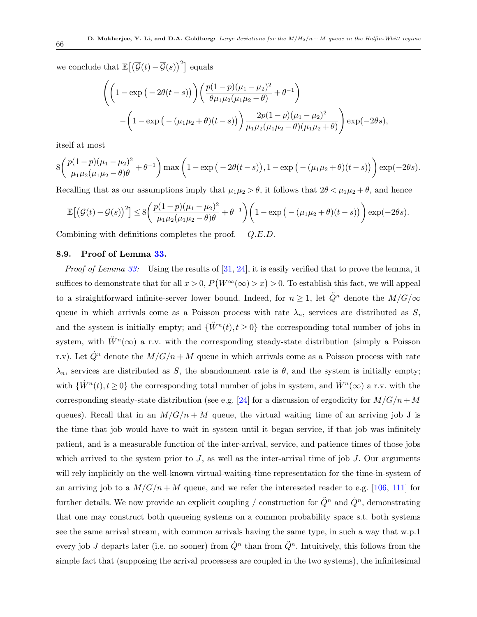we conclude that  $\mathbb{E}[(\overline{\mathcal{G}}(t)-\overline{\mathcal{G}}(s))^2]$  equals

$$
\left( \left( 1 - \exp\left( -2\theta(t-s) \right) \right) \left( \frac{p(1-p)(\mu_1 - \mu_2)^2}{\theta \mu_1 \mu_2(\mu_1 \mu_2 - \theta)} + \theta^{-1} \right) - \left( 1 - \exp\left( -(\mu_1 \mu_2 + \theta)(t-s) \right) \right) \frac{2p(1-p)(\mu_1 - \mu_2)^2}{\mu_1 \mu_2(\mu_1 \mu_2 - \theta)(\mu_1 \mu_2 + \theta)} \right) \exp(-2\theta s),
$$

itself at most

$$
8\left(\frac{p(1-p)(\mu_1-\mu_2)^2}{\mu_1\mu_2(\mu_1\mu_2-\theta)\theta}+\theta^{-1}\right)\max\left(1-\exp\left(-2\theta(t-s)\right),1-\exp\left(-(\mu_1\mu_2+\theta)(t-s)\right)\right)\exp(-2\theta s).
$$

Recalling that as our assumptions imply that  $\mu_1\mu_2 > \theta$ , it follows that  $2\theta < \mu_1\mu_2 + \theta$ , and hence

$$
\mathbb{E}\left[\left(\overline{\mathcal{G}}(t)-\overline{\mathcal{G}}(s)\right)^2\right] \le 8\left(\frac{p(1-p)(\mu_1-\mu_2)^2}{\mu_1\mu_2(\mu_1\mu_2-\theta)\theta}+\theta^{-1}\right)\left(1-\exp\left(-(\mu_1\mu_2+\theta)(t-s)\right)\right)\exp(-2\theta s).
$$

Combining with definitions completes the proof. Q.E.D.

#### 8.9. Proof of Lemma [33.](#page-46-1)

*Proof of Lemma [33:](#page-46-1)* Using the results of  $[31, 24]$  $[31, 24]$  $[31, 24]$ , it is easily verified that to prove the lemma, it suffices to demonstrate that for all  $x > 0$ ,  $P(W^{\infty}(\infty) > x) > 0$ . To establish this fact, we will appeal to a straightforward infinite-server lower bound. Indeed, for  $n \geq 1$ , let  $\ddot{Q}^n$  denote the  $M/G/\infty$ queue in which arrivals come as a Poisson process with rate  $\lambda_n$ , services are distributed as S, and the system is initially empty; and  $\{\ddot{W}^n(t), t \geq 0\}$  the corresponding total number of jobs in system, with  $\ddot{W}^n(\infty)$  a r.v. with the corresponding steady-state distribution (simply a Poisson r.v). Let  $\dot{Q}^n$  denote the  $M/G/n + M$  queue in which arrivals come as a Poisson process with rate  $\lambda_n$ , services are distributed as S, the abandonment rate is  $\theta$ , and the system is initially empty; with  $\{\dot{W}^n(t), t \geq 0\}$  the corresponding total number of jobs in system, and  $\dot{W}^n(\infty)$  a r.v. with the corresponding steady-state distribution (see e.g. [\[24\]](#page-76-0) for a discussion of ergodicity for  $M/G/n+M$ queues). Recall that in an  $M/G/n + M$  queue, the virtual waiting time of an arriving job J is the time that job would have to wait in system until it began service, if that job was infinitely patient, and is a measurable function of the inter-arrival, service, and patience times of those jobs which arrived to the system prior to  $J$ , as well as the inter-arrival time of job  $J$ . Our arguments will rely implicitly on the well-known virtual-waiting-time representation for the time-in-system of an arriving job to a  $M/G/n + M$  queue, and we refer the intereseted reader to e.g. [\[106,](#page-81-1) [111\]](#page-82-1) for further details. We now provide an explicit coupling / construction for  $\ddot{Q}^n$  and  $\dot{Q}^n$ , demonstrating that one may construct both queueing systems on a common probability space s.t. both systems see the same arrival stream, with common arrivals having the same type, in such a way that w.p.1 every job J departs later (i.e. no sooner) from  $\dot{Q}^n$  than from  $\ddot{Q}^n$ . Intuitively, this follows from the simple fact that (supposing the arrival processess are coupled in the two systems), the infinitesimal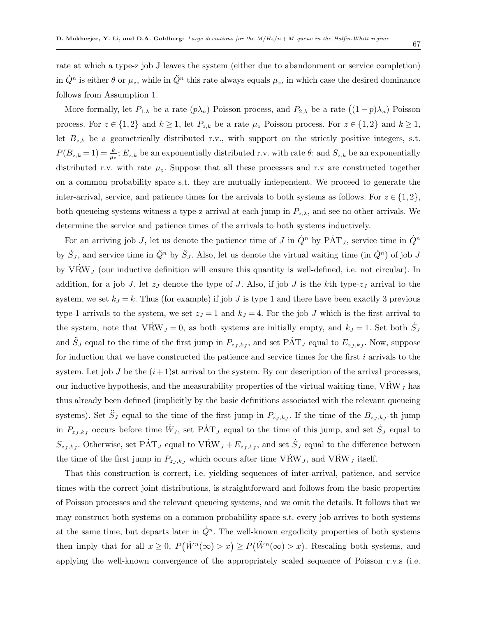rate at which a type-z job J leaves the system (either due to abandonment or service completion) in  $\dot{Q}^n$  is either  $\theta$  or  $\mu_z$ , while in  $\ddot{Q}^n$  this rate always equals  $\mu_z$ , in which case the desired dominance follows from Assumption [1.](#page-11-0)

More formally, let  $P_{1,\lambda}$  be a rate- $(p\lambda_n)$  Poisson process, and  $P_{2,\lambda}$  be a rate- $((1-p)\lambda_n)$  Poisson process. For  $z \in \{1,2\}$  and  $k \geq 1$ , let  $P_{z,k}$  be a rate  $\mu_z$  Poisson process. For  $z \in \{1,2\}$  and  $k \geq 1$ , let  $B_{z,k}$  be a geometrically distributed r.v., with support on the strictly positive integers, s.t.  $P(B_{z,k} = 1) = \frac{\theta}{\mu_z}; E_{z,k}$  be an exponentially distributed r.v. with rate  $\theta$ ; and  $S_{z,k}$  be an exponentially distributed r.v. with rate  $\mu_z$ . Suppose that all these processes and r.v are constructed together on a common probability space s.t. they are mutually independent. We proceed to generate the inter-arrival, service, and patience times for the arrivals to both systems as follows. For  $z \in \{1,2\}$ , both queueing systems witness a type-z arrival at each jump in  $P_{z,\lambda}$ , and see no other arrivals. We determine the service and patience times of the arrivals to both systems inductively.

For an arriving job J, let us denote the patience time of J in  $\dot{Q}^n$  by  $\dot{PAT}_J$ , service time in  $\dot{Q}^n$ by  $\dot{S}_J$ , and service time in  $\ddot{Q}^n$  by  $\ddot{S}_J$ . Also, let us denote the virtual waiting time (in  $\dot{Q}^n$ ) of job J by  $V\dot{R}W_J$  (our inductive definition will ensure this quantity is well-defined, i.e. not circular). In addition, for a job J, let  $z_J$  denote the type of J. Also, if job J is the kth type- $z_J$  arrival to the system, we set  $k_j = k$ . Thus (for example) if job J is type 1 and there have been exactly 3 previous type-1 arrivals to the system, we set  $z_J = 1$  and  $k_J = 4$ . For the job J which is the first arrival to the system, note that  $V\dot{R}W_J=0$ , as both systems are initially empty, and  $k_J=1$ . Set both  $\dot{S}_J$ and  $\ddot{S}_J$  equal to the time of the first jump in  $P_{z_J,k_J}$ , and set  $\dot{PAT}_J$  equal to  $E_{z_J,k_J}$ . Now, suppose for induction that we have constructed the patience and service times for the first i arrivals to the system. Let job J be the  $(i+1)$ st arrival to the system. By our description of the arrival processes, our inductive hypothesis, and the measurability properties of the virtual waiting time,  $V\dot{R}W_J$  has thus already been defined (implicitly by the basic definitions associated with the relevant queueing systems). Set  $\ddot{S}_J$  equal to the time of the first jump in  $P_{z_J,k_J}$ . If the time of the  $B_{z_J,k_J}$ -th jump in  $P_{z_J,k_J}$  occurs before time  $\ddot{W}_J$ , set PAT<sub>j</sub> equal to the time of this jump, and set  $\dot{S}_J$  equal to  $S_{z_J, k_J}$ . Otherwise, set PAT<sub>J</sub> equal to VRW<sub>J</sub> +  $E_{z_J, k_J}$ , and set  $\dot{S}_J$  equal to the difference between the time of the first jump in  $P_{z_J, k_J}$  which occurs after time  $V \dot{R} W_J$ , and  $V \dot{R} W_J$  itself.

That this construction is correct, i.e. yielding sequences of inter-arrival, patience, and service times with the correct joint distributions, is straightforward and follows from the basic properties of Poisson processes and the relevant queueing systems, and we omit the details. It follows that we may construct both systems on a common probability space s.t. every job arrives to both systems at the same time, but departs later in  $\dot{Q}^n$ . The well-known ergodicity properties of both systems then imply that for all  $x \geq 0$ ,  $P(\dot{W}^n(\infty) > x) \geq P(\ddot{W}^n(\infty) > x)$ . Rescaling both systems, and applying the well-known convergence of the appropriately scaled sequence of Poisson r.v.s (i.e.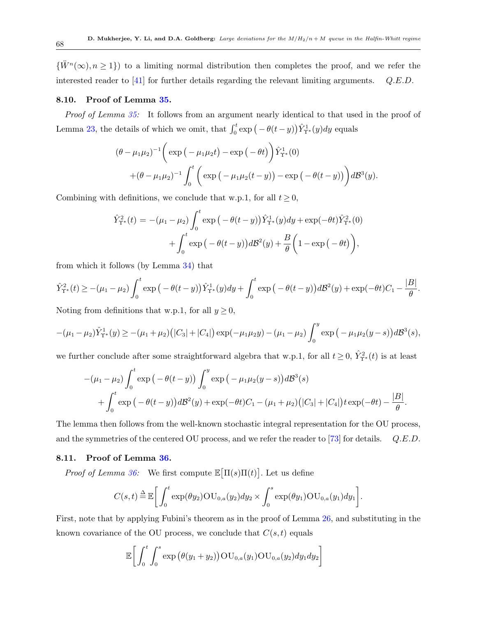${\{\ddot{W}^n(\infty), n \geq 1\}}$  to a limiting normal distribution then completes the proof, and we refer the interested reader to  $[41]$  for further details regarding the relevant limiting arguments.  $Q.E.D.$ 

#### 8.10. Proof of Lemma [35.](#page-48-0)

Proof of Lemma [35:](#page-48-0) It follows from an argument nearly identical to that used in the proof of Lemma [23,](#page-36-4) the details of which we omit, that  $\int_0^t \exp(-\theta(t-y)) \hat{Y}_{\Upsilon^*}^1(y) dy$  equals

$$
(\theta - \mu_1 \mu_2)^{-1} \left( \exp\left(-\mu_1 \mu_2 t\right) - \exp\left(-\theta t\right) \right) \hat{Y}_{\Upsilon^*}^1(0)
$$

$$
+(\theta - \mu_1 \mu_2)^{-1} \int_0^t \left( \exp\left(-\mu_1 \mu_2 (t - y)\right) - \exp\left(-\theta (t - y)\right) \right) d\mathcal{B}^3(y).
$$

Combining with definitions, we conclude that w.p.1, for all  $t \geq 0$ ,

$$
\hat{Y}_{\Upsilon^*}^2(t) = -(\mu_1 - \mu_2) \int_0^t \exp\left(-\theta(t-y)\right) \hat{Y}_{\Upsilon^*}^1(y) dy + \exp(-\theta t) \hat{Y}_{\Upsilon^*}^2(0) \n+ \int_0^t \exp\left(-\theta(t-y)\right) d\mathcal{B}^2(y) + \frac{B}{\theta} \left(1 - \exp\left(-\theta t\right)\right),
$$

from which it follows (by Lemma [34\)](#page-47-0) that

$$
\hat{Y}_{\Upsilon^*}^2(t) \ge -(\mu_1 - \mu_2) \int_0^t \exp\left(-\theta(t-y)\right) \hat{Y}_{\Upsilon^*}^1(y) dy + \int_0^t \exp\left(-\theta(t-y)\right) d\mathcal{B}^2(y) + \exp(-\theta t) C_1 - \frac{|B|}{\theta}.
$$

Noting from definitions that w.p.1, for all  $y \ge 0$ ,

$$
-(\mu_1 - \mu_2)\hat{Y}_{\Upsilon^*}^1(y) \ge -(\mu_1 + \mu_2)(|C_3| + |C_4|) \exp(-\mu_1\mu_2 y) - (\mu_1 - \mu_2) \int_0^y \exp(-\mu_1\mu_2(y-s)) d\mathcal{B}^3(s),
$$

we further conclude after some straightforward algebra that w.p.1, for all  $t \geq 0$ ,  $\hat{Y}_{\Upsilon^*}^2(t)$  is at least

$$
-(\mu_1 - \mu_2) \int_0^t \exp(-\theta(t-y)) \int_0^y \exp(-\mu_1 \mu_2(y-s)) d\mathcal{B}^3(s) + \int_0^t \exp(-\theta(t-y)) d\mathcal{B}^2(y) + \exp(-\theta t) C_1 - (\mu_1 + \mu_2) (|C_3| + |C_4|) t \exp(-\theta t) - \frac{|B|}{\theta}.
$$

The lemma then follows from the well-known stochastic integral representation for the OU process, and the symmetries of the centered OU process, and we refer the reader to [\[73\]](#page-79-5) for details.  $Q.E.D.$ 

## 8.11. Proof of Lemma [36.](#page-48-1)

*Proof of Lemma [36:](#page-48-1)* We first compute  $\mathbb{E}[\Pi(s)\Pi(t)]$ . Let us define

$$
C(s,t) \stackrel{\Delta}{=} \mathbb{E}\bigg[\int_0^t \exp(\theta y_2)\mathrm{OU}_{0,a}(y_2)dy_2 \times \int_0^s \exp(\theta y_1)\mathrm{OU}_{0,a}(y_1)dy_1\bigg].
$$

First, note that by applying Fubini's theorem as in the proof of Lemma [26,](#page-38-2) and substituting in the known covariance of the OU process, we conclude that  $C(s,t)$  equals

<span id="page-67-0"></span>
$$
\mathbb{E}\bigg[\int_0^t \int_0^s \exp\big(\theta(y_1+y_2)\big) \mathrm{OU}_{0,a}(y_1) \mathrm{OU}_{0,a}(y_2) dy_1 dy_2\bigg]
$$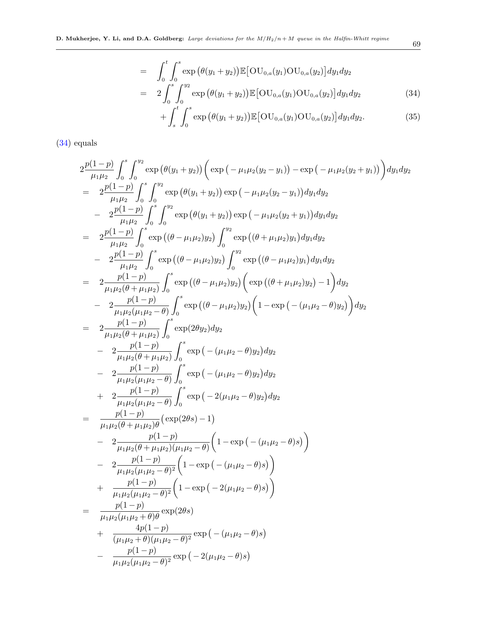$$
= \int_0^t \int_0^s \exp (\theta(y_1 + y_2)) \mathbb{E} [\text{OU}_{0,a}(y_1) \text{OU}_{0,a}(y_2)] dy_1 dy_2
$$
  

$$
= 2 \int_0^s \int_0^{y_2} \exp (\theta(y_1 + y_2)) \mathbb{E} [\text{OU}_{0,a}(y_1) \text{OU}_{0,a}(y_2)] dy_1 dy_2
$$
(34)

$$
+\int_{s}^{t}\int_{0}^{s}\exp(\theta(y_{1}+y_{2}))\mathbb{E}[\text{OU}_{0,a}(y_{1})\text{OU}_{0,a}(y_{2})]dy_{1}dy_{2}.
$$
 (35)

[\(34\)](#page-67-0) equals

$$
2 \frac{p(1-p)}{\mu_1 \mu_2} \int_0^s \int_0^{\mu_2} \exp(\theta(y_1 + y_2)) (\exp(-\mu_1 \mu_2(y_2 - y_1)) - \exp(-\mu_1 \mu_2(y_2 + y_1)) dy_1 dy_2
$$
  
\n
$$
= 2 \frac{p(1-p)}{\mu_1 \mu_2} \int_0^s \int_0^{\mu_2} \exp(\theta(y_1 + y_2)) \exp(-\mu_1 \mu_2(y_2 - y_1)) dy_1 dy_2
$$
  
\n
$$
- 2 \frac{p(1-p)}{\mu_1 \mu_2} \int_0^s \exp((\theta - \mu_1 \mu_2)y_2) \exp(-\mu_1 \mu_2(y_2 + y_1)) dy_1 dy_2
$$
  
\n
$$
= 2 \frac{p(1-p)}{\mu_1 \mu_2} \int_0^s \exp((\theta - \mu_1 \mu_2)y_2) \int_0^{\mu_2} \exp((\theta - \mu_1 \mu_2)y_1) dy_1 dy_2
$$
  
\n
$$
- 2 \frac{p(1-p)}{\mu_1 \mu_2 (\theta + \mu_1 \mu_2)} \int_0^s \exp((\theta - \mu_1 \mu_2)y_2) (\exp((\theta + \mu_1 \mu_2)y_2) - 1) dy_2
$$
  
\n
$$
- 2 \frac{p(1-p)}{\mu_1 \mu_2 (\theta + \mu_1 \mu_2)} \int_0^s \exp((\theta - \mu_1 \mu_2)y_2) (1 - \exp(-(\mu_1 \mu_2 - \theta)y_2)) dy_2
$$
  
\n
$$
- 2 \frac{p(1-p)}{\mu_1 \mu_2 (\theta + \mu_1 \mu_2)} \int_0^s \exp(-(\mu_1 \mu_2 - \theta)y_2) dy_2
$$
  
\n
$$
- 2 \frac{p(1-p)}{\mu_1 \mu_2 (\theta + \mu_1 \mu_2)} \int_0^s \exp(-(\mu_1 \mu_2 - \theta)y_2) dy_2
$$
  
\n
$$
- 2 \frac{p(1-p)}{\mu_1 \mu_2 (\mu_1 \mu_2 - \theta)} \int_0^s \exp(-(\mu_1 \mu_2 - \theta)y_2) dy_2
$$
  
\n
$$
+ 2 \frac{p
$$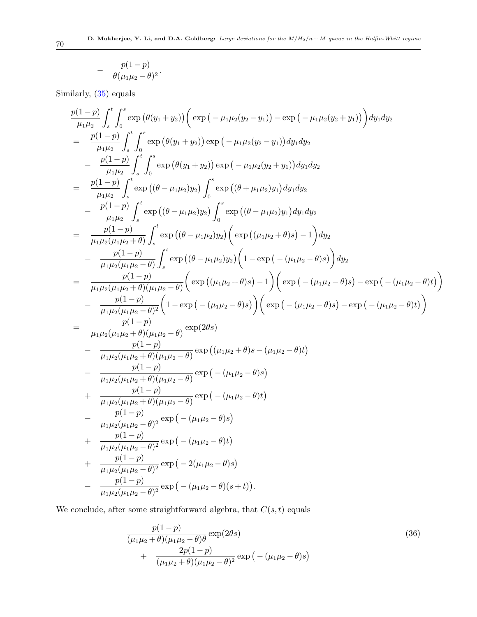$$
-\quad \frac{p(1-p)}{\theta(\mu_1\mu_2-\theta)^2}.
$$

Similarly, [\(35\)](#page-67-0) equals

$$
\frac{p(1-p)}{\mu_1\mu_2} \int_s^t \int_0^s \exp(\theta(y_1 + y_2)) (\exp(-\mu_1\mu_2(y_2 - y_1)) - \exp(-\mu_1\mu_2(y_2 + y_1)) dy_1 dy_2 \n= \frac{p(1-p)}{\mu_1\mu_2} \int_s^t \int_0^s \exp(\theta(y_1 + y_2)) \exp(-\mu_1\mu_2(y_2 - y_1)) dy_1 dy_2 \n- \frac{p(1-p)}{\mu_1\mu_2} \int_s^t \int_0^s \exp(\theta(y_1 + y_2)) \exp(-\mu_1\mu_2(y_2 + y_1)) dy_1 dy_2 \n= \frac{p(1-p)}{\mu_1\mu_2} \int_s^t \exp((\theta - \mu_1\mu_2)y_2) \int_0^s \exp((\theta + \mu_1\mu_2)y_1) dy_1 dy_2 \n- \frac{p(1-p)}{\mu_1\mu_2} \int_s^t \exp((\theta - \mu_1\mu_2)y_2) \int_0^s \exp((\theta - \mu_1\mu_2)y_1) dy_1 dy_2 \n= \frac{p(1-p)}{\mu_1\mu_2(\mu_1\mu_2 + \theta)} \int_s^t \exp((\theta - \mu_1\mu_2)y_2) (\exp((\mu_1\mu_2 + \theta)s) - 1) dy_2 \n- \frac{p(1-p)}{\mu_1\mu_2(\mu_1\mu_2 + \theta)(y_1\mu_2 - \theta)} (\exp((\mu_1\mu_2 + \theta)s) - 1) (\exp(-(\mu_1\mu_2 - \theta)s)) - \exp(-(\mu_1\mu_2 - \theta)t) ) \n- \frac{p(1-p)}{\mu_1\mu_2(\mu_1\mu_2 + \theta)(\mu_1\mu_2 - \theta)} (\exp((\mu_1\mu_2 + \theta)s) - 1) (\exp(-(\mu_1\mu_2 - \theta)s) - \exp(-(\mu_1\mu_2 - \theta)t)) \n- \frac{p(1-p)}{\mu_1\mu_2(\mu_1\mu_2 + \theta)(\mu_1\mu_2 - \theta)} \exp(2\theta s) \n- \frac{p(1-p)}{\mu_1\mu_2(\mu_1\mu_2 + \theta)(\mu_1\mu_2 - \theta)} \exp((\mu_1\mu_2 +
$$

We conclude, after some straightforward algebra, that  $C(s,t)$  equals

<span id="page-69-0"></span>
$$
\frac{p(1-p)}{(\mu_1 \mu_2 + \theta)(\mu_1 \mu_2 - \theta)\theta} \exp(2\theta s) \n+ \frac{2p(1-p)}{(\mu_1 \mu_2 + \theta)(\mu_1 \mu_2 - \theta)^2} \exp(-( \mu_1 \mu_2 - \theta)s)
$$
\n(36)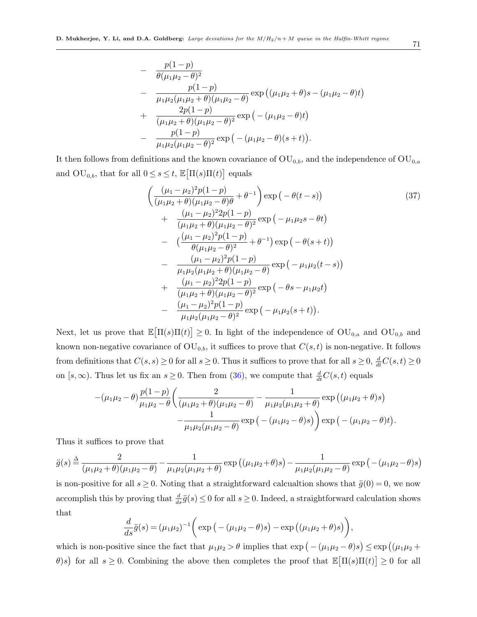$$
- \frac{p(1-p)}{\theta(\mu_1\mu_2 - \theta)^2} - \frac{p(1-p)}{\mu_1\mu_2(\mu_1\mu_2 + \theta)(\mu_1\mu_2 - \theta)} \exp((\mu_1\mu_2 + \theta)s - (\mu_1\mu_2 - \theta)t) + \frac{2p(1-p)}{(\mu_1\mu_2 + \theta)(\mu_1\mu_2 - \theta)^2} \exp(-( \mu_1\mu_2 - \theta)t) - \frac{p(1-p)}{\mu_1\mu_2(\mu_1\mu_2 - \theta)^2} \exp(-( \mu_1\mu_2 - \theta)(s+t)).
$$

It then follows from definitions and the known covariance of  $\text{OU}_{0,b}$ , and the independence of  $\text{OU}_{0,a}$ and  $\text{OU}_{0,b}$ , that for all  $0 \leq s \leq t$ ,  $\mathbb{E}[\Pi(s)\Pi(t)]$  equals

<span id="page-70-0"></span>
$$
\begin{split}\n&\left(\frac{(\mu_1 - \mu_2)^2 p (1 - p)}{(\mu_1 \mu_2 + \theta)(\mu_1 \mu_2 - \theta)\theta} + \theta^{-1}\right) \exp\left(-\theta(t - s)\right) \\
&+ \frac{(\mu_1 - \mu_2)^2 2 p (1 - p)}{(\mu_1 \mu_2 + \theta)(\mu_1 \mu_2 - \theta)^2} \exp\left(-\mu_1 \mu_2 s - \theta t\right) \\
&- \frac{(\frac{(\mu_1 - \mu_2)^2 p (1 - p)}{\theta(\mu_1 \mu_2 - \theta)^2} + \theta^{-1}\right) \exp\left(-\theta(s + t)\right) \\
&- \frac{(\mu_1 - \mu_2)^2 p (1 - p)}{\mu_1 \mu_2 (\mu_1 \mu_2 + \theta)(\mu_1 \mu_2 - \theta)} \exp\left(-\mu_1 \mu_2(t - s)\right) \\
&+ \frac{(\mu_1 - \mu_2)^2 2 p (1 - p)}{(\mu_1 \mu_2 + \theta)(\mu_1 \mu_2 - \theta)^2} \exp\left(-\theta s - \mu_1 \mu_2 t\right) \\
&- \frac{(\mu_1 - \mu_2)^2 p (1 - p)}{\mu_1 \mu_2 (\mu_1 \mu_2 - \theta)^2} \exp\left(-\mu_1 \mu_2(s + t)\right).\n\end{split}
$$
(37)

Next, let us prove that  $\mathbb{E}[\Pi(s)\Pi(t)] \geq 0$ . In light of the independence of  $\text{OU}_{0,a}$  and  $\text{OU}_{0,b}$  and known non-negative covariance of  $\text{OU}_{0,b}$ , it suffices to prove that  $C(s,t)$  is non-negative. It follows from definitions that  $C(s, s) \ge 0$  for all  $s \ge 0$ . Thus it suffices to prove that for all  $s \ge 0$ ,  $\frac{d}{dt}C(s, t) \ge 0$ on  $[s,\infty)$ . Thus let us fix an  $s \geq 0$ . Then from [\(36\)](#page-69-0), we compute that  $\frac{d}{dt}C(s,t)$  equals

$$
-(\mu_1\mu_2-\theta)\frac{p(1-p)}{\mu_1\mu_2-\theta}\left(\frac{2}{(\mu_1\mu_2+\theta)(\mu_1\mu_2-\theta)}-\frac{1}{\mu_1\mu_2(\mu_1\mu_2+\theta)}\exp((\mu_1\mu_2+\theta)s)\right)\\-\frac{1}{\mu_1\mu_2(\mu_1\mu_2-\theta)}\exp(-(\mu_1\mu_2-\theta)s)\right)\exp(-(\mu_1\mu_2-\theta)t).
$$

Thus it suffices to prove that

$$
\ddot{g}(s) \stackrel{\Delta}{=} \frac{2}{(\mu_1 \mu_2 + \theta)(\mu_1 \mu_2 - \theta)} - \frac{1}{\mu_1 \mu_2 (\mu_1 \mu_2 + \theta)} \exp((\mu_1 \mu_2 + \theta)s) - \frac{1}{\mu_1 \mu_2 (\mu_1 \mu_2 - \theta)} \exp(-( \mu_1 \mu_2 - \theta)s)
$$

is non-positive for all  $s \geq 0$ . Noting that a straightforward calcualtion shows that  $\ddot{g}(0) = 0$ , we now accomplish this by proving that  $\frac{d}{ds}\ddot{g}(s) \leq 0$  for all  $s \geq 0$ . Indeed, a straightforward calculation shows that

$$
\frac{d}{ds}\ddot{g}(s) = (\mu_1\mu_2)^{-1} \bigg( \exp\big(-(\mu_1\mu_2 - \theta)s\big) - \exp\big((\mu_1\mu_2 + \theta)s\big)\bigg),
$$

which is non-positive since the fact that  $\mu_1\mu_2 > \theta$  implies that  $\exp(-(\mu_1\mu_2 - \theta)s) \leq \exp((\mu_1\mu_2 + \theta s))$ θ)s) for all  $s \geq 0$ . Combining the above then completes the proof that  $\mathbb{E}[\Pi(s)\Pi(t)] \geq 0$  for all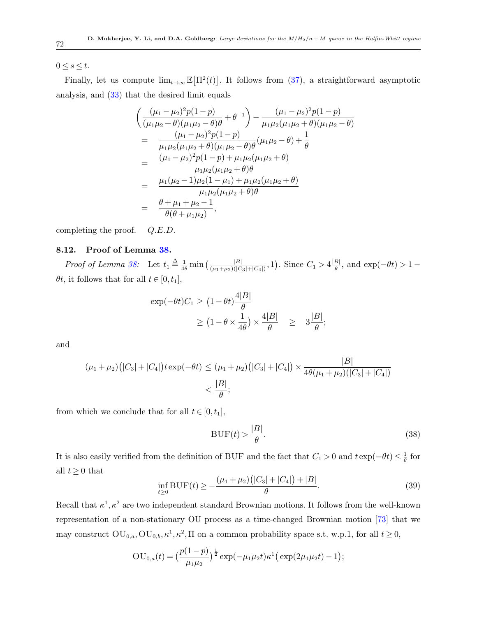$0 \leq s \leq t$ .

Finally, let us compute  $\lim_{t\to\infty} \mathbb{E}[\Pi^2(t)]$ . It follows from [\(37\)](#page-70-0), a straightforward asymptotic analysis, and [\(33\)](#page-64-0) that the desired limit equals

$$
\begin{aligned}\n&\left(\frac{(\mu_1 - \mu_2)^2 p (1 - p)}{(\mu_1 \mu_2 + \theta)(\mu_1 \mu_2 - \theta)\theta} + \theta^{-1}\right) - \frac{(\mu_1 - \mu_2)^2 p (1 - p)}{\mu_1 \mu_2 (\mu_1 \mu_2 + \theta)(\mu_1 \mu_2 - \theta)} \\
&= \frac{(\mu_1 - \mu_2)^2 p (1 - p)}{\mu_1 \mu_2 (\mu_1 \mu_2 + \theta)(\mu_1 \mu_2 - \theta)\theta} (\mu_1 \mu_2 - \theta) + \frac{1}{\theta} \\
&= \frac{(\mu_1 - \mu_2)^2 p (1 - p) + \mu_1 \mu_2 (\mu_1 \mu_2 + \theta)}{\mu_1 \mu_2 (\mu_1 \mu_2 + \theta)\theta} \\
&= \frac{\mu_1 (\mu_2 - 1) \mu_2 (1 - \mu_1) + \mu_1 \mu_2 (\mu_1 \mu_2 + \theta)}{\mu_1 \mu_2 (\mu_1 \mu_2 + \theta)\theta} \\
&= \frac{\theta + \mu_1 + \mu_2 - 1}{\theta(\theta + \mu_1 \mu_2)},\n\end{aligned}
$$

completing the proof. Q.E.D.

### 8.12. Proof of Lemma [38.](#page-49-2)

*Proof of Lemma [38:](#page-49-2)* Let  $t_1 \triangleq \frac{1}{4\theta} \min\left(\frac{|B|}{(\mu_1 + \mu_2)(|C_3| + |C_4|)}, 1\right)$ . Since  $C_1 > 4 \frac{|B|}{\theta}$  $\frac{\theta}{\theta}$ , and exp( $-\theta t$ ) > 1 –  $\theta t$ , it follows that for all  $t \in [0, t_1]$ ,

$$
\exp(-\theta t)C_1 \ge (1 - \theta t) \frac{4|B|}{\theta}
$$
  
 
$$
\ge (1 - \theta \times \frac{1}{4\theta}) \times \frac{4|B|}{\theta} \ge 3\frac{|B|}{\theta};
$$

and

$$
(\mu_1 + \mu_2)(|C_3| + |C_4|)t \exp(-\theta t) \le (\mu_1 + \mu_2)(|C_3| + |C_4|) \times \frac{|B|}{4\theta(\mu_1 + \mu_2)(|C_3| + |C_4|)}
$$
  
<  $\frac{|B|}{\theta}$ ;

from which we conclude that for all  $t \in [0, t_1]$ ,

$$
BUF(t) > \frac{|B|}{\theta}.
$$
\n(38)

It is also easily verified from the definition of BUF and the fact that  $C_1 > 0$  and  $t \exp(-\theta t) \leq \frac{1}{\theta}$  $\frac{1}{\theta}$  for all  $t \geq 0$  that

$$
\inf_{t\geq 0} \text{BUF}(t) \geq -\frac{(\mu_1 + \mu_2)(|C_3| + |C_4|) + |B|}{\theta}.
$$
\n(39)

Recall that  $\kappa^1, \kappa^2$  are two independent standard Brownian motions. It follows from the well-known representation of a non-stationary OU process as a time-changed Brownian motion [\[73\]](#page-79-5) that we may construct  $\text{OU}_{0,a}, \text{OU}_{0,b}, \kappa^1, \kappa^2, \Pi$  on a common probability space s.t. w.p.1, for all  $t \geq 0$ ,

$$
OU_{0,a}(t) = \left(\frac{p(1-p)}{\mu_1\mu_2}\right)^{\frac{1}{2}} \exp(-\mu_1\mu_2 t)\kappa^1 \left(\exp(2\mu_1\mu_2 t) - 1\right);
$$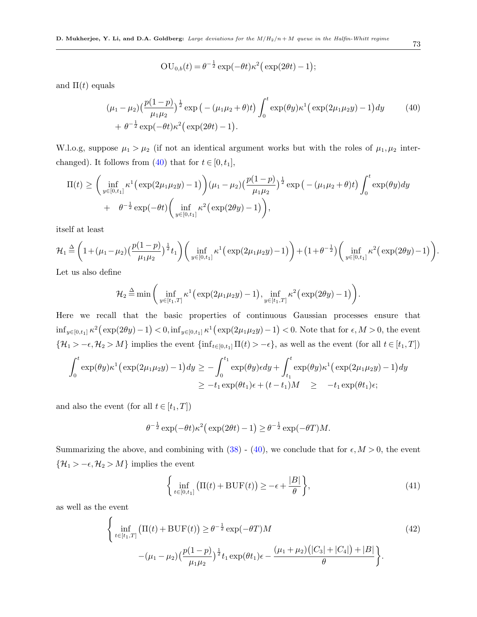$$
OU_{0,b}(t) = \theta^{-\frac{1}{2}} \exp(-\theta t) \kappa^2 (\exp(2\theta t) - 1);
$$

and  $\Pi(t)$  equals

<span id="page-72-0"></span>
$$
(\mu_1 - \mu_2) \left(\frac{p(1-p)}{\mu_1 \mu_2}\right)^{\frac{1}{2}} \exp\left(-(\mu_1 \mu_2 + \theta)t\right) \int_0^t \exp(\theta y) \kappa^1 \left(\exp(2\mu_1 \mu_2 y) - 1\right) dy \tag{40}
$$
  
+  $\theta^{-\frac{1}{2}} \exp(-\theta t) \kappa^2 \left(\exp(2\theta t) - 1\right).$ 

W.l.o.g, suppose  $\mu_1 > \mu_2$  (if not an identical argument works but with the roles of  $\mu_1, \mu_2$  inter-changed). It follows from [\(40\)](#page-72-0) that for  $t \in [0, t_1]$ ,

$$
\Pi(t) \geq \left(\inf_{y \in [0,t_1]} \kappa^1 \left(\exp(2\mu_1 \mu_2 y) - 1\right)\right) (\mu_1 - \mu_2) \left(\frac{p(1-p)}{\mu_1 \mu_2}\right)^{\frac{1}{2}} \exp\left(-(\mu_1 \mu_2 + \theta)t\right) \int_0^t \exp(\theta y) dy + \theta^{-\frac{1}{2}} \exp(-\theta t) \left(\inf_{y \in [0,t_1]} \kappa^2 \left(\exp(2\theta y) - 1\right)\right),
$$

itself at least

$$
\mathcal{H}_1 \stackrel{\Delta}{=} \left(1 + (\mu_1 - \mu_2) \left(\frac{p(1-p)}{\mu_1 \mu_2}\right)^{\frac{1}{2}} t_1\right) \left(\inf_{y \in [0, t_1]} \kappa^1 \left(\exp(2\mu_1 \mu_2 y) - 1\right)\right) + \left(1 + \theta^{-\frac{1}{2}}\right) \left(\inf_{y \in [0, t_1]} \kappa^2 \left(\exp(2\theta y) - 1\right)\right)
$$

Let us also define

$$
\mathcal{H}_2 \triangleq \min\bigg(\inf_{y\in[t_1,T]} \kappa^1\big(\exp(2\mu_1\mu_2 y) - 1\big), \inf_{y\in[t_1,T]} \kappa^2\big(\exp(2\theta y) - 1\big)\bigg).
$$

Here we recall that the basic properties of continuous Gaussian processes ensure that  $\inf_{y \in [0,t_1]} \kappa^2 (\exp(2\theta y) - 1) < 0, \inf_{y \in [0,t_1]} \kappa^1 (\exp(2\mu_1 \mu_2 y) - 1) < 0.$  Note that for  $\epsilon, M > 0$ , the event  ${\mathcal{H}}_1 > -\epsilon, {\mathcal{H}}_2 > M$ } implies the event  $\{\inf_{t \in [0,t_1]} \Pi(t) > -\epsilon\}$ , as well as the event (for all  $t \in [t_1, T]$ )

$$
\int_0^t \exp(\theta y) \kappa^1 \Big( \exp(2\mu_1 \mu_2 y) - 1 \Big) dy \ge - \int_0^{t_1} \exp(\theta y) \epsilon dy + \int_{t_1}^t \exp(\theta y) \kappa^1 \Big( \exp(2\mu_1 \mu_2 y) - 1 \Big) dy
$$
  
 
$$
\ge -t_1 \exp(\theta t_1) \epsilon + (t - t_1) M \ge -t_1 \exp(\theta t_1) \epsilon;
$$

and also the event (for all  $t \in [t_1, T]$ )

$$
\theta^{-\frac{1}{2}} \exp(-\theta t) \kappa^2 \big( \exp(2\theta t) - 1 \big) \ge \theta^{-\frac{1}{2}} \exp(-\theta T) M.
$$

Summarizing the above, and combining with  $(38)$  -  $(40)$ , we conclude that for  $\epsilon, M > 0$ , the event  $\left\{ \mathcal{H}_{1}>-\epsilon,\mathcal{H}_{2}>M\right\}$  implies the event

$$
\left\{\inf_{t\in[0,t_1]} \left(\Pi(t) + \text{BUF}(t)\right) \ge -\epsilon + \frac{|B|}{\theta}\right\},\tag{41}
$$

as well as the event

$$
\begin{cases}\n\inf_{t \in [t_1, T]} \left( \Pi(t) + \text{BUF}(t) \right) \ge \theta^{-\frac{1}{2}} \exp(-\theta T) M \\
-(\mu_1 - \mu_2) \left( \frac{p(1-p)}{\mu_1 \mu_2} \right)^{\frac{1}{2}} t_1 \exp(\theta t_1) \epsilon - \frac{(\mu_1 + \mu_2) (|C_3| + |C_4|) + |B|}{\theta} \end{cases}
$$
\n(42)

.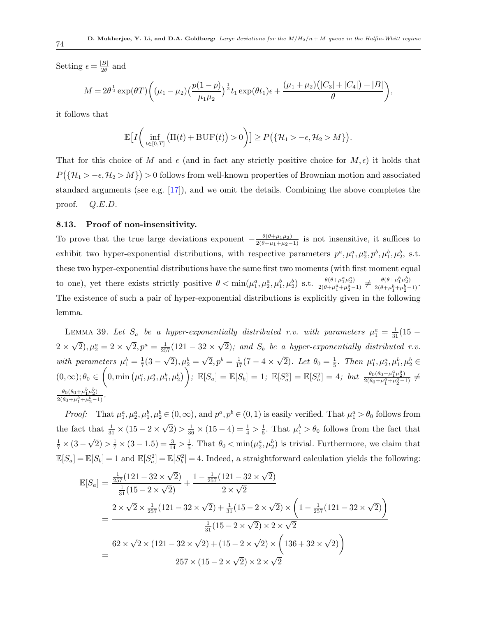Setting  $\epsilon = \frac{|B|}{2\theta}$  $\frac{|B|}{2\theta}$  and

$$
M = 2\theta^{\frac{1}{2}} \exp(\theta T) \bigg( (\mu_1 - \mu_2) \left( \frac{p(1-p)}{\mu_1 \mu_2} \right)^{\frac{1}{2}} t_1 \exp(\theta t_1) \epsilon + \frac{(\mu_1 + \mu_2) (|C_3| + |C_4|) + |B|}{\theta} \bigg),
$$

it follows that

$$
\mathbb{E}\big[I\bigg(\inf_{t\in[0,T]}\big(\Pi(t)+\mathrm{BUF}(t)\big)>0\bigg)\big]\geq P\big(\{\mathcal{H}_1>-\epsilon,\mathcal{H}_2>M\}\big).
$$

That for this choice of M and  $\epsilon$  (and in fact any strictly positive choice for  $M, \epsilon$ ) it holds that  $P(\{\mathcal{H}_1 > -\epsilon, \mathcal{H}_2 > M\}) > 0$  follows from well-known properties of Brownian motion and associated standard arguments (see e.g.  $[17]$ ), and we omit the details. Combining the above completes the proof. Q.E.D.

## 8.13. Proof of non-insensitivity.

To prove that the true large deviations exponent  $-\frac{\theta(\theta+\mu_1\mu_2)}{2(\theta+\mu_1+\mu_2-1)}$  is not insensitive, it suffices to exhibit two hyper-exponential distributions, with respective parameters  $p^a, \mu_1^a, \mu_2^a, p^b, \mu_1^b, \mu_2^b$ , s.t. these two hyper-exponential distributions have the same first two moments (with first moment equal to one), yet there exists strictly positive  $\theta < \min(\mu_1^a, \mu_2^a, \mu_1^b, \mu_2^b)$  s.t.  $\frac{\theta(\theta + \mu_1^a \mu_2^a)}{2(\theta + \mu_1^a + \mu_2^a - 1)} \neq \frac{\theta(\theta + \mu_1^b \mu_2^b)}{2(\theta + \mu_1^b + \mu_2^b - 1)}$  $\frac{\theta(\theta+\mu_1\mu_2)}{2(\theta+\mu_1^b+\mu_2^b-1)}$ . The existence of such a pair of hyper-exponential distributions is explicitly given in the following lemma.

LEMMA 39. Let  $S_a$  be a hyper-exponentially distributed r.v. with parameters  $\mu_1^a = \frac{1}{31}(15 2 \times$ √  $\overline{2}), \mu_2^a = 2 \times$ √  $\overline{2}, p^a = \frac{1}{257}(121 - 32 \times$ √  $2)$ ; and  $S_b$  be a hyper-exponentially distributed r.v. with parameters  $\mu_1^b = \frac{1}{7}$  $rac{1}{7}(3 -$ √  $(\overline{2}), \mu_2^b =$ √  $\overline{2}, p^b = \frac{1}{17}(7 - 4 \times$ √  $\overline{2}$ ). Let  $\theta_0 = \frac{1}{5}$  $\frac{1}{5}$ . Then  $\mu_1^a, \mu_2^a, \mu_1^b, \mu_2^b \in$  $(0, \infty); \theta_0 \in \left(0, \min\left(\mu_1^a, \mu_2^a, \mu_1^b, \mu_2^b\right)\right); \ \mathbb{E}[S_a] = \mathbb{E}[S_b] = 1; \ \mathbb{E}[S_a^2] = \mathbb{E}[S_b^2] = 4; \ \textit{but } \ \frac{\theta_0(\theta_0 + \mu_1^a \mu_2^a)}{2(\theta_0 + \mu_1^a + \mu_2^a - 1)} \neq 0.$  $\theta_0(\theta_0+\mu_1^b\mu_2^b)$  $rac{\theta_0(\theta_0+\mu_1\mu_2)}{2(\theta_0+\mu_1^b+\mu_2^b-1)}$ .

*Proof:* That  $\mu_1^a, \mu_2^a, \mu_1^b, \mu_2^b \in (0, \infty)$ , and  $p^a, p^b \in (0, 1)$  is easily verified. That  $\mu_1^a > \theta_0$  follows from the fact that  $\frac{1}{31} \times (15 - 2 \times$ √  $\overline{2}) > \frac{1}{36} \times (15 - 4) = \frac{1}{4} > \frac{1}{5}$  $\frac{1}{5}$ . That  $\mu_1^b > \theta_0$  follows from the fact that  $\frac{1}{7} \times (3 -$ √  $\left( \overline{2} \right) > \frac{1}{7} \times \left( 3 - 1.5 \right) = \frac{3}{14} > \frac{1}{5}$  $\frac{1}{5}$ . That  $\theta_0 < \min(\mu_2^a, \mu_2^b)$  is trivial. Furthermore, we claim that  $\mathbb{E}[S_a] = \mathbb{E}[S_b] = 1$  and  $\mathbb{E}[S_a^2] = \mathbb{E}[S_b^2] = 4$ . Indeed, a straightforward calculation yields the following:

$$
\mathbb{E}[S_a] = \frac{\frac{1}{257}(121 - 32 \times \sqrt{2})}{\frac{1}{31}(15 - 2 \times \sqrt{2})} + \frac{1 - \frac{1}{257}(121 - 32 \times \sqrt{2})}{2 \times \sqrt{2}}
$$
\n
$$
= \frac{2 \times \sqrt{2} \times \frac{1}{257}(121 - 32 \times \sqrt{2}) + \frac{1}{31}(15 - 2 \times \sqrt{2}) \times \left(1 - \frac{1}{257}(121 - 32 \times \sqrt{2})\right)}{\frac{1}{31}(15 - 2 \times \sqrt{2}) \times 2 \times \sqrt{2}}
$$
\n
$$
= \frac{62 \times \sqrt{2} \times (121 - 32 \times \sqrt{2}) + (15 - 2 \times \sqrt{2}) \times \left(136 + 32 \times \sqrt{2}\right)}{257 \times (15 - 2 \times \sqrt{2}) \times 2 \times \sqrt{2}}
$$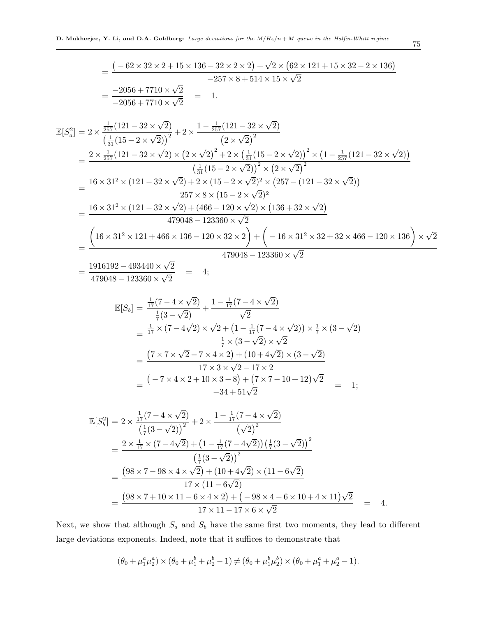$$
= \frac{(-62 \times 32 \times 2 + 15 \times 136 - 32 \times 2 \times 2) + \sqrt{2} \times (62 \times 121 + 15 \times 32 - 2 \times 136)}{-257 \times 8 + 514 \times 15 \times \sqrt{2}}
$$
  
\n
$$
= \frac{-2056 + 7710 \times \sqrt{2}}{-2056 + 7710 \times \sqrt{2}} = 1.
$$
  
\n
$$
\mathbb{E}[S_a^2] = 2 \times \frac{\frac{1}{257}(121 - 32 \times \sqrt{2})}{(\frac{1}{31}(15 - 2 \times \sqrt{2}))^2} + 2 \times \frac{1 - \frac{1}{257}(121 - 32 \times \sqrt{2})}{(2 \times \sqrt{2})^2}
$$
  
\n
$$
= \frac{2 \times \frac{1}{257}(121 - 32 \times \sqrt{2}) \times (2 \times \sqrt{2})^2 + 2 \times (\frac{1}{31}(15 - 2 \times \sqrt{2}))^2 \times (1 - \frac{1}{257}(121 - 32 \times \sqrt{2}))}{(\frac{1}{31}(15 - 2 \times \sqrt{2}))^2 \times (2 \times \sqrt{2})^2}
$$
  
\n
$$
= \frac{16 \times 31^2 \times (121 - 32 \times \sqrt{2}) + 2 \times (15 - 2 \times \sqrt{2})^2 \times (257 - (121 - 32 \times \sqrt{2}))}{257 \times 8 \times (15 - 2 \times \sqrt{2})^2}
$$
  
\n
$$
= \frac{16 \times 31^2 \times (121 - 32 \times \sqrt{2}) + (466 - 120 \times \sqrt{2}) \times (136 + 32 \times \sqrt{2})}{479048 - 123360 \times \sqrt{2}}
$$
  
\n
$$
= \frac{(16 \times 31^2 \times 121 + 466 \times 136 - 120 \times 32 \times 2) + (-16 \times 31^2 \times 32 + 32 \times 466 - 120 \times 136) \times \sqrt{2}}{479048 - 123360 \times \sqrt{2}}
$$
  
\n<math display="</math>

 $479048 - 123360 \times$ 2

$$
\mathbb{E}[S_b] = \frac{\frac{1}{17}(7 - 4 \times \sqrt{2})}{\frac{1}{7}(3 - \sqrt{2})} + \frac{1 - \frac{1}{17}(7 - 4 \times \sqrt{2})}{\sqrt{2}}
$$
\n
$$
= \frac{\frac{1}{17} \times (7 - 4\sqrt{2}) \times \sqrt{2} + (1 - \frac{1}{17}(7 - 4 \times \sqrt{2})) \times \frac{1}{7} \times (3 - \sqrt{2})}{\frac{1}{7} \times (3 - \sqrt{2}) \times \sqrt{2}}
$$
\n
$$
= \frac{(7 \times 7 \times \sqrt{2} - 7 \times 4 \times 2) + (10 + 4\sqrt{2}) \times (3 - \sqrt{2})}{17 \times 3 \times \sqrt{2} - 17 \times 2}
$$
\n
$$
= \frac{(-7 \times 4 \times 2 + 10 \times 3 - 8) + (7 \times 7 - 10 + 12)\sqrt{2}}{-34 + 51\sqrt{2}} = 1;
$$

$$
\mathbb{E}[S_b^2] = 2 \times \frac{\frac{1}{17}(7 - 4 \times \sqrt{2})}{\left(\frac{1}{7}(3 - \sqrt{2})\right)^2} + 2 \times \frac{1 - \frac{1}{17}(7 - 4 \times \sqrt{2})}{\left(\sqrt{2}\right)^2}
$$
\n
$$
= \frac{2 \times \frac{1}{17} \times (7 - 4\sqrt{2}) + \left(1 - \frac{1}{17}(7 - 4\sqrt{2})\right)\left(\frac{1}{7}(3 - \sqrt{2})\right)^2}{\left(\frac{1}{7}(3 - \sqrt{2})\right)^2}
$$
\n
$$
= \frac{\left(98 \times 7 - 98 \times 4 \times \sqrt{2}\right) + \left(10 + 4\sqrt{2}\right) \times \left(11 - 6\sqrt{2}\right)}{17 \times \left(11 - 6\sqrt{2}\right)}
$$
\n
$$
= \frac{\left(98 \times 7 + 10 \times 11 - 6 \times 4 \times 2\right) + \left(-98 \times 4 - 6 \times 10 + 4 \times 11\right)\sqrt{2}}{17 \times 11 - 17 \times 6 \times \sqrt{2}} = 4.
$$

Next, we show that although  $S_a$  and  $S_b$  have the same first two moments, they lead to different large deviations exponents. Indeed, note that it suffices to demonstrate that

$$
(\theta_0 + \mu_1^a \mu_2^a) \times (\theta_0 + \mu_1^b + \mu_2^b - 1) \neq (\theta_0 + \mu_1^b \mu_2^b) \times (\theta_0 + \mu_1^a + \mu_2^a - 1).
$$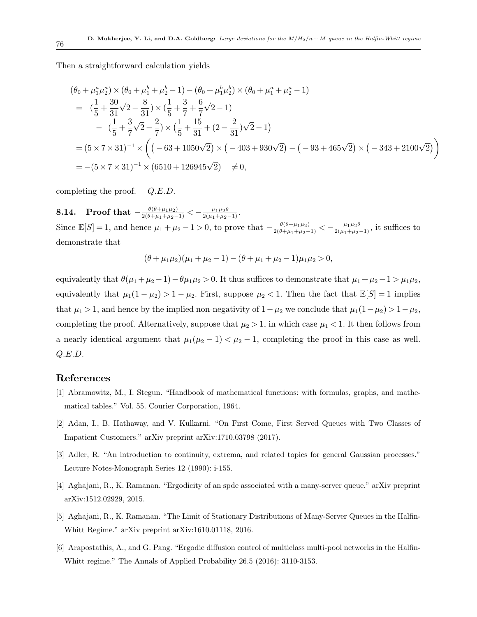Then a straightforward calculation yields

$$
(\theta_0 + \mu_1^a \mu_2^a) \times (\theta_0 + \mu_1^b + \mu_2^b - 1) - (\theta_0 + \mu_1^b \mu_2^b) \times (\theta_0 + \mu_1^a + \mu_2^a - 1)
$$
  
=  $(\frac{1}{5} + \frac{30}{31}\sqrt{2} - \frac{8}{31}) \times (\frac{1}{5} + \frac{3}{7} + \frac{6}{7}\sqrt{2} - 1)$   

$$
- (\frac{1}{5} + \frac{3}{7}\sqrt{2} - \frac{2}{7}) \times (\frac{1}{5} + \frac{15}{31} + (2 - \frac{2}{31})\sqrt{2} - 1)
$$
  
=  $(5 \times 7 \times 31)^{-1} \times ((-63 + 1050\sqrt{2}) \times (-403 + 930\sqrt{2}) - (-93 + 465\sqrt{2}) \times (-343 + 2100\sqrt{2}))$   
=  $-(5 \times 7 \times 31)^{-1} \times (6510 + 126945\sqrt{2}) \neq 0$ ,

completing the proof. Q.E.D.

8.14. Proof that  $-\frac{\theta(\theta+\mu_1\mu_2)}{2(\theta+\mu_1+\mu_2-1)} < -\frac{\mu_1\mu_2\theta}{2(\mu_1+\mu_2-1)}$ . Since  $\mathbb{E}[S] = 1$ , and hence  $\mu_1 + \mu_2 - 1 > 0$ , to prove that  $-\frac{\theta(\theta + \mu_1\mu_2)}{2(\theta + \mu_1 + \mu_2 - 1)} < -\frac{\mu_1\mu_2\theta}{2(\mu_1 + \mu_2 - 1)}$ , it suffices to demonstrate that

$$
(\theta + \mu_1 \mu_2)(\mu_1 + \mu_2 - 1) - (\theta + \mu_1 + \mu_2 - 1)\mu_1 \mu_2 > 0,
$$

equivalently that  $\theta(\mu_1 + \mu_2 - 1) - \theta\mu_1\mu_2 > 0$ . It thus suffices to demonstrate that  $\mu_1 + \mu_2 - 1 > \mu_1\mu_2$ , equivalently that  $\mu_1(1 - \mu_2) > 1 - \mu_2$ . First, suppose  $\mu_2 < 1$ . Then the fact that  $\mathbb{E}[S] = 1$  implies that  $\mu_1 > 1$ , and hence by the implied non-negativity of  $1 - \mu_2$  we conclude that  $\mu_1(1 - \mu_2) > 1 - \mu_2$ , completing the proof. Alternatively, suppose that  $\mu_2 > 1$ , in which case  $\mu_1 < 1$ . It then follows from a nearly identical argument that  $\mu_1(\mu_2 - 1) < \mu_2 - 1$ , completing the proof in this case as well. Q.E.D.

## References

- [1] Abramowitz, M., I. Stegun. "Handbook of mathematical functions: with formulas, graphs, and mathematical tables." Vol. 55. Courier Corporation, 1964.
- [2] Adan, I., B. Hathaway, and V. Kulkarni. "On First Come, First Served Queues with Two Classes of Impatient Customers." arXiv preprint arXiv:1710.03798 (2017).
- [3] Adler, R. "An introduction to continuity, extrema, and related topics for general Gaussian processes." Lecture Notes-Monograph Series 12 (1990): i-155.
- [4] Aghajani, R., K. Ramanan. "Ergodicity of an spde associated with a many-server queue." arXiv preprint arXiv:1512.02929, 2015.
- [5] Aghajani, R., K. Ramanan. "The Limit of Stationary Distributions of Many-Server Queues in the Halfin-Whitt Regime." arXiv preprint arXiv:1610.01118, 2016.
- [6] Arapostathis, A., and G. Pang. "Ergodic diffusion control of multiclass multi-pool networks in the Halfin-Whitt regime." The Annals of Applied Probability 26.5 (2016): 3110-3153.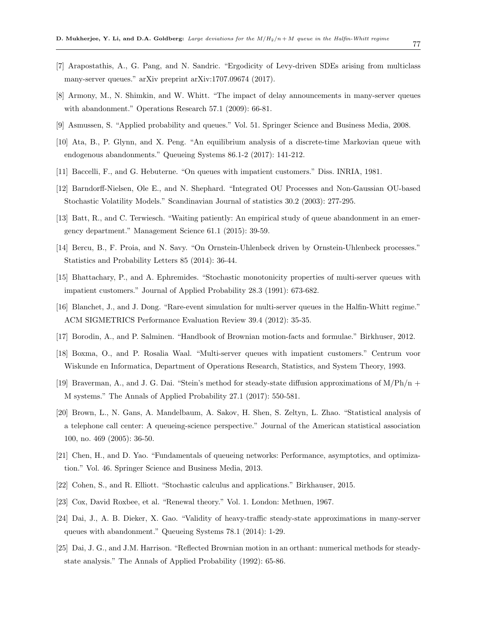- 77
- [7] Arapostathis, A., G. Pang, and N. Sandric. "Ergodicity of Levy-driven SDEs arising from multiclass many-server queues." arXiv preprint arXiv:1707.09674 (2017).
- [8] Armony, M., N. Shimkin, and W. Whitt. "The impact of delay announcements in many-server queues with abandonment." Operations Research 57.1 (2009): 66-81.
- [9] Asmussen, S. "Applied probability and queues." Vol. 51. Springer Science and Business Media, 2008.
- [10] Ata, B., P. Glynn, and X. Peng. "An equilibrium analysis of a discrete-time Markovian queue with endogenous abandonments." Queueing Systems 86.1-2 (2017): 141-212.
- [11] Baccelli, F., and G. Hebuterne. "On queues with impatient customers." Diss. INRIA, 1981.
- [12] Barndorff-Nielsen, Ole E., and N. Shephard. "Integrated OU Processes and Non-Gaussian OU-based Stochastic Volatility Models." Scandinavian Journal of statistics 30.2 (2003): 277-295.
- [13] Batt, R., and C. Terwiesch. "Waiting patiently: An empirical study of queue abandonment in an emergency department." Management Science 61.1 (2015): 39-59.
- [14] Bercu, B., F. Proia, and N. Savy. "On Ornstein-Uhlenbeck driven by Ornstein-Uhlenbeck processes." Statistics and Probability Letters 85 (2014): 36-44.
- [15] Bhattachary, P., and A. Ephremides. "Stochastic monotonicity properties of multi-server queues with impatient customers." Journal of Applied Probability 28.3 (1991): 673-682.
- [16] Blanchet, J., and J. Dong. "Rare-event simulation for multi-server queues in the Halfin-Whitt regime." ACM SIGMETRICS Performance Evaluation Review 39.4 (2012): 35-35.
- <span id="page-76-0"></span>[17] Borodin, A., and P. Salminen. "Handbook of Brownian motion-facts and formulae." Birkhuser, 2012.
- [18] Boxma, O., and P. Rosalia Waal. "Multi-server queues with impatient customers." Centrum voor Wiskunde en Informatica, Department of Operations Research, Statistics, and System Theory, 1993.
- [19] Braverman, A., and J. G. Dai. "Stein's method for steady-state diffusion approximations of  $M/Ph/n$  + M systems." The Annals of Applied Probability 27.1 (2017): 550-581.
- [20] Brown, L., N. Gans, A. Mandelbaum, A. Sakov, H. Shen, S. Zeltyn, L. Zhao. "Statistical analysis of a telephone call center: A queueing-science perspective." Journal of the American statistical association 100, no. 469 (2005): 36-50.
- [21] Chen, H., and D. Yao. "Fundamentals of queueing networks: Performance, asymptotics, and optimization." Vol. 46. Springer Science and Business Media, 2013.
- [22] Cohen, S., and R. Elliott. "Stochastic calculus and applications." Birkhauser, 2015.
- [23] Cox, David Roxbee, et al. "Renewal theory." Vol. 1. London: Methuen, 1967.
- [24] Dai, J., A. B. Dieker, X. Gao. "Validity of heavy-traffic steady-state approximations in many-server queues with abandonment." Queueing Systems 78.1 (2014): 1-29.
- [25] Dai, J. G., and J.M. Harrison. "Reflected Brownian motion in an orthant: numerical methods for steadystate analysis." The Annals of Applied Probability (1992): 65-86.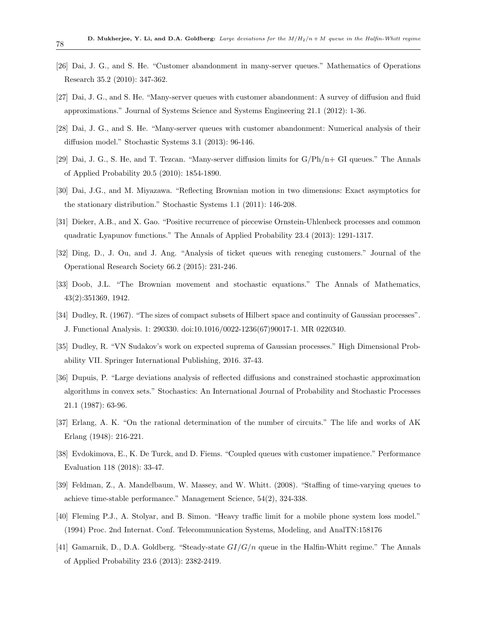- [26] Dai, J. G., and S. He. "Customer abandonment in many-server queues." Mathematics of Operations Research 35.2 (2010): 347-362.
- [27] Dai, J. G., and S. He. "Many-server queues with customer abandonment: A survey of diffusion and fluid approximations." Journal of Systems Science and Systems Engineering 21.1 (2012): 1-36.
- [28] Dai, J. G., and S. He. "Many-server queues with customer abandonment: Numerical analysis of their diffusion model." Stochastic Systems 3.1 (2013): 96-146.
- [29] Dai, J. G., S. He, and T. Tezcan. "Many-server diffusion limits for G/Ph/n+ GI queues." The Annals of Applied Probability 20.5 (2010): 1854-1890.
- [30] Dai, J.G., and M. Miyazawa. "Reflecting Brownian motion in two dimensions: Exact asymptotics for the stationary distribution." Stochastic Systems 1.1 (2011): 146-208.
- [31] Dieker, A.B., and X. Gao. "Positive recurrence of piecewise Ornstein-Uhlenbeck processes and common quadratic Lyapunov functions." The Annals of Applied Probability 23.4 (2013): 1291-1317.
- [32] Ding, D., J. Ou, and J. Ang. "Analysis of ticket queues with reneging customers." Journal of the Operational Research Society 66.2 (2015): 231-246.
- [33] Doob, J.L. "The Brownian movement and stochastic equations." The Annals of Mathematics, 43(2):351369, 1942.
- [34] Dudley, R. (1967). "The sizes of compact subsets of Hilbert space and continuity of Gaussian processes". J. Functional Analysis. 1: 290330. doi:10.1016/0022-1236(67)90017-1. MR 0220340.
- [35] Dudley, R. "VN Sudakov's work on expected suprema of Gaussian processes." High Dimensional Probability VII. Springer International Publishing, 2016. 37-43.
- [36] Dupuis, P. "Large deviations analysis of reflected diffusions and constrained stochastic approximation algorithms in convex sets." Stochastics: An International Journal of Probability and Stochastic Processes 21.1 (1987): 63-96.
- [37] Erlang, A. K. "On the rational determination of the number of circuits." The life and works of AK Erlang (1948): 216-221.
- [38] Evdokimova, E., K. De Turck, and D. Fiems. "Coupled queues with customer impatience." Performance Evaluation 118 (2018): 33-47.
- [39] Feldman, Z., A. Mandelbaum, W. Massey, and W. Whitt. (2008). "Staffing of time-varying queues to achieve time-stable performance." Management Science, 54(2), 324-338.
- [40] Fleming P.J., A. Stolyar, and B. Simon. "Heavy traffic limit for a mobile phone system loss model." (1994) Proc. 2nd Internat. Conf. Telecommunication Systems, Modeling, and AnalTN:158176
- [41] Gamarnik, D., D.A. Goldberg. "Steady-state  $GI/G/n$  queue in the Halfin-Whitt regime." The Annals of Applied Probability 23.6 (2013): 2382-2419.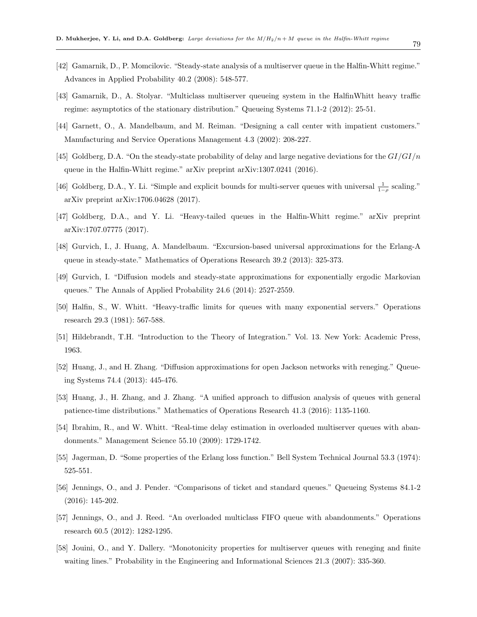- [42] Gamarnik, D., P. Momcilovic. "Steady-state analysis of a multiserver queue in the Halfin-Whitt regime." Advances in Applied Probability 40.2 (2008): 548-577.
- [43] Gamarnik, D., A. Stolyar. "Multiclass multiserver queueing system in the HalfinWhitt heavy traffic regime: asymptotics of the stationary distribution." Queueing Systems 71.1-2 (2012): 25-51.
- [44] Garnett, O., A. Mandelbaum, and M. Reiman. "Designing a call center with impatient customers." Manufacturing and Service Operations Management 4.3 (2002): 208-227.
- [45] Goldberg, D.A. "On the steady-state probability of delay and large negative deviations for the  $GI/GI/n$ queue in the Halfin-Whitt regime." arXiv preprint arXiv:1307.0241 (2016).
- [46] Goldberg, D.A., Y. Li. "Simple and explicit bounds for multi-server queues with universal  $\frac{1}{1-\rho}$  scaling." arXiv preprint arXiv:1706.04628 (2017).
- [47] Goldberg, D.A., and Y. Li. "Heavy-tailed queues in the Halfin-Whitt regime." arXiv preprint arXiv:1707.07775 (2017).
- [48] Gurvich, I., J. Huang, A. Mandelbaum. "Excursion-based universal approximations for the Erlang-A queue in steady-state." Mathematics of Operations Research 39.2 (2013): 325-373.
- [49] Gurvich, I. "Diffusion models and steady-state approximations for exponentially ergodic Markovian queues." The Annals of Applied Probability 24.6 (2014): 2527-2559.
- [50] Halfin, S., W. Whitt. "Heavy-traffic limits for queues with many exponential servers." Operations research 29.3 (1981): 567-588.
- [51] Hildebrandt, T.H. "Introduction to the Theory of Integration." Vol. 13. New York: Academic Press, 1963.
- [52] Huang, J., and H. Zhang. "Diffusion approximations for open Jackson networks with reneging." Queueing Systems 74.4 (2013): 445-476.
- [53] Huang, J., H. Zhang, and J. Zhang. "A unified approach to diffusion analysis of queues with general patience-time distributions." Mathematics of Operations Research 41.3 (2016): 1135-1160.
- [54] Ibrahim, R., and W. Whitt. "Real-time delay estimation in overloaded multiserver queues with abandonments." Management Science 55.10 (2009): 1729-1742.
- [55] Jagerman, D. "Some properties of the Erlang loss function." Bell System Technical Journal 53.3 (1974): 525-551.
- [56] Jennings, O., and J. Pender. "Comparisons of ticket and standard queues." Queueing Systems 84.1-2 (2016): 145-202.
- [57] Jennings, O., and J. Reed. "An overloaded multiclass FIFO queue with abandonments." Operations research 60.5 (2012): 1282-1295.
- [58] Jouini, O., and Y. Dallery. "Monotonicity properties for multiserver queues with reneging and finite waiting lines." Probability in the Engineering and Informational Sciences 21.3 (2007): 335-360.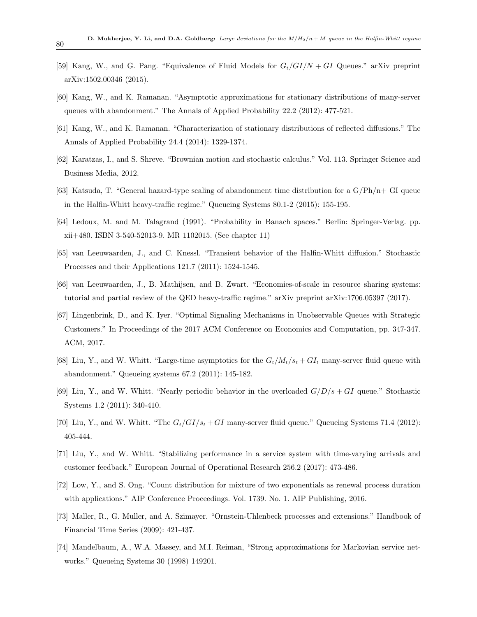- [59] Kang, W., and G. Pang. "Equivalence of Fluid Models for  $G_t/GI/N + GI$  Queues." arXiv preprint arXiv:1502.00346 (2015).
- [60] Kang, W., and K. Ramanan. "Asymptotic approximations for stationary distributions of many-server queues with abandonment." The Annals of Applied Probability 22.2 (2012): 477-521.
- [61] Kang, W., and K. Ramanan. "Characterization of stationary distributions of reflected diffusions." The Annals of Applied Probability 24.4 (2014): 1329-1374.
- [62] Karatzas, I., and S. Shreve. "Brownian motion and stochastic calculus." Vol. 113. Springer Science and Business Media, 2012.
- [63] Katsuda, T. "General hazard-type scaling of abandonment time distribution for a  $G/Ph/n+ GI$  queue in the Halfin-Whitt heavy-traffic regime." Queueing Systems 80.1-2 (2015): 155-195.
- [64] Ledoux, M. and M. Talagrand (1991). "Probability in Banach spaces." Berlin: Springer-Verlag. pp. xii+480. ISBN 3-540-52013-9. MR 1102015. (See chapter 11)
- [65] van Leeuwaarden, J., and C. Knessl. "Transient behavior of the Halfin-Whitt diffusion." Stochastic Processes and their Applications 121.7 (2011): 1524-1545.
- [66] van Leeuwaarden, J., B. Mathijsen, and B. Zwart. "Economies-of-scale in resource sharing systems: tutorial and partial review of the QED heavy-traffic regime." arXiv preprint arXiv:1706.05397 (2017).
- [67] Lingenbrink, D., and K. Iyer. "Optimal Signaling Mechanisms in Unobservable Queues with Strategic Customers." In Proceedings of the 2017 ACM Conference on Economics and Computation, pp. 347-347. ACM, 2017.
- [68] Liu, Y., and W. Whitt. "Large-time asymptotics for the  $G_t/M_t/s_t + GI_t$  many-server fluid queue with abandonment." Queueing systems 67.2 (2011): 145-182.
- [69] Liu, Y., and W. Whitt. "Nearly periodic behavior in the overloaded  $G/D/s + GI$  queue." Stochastic Systems 1.2 (2011): 340-410.
- [70] Liu, Y., and W. Whitt. "The  $G_t/GI/s_t + GI$  many-server fluid queue." Queueing Systems 71.4 (2012): 405-444.
- [71] Liu, Y., and W. Whitt. "Stabilizing performance in a service system with time-varying arrivals and customer feedback." European Journal of Operational Research 256.2 (2017): 473-486.
- [72] Low, Y., and S. Ong. "Count distribution for mixture of two exponentials as renewal process duration with applications." AIP Conference Proceedings. Vol. 1739. No. 1. AIP Publishing, 2016.
- [73] Maller, R., G. Muller, and A. Szimayer. "Ornstein-Uhlenbeck processes and extensions." Handbook of Financial Time Series (2009): 421-437.
- [74] Mandelbaum, A., W.A. Massey, and M.I. Reiman, "Strong approximations for Markovian service networks." Queueing Systems 30 (1998) 149201.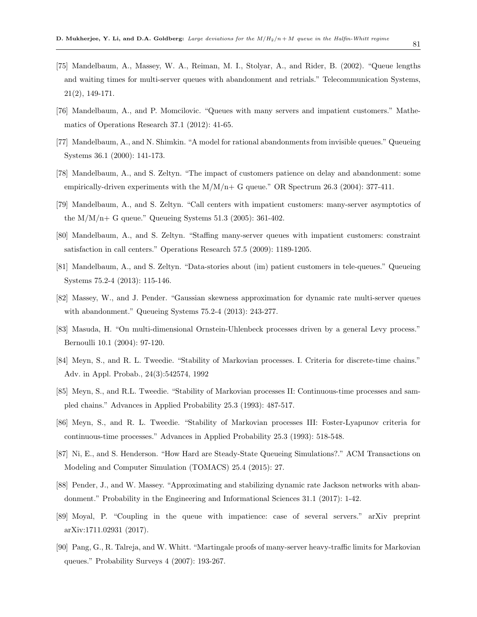- [75] Mandelbaum, A., Massey, W. A., Reiman, M. I., Stolyar, A., and Rider, B. (2002). "Queue lengths and waiting times for multi-server queues with abandonment and retrials." Telecommunication Systems, 21(2), 149-171.
- [76] Mandelbaum, A., and P. Momcilovic. "Queues with many servers and impatient customers." Mathematics of Operations Research 37.1 (2012): 41-65.
- [77] Mandelbaum, A., and N. Shimkin. "A model for rational abandonments from invisible queues." Queueing Systems 36.1 (2000): 141-173.
- [78] Mandelbaum, A., and S. Zeltyn. "The impact of customers patience on delay and abandonment: some empirically-driven experiments with the  $M/M/n+$  G queue." OR Spectrum 26.3 (2004): 377-411.
- [79] Mandelbaum, A., and S. Zeltyn. "Call centers with impatient customers: many-server asymptotics of the  $M/M/n+$  G queue." Queueing Systems 51.3 (2005): 361-402.
- [80] Mandelbaum, A., and S. Zeltyn. "Staffing many-server queues with impatient customers: constraint satisfaction in call centers." Operations Research 57.5 (2009): 1189-1205.
- [81] Mandelbaum, A., and S. Zeltyn. "Data-stories about (im) patient customers in tele-queues." Queueing Systems 75.2-4 (2013): 115-146.
- [82] Massey, W., and J. Pender. "Gaussian skewness approximation for dynamic rate multi-server queues with abandonment." Queueing Systems 75.2-4 (2013): 243-277.
- [83] Masuda, H. "On multi-dimensional Ornstein-Uhlenbeck processes driven by a general Levy process." Bernoulli 10.1 (2004): 97-120.
- [84] Meyn, S., and R. L. Tweedie. "Stability of Markovian processes. I. Criteria for discrete-time chains." Adv. in Appl. Probab., 24(3):542574, 1992
- [85] Meyn, S., and R.L. Tweedie. "Stability of Markovian processes II: Continuous-time processes and sampled chains." Advances in Applied Probability 25.3 (1993): 487-517.
- [86] Meyn, S., and R. L. Tweedie. "Stability of Markovian processes III: Foster-Lyapunov criteria for continuous-time processes." Advances in Applied Probability 25.3 (1993): 518-548.
- [87] Ni, E., and S. Henderson. "How Hard are Steady-State Queueing Simulations?." ACM Transactions on Modeling and Computer Simulation (TOMACS) 25.4 (2015): 27.
- [88] Pender, J., and W. Massey. "Approximating and stabilizing dynamic rate Jackson networks with abandonment." Probability in the Engineering and Informational Sciences 31.1 (2017): 1-42.
- [89] Moyal, P. "Coupling in the queue with impatience: case of several servers." arXiv preprint arXiv:1711.02931 (2017).
- [90] Pang, G., R. Talreja, and W. Whitt. "Martingale proofs of many-server heavy-traffic limits for Markovian queues." Probability Surveys 4 (2007): 193-267.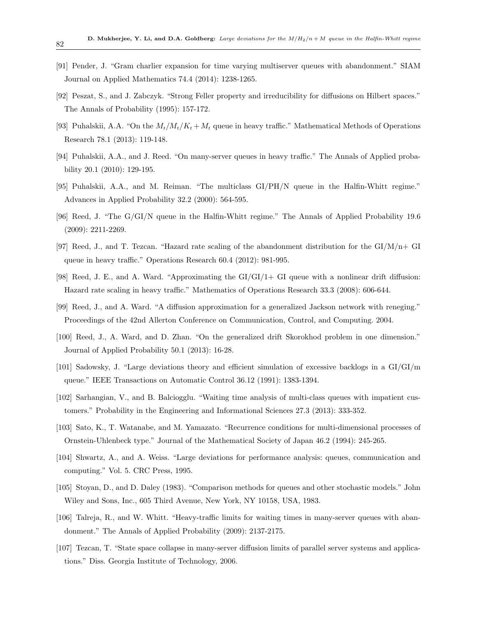- [91] Pender, J. "Gram charlier expansion for time varying multiserver queues with abandonment." SIAM Journal on Applied Mathematics 74.4 (2014): 1238-1265.
- [92] Peszat, S., and J. Zabczyk. "Strong Feller property and irreducibility for diffusions on Hilbert spaces." The Annals of Probability (1995): 157-172.
- [93] Puhalskii, A.A. "On the  $M_t/M_t/K_t + M_t$  queue in heavy traffic." Mathematical Methods of Operations Research 78.1 (2013): 119-148.
- [94] Puhalskii, A.A., and J. Reed. "On many-server queues in heavy traffic." The Annals of Applied probability 20.1 (2010): 129-195.
- [95] Puhalskii, A.A., and M. Reiman. "The multiclass GI/PH/N queue in the Halfin-Whitt regime." Advances in Applied Probability 32.2 (2000): 564-595.
- [96] Reed, J. "The G/GI/N queue in the Halfin-Whitt regime." The Annals of Applied Probability 19.6 (2009): 2211-2269.
- [97] Reed, J., and T. Tezcan. "Hazard rate scaling of the abandonment distribution for the  $GI/M/n+GI$ queue in heavy traffic." Operations Research 60.4 (2012): 981-995.
- [98] Reed, J. E., and A. Ward. "Approximating the GI/GI/1+ GI queue with a nonlinear drift diffusion: Hazard rate scaling in heavy traffic." Mathematics of Operations Research 33.3 (2008): 606-644.
- [99] Reed, J., and A. Ward. "A diffusion approximation for a generalized Jackson network with reneging." Proceedings of the 42nd Allerton Conference on Communication, Control, and Computing. 2004.
- [100] Reed, J., A. Ward, and D. Zhan. "On the generalized drift Skorokhod problem in one dimension." Journal of Applied Probability 50.1 (2013): 16-28.
- [101] Sadowsky, J. "Large deviations theory and efficient simulation of excessive backlogs in a GI/GI/m queue." IEEE Transactions on Automatic Control 36.12 (1991): 1383-1394.
- [102] Sarhangian, V., and B. Balciogglu. "Waiting time analysis of multi-class queues with impatient customers." Probability in the Engineering and Informational Sciences 27.3 (2013): 333-352.
- [103] Sato, K., T. Watanabe, and M. Yamazato. "Recurrence conditions for multi-dimensional processes of Ornstein-Uhlenbeck type." Journal of the Mathematical Society of Japan 46.2 (1994): 245-265.
- [104] Shwartz, A., and A. Weiss. "Large deviations for performance analysis: queues, communication and computing." Vol. 5. CRC Press, 1995.
- [105] Stoyan, D., and D. Daley (1983). "Comparison methods for queues and other stochastic models." John Wiley and Sons, Inc., 605 Third Avenue, New York, NY 10158, USA, 1983.
- [106] Talreja, R., and W. Whitt. "Heavy-traffic limits for waiting times in many-server queues with abandonment." The Annals of Applied Probability (2009): 2137-2175.
- [107] Tezcan, T. "State space collapse in many-server diffusion limits of parallel server systems and applications." Diss. Georgia Institute of Technology, 2006.